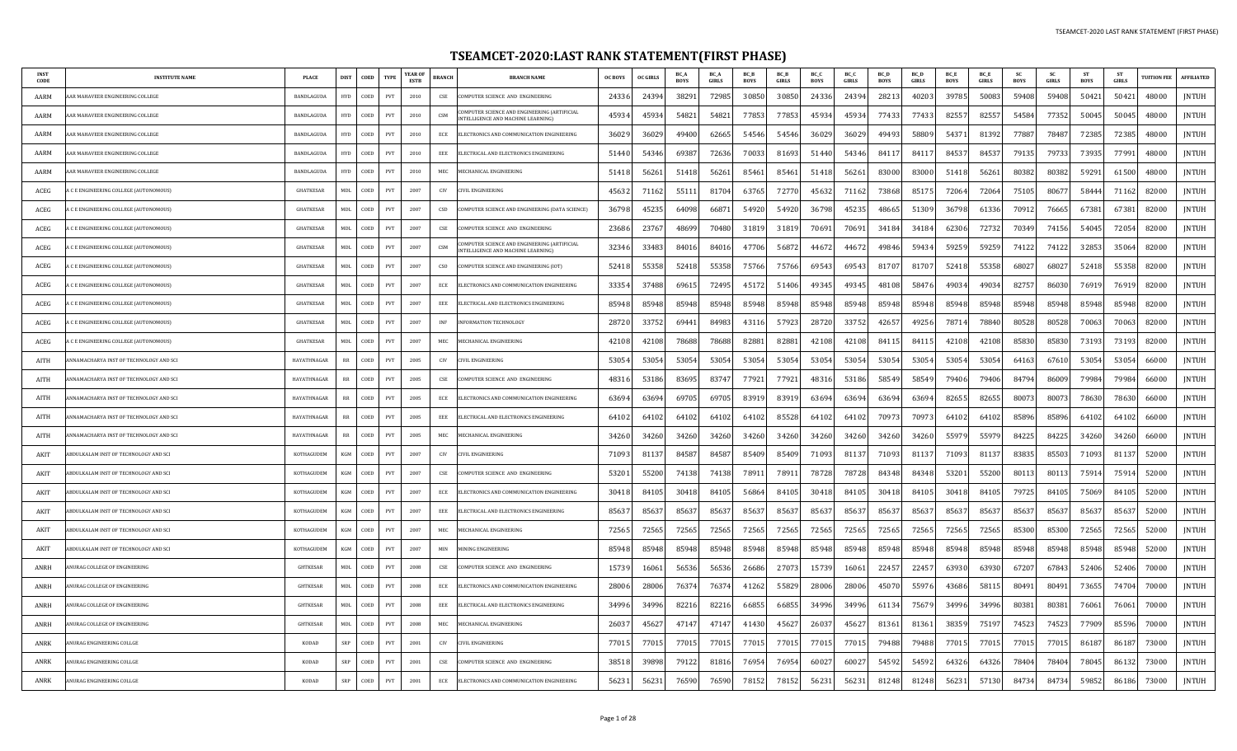## **TSEAMCET-2020:LAST RANK STATEMENT(FIRST PHASE)**

| <b>INST</b><br>CODE | <b>INSTITUTE NAME</b>                  | <b>PLACE</b>      | <b>DIST</b>      | COED | <b>TYPE</b>                 | YEAR OF<br><b>ESTB</b> | BRANCH       | <b>BRANCH NAME</b>                                                                | <b>OC BOYS</b> | <b>OC GIRLS</b> | BC A<br><b>BOYS</b> | BC A<br>GIRLS | BC_B<br><b>BOYS</b> | BC_B<br><b>GIRLS</b> | BC_C<br><b>BOYS</b> | BC_C<br>GIRLS | BC_D<br><b>BOYS</b> | BC_D<br>GIRLS | BC_E<br><b>BOYS</b> | BC_E<br>GIRLS | <b>SC</b><br><b>BOYS</b> | <b>SC</b><br><b>GIRLS</b> | <b>ST</b><br><b>BOYS</b> | <b>ST</b><br><b>GIRLS</b> | <b>TUITION FEI</b> | <b>AFFILIATED</b> |
|---------------------|----------------------------------------|-------------------|------------------|------|-----------------------------|------------------------|--------------|-----------------------------------------------------------------------------------|----------------|-----------------|---------------------|---------------|---------------------|----------------------|---------------------|---------------|---------------------|---------------|---------------------|---------------|--------------------------|---------------------------|--------------------------|---------------------------|--------------------|-------------------|
| AARM                | R MAHAVEER ENGINEERING COLLEGE         | <b>BANDLAGUDA</b> | <b>HYD</b>       | COED | <b>PVT</b>                  | 2010                   | CSE          | <b>DMPUTER SCIENCE AND ENGINEERING</b>                                            | 24336          | 2439            | 38291               | 72985         | 30850               | 30850                | 24336               | 24394         | 28213               | 4020          | 39785               | 50083         | 59408                    | 59408                     | 50421                    | 50421                     | 48000              | <b>INTUH</b>      |
| AARM                | AR MAHAVEER ENGINEERING COLLEGE        | BANDLAGUDA        | <b>HYD</b>       | COED | $\ensuremath{\mathrm{PVT}}$ | 2010                   | CSM          | COMPUTER SCIENCE AND ENGINEERING (ARTIFICIAL<br>NTELLIGENCE AND MACHINE LEARNING) | 45934          | 4593            | 54821               | 5482          | 77853               | 7785                 | 45934               | 45934         | 77433               | 7743          | 82557               | 82557         | 54584                    | 77352                     | 50045                    | 50045                     | 48000              | <b>JNTUH</b>      |
| AARM                | AR MAHAVEER ENGINEERING COLLEGE        | BANDLAGUDA        | <b>HYD</b>       | COED | $\ensuremath{\mathrm{PVT}}$ | 2010                   | $ECE$        | ELECTRONICS AND COMMUNICATION ENGINEERING                                         | 36029          | 3602            | 49400               | 62665         | 54546               | 54546                | 36029               | 36029         | 49493               | 5880          | 54371               | 81392         | 77887                    | 78487                     | 72385                    | 72385                     | 48000              | <b>JNTUH</b>      |
| AARM                | AR MAHAVEER ENGINEERING COLLEGE        | BANDLAGUDA        | <b>HYD</b>       | COED | PVT                         | 2010                   | EEE          | ELECTRICAL AND ELECTRONICS ENGINEERING                                            | 51440          | 5434            | 69387               | 72636         | 70033               | 8169                 | 51440               | 54346         | 8411                | 8411          | 84537               | 84537         | 79135                    | 79733                     | 73935                    | 77991                     | 48000              | <b>JNTUH</b>      |
| AARM                | AR MAHAVEER ENGINEERING COLLEGE        | BANDLAGUDA        | <b>HYD</b>       | COED | PVT                         | 2010                   | MEC          | MECHANICAL ENGINEERING                                                            | 5141           | 5626            | 51418               | 56261         | 85461               | 8546                 | 51418               | 56261         | 83000               | 83000         | 51418               | 56261         | 80382                    | 80382                     | 59291                    | 61500                     | 48000              | JNTUH             |
| ACEG                | C E ENGINEERING COLLEGE (AUTONOMOUS)   | <b>GHATKESAR</b>  | $\textsf{MDL}{}$ | COED | PVT                         | 2007                   | CIV          | <b>IVIL ENGINEERING</b>                                                           | 4563           | 7116            | 55111               | 8170          | 63765               | 7277                 | 45632               | 71162         | 73868               | 85175         | 72064               | 72064         | 75105                    | 8067                      | 5844                     | 71162                     | 82000              | <b>JNTUH</b>      |
| ACEG                | C E ENGINEERING COLLEGE (AUTONOMOUS)   | <b>GHATKESAR</b>  | MDI.             | COED | PVT                         | 2007                   | <b>CSD</b>   | COMPUTER SCIENCE AND ENGINEERING (DATA SCIENCE)                                   | 36798          | 4523            | 64098               | 6687          | 54920               | 54920                | 36798               | 45235         | 48665               | 51309         | 36798               | 61336         | 70912                    | 76665                     | 67381                    | 67381                     | 82000              | <b>JNTUH</b>      |
| ACEG                | C E ENGINEERING COLLEGE (AUTONOMOUS)   | <b>GHATKESAR</b>  | MDL              | COED | <b>PVT</b>                  | 2007                   | CSE          | COMPUTER SCIENCE AND ENGINEERING                                                  | 2368           | 2376            | 48699               | 70480         | 31819               | 31819                | 70691               | 70691         | 34184               | 3418          | 62306               | 72732         | 70349                    | 74156                     | 54045                    | 72054                     | 82000              | <b>JNTUH</b>      |
| ACEG                | C E ENGINEERING COLLEGE (AUTONOMOUS)   | <b>GHATKESAR</b>  | MDI.             | COED | PVT                         | 2007                   | CSM          | MPUTER SCIENCE AND ENGINEERING (ARTIFICIAL<br>INTELLIGENCE AND MACHINE LEARNING)  | 32346          | 33483           | 84016               | 84016         | 47706               | 56872                | 44672               | 44672         | 49846               | 59434         | 59259               | 59259         | 74122                    | 74122                     | 32853                    | 35064                     | 82000              | <b>JNTUH</b>      |
| ACEG                | C E ENGINEERING COLLEGE (AUTONOMOUS)   | <b>GHATKESAR</b>  | MDI.             | COED | PVT                         | 2007                   | <b>CSO</b>   | COMPUTER SCIENCE AND ENGINEERING (IOT)                                            | 5241           | 5535            | 52418               | 55358         | 75766               | 75766                | 69543               | 69543         | 81707               | 8170          | 52418               | 55358         | 68027                    | 68027                     | 52418                    | 55358                     | 82000              | <b>JNTUH</b>      |
| ACEG                | C E ENGINEERING COLLEGE (AUTONOMOUS)   | <b>GHATKESAR</b>  | <b>MDL</b>       | COED | $\ensuremath{\mathrm{PVT}}$ | 2007                   | ECE          | ELECTRONICS AND COMMUNICATION ENGINEERING                                         | 3335           | 3748            | 6961                | 72495         | 45172               | 51406                | 49345               | 49345         | 48108               | 5847          | 49034               | 4903          | 82757                    | 86030                     | 76919                    | 76919                     | 82000              | <b>INTUH</b>      |
| ACEG                | C E ENGINEERING COLLEGE (AUTONOMOUS)   | <b>GHATKESAR</b>  | MDI.             | COED | $\ensuremath{\mathrm{PVT}}$ | 2007                   | EEE          | ELECTRICAL AND ELECTRONICS ENGINEERING                                            | 8594           | 8594            | 85948               | 85948         | 85948               | 85948                | 85948               | 85948         | 85948               | 85948         | 85948               | 85948         | 85948                    | 85948                     | 85948                    | 85948                     | 82000              | <b>JNTUH</b>      |
| ACEG                | C E ENGINEERING COLLEGE (AUTONOMOUS)   | <b>GHATKESAR</b>  | MDI.             | COED | PVT                         | 2007                   | INF          | <b>NFORMATION TECHNOLOGY</b>                                                      | 28720          | 3375            | 69441               | 84983         | 43116               | 57923                | 28720               | 33752         | 42657               | 49256         | 78714               | 78840         | 80528                    | 80528                     | 70063                    | 70063                     | 82000              | <b>JNTUH</b>      |
| ACEG                | C E ENGINEERING COLLEGE (AUTONOMOUS)   | <b>GHATKESAR</b>  | <b>MDL</b>       | COED | PVT                         | 2007                   | MEC          | <b><i>AECHANICAL ENGINEERING</i></b>                                              | 4210           | 4210            | 78688               | 78688         | 82881               | 8288                 | 42108               | 42108         | 84115               | 84115         | 42108               | 42108         | 85830                    | 85830                     | 73193                    | 73193                     | 82000              | <b>JNTUH</b>      |
| AITH                | NNAMACHARYA INST OF TECHNOLOGY AND SCI | HAYATHNAGAR       | <b>RR</b>        | COED | PVT                         | 2005                   | CIV          | CIVIL ENGINEERING                                                                 | 5305           | 5305            | 53054               | 53054         | 53054               | 53054                | 53054               | 53054         | 53054               | 5305          | 53054               | 53054         | 64163                    | 67610                     | 53054                    | 53054                     | 66000              | <b>INTUH</b>      |
| AITH                | NNAMACHARYA INST OF TECHNOLOGY AND SCI | HAYATHNAGAR       | $_{\rm RR}$      | COED | $\ensuremath{\mathrm{PVT}}$ | 2005                   | CSE          | OMPUTER SCIENCE AND ENGINEERING                                                   | 4831           | 5318            | 83695               | 8374          | 77921               | 7792                 | 48316               | 53186         | 58549               | 5854          | 79406               | 79406         | 84794                    | 86009                     | 7998                     | 79984                     | 66000              | <b>JNTUH</b>      |
| AITH                | NNAMACHARYA INST OF TECHNOLOGY AND SCI | HAYATHNAGAR       | $_{RR}$          | COED | PVT                         | 2005                   | ECE          | ELECTRONICS AND COMMUNICATION ENGINEERING                                         | 63694          | 6369            | 69705               | 69705         | 83919               | 83919                | 63694               | 6369          | 63694               | 6369          | 82655               | 82655         | 80073                    | 80073                     | 78630                    | 78630                     | 66000              | <b>JNTUH</b>      |
| AITH                | NNAMACHARYA INST OF TECHNOLOGY AND SCI | HAYATHNAGAR       | RR               | COED | PVT                         | 2005                   | EEE          | ELECTRICAL AND ELECTRONICS ENGINEERING                                            | 6410           | 6410            | 64102               | 64102         | 64102               | 85528                | 64102               | 64102         | 7097                | 7097          | 64102               | 64102         | 85896                    | 85896                     | 64102                    | 64102                     | 66000              | JNTUH             |
| AITH                | NNAMACHARYA INST OF TECHNOLOGY AND SCI | HAYATHNAGAR       | RR               | COED | PVT                         | 2005                   | MEC          | <b>AECHANICAL ENGINEERING</b>                                                     | 3426           | 3426            | 34260               | 34260         | 34260               | 34260                | 34260               | 34260         | 34260               | 34260         | 55979               | 5597          | 84225                    | 84225                     | 34260                    | 34260                     | 66000              | <b>JNTUH</b>      |
| AKIT                | BDULKALAM INST OF TECHNOLOGY AND SCI   | KOTHAGUDEM        | KGM              | COED | $\ensuremath{\mathrm{PVT}}$ | 2007                   | CIV          | <b>IVIL ENGINEERING</b>                                                           | 7109           | 8113            | 84587               | 84587         | 85409               | 85409                | 71093               | 81137         | 71093               | 8113          | 71093               | 81137         | 83835                    | 85503                     | 71093                    | 81137                     | 52000              | <b>JNTUH</b>      |
| AKIT                | BDULKALAM INST OF TECHNOLOGY AND SCI   | KOTHAGUDEM        | KGM              | COED | PVT                         | 2007                   | CSE          | OMPUTER SCIENCE AND ENGINEERING                                                   | 5320           | 5520            | 74138               | 74138         | 7891                | 7891                 | 78728               | 78728         | 84348               | 84348         | 53201               | 55200         | 80113                    | 80113                     | 7591                     | 75914                     | 52000              | JNTUH             |
| AKIT                | BDULKALAM INST OF TECHNOLOGY AND SCI   | KOTHAGUDEM        | KGM              | COED | $\ensuremath{\mathrm{PVT}}$ | 2007                   | ECE          | ELECTRONICS AND COMMUNICATION ENGINEERING                                         | 30418          | 8410            | 30418               | 84105         | 56864               | 84105                | 30418               | 84105         | 30418               | 84105         | 30418               | 84105         | 79725                    | 84105                     | 75069                    | 84105                     | 52000              | JNTUH             |
| AKIT                | BDULKALAM INST OF TECHNOLOGY AND SCI   | KOTHAGUDEM        | <b>KGM</b>       | COED | PVT                         | 2007                   | EEE          | ELECTRICAL AND ELECTRONICS ENGINEERING                                            | 8563           | 8563            | 85637               | 8563          | 8563.               | 8563                 | 85637               | 85637         | 85637               | 8563          | 85637               | 85637         | 85637                    | 85637                     | 85637                    | 85637                     | 52000              | <b>JNTUH</b>      |
| AKIT                | BDULKALAM INST OF TECHNOLOGY AND SCI   | <b>KOTHAGUDEM</b> | KGM              | COED | $\ensuremath{\mathrm{PVT}}$ | 2007                   | $_{\rm MEC}$ | <b><i>JECHANICAL ENGINEERING</i></b>                                              | 72565          | 7256            | 72565               | 72565         | 72565               | 72565                | 72565               | 72565         | 72565               | 72565         | 72565               | 72565         | 85300                    | 85300                     | 72565                    | 72565                     | 52000              | <b>JNTUH</b>      |
| AKIT                | BDULKALAM INST OF TECHNOLOGY AND SCI   | KOTHAGUDEM        | KGM              | COED | PVT                         | 2007                   | MIN          | <b>INING ENGINEERING</b>                                                          | 85948          | 8594            | 85948               | 85948         | 85948               | 85948                | 85948               | 85948         | 85948               | 85948         | 85948               | 85948         | 85948                    | 85948                     | 85948                    | 85948                     | 52000              | JNTUH             |
| ANRH                | NURAG COLLEGE OF ENGINEERING           | <b>GHTKESAR</b>   | MDL              | COED | PVT                         | 2008                   | CSE          | OMPUTER SCIENCE AND ENGINEERING                                                   | 15739          | 1606            | 56536               | 56536         | 26686               | 2707                 | 15739               | 1606          | 22457               | 2245          | 63930               | 63930         | 67207                    | 67843                     | 52406                    | 52406                     | 70000              | JNTUH             |
| ANRH                | <b>INURAG COLLEGE OF ENGINEERING</b>   | <b>GHTKESAR</b>   | MDL              | COED | PVT                         | 2008                   | ECE          | ELECTRONICS AND COMMUNICATION ENGINEERING                                         | 28006          | 2800            | 76374               | 7637          | 41262               | 5582                 | 28006               | 28006         | 45070               | 55976         | 43686               | 58115         | 80491                    | 80491                     | 73655                    | 74704                     | 70000              | <b>JNTUH</b>      |
| ANRH                | <b>INURAG COLLEGE OF ENGINEERING</b>   | <b>GHTKESAR</b>   | MDL              | COED | PVT                         | 2008                   | EEE          | ELECTRICAL AND ELECTRONICS ENGINEERING                                            | 34996          | 34996           | 82216               | 82216         | 6685                | 66855                | 34996               | 34996         | 61134               | 75679         | 34996               | 34996         | 80381                    | 80381                     | 76061                    | 76061                     | 70000              | <b>JNTUH</b>      |
| ANRH                | <b>INITRAG COLLEGE OF ENGINEERING</b>  | <b>GHTKESAR</b>   | MDL              | COED | $\ensuremath{\mathrm{PVT}}$ | 2008                   | <b>MEC</b>   | MECHANICAL ENGINEERING                                                            | 2603           | 4562            | 47147               | 4714          | 41430               | 4562                 | 26037               | 45627         | 81361               | 8136          | 38359               | 75197         | 74523                    | 74523                     | 77909                    | 85596                     | 70000              | <b>JNTUH</b>      |
| ANRK                | <b>INURAG ENGINEERING COLLGE</b>       | KODAD             | SRP              | COED | PVT                         | 2001                   | <b>CIV</b>   | <b>CIVIL ENGINEERING</b>                                                          | 7701           | 7701            | 77015               | 77015         | 77015               | 77015                | 77015               | 77015         | 79488               | 79488         | 77015               | 7701          | 77015                    | 77015                     | 86187                    | 86187                     | 73000              | <b>JNTUH</b>      |
| ANRK                | <b>INURAG ENGINEERING COLLGE</b>       | KODAD             | SRP              | COED | PVT                         | 2001                   | CSE          | COMPUTER SCIENCE AND ENGINEERING                                                  | 3851           | 3989            | 79122               | 8181          | 7695                | 7695                 | 60027               | 60027         | 54592               | 5459          | 64326               | 64326         | 78404                    | 78404                     | 78045                    | 86132                     | 73000              | <b>INTUH</b>      |
| ANRK                | ANURAG ENGINEERING COLLGE              | KODAD             | SRP              | COED | PVT                         | 2001                   | $_{\rm ECE}$ | ELECTRONICS AND COMMUNICATION ENGINEERING                                         | 56231          | 5623            | 76590               | 76590         | 78152               | 78152                | 56231               | 5623          | 81248               | 81248         | 56231               | 57130         | 84734                    | 84734                     | 59852                    | 86186                     | 73000              | <b>INTUH</b>      |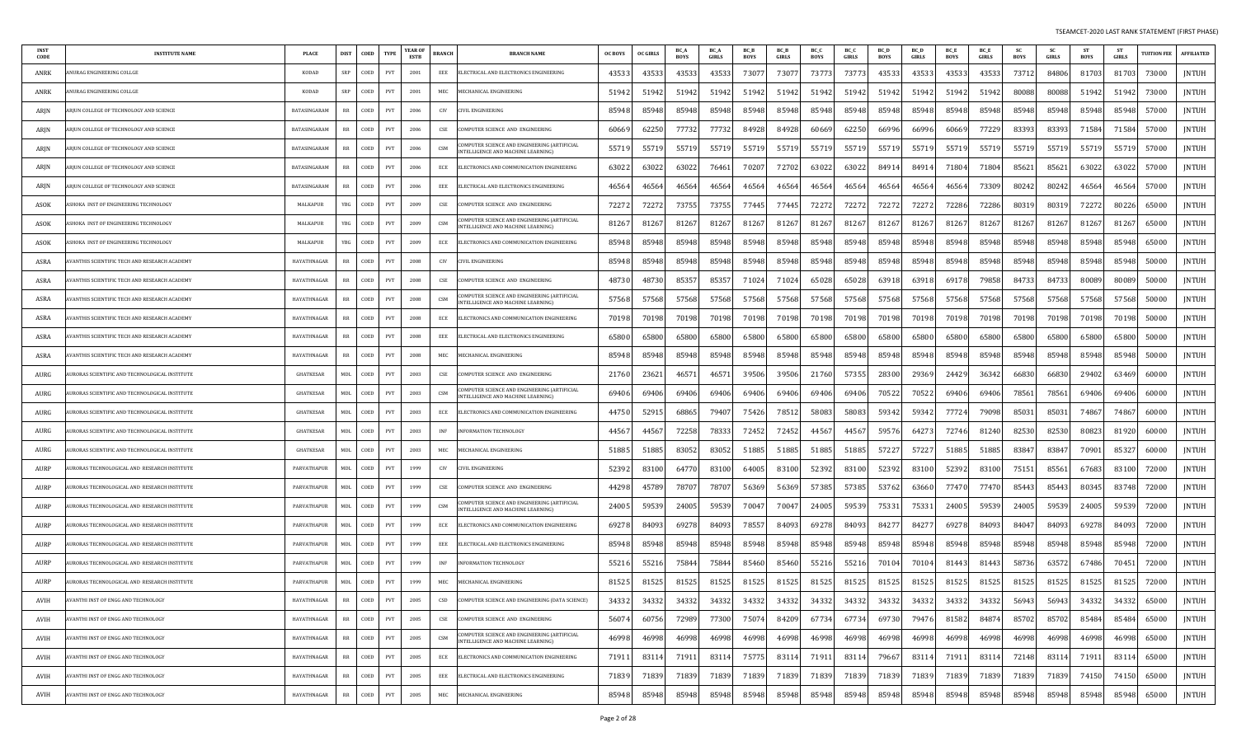| <b>INST</b><br>CODE | <b>INSTITUTE NAME</b>                               | PLACE            | DIST        | COED | <b>TYPE</b> | YEAR OF<br>ESTB | <b>BRANCH</b> | <b>BRANCH NAME</b>                                                                       | <b>OC BOYS</b> | <b>OC GIRLS</b> | BC_/<br><b>BOYS</b> | <b>BC</b> A<br><b>GIRLS</b> | BC_B<br><b>BOYS</b> | <b>BC</b> B<br><b>GIRLS</b> | BC_C<br>BOYS | BC_C<br><b>GIRLS</b> | BC D<br><b>BOYS</b> | <b>BC</b> D<br><b>GIRLS</b> | BC 1<br><b>BOYS</b> | <b>BC</b> E<br><b>GIRLS</b> | <b>SC</b><br><b>BOYS</b> | <b>SC</b><br>GIRLS | <b>ST</b><br><b>BOYS</b> | <b>ST</b><br>GIRLS | <b>TUITION FEE</b> | <b>AFFILIATED</b> |
|---------------------|-----------------------------------------------------|------------------|-------------|------|-------------|-----------------|---------------|------------------------------------------------------------------------------------------|----------------|-----------------|---------------------|-----------------------------|---------------------|-----------------------------|--------------|----------------------|---------------------|-----------------------------|---------------------|-----------------------------|--------------------------|--------------------|--------------------------|--------------------|--------------------|-------------------|
| ANRK                | NURAG ENGINEERING COLLGE                            | <b>KODAD</b>     | SRP         | COED | PVT         | 2001            | EEE           | ELECTRICAL AND ELECTRONICS ENGINEERING                                                   | 43533          | 4353            | 43533               | 4353                        | 7307                | 7307                        | 73773        | 73773                | 43533               | 4353                        | 43533               | 43533                       | 73712                    | 84806              | 81703                    | 81703              | 73000              | JNTUH             |
| ANRK                | NURAG ENGINEERING COLLGE                            | KODAD            | SRP         | COED | PVT         | 2001            | MEC           | <b>AECHANICAL ENGINEERING</b>                                                            | 51942          | 5194.           | 51942               | 51942                       | 51942               | 51942                       | 51942        | 51942                | 51942               | 5194                        | 51942               | 51942                       | 80088                    | 80088              | 51942                    | 51942              | 73000              | JNTUH             |
| ARJN                | RJUN COLLEGE OF TECHNOLOGY AND SCIENCE              | BATASINGARAM     | RR          | COED | PVT         | 2006            | CIV           | <b>IVIL ENGINEERING</b>                                                                  | 85948          | 8594            | 85948               | 85948                       | 85948               | 85948                       | 85948        | 85948                | 85948               | 85948                       | 85948               | 85948                       | 85948                    | 85948              | 85948                    | 85948              | 57000              | JNTUH             |
| ARJN                | ARJUN COLLEGE OF TECHNOLOGY AND SCIENCE             | BATASINGARAM     | RR          | COED | PVT         | 2006            | CSE           | COMPUTER SCIENCE AND ENGINEERING                                                         | 60669          | 6225            | 77732               | 77732                       | 84928               | 84928                       | 60669        | 62250                | 66996               | 66996                       | 60669               | 77229                       | 83393                    | 83393              | 71584                    | 71584              | 57000              | <b>JNTUH</b>      |
| ARJN                | RJUN COLLEGE OF TECHNOLOGY AND SCIENCE              | BATASINGARAM     | $_{\rm RR}$ | COED | PVT         | 2006            | CSM           | OMPUTER SCIENCE AND ENGINEERING (ARTIFICIAL<br>INTELLIGENCE AND MACHINE LEARNING)        | 55719          | 5571            | 55719               | 5571                        | 5571                | 5571                        | 55719        | 55719                | 55719               | 5571                        | 55719               | 5571                        | 55719                    | 55719              | 55719                    | 55719              | 57000              | <b>JNTUH</b>      |
| ARJN                | RJUN COLLEGE OF TECHNOLOGY AND SCIENCE              | BATASINGARAM     | RR          | COED | PVT         | 2006            | ECE           | ELECTRONICS AND COMMUNICATION ENGINEERING                                                | 63022          | 6302            | 63022               | 7646                        | 7020                | 72702                       | 63022        | 63022                | 8491                | 8491                        | 71804               | 7180                        | 85621                    | 85621              | 63022                    | 63022              | 57000              | JNTUH             |
| ARJN                | RJUN COLLEGE OF TECHNOLOGY AND SCIENCE              | BATASINGARAM     | RR          | COED | PVT         | 2006            | EEE           | ELECTRICAL AND ELECTRONICS ENGINEERING                                                   | 46564          | 4656            | 46564               | 4656                        | 46564               | 4656                        | 46564        | 46564                | 46564               | 4656                        | 46564               | 7330                        | 80242                    | 80242              | 46564                    | 46564              | 57000              | JNTUH             |
| ASOK                | SHOKA INST OF ENGINEERING TECHNOLOGY                | MALKAPUR         | YBG         | COED | PVT         | 2009            | CSE           | COMPUTER SCIENCE AND ENGINEERING                                                         | 72272          | 7227            | 73755               | 73755                       | 77445               | 77445                       | 72272        | 72272                | 7227                | 7227                        | 72286               | 72286                       | 80319                    | 80319              | 72272                    | 80226              | 65000              | JNTUH             |
| ASOK                | SHOKA INST OF ENGINEERING TECHNOLOGY                | MALKAPUR         | YBG         | COED | PVT         | 2009            | CSM           | COMPUTER SCIENCE AND ENGINEERING (ARTIFICIAL<br>INTELLIGENCE AND MACHINE LEARNING)       | 81267          | 8126            | 81267               | 81267                       | 81267               | 8126                        | 81267        | 81267                | 81267               | 8126                        | 81267               | 81267                       | 81267                    | 81267              | 81267                    | 81267              | 65000              | JNTUH             |
| ASOK                | SHOKA INST OF ENGINEERING TECHNOLOGY                | MALKAPUR         | YBG         | COED | PVT         | 2009            | ECE           | ELECTRONICS AND COMMUNICATION ENGINEERING                                                | 85948          | 85948           | 85948               | 85948                       | 85948               | 85948                       | 85948        | 85948                | 85948               | 85948                       | 85948               | 85948                       | 85948                    | 85948              | 85948                    | 85948              | 65000              | JNTUH             |
| ASRA                | VANTHIS SCIENTIFIC TECH AND RESEARCH ACADEMY        | HAYATHNAGAR      | RR          | COED | PVT         | 2008            | CIV           | CIVIL ENGINEERING                                                                        | 85948          | 8594            | 85948               | 85948                       | 85948               | 85948                       | 85948        | 85948                | 85948               | 85948                       | 85948               | 85948                       | 85948                    | 85948              | 85948                    | 85948              | 50000              | JNTUH             |
| ASRA                | VANTHIS SCIENTIFIC TECH AND RESEARCH ACADEMY        | HAYATHNAGAR      | RR          | COED | PVT         | 2008            | CSE           | COMPUTER SCIENCE AND ENGINEERING                                                         | 48730          | 4873            | 85357               | 8535                        | 71024               | 7102                        | 65028        | 65028                | 63918               | 6391                        | 69178               | 79858                       | 84733                    | 84733              | 80089                    | 80089              | 50000              | <b>JNTUH</b>      |
| ASRA                | VANTHIS SCIENTIFIC TECH AND RESEARCH ACADEMY        | HAYATHNAGAR      | RR          | COED | PVT         | 2008            | CSM           | COMPUTER SCIENCE AND ENGINEERING (ARTIFICIAL<br><b>NTELLIGENCE AND MACHINE LEARNING)</b> | 57568          | 5756            | 57568               | 57568                       | 57568               | 5756                        | 57568        | 57568                | 57568               | 5756                        | 57568               | 57568                       | 57568                    | 57568              | 57568                    | 57568              | 50000              | <b>JNTUH</b>      |
| ASRA                | <b>JANTHIS SCIENTIFIC TECH AND RESEARCH ACADEMY</b> | HAYATHNAGAR      | RR          | COED | PVT         | 2008            | ECE           | ELECTRONICS AND COMMUNICATION ENGINEERING                                                | 70198          | 7019            | 70198               | 70198                       | 70198               | 70198                       | 70198        | 70198                | 70198               | 7019                        | 70198               | 70198                       | 70198                    | 70198              | 70198                    | 70198              | 50000              | JNTUH             |
| ASRA                | VANTHIS SCIENTIFIC TECH AND RESEARCH ACADEMY        | HAYATHNAGAR      | RR          | COED | PVT         | 2008            | EEE           | ELECTRICAL AND ELECTRONICS ENGINEERING                                                   | 65800          | 6580            | 65800               | 65800                       | 65800               | 6580                        | 65800        | 65800                | 65800               | 6580                        | 65800               | 6580                        | 65800                    | 65800              | 65800                    | 65800              | 50000              | JNTUH             |
| ASRA                | VANTHIS SCIENTIFIC TECH AND RESEARCH ACADEMY        | HAYATHNAGAR      | RR          | COED | <b>PVT</b>  | 2008            | MEC           | MECHANICAL ENGINEERING                                                                   | 85948          | 8594            | 85948               | 85948                       | 85948               | 85948                       | 85948        | 85948                | 85948               | 8594                        | 85948               | 85948                       | 85948                    | 85948              | 85948                    | 85948              | 50000              | JNTUH             |
| AURG                | URORAS SCIENTIFIC AND TECHNOLOGICAL INSTITUTE       | <b>GHATKESAR</b> | MDL         | COED | PVT         | 2003            | CSE           | COMPUTER SCIENCE AND ENGINEERING                                                         | 2176           | 2362            | 46571               | 4657                        | 39506               | 39506                       | 21760        | 57355                | 28300               | 2936                        | 24429               | 36342                       | 66830                    | 66830              | 29402                    | 63469              | 60000              | JNTUH             |
| AURG                | JRORAS SCIENTIFIC AND TECHNOLOGICAL INSTITUTE       | GHATKESAR        | <b>MDL</b>  | COED | PVT         | 2003            | CSM           | COMPUTER SCIENCE AND ENGINEERING (ARTIFICIAL<br>INTELLIGENCE AND MACHINE LEARNING)       | 69406          | 6940            | 69406               | 69406                       | 69406               | 69406                       | 69406        | 69406                | 70522               | 7052                        | 69406               | 69406                       | 78561                    | 78561              | 69406                    | 69406              | 60000              | JNTUH             |
| AURG                | JRORAS SCIENTIFIC AND TECHNOLOGICAL INSTITUTE       | <b>GHATKESAR</b> | MDL         | COED | PVT         | 2003            | ECE           | ELECTRONICS AND COMMUNICATION ENGINEERING                                                | 44750          | 5291            | 68865               | 79407                       | 75426               | 7851                        | 58083        | 58083                | 59342               | 5934                        | 77724               | 79098                       | 85031                    | 85031              | 74867                    | 74867              | 60000              | JNTUH             |
| AURG                | URORAS SCIENTIFIC AND TECHNOLOGICAL INSTITUTE       | <b>GHATKESAR</b> | MDL         | COED | PVT         | 2003            | <b>INF</b>    | <b>INFORMATION TECHNOLOGY</b>                                                            | 4456           | 4456            | 72258               | 7833                        | 72452               | 72452                       | 44567        | 44567                | 5957                | 6427                        | 72746               | 81240                       | 82530                    | 82530              | 80823                    | 81920              | 60000              | JNTUH             |
| AURG                | JRORAS SCIENTIFIC AND TECHNOLOGICAL INSTITUTE       | <b>GHATKESAR</b> | <b>MDL</b>  | COED | PVT         | 2003            | MEC           | MECHANICAL ENGINEERING                                                                   | 51885          | 5188            | 83052               | 83052                       | 51885               | 51885                       | 51885        | 51885                | 57227               | 5722                        | 51885               | 5188                        | 83847                    | 8384               | 70901                    | 85327              | 60000              | <b>JNTUH</b>      |
| AURP                | JRORAS TECHNOLOGICAL AND RESEARCH INSTITUTE         | PARVATHAPUR      | <b>MDL</b>  | COED | PVT         | 1999            | CIV           | CIVIL ENGINEERING                                                                        | 52392          | 8310            | 64770               | 83100                       | 64005               | 8310                        | 52392        | 83100                | 52392               | 8310                        | 52392               | 8310                        | 75151                    | 85561              | 67683                    | 83100              | 72000              | <b>JNTUH</b>      |
| AURP                | JRORAS TECHNOLOGICAL AND RESEARCH INSTITUTE         | PARVATHAPUR      | MDL         | COED | <b>PVT</b>  | 1999            | CSE           | COMPUTER SCIENCE AND ENGINEERING                                                         | 44298          | 4578            | 78707               | 78701                       | 5636                | 5636                        | 57385        | 57385                | 53762               | 6366                        | 77470               | 7747                        | 85443                    | 85443              | 80345                    | 83748              | 72000              | JNTUH             |
| AURP                | URORAS TECHNOLOGICAL AND RESEARCH INSTITUTE         | PARVATHAPUR      | MDL         | COED | PVT         | 1999            | CSM           | COMPUTER SCIENCE AND ENGINEERING (ARTIFICIAL<br><b>NTELLIGENCE AND MACHINE LEARNING)</b> | 24005          | 5953            | 24005               | 59539                       | 70047               | 7004                        | 24005        | 59539                | 75331               | 7533                        | 24005               | 59539                       | 24005                    | 59539              | 24005                    | 59539              | 72000              | JNTUH             |
| AURP                | URORAS TECHNOLOGICAL AND RESEARCH INSTITUTE         | PARVATHAPUR      | <b>MDL</b>  | COED | PVT         | 1999            | ECE           | ELECTRONICS AND COMMUNICATION ENGINEERING                                                | 69278          | 8409            | 69278               | 84093                       | 78557               | 84093                       | 69278        | 84093                | 8427                | 8427                        | 69278               | 84093                       | 84047                    | 84093              | 69278                    | 84093              | 72000              | JNTUH             |
| AURP                | URORAS TECHNOLOGICAL AND  RESEARCH INSTITUTE        | PARVATHAPUR      | MDL         | COED | PVT         | 1999            | EEE           | ELECTRICAL AND ELECTRONICS ENGINEERING                                                   | 85948          | 85948           | 85948               | 85948                       | 85948               | 85948                       | 85948        | 85948                | 85948               | 85948                       | 85948               | 85948                       | 85948                    | 85948              | 85948                    | 85948              | 72000              | JNTUH             |
| AURP                | URORAS TECHNOLOGICAL AND RESEARCH INSTITUTE         | PARVATHAPUR      | <b>MDL</b>  | COED | PVT         | 1999            | INF           | NFORMATION TECHNOLOGY                                                                    | 55216          | 5521            | 75844               | 75844                       | 85460               | 85460                       | 55216        | 55216                | 7010                | 7010                        | 81443               | 81443                       | 58736                    | 63572              | 67486                    | 70451              | 72000              | JNTUH             |
| AURP                | AURORAS TECHNOLOGICAL AND RESEARCH INSTITUTE        | PARVATHAPUR      | MDL         | COED | PVT         | 1999            | MEC           | MECHANICAL ENGINEERING                                                                   | 81525          | 8152            | 81525               | 81525                       | 81525               | 81525                       | 81525        | 81525                | 81525               | 81525                       | 81525               | 81525                       | 81525                    | 81525              | 81525                    | 81525              | 72000              | JNTUH             |
| AVIH                | AVANTHI INST OF ENGG AND TECHNOLOGY                 | HAYATHNAGAR      | RR          | COED | PVT         | 2005            | CSD           | COMPUTER SCIENCE AND ENGINEERING (DATA SCIENCE)                                          | 34332          | 34332           | 34332               | 34332                       | 34332               | 34332                       | 34332        | 34332                | 34332               | 34332                       | 34332               | 34332                       | 56943                    | 56943              | 34332                    | 34332              | 65000              | <b>JNTUH</b>      |
| AVIH                | <b>AVANTHI INST OF ENGG AND TECHNOLOGY</b>          | HAYATHNAGAR      | RR          | COED | PVT         | 2005            | CSE           | COMPUTER SCIENCE AND ENGINEERING                                                         | 56074          | 60756           | 72989               | 77300                       | 75074               | 84209                       | 67734        | 67734                | 69730               | 79476                       | 81582               | 84874                       | 85702                    | 85702              | 85484                    | 85484              | 65000              | <b>JNTUH</b>      |
| AVIH                | VANTHI INST OF ENGG AND TECHNOLOGY                  | HAYATHNAGAR      | $_{\rm RR}$ | COED | PVT         | 2005            | CSM           | COMPUTER SCIENCE AND ENGINEERING (ARTIFICIAL<br><b>NTELLIGENCE AND MACHINE LEARNING)</b> | 46998          | 4699            | 46998               | 46998                       | 46998               | 46998                       | 46998        | 46998                | 46998               | 46998                       | 46998               | 46998                       | 46998                    | 46998              | 46998                    | 46998              | 65000              | JNTUH             |
| AVIH                | VANTHI INST OF ENGG AND TECHNOLOGY                  | HAYATHNAGAR      | RR          | COED | PVT         | 2005            | ECE           | ELECTRONICS AND COMMUNICATION ENGINEERING                                                | 71911          | 8311            | 71911               | 83114                       | 75775               | 8311                        | 71911        | 83114                | 79667               | 8311                        | 71911               | 83114                       | 72148                    | 83114              | 71911                    | 83114              | 65000              | JNTUH             |
| AVIH                | <b>AVANTHI INST OF ENGG AND TECHNOLOGY</b>          | HAYATHNAGAR      | $_{\rm RR}$ | COED | PVT         | 2005            | EEE           | ELECTRICAL AND ELECTRONICS ENGINEERING                                                   | 71839          | 7183            | 71839               | 71839                       | 71839               | 71839                       | 71839        | 71839                | 71839               | 7183                        | 71839               | 71839                       | 71839                    | 71839              | 74150                    | 74150              | 65000              | JNTUH             |
| AVIH                | AVANTHI INST OF ENGG AND TECHNOLOGY                 | HAYATHNAGAR      | RR          | COED | PVT         | 2005            | MEC           | MECHANICAL ENGINEERING                                                                   | 85948          | 8594            | 85948               | 85948                       | 85948               | 85948                       | 85948        | 85948                | 85948               | 85948                       | 85948               | 85948                       | 85948                    | 85948              | 85948                    | 85948              | 65000              | JNTUH             |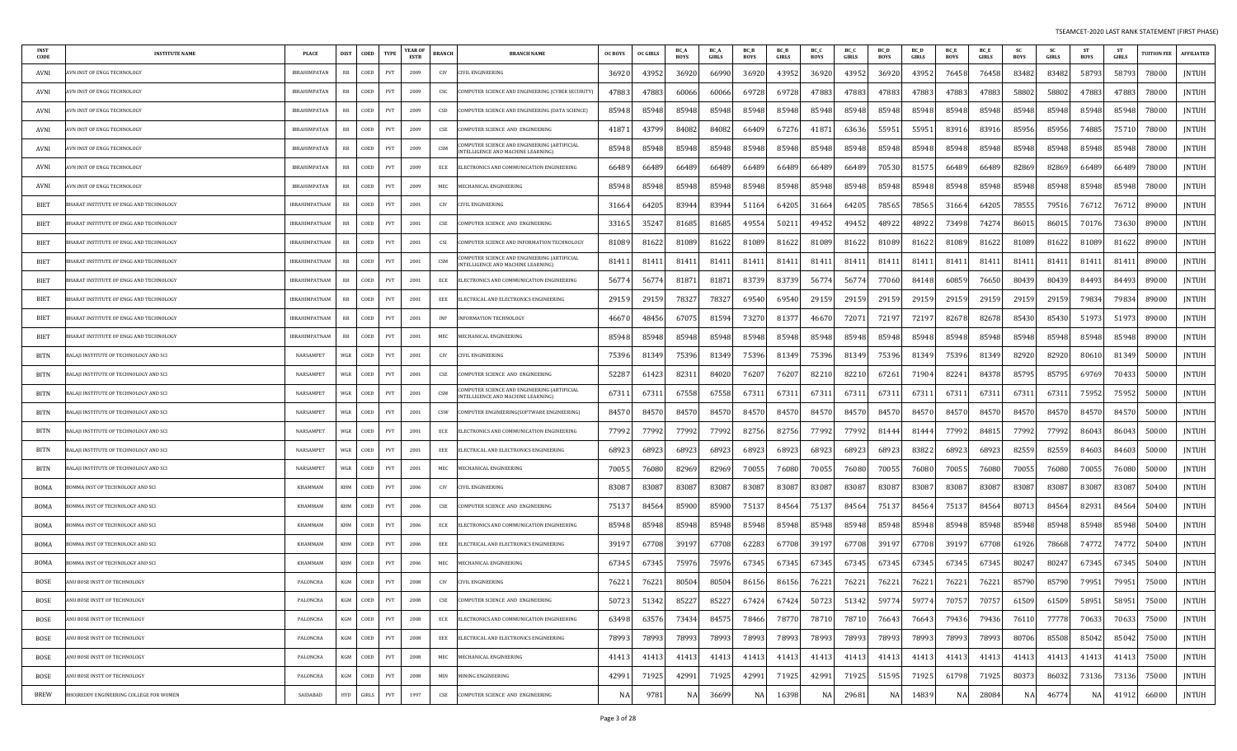| <b>INST</b><br>CODE | <b>INSTITUTE NAME</b>                   | PLACE                | <b>DIST</b><br>COED                 | <b>TYPE</b> | YEAR OI<br><b>ESTB</b> | BRANCH<br><b>BRANCH NAME</b>                                                            | <b>OC BOYS</b> | <b>OC GIRLS</b> | BC A<br><b>BOYS</b> | <b>BC</b> A<br>GIRLS | <b>BCB</b><br><b>BOYS</b> | <b>BCB</b><br>GIRLS | BC O<br>BOYS | BC O<br>GIRLS | BC D<br><b>BOYS</b> | <b>BC</b> L<br>GIRLS | <b>BCE</b><br>BOYS | <b>BC</b> E<br>GIRLS | <b>SC</b><br>BOYS | <b>SC</b><br>GIRLS | <b>ST</b><br>BOYS | GIRLS | <b>TUITION FEE</b> | <b>AFFILIATED</b> |
|---------------------|-----------------------------------------|----------------------|-------------------------------------|-------------|------------------------|-----------------------------------------------------------------------------------------|----------------|-----------------|---------------------|----------------------|---------------------------|---------------------|--------------|---------------|---------------------|----------------------|--------------------|----------------------|-------------------|--------------------|-------------------|-------|--------------------|-------------------|
| AVNI                | VN INST OF ENGG TECHNOLOGY              | <b>IBRAHIMPATAN</b>  | COED<br>RR                          | PVT         | 2009                   | CIV<br>IVIL ENGINEERING                                                                 | 36920          | 43952           | 36920               | 6699                 | 36920                     | 43952               | 36920        | 43952         | 36920               | 43952                | 76458              | 76458                | 83482             | 83482              | 58793             | 58793 | 78000              | JNTUH             |
| AVNI                | VN INST OF ENGG TECHNOLOGY.             | <b>IBRAHIMPATAN</b>  | COED<br>RR                          | PVT         | 2009                   | CSC<br>OMPUTER SCIENCE AND ENGINEERING (CYBER SECURITY)                                 | 47883          | 47883           | 60066               | 6006                 | 69728                     | 69728               | 47883        | 47883         | 47883               | 47883                | 47883              | 47883                | 58802             | 58802              | 47883             | 47883 | 78000              | <b>JNTUH</b>      |
| AVNI                | VN INST OF ENGG TECHNOLOGY              | IBRAHIMPATAN         | COED<br>RR                          | PVT         | 2009                   | CSD<br>OMPUTER SCIENCE AND ENGINEERING (DATA SCIENCE)                                   | 85948          | 85948           | 85948               | 85948                | 85948                     | 85948               | 85948        | 85948         | 85948               | 85948                | 85948              | 85948                | 85948             | 85948              | 85948             | 85948 | 78000              | <b>JNTUH</b>      |
| AVNI                | VN INST OF ENGG TECHNOLOGY              | <b>IBRAHIMPATAN</b>  | RR<br>COED                          | PVT         | 2009                   | $\mathsf{CSE}$<br>OMPUTER SCIENCE AND ENGINEERING                                       | 4187           | 43799           | 84082               | 8408                 | 66409                     | 67276               | 41871        | 63636         | 55951               | 55951                | 83916              | 83916                | 85956             | 85956              | 74885             | 75710 | 78000              | <b>JNTUH</b>      |
| AVNI                | VN INST OF ENGG TECHNOLOGY              | <b>IBRAHIMPATAN</b>  | RR<br>COED                          | PVT         | 2009                   | OMPUTER SCIENCE AND ENGINEERING (ARTIFICIAI<br>CSM<br>NTELLIGENCE AND MACHINE LEARNING) | 85948          | 85948           | 85948               | 85948                | 85948                     | 85948               | 85948        | 85948         | 85948               | 85948                | 85948              | 85948                | 85948             | 85948              | 85948             | 85948 | 78000              | JNTUH             |
| AVNI                | VN INST OF ENGG TECHNOLOGY              | <b>IBRAHIMPATAN</b>  | COED<br>RR                          | PVT         | 2009                   | ECE<br>ELECTRONICS AND COMMUNICATION ENGINEERING                                        | 66489          | 66489           | 66489               | 6648                 | 66489                     | 66489               | 66489        | 66489         | 70530               | 81575                | 66489              | 66489                | 82869             | 82869              | 66489             | 66489 | 78000              | JNTUH             |
| AVNI                | VN INST OF ENGG TECHNOLOGY              | IBRAHIMPATAN         | RR<br>COED                          | PVT         | 2009                   | MEC<br><b>IECHANICAL ENGINEERING</b>                                                    | 85948          | 85948           | 85948               | 85948                | 85948                     | 85948               | 85948        | 85948         | 85948               | 85948                | 85948              | 85948                | 85948             | 85948              | 85948             | 85948 | 78000              | JNTUH             |
| BIET                | HARAT INSTITUTE OF ENGG AND TECHNOLOGY  | <b>IBRAHIMPATNAM</b> | COED<br>RR                          | PVT         | 2001                   | CIV<br>IVIL ENGINEERING                                                                 | 31664          | 64205           | 83944               | 8394                 | 51164                     | 64205               | 31664        | 64205         | 78565               | 78565                | 31664              | 64205                | 78555             | 79516              | 76712             | 76712 | 89000              | JNTUH             |
| BIET                | HARAT INSTITUTE OF ENGG AND TECHNOLOGY  | <b>IBRAHIMPATNAM</b> | RR<br>COED                          | PVT         | 2001                   | $\mathsf{CSE}$<br>OMPUTER SCIENCE AND ENGINEERING                                       | 3316.          | 35247           | 81685               | 8168                 | 49554                     | 5021                | 49452        | 49452         | 48922               | 48922                | 73498              | 74274                | 8601              | 86015              | 70176             | 73630 | 89000              | <b>JNTUH</b>      |
| BIET                | HARAT INSTITUTE OF ENGG AND TECHNOLOGY  | IBRAHIMPATNAM        | COED<br>RR                          | PVT         | 2001                   | CSI<br>OMPUTER SCIENCE AND INFORMATION TECHNOLOGY                                       | 8108           | 81622           | 81089               | 8162                 | 81089                     | 81622               | 81089        | 81622         | 81089               | 81622                | 81089              | 81622                | 81089             | 81622              | 81089             | 81622 | 89000              | <b>JNTUH</b>      |
| BIET                | HARAT INSTITUTE OF ENGG AND TECHNOLOGY  | <b>IBRAHIMPATNAM</b> | COED<br>RR                          | PVT         | 2001                   | OMPUTER SCIENCE AND ENGINEERING (ARTIFICIAI<br>CSM<br>NTELLIGENCE AND MACHINE LEARNING) | 8141           | 8141            | 81411               | 8141                 | 81411                     | 81411               | 81411        | 8141          | 81411               | 8141                 | 81411              | 8141                 | 81411             | 81411              | 81411             | -8141 | 89000              | <b>JNTUH</b>      |
| BIET                | HARAT INSTITUTE OF ENGG AND TECHNOLOGY  | IBRAHIMPATNAM        | COED<br>RR                          | PVT         | 2001                   | ECE<br>LECTRONICS AND COMMUNICATION ENGINEERING                                         | 5677           | 5677            | 81871               | 8187                 | 83739                     | 83739               | 56774        | 5677          | 77060               | 84148                | 60859              | 76650                | 80439             | 80439              | 84493             | 84493 | 89000              | JNTUH             |
| BIET                | HARAT INSTITUTE OF ENGG AND TECHNOLOGY  | <b>IBRAHIMPATNAM</b> | RR<br>COED                          | PVT         | 2001                   | EEE<br>LECTRICAL AND ELECTRONICS ENGINEERING                                            | 2915           | 29159           | 78327               | 7832                 | 69540                     | 69540               | 29159        | 29159         | 29159               | 29159                | 29159              | 29159                | 29159             | 29159              | 79834             | 79834 | 89000              | JNTUH             |
| <b>BIET</b>         | HARAT INSTITUTE OF ENGG AND TECHNOLOGY  | <b>IBRAHIMPATNAM</b> | RR<br>COED                          | PVT         | 2001                   | INF<br>NFORMATION TECHNOLOGY                                                            | 4667           | 48456           | 67075               | 8159                 | 73270                     | 81377               | 46670        | 7207          | 72197               | 7219                 | 82678              | 82678                | 85430             | 85430              | 51973             | 51973 | 89000              | JNTUH             |
| BIET                | HARAT INSTITUTE OF ENGG AND TECHNOLOGY  | <b>IBRAHIMPATNAM</b> | COED<br>RR                          | PVT         | 2001                   | MEC<br><b>MECHANICAL ENGINEERING</b>                                                    | 85948          | 85948           | 85948               | 8594                 | 85948                     | 85948               | 85948        | 85948         | 85948               | 85948                | 85948              | 85948                | 85948             | 85948              | 85948             | 85948 | 89000              | JNTUH             |
| BITN                | ALAJI INSTITUTE OF TECHNOLOGY AND SCI   | NARSAMPET            | WGR<br>COED                         | PVT         | 2001                   | CIV<br>IVIL ENGINEERING                                                                 | 75396          | 81349           | 75396               | 8134                 | 75396                     | 81349               | 75396        | 81349         | 75396               | 81349                | 75396              | 81349                | 82920             | 82920              | 80610             | 81349 | 50000              | <b>JNTUH</b>      |
| <b>BITN</b>         | ALAJI INSTITUTE OF TECHNOLOGY AND SCI   | NARSAMPET            | WGR  <br>COED                       | PVT         | 2001                   | $\mathsf{CSE}$<br>OMPUTER SCIENCE AND ENGINEERING                                       | 52287          | 61423           | 82311               | 84020                | 76207                     | 76207               | 82210        | 82210         | 67261               | 71904                | 82241              | 84378                | 85795             | 85795              | 69769             | 70433 | 50000              | JNTUH             |
| BITN                | ALAJI INSTITUTE OF TECHNOLOGY AND SCI   | NARSAMPET            | WGR  <br>COED                       | PVT         | 2001                   | OMPUTER SCIENCE AND ENGINEERING (ARTIFICIAL<br>CSM<br>NTELLIGENCE AND MACHINE LEARNING) | 6731           | 6731            | 67558               | 67558                | 67311                     | 67311               | 67311        | 67311         | 67311               | 6731                 | 67311              | 67311                | 67311             | 67311              | 75952             | 75952 | 50000              | <b>JNTUH</b>      |
| BITN                | ALAJI INSTITUTE OF TECHNOLOGY AND SCI   | NARSAMPET            | COED<br>WGR                         | PVT         | 2001                   | CSW<br>OMPUTER ENGINEERING(SOFTWARE ENGINEERING)                                        | 84570          | 84570           | 84570               | 8457                 | 84570                     | 84570               | 84570        | 84570         | 84570               | 84570                | 84570              | 84570                | 84570             | 84570              | 84570             | 84570 | 50000              | <b>JNTUH</b>      |
| BITN                | ALAJI INSTITUTE OF TECHNOLOGY AND SCI   | NARSAMPET            | COED<br>WGR                         | PVT         | 2001                   | ECE<br>LECTRONICS AND COMMUNICATION ENGINEERING                                         | 77992          | 77992           | 77992               | 7799                 | 82756                     | 82756               | 77992        | 77992         | 81444               | 8144                 | 77992              | 8481                 | 77992             | 77992              | 86043             | 86043 | 50000              | <b>JNTUH</b>      |
| BITN                | ALAJI INSTITUTE OF TECHNOLOGY AND SCI   | NARSAMPET            | COED<br>WGR                         | PVT         | 2001                   | EEE<br>LECTRICAL AND ELECTRONICS ENGINEERING                                            | 6892           | 6892            | 68923               | 6892                 | 68923                     | 68923               | 68923        | 6892          | 68923               | 83822                | 68923              | 68923                | 82559             | 82559              | 84603             | 84603 | 50000              | JNTUH             |
| <b>BITN</b>         | ALAJI INSTITUTE OF TECHNOLOGY AND SCI   | NARSAMPET            | WGR<br>COED                         | PVT         | 2001                   | MEC<br><b>MECHANICAL ENGINEERING</b>                                                    | 7005           | 76080           | 82969               | 8296                 | 70055                     | 76080               | 70055        | 76080         | 70055               | 76080                | 70055              | 76080                | 70055             | 76080              | 70055             | 76080 | 50000              | JNTUH             |
| <b>BOMA</b>         | OMMA INST OF TECHNOLOGY AND SCI         | KHAMMAM              | COED<br>KHM                         | PVT         | 2006                   | CIV<br>IVIL ENGINEERING                                                                 | 8308           | 83087           | 83087               | 8308                 | 83087                     | 83087               | 83087        | 83087         | 83087               | 8308                 | 83087              | 83087                | 8308.             | 83087              | 83087             | 83087 | 50400              | JNTUH             |
| BOMA                | OMMA INST OF TECHNOLOGY AND SCI         | KHAMMAM              | COED<br>KHM                         | PVT         | 2006                   | $\mathsf{CSE}\xspace$<br>OMPUTER SCIENCE AND ENGINEERING                                | 75137          | 84564           | 85900               | 8590                 | 75137                     | 84564               | 75137        | 84564         | 75137               | 84564                | 75137              | 84564                | 80713             | 84564              | 82931             | 84564 | 50400              | JNTUH             |
| BOMA                | OMMA INST OF TECHNOLOGY AND SCI         | KHAMMAM              | COED<br>KHM                         | PVT         | 2006                   | ECE<br>LECTRONICS AND COMMUNICATION ENGINEERING                                         | 85948          | 85948           | 85948               | 85948                | 85948                     | 85948               | 85948        | 85948         | 85948               | 85948                | 85948              | 85948                | 85948             | 85948              | 85948             | 85948 | 50400              | JNTUH             |
| BOMA                | OMMA INST OF TECHNOLOGY AND SCI         | KHAMMAM              | COED<br>KHM                         | PVT         | 2006                   | EEE<br>ELECTRICAL AND ELECTRONICS ENGINEERING                                           | 39197          | 67708           | 39197               | 6770                 | 62283                     | 67708               | 39197        | 67708         | 39197               | 67708                | 39197              | 67708                | 61926             | 78668              | 74772             | 74772 | 50400              | JNTUH             |
| BOMA                | OMMA INST OF TECHNOLOGY AND SCI         | KHAMMAM              | COED<br>KHM                         | PVT         | 2006                   | MEC<br><b>ECHANICAL ENGINEERING</b>                                                     | 6734.          | 67345           | 75976               | 7597                 | 67345                     | 67345               | 67345        | 67345         | 67345               | 67345                | 67345              | 67345                | 80247             | 80247              | 67345             | 67345 | 50400              | <b>JNTUH</b>      |
| BOSE                | ANU BOSE INSTT OF TECHNOLOGY            | PALONCHA             | COED<br>KGM                         | PVT         | 2008                   | CIV<br>IVIL ENGINEERING                                                                 | 76221          | 76221           | 80504               | 8050                 | 86156                     | 86156               | 76221        | 76221         | 76221               | 76221                | 76221              | 76221                | 85790             | 85790              | 79951             | 79951 | 75000              | <b>JNTUH</b>      |
| BOSE                | ANU BOSE INSTT OF TECHNOLOGY            | PALONCHA             | KGM COED                            | PVT         | 2008                   | CSE<br>COMPUTER SCIENCE AND ENGINEERING                                                 | 50723          | 51342           | 85227               | 85227                | 67424                     | 67424               | 50723        | 51342         | 59774               | 59774                | 70757              | 70757                | 61509             | 61509              | 58951             | 58951 | 75000              | JNTUH             |
| BOSE                | ANU BOSE INSTT OF TECHNOLOGY            | PALONCHA             | $KGM$ $COED$                        | PVT         | 2008                   | ECE<br>ELECTRONICS AND COMMUNICATION ENGINEERING                                        | 63498          | 63576           | 73434               | 84575                | 78466                     | 78770               | 78710        | 78710         | 76643               | 76643                | 79436              | 79436                | 76110             | 77778              | 70633             | 70633 | 75000              | JNTUH             |
| BOSE                | ANU BOSE INSTT OF TECHNOLOGY            | PALONCHA             | $\texttt{KGM} \qquad \texttt{COED}$ | PVT         | 2008                   | EEE<br>ELECTRICAL AND ELECTRONICS ENGINEERING                                           | 78993          | 78993           | 78993               | 78993                | 78993                     | 78993               | 78993        | 78993         | 78993               | 78993                | 78993              | 78993                | 80706             | 85508              | 85042             | 85042 | 75000              | JNTUH             |
| BOSE                | ANU BOSE INSTT OF TECHNOLOGY            | PALONCHA             | $\texttt{KGM} \qquad \texttt{COED}$ | PVT         | 2008                   | MEC<br>MECHANICAL ENGINEERING                                                           | 41413          | 41413           | 41413               | 41413                | 41413                     | 41413               | 41413        | 41413         | 41413               | 41413                | 41413              | 41413                | 41413             | 41413              | 41413             | 41413 | 75000              | JNTUH             |
| BOSE                | ANU BOSE INSTT OF TECHNOLOGY            | PALONCHA             | KGM COED                            | PVT         | 2008                   | MIN<br>IINING ENGINEERING                                                               | 42991          | 71925           | 42991               | 71925                | 42991                     | 71925               | 42991        | 71925         | 51595               | 71925                | 61798              | 71925                | 80373             | 86032              | 73136             | 73136 | 75000              | JNTUH             |
| BREW                | BHOJREDDY ENGINEERING COLLEGE FOR WOMEN | SAIDABAD             | HYD GIRLS                           | PVT         | 1997                   | CSE<br>OMPUTER SCIENCE AND ENGINEERING                                                  | N/             | 9781            | NA                  | 3669                 | NA                        | 16398               | NA           | 29681         | NA                  | 14839                | NA                 | 28084                | NA                | 4677               | NA                | 41912 | 66000              | JNTUH             |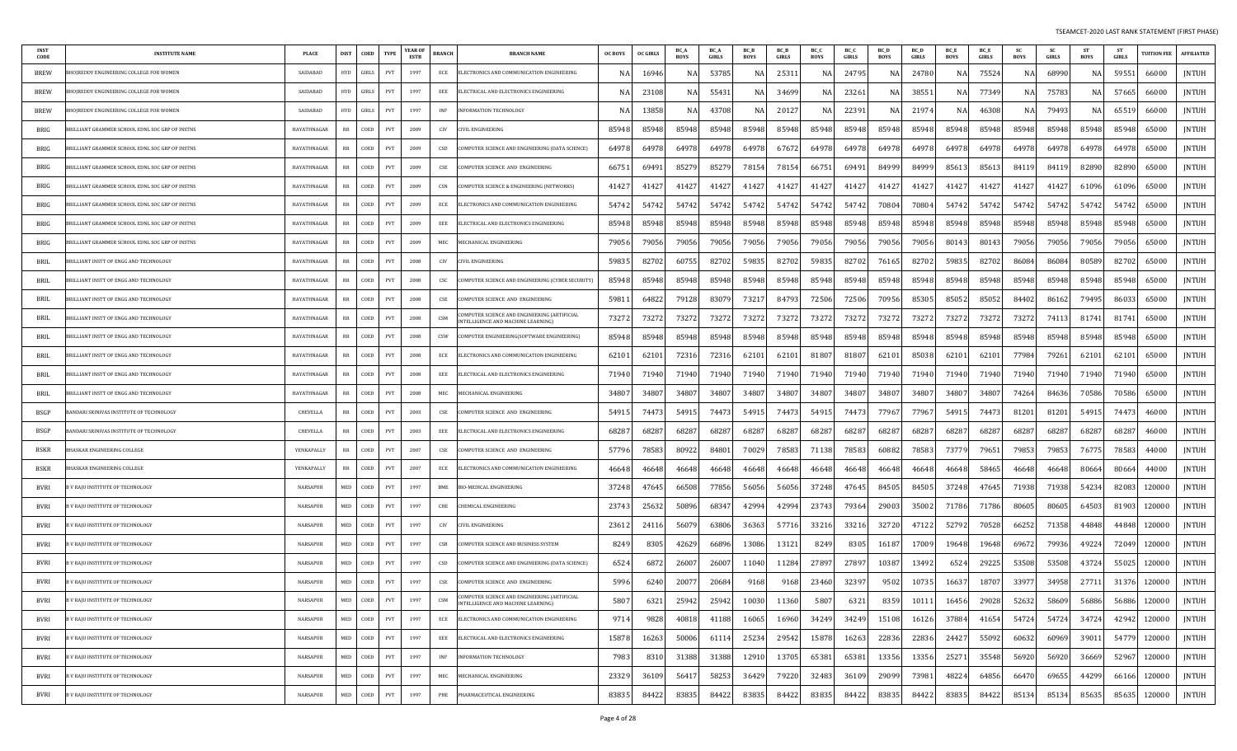| <b>INST</b><br>CODE | <b>INSTITUTE NAME</b>                          | <b>PLACE</b>    | <b>DIST</b> | COED  | <b>TYPE</b>                 | <b>YEAR OF</b><br>ESTB | <b>BRANCH</b> | <b>BRANCH NAME</b>                                                                | <b>OC BOYS</b> | <b>OC GIRLS</b> | BC_A<br><b>BOYS</b> | BC_A<br>GIRLS | BC_B<br><b>BOYS</b> | BC_B<br>GIRLS | BC_C<br><b>BOYS</b> | BC_C<br>GIRLS | BC_D<br><b>BOYS</b> | BC_D<br><b>GIRLS</b> | BC_E<br><b>BOYS</b> | BC_E<br>GIRLS | <b>SC</b><br><b>BOYS</b> | <b>SC</b><br>GIRLS | ST<br><b>BOYS</b> | <b>ST</b><br><b>GIRLS</b> | <b>TUITION FEE</b> | <b>AFFILIATED</b> |
|---------------------|------------------------------------------------|-----------------|-------------|-------|-----------------------------|------------------------|---------------|-----------------------------------------------------------------------------------|----------------|-----------------|---------------------|---------------|---------------------|---------------|---------------------|---------------|---------------------|----------------------|---------------------|---------------|--------------------------|--------------------|-------------------|---------------------------|--------------------|-------------------|
| <b>BREW</b>         | HOJREDDY ENGINEERING COLLEGE FOR WOMEN         | SAIDABAD        | <b>HYD</b>  | GIRLS | PVT                         | 1997                   | ECE           | ELECTRONICS AND COMMUNICATION ENGINEERING                                         |                | 16946           | NA                  | 53785         | N                   | 2531          | NA                  | 24795         | N/                  | 24780                | NA                  | 7552          | N/                       | 68990              | NA                | 59551                     | 66000              | JNTUH             |
| <b>BREW</b>         | HOIREDDY ENGINEERING COLLEGE FOR WOMEN         | SAIDABAD        | <b>HYD</b>  | GIRLS | PVT                         | 1997                   | EEE           | ELECTRICAL AND ELECTRONICS ENGINEERING                                            |                | 2310            | NA                  | 55431         | NA                  | 34699         | NA                  | 23261         | N.                  | 3855                 | NA.                 | 77349         | N/                       | 75783              | NA                | 57665                     | 66000              | <b>JNTUH</b>      |
| <b>BREW</b>         | HOIREDDY ENGINEERING COLLEGE FOR WOMEN         | SAIDABAD        | <b>HYD</b>  | GIRLS | PVT                         | 1997                   | INF           | <b>INFORMATION TECHNOLOGY</b>                                                     |                | 1385            | NA                  | 43708         |                     | 2012          | NA                  | 22391         | N.                  | 2197                 | NA                  | 46308         |                          | 79493              | NA                | 6551                      | 66000              | <b>JNTUH</b>      |
| BRIG                | RILLIANT GRAMMER SCHOOL EDNL SOC GRP OF INSTNS | HAYATHNAGAR     | RR          | COED  | PVT                         | 2009                   | CIV           | CIVIL ENGINEERING                                                                 | 85948          | 85948           | 85948               | 85948         | 85948               | 85948         | 85948               | 85948         | 85948               | 85948                | 85948               | 85948         | 85948                    | 85948              | 85948             | 85948                     | 65000              | <b>JNTUH</b>      |
| BRIG                | RILLIANT GRAMMER SCHOOL EDNL SOC GRP OF INSTNS | HAYATHNAGAR     | RR          | COED  | PVT                         | 2009                   | CSD           | COMPUTER SCIENCE AND ENGINEERING (DATA SCIENCE)                                   | 64978          | 6497            | 64978               | 64978         | 6497                | 67672         | 64978               | 64978         | 64978               | 6497                 | 64978               | 6497          | 64978                    | 64978              | 64978             | 64978                     | 65000              | JNTUH             |
| BRIG                | RILLIANT GRAMMER SCHOOL EDNL SOC GRP OF INSTNS | HAYATHNAGAR     | RR          | COED  | PVT                         | 2009                   | CSE           | COMPUTER SCIENCE AND ENGINEERING                                                  | 6675           | 6949            | 85279               | 85279         | 78154               | 78154         | 66751               | 69491         | 84999               | 84999                | 85613               | 8561          | 8411                     | 8411               | 82890             | 82890                     | 65000              | <b>JNTUH</b>      |
| BRIG                | RILLIANT GRAMMER SCHOOL EDNL SOC GRP OF INSTNS | HAYATHNAGAR     | RR          | COED  | PVT                         | 2009                   | CSN           | COMPUTER SCIENCE & ENGINEERING (NETWORKS)                                         | 4142           | 4142            | 41427               | 41427         | 41427               | 41427         | 41427               | 41427         | 41427               | 4142                 | 41427               | 41427         | 41427                    | 41427              | 61096             | 61096                     | 65000              | <b>JNTUH</b>      |
| BRIG                | RILLIANT GRAMMER SCHOOL EDNL SOC GRP OF INSTNS | HAYATHNAGAR     | RR          | COED  | PVT                         | 2009                   | ECE           | ELECTRONICS AND COMMUNICATION ENGINEERING                                         | 54742          | 54742           | 54742               | 54742         | 54742               | 54742         | 54742               | 54742         | 70804               | 70804                | 54742               | 54742         | 54742                    | 54742              | 54742             | 54742                     | 65000              | JNTUH             |
| BRIG                | RILLIANT GRAMMER SCHOOL EDNL SOC GRP OF INSTNS | HAYATHNAGAR     | RR          | COED  | PVT                         | 2009                   | EEE           | ELECTRICAL AND ELECTRONICS ENGINEERING                                            | 85948          | 8594            | 85948               | 85948         | 85948               | 85948         | 85948               | 85948         | 85948               | 85948                | 85948               | 85948         | 85948                    | 85948              | 85948             | 85948                     | 65000              | <b>JNTUH</b>      |
| BRIG                | RILLIANT GRAMMER SCHOOL EDNL SOC GRP OF INSTNS | HAYATHNAGAR     | RR          | COED  | <b>PVT</b>                  | 2009                   | MEC           | MECHANICAL ENGINEERING                                                            | 79056          | 79056           | 79056               | 79056         | 79056               | 79056         | 79056               | 79056         | 79056               | 79056                | 80143               | 8014.         | 79056                    | 79056              | 79056             | 79056                     | 65000              | <b>JNTUH</b>      |
| BRIL                | BRILLIANT INSTT OF ENGG AND TECHNOLOGY         | HAYATHNAGAR     | RR          | COED  | PVT                         | 2008                   | CIV           | <b>CIVIL ENGINEERING</b>                                                          | 59835          | 82702           | 60755               | 82702         | 59835               | 82702         | 59835               | 82702         | 76165               | 82702                | 59835               | 82702         | 86084                    | 86084              | 80589             | 82702                     | 65000              | <b>JNTUH</b>      |
| BRIL                | RILLIANT INSTT OF ENGG AND TECHNOLOGY          | HAYATHNAGAR     | RR          | COED  | PVT                         | 2008                   | csc           | COMPUTER SCIENCE AND ENGINEERING (CYBER SECURITY)                                 | 85948          | 85948           | 85948               | 85948         | 85948               | 85948         | 85948               | 85948         | 85948               | 85948                | 85948               | 85948         | 85948                    | 85948              | 85948             | 85948                     | 65000              | JNTUH             |
| BRIL                | RILLIANT INSTT OF ENGG AND TECHNOLOGY          | HAYATHNAGAR     | RR          | COED  | PVT                         | 2008                   | CSE           | COMPUTER SCIENCE AND ENGINEERING                                                  | 5981           | 6482            | 79128               | 83079         | 73217               | 84793         | 72506               | 72506         | 70956               | 85305                | 85052               | 8505          | 84402                    | 86162              | 79495             | 8603                      | 65000              | <b>JNTUH</b>      |
| BRIL                | RILLIANT INSTT OF ENGG AND TECHNOLOGY          | HAYATHNAGAR     | RR          | COED  | PVT                         | 2008                   | CSM           | COMPUTER SCIENCE AND ENGINEERING (ARTIFICIAL<br>NTELLIGENCE AND MACHINE LEARNING) | 73272          | 7327            | 73272               | 73272         | 73272               | 73272         | 73272               | 73272         | 73272               | 7327                 | 73272               | 73272         | 73272                    | 74113              | 81741             | 81741                     | 65000              | <b>JNTUH</b>      |
| BRIL                | BRILLIANT INSTT OF ENGG AND TECHNOLOGY         | HAYATHNAGAR     | RR          | COED  | PVT                         | 2008                   | CSW           | COMPUTER ENGINEERING(SOFTWARE ENGINEERING)                                        | 85948          | 85948           | 85948               | 85948         | 85948               | 85948         | 85948               | 85948         | 85948               | 85948                | 85948               | 85948         | 85948                    | 85948              | 85948             | 85948                     | 65000              | JNTUH             |
| BRIL                | RILLIANT INSTT OF ENGG AND TECHNOLOGY          | HAYATHNAGAR     | RR          | COED  | PVT                         | 2008                   | ECE           | ELECTRONICS AND COMMUNICATION ENGINEERING                                         | 62101          | 6210            | 72316               | 72316         | 62101               | 62101         | 81807               | 81807         | 62101               | 8503                 | 62101               | 62101         | 77984                    | 79261              | 62101             | 62101                     | 65000              | <b>JNTUH</b>      |
| BRIL                | RILLIANT INSTT OF ENGG AND TECHNOLOGY          | HAYATHNAGAR     | RR          | COED  | PVT                         | 2008                   | EEE           | ELECTRICAL AND ELECTRONICS ENGINEERING                                            | 71940          | 71940           | 71940               | 71940         | 71940               | 71940         | 71940               | 71940         | 71940               | 71940                | 71940               | 71940         | 71940                    | 71940              | 71940             | 71940                     | 65000              | JNTUH             |
| BRIL                | RILLIANT INSTT OF ENGG AND TECHNOLOGY          | HAYATHNAGAR     | RR          | COED  | PVT                         | 2008                   | MEC           | MECHANICAL ENGINEERING                                                            | 34807          | 3480            | 34807               | 34807         | 34807               | 34807         | 34807               | 34807         | 34807               | 34807                | 34807               | 34807         | 74264                    | 84636              | 70586             | 70586                     | 65000              | JNTUH             |
| BSGP                | ANDARI SRINIVAS INSTITUTE OF TECHNOLOGY        | CHEVELLA        | RR          | COED  | PVT                         | 2003                   | CSE           | COMPUTER SCIENCE AND ENGINEERING                                                  | 54915          | 7447.           | 54915               | 74473         | 54915               | 74473         | 54915               | 74473         | 77967               | 77967                | 54915               | 74473         | 81201                    | 81201              | 54915             | 74473                     | 46000              | JNTUH             |
| <b>BSGP</b>         | ANDARI SRINIVAS INSTITUTE OF TECHNOLOGY        | CHEVELLA        | RR          | COED  | PVT                         | 2003                   | EEE           | ELECTRICAL AND ELECTRONICS ENGINEERING                                            | 6828           | 6828            | 68287               | 68287         | 68287               | 6828          | 68287               | 68287         | 68287               | 6828                 | 68287               | 6828          | 68287                    | 68287              | 68287             | 6828                      | 46000              | <b>JNTUH</b>      |
| BSKR                | HASKAR ENGINEERING COLLEGE                     | YENKAPALLY      | RR          | COED  | PVT                         | 2007                   | CSE           | COMPUTER SCIENCE AND ENGINEERING                                                  | 57796          | 7858            | 80922               | 84801         | 70029               | 78583         | 71138               | 78583         | 60882               | 78583                | 73779               | 79651         | 79853                    | 79853              | 76775             | 78583                     | 44000              | <b>JNTUH</b>      |
| <b>BSKR</b>         | HASKAR ENGINEERING COLLEGE                     | YENKAPALLY      | RR          | COED  | PVT                         | 2007                   | ECE           | ELECTRONICS AND COMMUNICATION ENGINEERING                                         | 46648          | 4664            | 46648               | 46648         | 46648               | 46648         | 46648               | 46648         | 46648               | 46648                | 46648               | 5846.         | 46648                    | 46648              | 80664             | 80664                     | 44000              | JNTUH             |
| BVRI                | V RAJU INSTITUTE OF TECHNOLOGY                 | <b>NARSAPUR</b> | MED         | COED  | PVT                         | 1997                   | BME           | BIO-MEDICAL ENGINEERING                                                           | 37248          | 4764.           | 66508               | 77856         | 56056               | 56056         | 37248               | 47645         | 84505               | 84505                | 37248               | 47645         | 71938                    | 71938              | 54234             | 82083                     | 120000             | JNTUH             |
| BVRI                | V RAJU INSTITUTE OF TECHNOLOGY                 | <b>NARSAPUR</b> | <b>MED</b>  | COED  | PVT                         | 1997                   | CHE           | CHEMICAL ENGINEERING                                                              | 23743          | 2563            | 50896               | 68347         | 42994               | 42994         | 23743               | 79364         | 29003               | 35002                | 71786               | 71786         | 80605                    | 80605              | 64503             | 81903                     | 120000             | <b>JNTUH</b>      |
| BVRI                | V RAJU INSTITUTE OF TECHNOLOGY                 | NARSAPUR        | MED         | COED  | PVT                         | 1997                   | CIV           | CIVIL ENGINEERING                                                                 | 23612          | 2411            | 56079               | 63806         | 36363               | 57716         | 33216               | 33216         | 32720               | 47122                | 52792               | 70528         | 66252                    | 71358              | 44848             | 44848                     | 120000             | JNTUH             |
| BVRI                | V RAJU INSTITUTE OF TECHNOLOGY                 | <b>NARSAPUR</b> | MED         | COED  | PVT                         | 1997                   | CSB           | COMPUTER SCIENCE AND BUSINESS SYSTEM                                              | 8249           | 8305            | 42629               | 66896         | 13086               | 13121         | 8249                | 8305          | 16187               | 17009                | 19648               | 19648         | 69672                    | 79936              | 49224             | 72049                     | 120000             | JNTUH             |
| BVRI                | V RAJU INSTITUTE OF TECHNOLOGY                 | <b>NARSAPUR</b> | MED         | COED  | PVT                         | 1997                   | CSD           | COMPUTER SCIENCE AND ENGINEERING (DATA SCIENCE)                                   | 6524           | 687             | 26007               | 26007         | 11040               | 11284         | 27897               | 27897         | 10387               | 13492                | 6524                | 2922          | 53508                    | 53508              | 43724             | 55025                     | 120000             | JNTUH             |
| BVRI                | B V RAJU INSTITUTE OF TECHNOLOGY               | <b>NARSAPUR</b> | MED         | COED  | PVT                         | 1997                   | CSE           | COMPUTER SCIENCE AND ENGINEERING                                                  | 5996           | 6240            | 20077               | 20684         | 9168                | 9168          | 23460               | 32397         | 9502                | 10735                | 16637               | 18707         | 33977                    | 34958              | 27711             | 31376                     | 120000             | JNTUH             |
| BVRI                | B V RAJU INSTITUTE OF TECHNOLOGY               | NARSAPUR        | MED         | COED  | PVT                         | 1997                   | CSM           | IMPUTER SCIENCE AND ENGINEERING TARTIFICIAL<br>NTELLIGENCE AND MACHINE LEARNING)  | 5807           | 6321            | 25942               | 25942         | 10030               | 11360         | 5807                | 6321          | 8359                | 10111                | 16456               | 29028         | 52632                    | 58609              | 56886             | 56886                     | 120000             | JNTUH             |
| BVRI                | <b>3 V RAJU INSTITUTE OF TECHNOLOGY</b>        | NARSAPUR        | MED         | COED  | PVT                         | 1997                   | ECE           | ELECTRONICS AND COMMUNICATION ENGINEERING                                         | 9714           | 9828            | 40818               | 41188         | 16065               | 16960         | 34249               | 34249         | 15108               | 16126                | 37884               | 41654         | 54724                    | 54724              | 34724             | 42942                     | 120000             | <b>JNTUH</b>      |
| BVRI                | <b>3 V RAJU INSTITUTE OF TECHNOLOGY</b>        | NARSAPUR        | MED         | COED  | PVT                         | 1997                   | EEE           | ELECTRICAL AND ELECTRONICS ENGINEERING                                            | 15878          | 16263           | 50006               | 61114         | 25234               | 29542         | 15878               | 16263         | 22836               | 22836                | 24427               | 55092         | 60632                    | 60969              | 39011             | 54779                     | 120000             | <b>JNTUH</b>      |
| BVRI                | <b>3 V RAJU INSTITUTE OF TECHNOLOGY</b>        | NARSAPUR        | MED         | COED  | $\ensuremath{\mathrm{PVT}}$ | 1997                   | <b>INF</b>    | INFORMATION TECHNOLOGY                                                            | 7983           | 831             | 31388               | 31388         | 12910               | 13705         | 65381               | 65381         | 13356               | 13356                | 25271               | 35548         | 56920                    | 56920              | 36669             | 52967                     | 120000             | <b>JNTUH</b>      |
| BVRI                | V RAJU INSTITUTE OF TECHNOLOGY                 | NARSAPUR        | MED         | COED  | PVT                         | 1997                   | MEC           | MECHANICAL ENGINEERING                                                            | 23329          | 3610            | 56417               | 58253         | 36429               | 79220         | 32483               | 36109         | 29099               | 73981                | 48224               | 64856         | 66470                    | 69655              | 44299             | 66166                     | 120000             | JNTUH             |
| BVRI                | B V RAJU INSTITUTE OF TECHNOLOGY               | NARSAPUR        | MED         | COED  | PVT                         | 1997                   | PHE           | PHARMACEUTICAL ENGINEERING                                                        | 83835          | 8442            | 83835               | 84422         | 83835               | 84422         | 83835               | 84422         | 83835               | 84422                | 83835               | 84422         | 85134                    | 85134              | 85635             | 85635                     | 120000             | JNTUH             |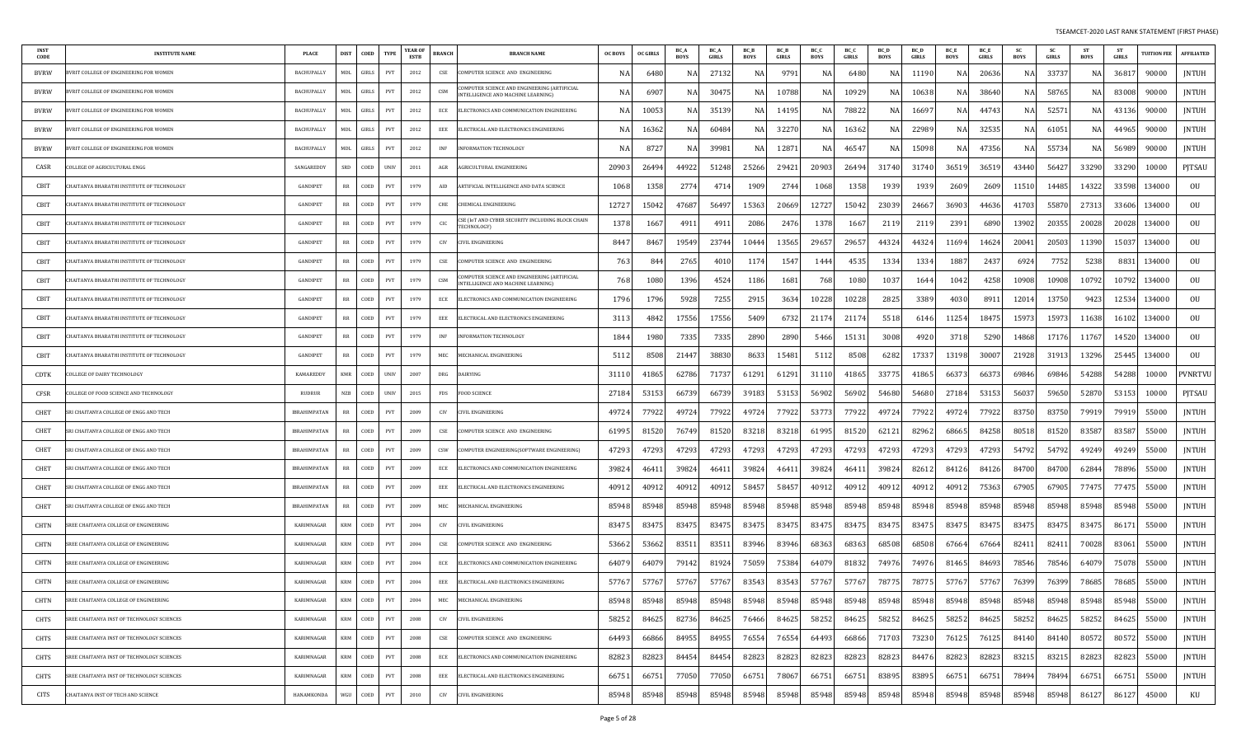| INST<br>CODE | <b>INSTITUTE NAME</b>                      | <b>PLACE</b>        | <b>DIST</b> | COED     | <b>TYPE</b> | YEAR OF<br>ESTB | BRANCH     | <b>BRANCH NAME</b>                                                                        | <b>OC BOYS</b> | <b>OC GIRLS</b> | BC /<br><b>BOYS</b> | <b>BC</b> A<br><b>GIRLS</b> | BC_B<br><b>BOYS</b> | <b>BC</b> B<br><b>GIRLS</b> | BC_C<br>BOYS | BC_C<br><b>GIRLS</b> | BC D<br><b>BOYS</b> | <b>BC</b> D<br><b>GIRLS</b> | <b>BC</b> E<br><b>BOYS</b> | BC_E<br><b>GIRLS</b> | <b>SC</b><br><b>BOYS</b> | -SC<br>GIRLS | <b>ST</b><br><b>BOYS</b> | <b>ST</b><br>GIRLS | <b>TUITION FEE</b> | <b>AFFILIATED</b> |
|--------------|--------------------------------------------|---------------------|-------------|----------|-------------|-----------------|------------|-------------------------------------------------------------------------------------------|----------------|-----------------|---------------------|-----------------------------|---------------------|-----------------------------|--------------|----------------------|---------------------|-----------------------------|----------------------------|----------------------|--------------------------|--------------|--------------------------|--------------------|--------------------|-------------------|
| <b>BVRW</b>  | VRIT COLLEGE OF ENGINEERING FOR WOMEN      | <b>BACHUPALLY</b>   | <b>MDL</b>  | GIRLS    | PVT         | 2012            | CSE        | COMPUTER SCIENCE AND ENGINEERING                                                          |                | 648             | NA                  | 27132                       | N                   | 9791                        | NA           | 6480                 | N/                  | 1119                        | NA                         | 20636                | N/                       | 3373         | NA                       | 3681.              | 90000              | JNTUH             |
| BVRW         | VRIT COLLEGE OF ENGINEERING FOR WOMEN      | <b>BACHUPALLY</b>   | MDL         | GIRLS    | PVT         | 2012            | CSM        | COMPUTER SCIENCE AND ENGINEERING (ARTIFICIAL<br>INTELLIGENCE AND MACHINE LEARNING)        |                | 690             | NA                  | 30475                       | NA                  | 1078                        | NA           | 1092                 | N/                  | 1063                        | NA                         | 38640                | N/                       | 58765        | NA                       | 83008              | 90000              | JNTUH             |
| <b>BVRW</b>  | VRIT COLLEGE OF ENGINEERING FOR WOMEN      | <b>BACHUPALLY</b>   | MDL         | GIRLS    | PVT         | 2012            | ECE        | ELECTRONICS AND COMMUNICATION ENGINEERING                                                 | N.             | 1005            | NA                  | 35139                       | N/                  | 1419.                       | NA           | 78822                | N/                  | 1669                        | NA                         | 44743                | -N.                      | 5257         | NA                       | 43136              | 90000              | JNTUH             |
| <b>BVRW</b>  | VRIT COLLEGE OF ENGINEERING FOR WOMEN      | BACHUPALLY          | MDL         | GIRLS    | PVT         | 2012            | EEE        | ELECTRICAL AND ELECTRONICS ENGINEERING                                                    |                | 1636            | NA                  | 60484                       | N A                 | 3227                        | NA           | 16362                | N/                  | 2298                        | NA                         | 32535                | N.                       | 61051        | NA                       | 44965              | 90000              | <b>JNTUH</b>      |
| BVRW         | VRIT COLLEGE OF ENGINEERING FOR WOMEN      | BACHUPALLY          | MDL         | GIRLS    | PVT         | 2012            | INF        | <b>INFORMATION TECHNOLOGY</b>                                                             | N/             | 872             | NA                  | 39981                       | N                   | 1287                        | NA           | 4654                 | -N                  | 1509                        | NA                         | 47356                | N.                       | 55734        | NA                       | 56989              | 90000              | JNTUH             |
| CASR         | OLLEGE OF AGRICULTURAL ENGG                | <b>SANGAREDDY</b>   | SRD         | COED     | UNIV        | 2011            | AGR        | AGRICULTURAL ENGINEERING                                                                  | 20903          | 2649            | 44922               | 51248                       | 25266               | 2942                        | 20903        | 26494                | 31740               | 3174                        | 36519                      | 3651                 | 43440                    | 56427        | 33290                    | 33290              | 10000              | PJTSAU            |
| CBIT         | HAITANYA BHARATHI INSTITUTE OF TECHNOLOGY  | <b>GANDIPET</b>     | RR          | COED     | PVT         | 1979            | AID        | ARTIFICIAL INTELLIGENCE AND DATA SCIENCE                                                  | 1068           | 135             | 2774                | 4714                        | 1909                | 2744                        | 1068         | 1358                 | 1939                | 193                         | 260 <sup>c</sup>           | 2609                 | 11510                    | 14485        | 14322                    | 33598              | 134000             | OU                |
| CBIT         | HAITANYA BHARATHI INSTITUTE OF TECHNOLOGY  | <b>GANDIPET</b>     | RR          | COED     | PVT         | 1979            | CHE        | CHEMICAL ENGINEERING                                                                      | 1272.          | 1504            | 47687               | 5649                        | 15363               | 2066                        | 12727        | 15042                | 23039               | 2466                        | 36903                      | 44636                | 41703                    | 55870        | 27313                    | 33606              | 134000             | OU                |
| CBIT         | HAITANYA BHARATHI INSTITUTE OF TECHNOLOGY  | GANDIPET            | RR          | COED     | PVT         | 1979            | CIC        | CSE (IoT AND CYBER SECURITY INCLUDING BLOCK CHAIN<br>TECHNOLOGY)                          | 1378           | 166             | 4911                | 491                         | 2086                | 2476                        | 1378         | 1667                 | 211                 | 211                         | 2391                       | 6890                 | 13902                    | 20355        | 20028                    | 20028              | 134000             | OU                |
| CBIT         | HAITANYA BHARATHI INSTITUTE OF TECHNOLOGY  | <b>GANDIPET</b>     | RR          | COED     | PVT         | 1979            | CIV        | CIVIL ENGINEERING                                                                         | 8447           | 846             | 19549               | 23744                       | 10444               | 13565                       | 29657        | 29657                | 44324               | 4432                        | 11694                      | 14624                | 20041                    | 20503        | 11390                    | 15037              | 134000             | OU                |
| CBIT         | HAITANYA BHARATHI INSTITUTE OF TECHNOLOGY  | <b>GANDIPET</b>     | RR          | COED     | PVT         | 1979            | CSE        | COMPUTER SCIENCE AND ENGINEERING                                                          | 763            | 84              | 2765                | 401                         | 1174                | 1547                        | 1444         | 4535                 | 1334                | $133-$                      | 1887                       | 2437                 | 6924                     | 7752         | 5238                     | 883                | 134000             | OU                |
| CBIT         | HAITANYA BHARATHI INSTITUTE OF TECHNOLOGY  | GANDIPET            | RR          | COED     | PVT         | 1979            | CSM        | COMPUTER SCIENCE AND ENGINEERING (ARTIFICIAL<br><b>INTELLIGENCE AND MACHINE LEARNING)</b> | 768            | 108             | 1396                | 4524                        | 1186                | 1681                        | 768          | 1080                 | 1037                | 164                         | 1042                       | 4258                 | 10908                    | 10908        | 10792                    | 10792              | 134000             | OU                |
| CBIT         | HAITANYA BHARATHI INSTITUTE OF TECHNOLOGY  | <b>GANDIPET</b>     | RR          | COED     | PVT         | 1979            | ECE        | ELECTRONICS AND COMMUNICATION ENGINEERING                                                 | 1796           | 179             | 5928                | 7255                        | 2915                | 3634                        | 10228        | 10228                | 2825                | 338                         | 4030                       | 891                  | 12014                    | 13750        | 9423                     | 12534              | 134000             | OU                |
| CBIT         | HAITANYA BHARATHI INSTITUTE OF TECHNOLOGY  | GANDIPET            | RR          | COED     | PVT         | 1979            | EEE        | ELECTRICAL AND ELECTRONICS ENGINEERING                                                    | 3113           | 484             | 17556               | 17556                       | 5409                | 6732                        | 21174        | 2117                 | 5518                | 6146                        | 11254                      | 1847!                | 15973                    | 15973        | 11638                    | 16102              | 134000             | OU                |
| CBIT         | IAITANYA BHARATHI INSTITUTE OF TECHNOLOGY  | <b>GANDIPET</b>     | RR          | COED     | PVT         | 1979            | INF        | <b>INFORMATION TECHNOLOGY</b>                                                             | 1844           | 198             | 7335                | 7335                        | 2890                | 2890                        | 5466         | 15131                | 3008                | 492                         | 3718                       | 5290                 | 14868                    | 17176        | 11767                    | 14520              | 134000             | OU                |
| CBIT         | HAITANYA BHARATHI INSTITUTE OF TECHNOLOGY  | <b>GANDIPET</b>     | RR          | COED     | <b>PVT</b>  | 1979            | MEC        | MECHANICAL ENGINEERING                                                                    | 5112           | 850             | 21447               | 38830                       | 8633                | 15481                       | 5112         | 8508                 | 6282                | 1733                        | 13198                      | 30007                | 21928                    | 31913        | 13296                    | 25445              | 134000             | OU                |
| <b>CDTK</b>  | OLLEGE OF DAIRY TECHNOLOGY                 | <b>KAMAREDDY</b>    | <b>KMR</b>  | COED     | <b>UNIV</b> | 2007            | DRG        | DAIRYING                                                                                  | 3111           | 4186            | 62786               | 71737                       | 61291               | 61291                       | 31110        | 41865                | 33775               | 41865                       | 66373                      | 6637                 | 69846                    | 69846        | 54288                    | 54288              | 10000              | PVNRTVU           |
| CFSR         | OLLEGE OF FOOD SCIENCE AND TECHNOLOGY      | <b>RUDRUR</b>       | <b>NZB</b>  | COED     | <b>UNIV</b> | 2015            | FDS        | OOD SCIENCE                                                                               | 27184          | 5315            | 66739               | 6673                        | 39183               | 5315                        | 56902        | 56902                | 54680               | 54680                       | 27184                      | 53153                | 56037                    | 59650        | 52870                    | 53153              | 10000              | PJTSAU            |
| CHET         | RI CHAITANYA COLLEGE OF ENGG AND TECH      | <b>IBRAHIMPATAN</b> | RR          | COED     | PVT         | 2009            | CIV        | <b>IVIL ENGINEERING</b>                                                                   | 49724          | 7792            | 49724               | 77922                       | 49724               | 7792                        | 53773        | 77922                | 49724               | 7792                        | 49724                      | 77922                | 83750                    | 83750        | 79919                    | 79919              | 55000              | JNTUH             |
| CHET         | RI CHAITANYA COLLEGE OF ENGG AND TECH      | <b>IBRAHIMPATAN</b> | RR          | COED     | PVT         | 2009            | CSE        | COMPUTER SCIENCE AND ENGINEERING                                                          | 61995          | 8152            | 76749               | 81520                       | 8321                | 8321                        | 61995        | 81520                | 6212                | 82962                       | 68665                      | 84258                | 80518                    | 81520        | 83587                    | 83587              | 55000              | JNTUH             |
| CHET         | RI CHAITANYA COLLEGE OF ENGG AND TECH      | <b>IBRAHIMPATAN</b> | RR          | COED     | PVT         | 2009            | CSW        | COMPUTER ENGINEERING(SOFTWARE ENGINEERING)                                                | 47293          | 4729.           | 47293               | 47293                       | 47293               | 47293                       | 47293        | 47293                | 47293               | 47293                       | 47293                      | 47293                | 54792                    | 54792        | 49249                    | 49249              | 55000              | <b>JNTUH</b>      |
| CHET         | RI CHAITANYA COLLEGE OF ENGG AND TECH      | IBRAHIMPATAN        | RR          | COED     | PVT         | 2009            | ECE        | ELECTRONICS AND COMMUNICATION ENGINEERING                                                 | 39824          | 4641            | 39824               | 4641                        | 39824               | 4641                        | 39824        | 46411                | 39824               | 8261                        | 84126                      | 84126                | 84700                    | 84700        | 62844                    | 78896              | 55000              | JNTUH             |
| CHET         | I CHAITANYA COLLEGE OF ENGG AND TECH       | IBRAHIMPATAN        | RR          | COED     | PVT         | 2009            | EEE        | ELECTRICAL AND ELECTRONICS ENGINEERING                                                    | 4091.          | 4091            | 40912               | 4091                        | 58457               | 5845                        | 40912        | 4091                 | 4091.               | 4091                        | 40912                      | 7536.                | 67905                    | 67905        | 77475                    | 77475              | 55000              | JNTUH             |
| CHET         | RI CHAITANYA COLLEGE OF ENGG AND TECH      | <b>IBRAHIMPATAN</b> | RR          | COED     | PVT         | 2009            | MEC        | MECHANICAL ENGINEERING                                                                    | 85948          | 8594            | 85948               | 85948                       | 85948               | 85948                       | 85948        | 85948                | 85948               | 85948                       | 85948                      | 85948                | 85948                    | 85948        | 85948                    | 85948              | 55000              | JNTUH             |
| CHTN         | REE CHAITANYA COLLEGE OF ENGINEERING       | KARIMNAGAR          | <b>KRM</b>  | COED     | PVT         | 2004            | CIV        | CIVIL ENGINEERING                                                                         | 8347.          | 8347            | 83475               | 83475                       | 83475               | 83475                       | 83475        | 83475                | 83475               | 8347                        | 83475                      | 8347.                | 83475                    | 83475        | 83475                    | 86171              | 55000              | JNTUH             |
| CHTN         | REE CHAITANYA COLLEGE OF ENGINEERING       | KARIMNAGAR          | KRM         | COED     | PVT         | 2004            | CSE        | COMPUTER SCIENCE AND ENGINEERING                                                          | 53662          | 53662           | 83511               | 8351                        | 83946               | 83946                       | 68363        | 68363                | 68508               | 68508                       | 67664                      | 67664                | 82411                    | 82411        | 70028                    | 83061              | 55000              | JNTUH             |
| CHTN         | REE CHAITANYA COLLEGE OF ENGINEERING       | KARIMNAGAR          | KRM         | COED     | PVT         | 2004            | ECE        | ELECTRONICS AND COMMUNICATION ENGINEERING                                                 | 64079          | 6407            | 79142               | 8192                        | 75059               | 75384                       | 64079        | 81832                | 74976               | 7497                        | 81465                      | 84693                | 78546                    | 78546        | 64079                    | 75078              | 55000              | JNTUH             |
| CHTN         | SREE CHAITANYA COLLEGE OF ENGINEERING      | KARIMNAGAR          | <b>KRM</b>  | COED     | PVT         | 2004            | EEE        | ELECTRICAL AND ELECTRONICS ENGINEERING                                                    | 57767          | 5776            | 57767               | 57767                       | 83543               | 83543                       | 57767        | 57767                | 78775               | 7877                        | 57767                      | 57767                | 76399                    | 76399        | 78685                    | 78685              | 55000              | JNTUH             |
| CHTN         | SREE CHAITANYA COLLEGE OF ENGINEERING      | KARIMNAGAR          |             | KRM COED | PVT         | 2004            | MEC        | MECHANICAL ENGINEERING                                                                    | 85948          | 85948           | 85948               | 85948                       | 85948               | 85948                       | 85948        | 85948                | 85948               | 85948                       | 85948                      | 85948                | 85948                    | 85948        | 85948                    | 85948              | 55000              | <b>JNTUH</b>      |
| CHTS         | SREE CHAITANYA INST OF TECHNOLOGY SCIENCES | KARIMNAGAR          | <b>KRM</b>  | COED     | PVT         | 2008            | <b>CIV</b> | CIVIL ENGINEERING                                                                         | 58252          | 84625           | 82736               | 84625                       | 76466               | 84625                       | 58252        | 84625                | 58252               | 84625                       | 58252                      | 84625                | 58252                    | 84625        | 58252                    | 84625              | 55000              | JNTUH             |
| CHTS         | SREE CHAITANYA INST OF TECHNOLOGY SCIENCES | KARIMNAGAR          | KRM         | COED     | PVT         | 2008            | CSE        | COMPUTER SCIENCE AND ENGINEERING                                                          | 64493          | 66866           | 84955               | 84955                       | 76554               | 76554                       | 64493        | 66866                | 71703               | 73230                       | 76125                      | 76125                | 84140                    | 84140        | 80572                    | 80572              | 55000              | JNTUH             |
| CHTS         | SREE CHAITANYA INST OF TECHNOLOGY SCIENCES | KARIMNAGAR          | KRM         | COED     | PVT         | 2008            | ECE        | ELECTRONICS AND COMMUNICATION ENGINEERING                                                 | 82823          | 8282            | 84454               | 84454                       | 82823               | 82823                       | 82823        | 82823                | 82823               | 8447                        | 82823                      | 82823                | 83215                    | 83215        | 82823                    | 82823              | 55000              | JNTUH             |
| CHTS         | SREE CHAITANYA INST OF TECHNOLOGY SCIENCES | KARIMNAGAR          | KRM         | COED     | PVT         | 2008            | EEE        | ELECTRICAL AND ELECTRONICS ENGINEERING                                                    | 66751          | 6675            | 77050               | 77050                       | 66751               | 78067                       | 66751        | 66751                | 83895               | 83895                       | 66751                      | 66751                | 78494                    | 78494        | 66751                    | 66751              | 55000              | JNTUH             |
| CITS         | CHAITANYA INST OF TECH AND SCIENCE         | HANAMKONDA          | WGU         | COED     | PVT         | 2010            | CIV        | CIVIL ENGINEERING                                                                         | 85948          | 85948           | 85948               | 85948                       | 85948               | 85948                       | 85948        | 85948                | 85948               | 85948                       | 85948                      | 85948                | 85948                    | 85948        | 86127                    | 86127              | 45000              | KU                |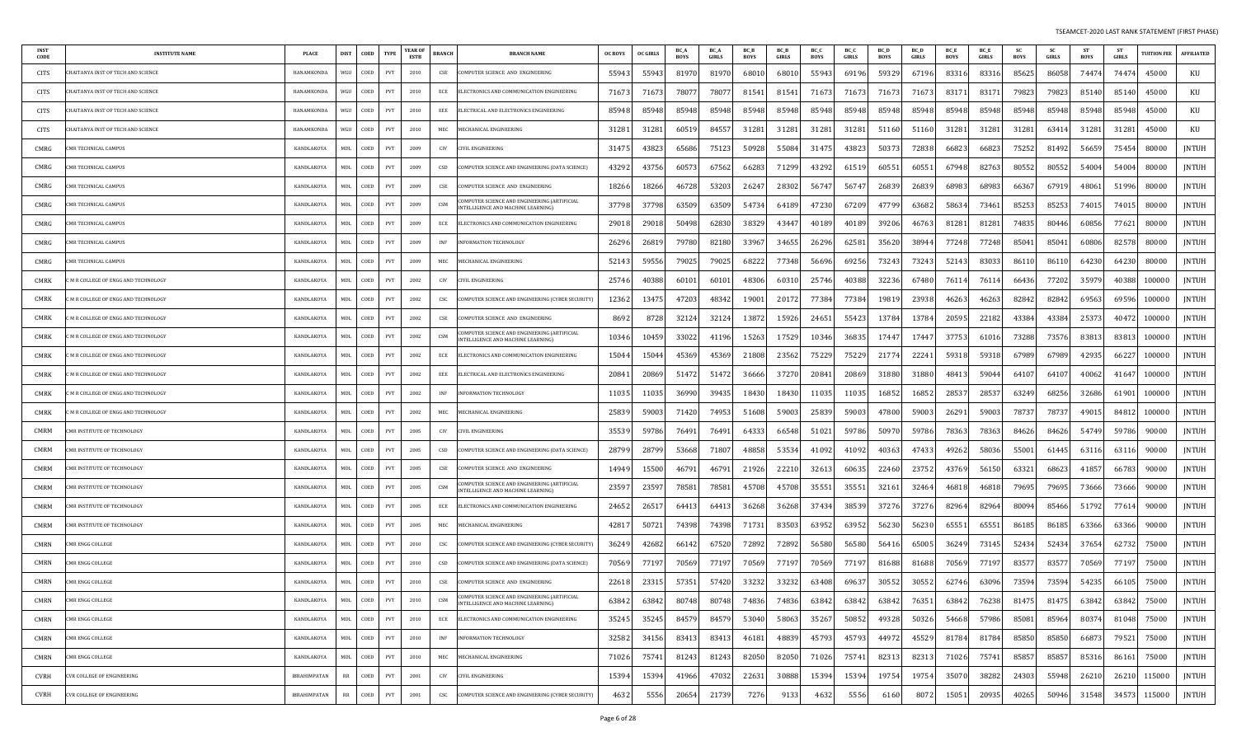| INST<br><b>CODE</b> | <b>INSTITUTE NAME</b>              | <b>PLACE</b>        | <b>DIST</b> | COED | <b>TYPE</b>                 | <b>YEAR OF</b><br>ESTB | <b>BRANCH</b> | <b>BRANCH NAME</b>                                                                       | <b>OC BOYS</b> | <b>OC GIRLS</b> | BC /<br><b>BOYS</b> | BC_A<br>GIRLS | BC_B<br><b>BOYS</b> | BC_B<br>GIRLS | BC_C<br><b>BOYS</b> | BC_C<br>GIRLS | BC_D<br><b>BOYS</b> | <b>BC</b> D<br><b>GIRLS</b> | BC_E<br><b>BOYS</b> | BC_E<br>GIRLS | <b>SC</b><br>BOYS | <b>SC</b><br>GIRLS | ST<br><b>BOYS</b> | <b>ST</b><br><b>GIRLS</b> | <b>TUITION FEE</b> | <b>AFFILIATED</b> |
|---------------------|------------------------------------|---------------------|-------------|------|-----------------------------|------------------------|---------------|------------------------------------------------------------------------------------------|----------------|-----------------|---------------------|---------------|---------------------|---------------|---------------------|---------------|---------------------|-----------------------------|---------------------|---------------|-------------------|--------------------|-------------------|---------------------------|--------------------|-------------------|
| CITS                | HAITANYA INST OF TECH AND SCIENCE  | HANAMKONDA          | WGU         | COED | PVT                         | 2010                   | CSE           | COMPUTER SCIENCE AND ENGINEERING                                                         | 55943          | 5594.           | 81970               | 81970         | 6801                | 6801          | 55943               | 69196         | 59329               | 67196                       | 83316               | 83316         | 85625             | 86058              | 74474             | 74474                     | 45000              | KU                |
| CITS                | HAITANYA INST OF TECH AND SCIENCE  | HANAMKONDA          | WGU         | COED | PVT                         | 2010                   | ECE           | ELECTRONICS AND COMMUNICATION ENGINEERING                                                | 71673          | 7167            | 7807                | 7807          | 81541               | 81541         | 71673               | 71673         | 7167.               | 7167                        | 83171               | 8317          | 79823             | 79823              | 85140             | 85140                     | 45000              | KU                |
| CITS                | HAITANYA INST OF TECH AND SCIENCE  | HANAMKONDA          | WGU         | COED | PVT                         | 2010                   | EEE           | ELECTRICAL AND ELECTRONICS ENGINEERING                                                   | 85948          | 8594            | 85948               | 85948         | 85948               | 85948         | 85948               | 85948         | 85948               | 85948                       | 85948               | 85948         | 85948             | 85948              | 85948             | 85948                     | 45000              | KU                |
| CITS                | HAITANYA INST OF TECH AND SCIENCE  | HANAMKONDA          | WGU         | COED | PVT                         | 2010                   | MEC           | MECHANICAL ENGINEERING                                                                   | 31281          | 3128            | 60519               | 84557         | 31281               | 31281         | 31281               | 31281         | 51160               | 5116                        | 31281               | 31281         | 31281             | 6341               | 31281             | 31281                     | 45000              | KU                |
| CMRG                | <b>MR TECHNICAL CAMPUS</b>         | KANDLAKOYA          | <b>MDL</b>  | COED | PVT                         | 2009                   | CIV           | <b>IVIL ENGINEERING</b>                                                                  | 3147.          | 4382            | 65686               | 7512          | 50928               | 55084         | 31475               | 4382          | 5037                | 7283                        | 66823               | 6682          | 75252             | 81492              | 56659             | 75454                     | 80000              | <b>JNTUH</b>      |
| CMRG                | MR TECHNICAL CAMPUS                | KANDLAKOYA          | MDL         | COED | PVT                         | 2009                   | CSD           | COMPUTER SCIENCE AND ENGINEERING (DATA SCIENCE)                                          | 43292          | 4375            | 6057.               | 67562         | 66283               | 71299         | 43292               | 61519         | 6055                | 6055                        | 67948               | 8276          | 80552             | 80552              | 54004             | 54004                     | 80000              | JNTUH             |
| CMRG                | MR TECHNICAL CAMPUS                | KANDLAKOYA          | <b>MDL</b>  | COED | PVT                         | 2009                   | CSE           | COMPUTER SCIENCE AND ENGINEERING                                                         | 18266          | 1826            | 46728               | 53203         | 26247               | 28302         | 56747               | 56747         | 26839               | 2683                        | 68983               | 68983         | 66367             | 67919              | 48061             | 51996                     | 80000              | JNTUH             |
| CMRG                | MR TECHNICAL CAMPUS                | KANDLAKOY/          | MDL         | COED | PVT                         | 2009                   | CSM           | COMPUTER SCIENCE AND ENGINEERING (ARTIFICIAL<br><b>NTELLIGENCE AND MACHINE LEARNING)</b> | 37798          | 3779            | 63509               | 63509         | 54734               | 6418          | 47230               | 67209         | 47799               | 63682                       | 58634               | 73461         | 85253             | 85253              | 74015             | 74015                     | 80000              | JNTUH             |
| CMRG                | MR TECHNICAL CAMPUS                | KANDLAKOYA          | MDL         | COED | PVT                         | 2009                   | ECE           | ELECTRONICS AND COMMUNICATION ENGINEERING                                                | 29018          | 2901            | 50498               | 62830         | 38329               | 4344          | 40189               | 4018          | 39206               | 4676                        | 81281               | 81281         | 74835             | 80446              | 60856             | 77621                     | 80000              | <b>JNTUH</b>      |
| CMRG                | MR TECHNICAL CAMPUS                | KANDLAKOYA          | MDL         | COED | PVT                         | 2009                   | INF           | <b>INFORMATION TECHNOLOGY</b>                                                            | 26296          | 2681            | 79780               | 82180         | 33967               | 34655         | 26296               | 62581         | 35620               | 3894                        | 77248               | 77248         | 85041             | 8504               | 60806             | 82578                     | 80000              | <b>JNTUH</b>      |
| CMRG                | MR TECHNICAL CAMPUS                | KANDLAKOYA          | MDL         | COED | PVT                         | 2009                   | MEC           | MECHANICAL ENGINEERING                                                                   | 52143          | 5955            | 79025               | 79025         | 6822                | 77348         | 56696               | 69256         | 73243               | 7324                        | 52143               | 8303          | 86110             | 86110              | 64230             | 64230                     | 80000              | <b>JNTUH</b>      |
| CMRK                | M R COLLEGE OF ENGG AND TECHNOLOGY | KANDLAKOYA          | MDL         | COED | PVT                         | 2002                   | CIV           | CIVIL ENGINEERING                                                                        | 25746          | 4038            | 60101               | 60101         | 48306               | 6031          | 25746               | 40388         | 32236               | 67480                       | 76114               | 7611          | 66436             | 77202              | 35979             | 40388                     | 100000             | <b>JNTUH</b>      |
| CMRK                | M R COLLEGE OF ENGG AND TECHNOLOGY | KANDLAKOYA          | <b>MDL</b>  | COED | PVT                         | 2002                   | CSC           | COMPUTER SCIENCE AND ENGINEERING (CYBER SECURITY)                                        | 12362          | 1347            | 47203               | 4834          | 19001               | 2017          | 77384               | 77384         | 1981                | 2393                        | 46263               | 4626          | 82842             | 82842              | 69563             | 69596                     | 100000             | <b>JNTUH</b>      |
| CMRK                | M R COLLEGE OF ENGG AND TECHNOLOGY | KANDLAKOYA          | MDL         | COED | PVT                         | 2002                   | CSE           | COMPUTER SCIENCE AND ENGINEERING                                                         | 869.           | 872             | 32124               | 3212          | 13872               | 15926         | 24651               | 55423         | 13784               | 1378                        | 20595               | 22182         | 43384             | 43384              | 25373             | 40472                     | 100000             | JNTUH             |
| CMRK                | M R COLLEGE OF ENGG AND TECHNOLOGY | KANDLAKOYA          | MDL         | COED | PVT                         | 2002                   | CSM           | COMPUTER SCIENCE AND ENGINEERING (ARTIFICIAL<br><b>NTELLIGENCE AND MACHINE LEARNING)</b> | 10346          | 1045            | 33022               | 41196         | 15263               | 17529         | 10346               | 36835         | 17447               | 1744                        | 37753               | 61016         | 73288             | 73576              | 83813             | 83813                     | 100000             | <b>JNTUH</b>      |
| CMRK                | M R COLLEGE OF ENGG AND TECHNOLOGY | KANDLAKOY/          | <b>MDL</b>  | COED | PVT                         | 2002                   | ECE           | ELECTRONICS AND COMMUNICATION ENGINEERING                                                | 15044          | 1504            | 45369               | 45369         | 21808               | 2356          | 75229               | 75229         | 2177                | 2224                        | 59318               | 59318         | 67989             | 67989              | 42935             | 66227                     | 100000             | JNTUH             |
| CMRK                | M R COLLEGE OF ENGG AND TECHNOLOGY | KANDLAKOYA          | MDL         | COED | PVT                         | 2002                   | EEE           | ELECTRICAL AND ELECTRONICS ENGINEERING                                                   | 20841          | 2086            | 51472               | 51472         | 36666               | 37270         | 20841               | 20869         | 31880               | 31880                       | 48413               | ∘5904         | 64107             | 6410               | 40062             | 41647                     | 100000             | JNTUH             |
| CMRK                | M R COLLEGE OF ENGG AND TECHNOLOGY | KANDLAKOYA          | MDL         | COED | PVT                         | 2002                   | <b>INF</b>    | NFORMATION TECHNOLOGY                                                                    | 11035          | 1103            | 36990               | 39435         | 18430               | 18430         | 11035               | 11035         | 16852               | 1685                        | 28537               | 28537         | 63249             | 68256              | 32686             | 61901                     | 100000             | <b>JNTUH</b>      |
| <b>CMRK</b>         | M R COLLEGE OF ENGG AND TECHNOLOGY | KANDLAKOYA          | MDL         | COED | PVT                         | 2002                   | MEC           | MECHANICAL ENGINEERING                                                                   | 25839          | 5900            | 71420               | 74953         | 51608               | 59003         | 25839               | 59003         | 47800               | 5900                        | 26291               | 59003         | 78737             | 78737              | 49015             | 84812                     | 100000             | JNTUH             |
| CMRM                | MR INSTITUTE OF TECHNOLOGY         | KANDLAKOYA          | MDL         | COED | PVT                         | 2005                   | CIV           | CIVIL ENGINEERING                                                                        | 35539          | 5978            | 76491               | 76491         | 64333               | 66548         | 51021               | 59786         | 5097                | 5978                        | 78363               | 7836          | 84626             | 84626              | 54749             | 59786                     | 90000              | <b>JNTUH</b>      |
| CMRM                | MR INSTITUTE OF TECHNOLOGY         | KANDLAKOYA          | MDL         | COED | PVT                         | 2005                   | CSD           | COMPUTER SCIENCE AND ENGINEERING (DATA SCIENCE)                                          | 28799          | 2879            | 53668               | 71807         | 48858               | 53534         | 41092               | 41092         | 40363               | 4743.                       | 49262               | 58036         | 55001             | 61445              | 63116             | 63116                     | 90000              | <b>JNTUH</b>      |
| CMRM                | <b>MR INSTITUTE OF TECHNOLOGY</b>  | KANDLAKOYA          | MDL         | COED | PVT                         | 2005                   | CSE           | COMPUTER SCIENCE AND ENGINEERING                                                         | 14949          | 1550            | 46791               | 4679          | 21926               | 2221          | 32613               | 60635         | 22460               | 2375                        | 43769               | 5615          | 63321             | 68623              | 41857             | 66783                     | 90000              | <b>JNTUH</b>      |
| CMRM                | MR INSTITUTE OF TECHNOLOGY         | KANDLAKOYA          | MDL         | COED | PVT                         | 2005                   | CSM           | COMPUTER SCIENCE AND ENGINEERING (ARTIFICIAL<br>NTELLIGENCE AND MACHINE LEARNING)        | 2359           | 2359            | 78581               | 78581         | 45708               | 45708         | 35551               | 35551         | 32161               | 3246                        | 46818               | 46818         | 79695             | 79695              | 73666             | 73666                     | 90000              | JNTUH             |
| CMRM                | MR INSTITUTE OF TECHNOLOGY         | KANDLAKOYA          | MDL         | COED | PVT                         | 2005                   | ECE           | ELECTRONICS AND COMMUNICATION ENGINEERING                                                | 24652          | 2651            | 64413               | 6441.         | 36268               | 36268         | 37434               | 38539         | 37276               | 3727                        | 82964               | 82964         | 80094             | 85466              | 51792             | 77614                     | 90000              | JNTUH             |
| CMRM                | MR INSTITUTE OF TECHNOLOGY         | KANDLAKOYA          | MDL         | COED | PVT                         | 2005                   | MEC           | MECHANICAL ENGINEERING                                                                   | 4281           | 5072            | 74398               | 74398         | 71731               | 83503         | 63952               | 63952         | 56230               | 5623                        | 65551               | 65551         | 86185             | 86185              | 63366             | 63366                     | 90000              | JNTUH             |
| CMRN                | MR ENGG COLLEGE                    | KANDLAKOYA          | MDL         | COED | PVT                         | 2010                   | CSC           | COMPUTER SCIENCE AND ENGINEERING (CYBER SECURITY)                                        | 36249          | 42682           | 66142               | 67520         | 72892               | 72892         | 56580               | 56580         | 56416               | 65005                       | 36249               | 73145         | 52434             | 52434              | 37654             | 62732                     | 75000              | JNTUH             |
| CMRN                | MR ENGG COLLEGE                    | KANDLAKOYA          | MDL         | COED | PVT                         | 2010                   | CSD           | COMPUTER SCIENCE AND ENGINEERING (DATA SCIENCE)                                          | 70569          | 7719            | 70569               | 7719          | 70569               | 7719          | 70569               | 77197         | 81688               | 8168                        | 70569               | 7719          | 83577             | 8357               | 70569             | 77197                     | 75000              | JNTUH             |
| CMRN                | CMR ENGG COLLEGE                   | KANDLAKOYA          | MDL         | COED | PVT                         | 2010                   | CSE           | COMPUTER SCIENCE AND ENGINEERING                                                         | 22618          | 2331            | 57351               | 57420         | 33232               | 33232         | 63408               | 69637         | 30552               | 30552                       | 62746               | 63096         | 73594             | 73594              | 54235             | 66105                     | 75000              | <b>JNTUH</b>      |
| CMRN                | <b>CMR ENGG COLLEGE</b>            | KANDLAKOYA          | MDL         | COED | PVT                         | 2010                   | CSM           | MPUTER SCIENCE AND ENGINEERING (ARTIFICIAL<br>INTELLIGENCE AND MACHINE LEARNING)         | 63842          | 63842           | 80748               | 80748         | 74836               | 74836         | 63842               | 63842         | 63842               | 76351                       | 63842               | 76238         | 81475             | 81475              | 63842             | 63842                     | 75000              | JNTUH             |
| CMRN                | MR ENGG COLLEGE                    | KANDLAKOYA          | MDL         | COED | PVT                         | 2010                   | ECE           | ELECTRONICS AND COMMUNICATION ENGINEERING                                                | 35245          | 35245           | 84579               | 84579         | 53040               | 58063         | 35267               | 50852         | 49328               | 50326                       | 54668               | 57986         | 85081             | 85964              | 80374             | 81048                     | 75000              | JNTUH             |
| CMRN                | MR ENGG COLLEGE                    | KANDLAKOYA          | MDL         | COED | PVT                         | 2010                   | <b>INF</b>    | INFORMATION TECHNOLOGY                                                                   | 32582          | 34156           | 83413               | 83413         | 46181               | 48839         | 45793               | 45793         | 44972               | 45529                       | 81784               | 81784         | 85850             | 85850              | 66873             | 79521                     | 75000              | JNTUH             |
| CMRN                | MR ENGG COLLEGE                    | KANDLAKOYA          | MDL         | COED | $\ensuremath{\mathrm{PVT}}$ | 2010                   | MEC           | MECHANICAL ENGINEERING                                                                   | 71026          | 75741           | 81243               | 81243         | 82050               | 82050         | 71026               | 75741         | 82313               | 8231                        | 71026               | 75741         | 85857             | 85857              | 85316             | 86161                     | 75000              | JNTUH             |
| CVRH                | <b>CVR COLLEGE OF ENGINEERING</b>  | <b>IBRAHIMPATAN</b> | RR          | COED | PVT                         | 2001                   | CIV           | CIVIL ENGINEERING                                                                        | 15394          | 1539            | 41966               | 47032         | 22631               | 30888         | 15394               | 15394         | 19754               | 19754                       | 35070               | 38282         | 24303             | 55948              | 26210             | 26210                     | 115000             | JNTUH             |
| <b>CVRH</b>         | CVR COLLEGE OF ENGINEERING         | <b>IBRAHIMPATAN</b> | $_{\rm RR}$ | COED | PVT                         | 2001                   | CSC           | COMPUTER SCIENCE AND ENGINEERING (CYBER SECURITY)                                        | 4632           | 555             | 20654               | 21739         | 7276                | 913           | 4632                | 5556          | 6160                | 807                         | 15051               | 20935         | 40265             | 50946              | 31548             | 34573                     | 115000             | <b>JNTUH</b>      |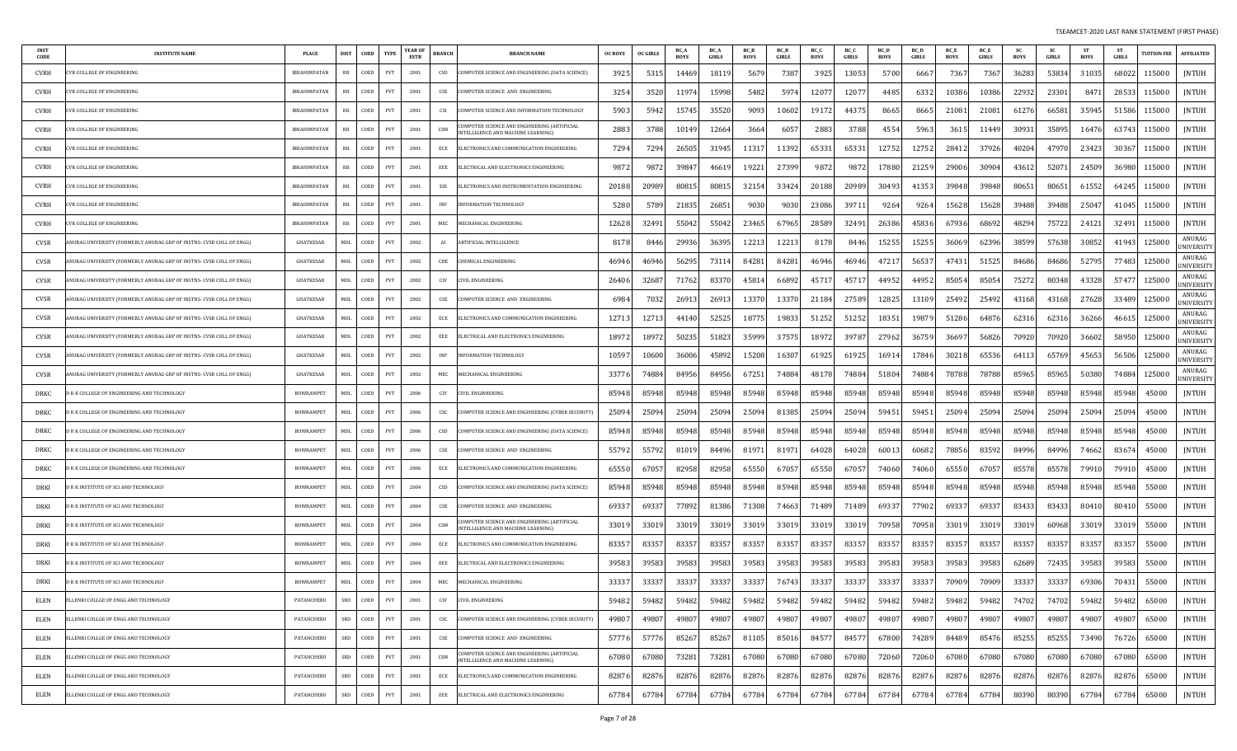| <b>INST</b><br>CODE | <b>INSTITUTE NAME</b>                                               | PLACE               | DIST       | COED | TYPE                        | YEAR OI<br><b>ESTB</b> | <b>BRANCH</b> | <b>BRANCH NAME</b>                                                                     | <b>OC BOYS</b> | <b>OC GIRLS</b> | BC_A<br><b>BOYS</b> | BC_A<br>GIRLS | BC_B<br><b>BOYS</b> | BC_B<br>GIRLS | BC_C<br>BOYS | BC_C<br>GIRLS | <b>BC_D</b><br>BOYS | BC_D<br>GIRLS | BC_E<br>BOYS | BC_E<br>GIRLS | -SC<br><b>BOYS</b> | sc<br>GIRLS | ST<br>BOYS | ST<br>GIRLS | <b>TUITION FEI</b> | <b>AFFILIATED</b>           |
|---------------------|---------------------------------------------------------------------|---------------------|------------|------|-----------------------------|------------------------|---------------|----------------------------------------------------------------------------------------|----------------|-----------------|---------------------|---------------|---------------------|---------------|--------------|---------------|---------------------|---------------|--------------|---------------|--------------------|-------------|------------|-------------|--------------------|-----------------------------|
| <b>CVRH</b>         | VR COLLEGE OF ENGINEERING                                           | IBRAHIMPATAN        |            | COED | <b>PVT</b>                  | 2001                   | CSD           | OMPUTER SCIENCE AND ENGINEERING (DATA SCIENCE)                                         | 3925           | 531             | 14469               | 1811          | 567                 | 7387          | 3925         | 13053         | 5700                | 666           | 736          | 7367          | 3628               | 53834       | 31035      | 68022       | 115000             | JNTUH                       |
| <b>CVRH</b>         | VR COLLEGE OF ENGINEERING                                           | <b>IBRAHIMPATAN</b> | <b>RR</b>  | COED | PVT                         | 2001                   | CSE           | OMPUTER SCIENCE AND ENGINEERING                                                        | 3254           | 352             | 1197                | 15998         | 5482                | 5974          | 12077        | 1207          | 4485                | 6332          | 10386        | 10386         | 22932              | 23301       | 847        | 28533       | 115000             | JNTUH                       |
| <b>CVRH</b>         | VR COLLEGE OF ENGINEERING                                           | IBRAHIMPATAN        | RR         | COED | PVT                         | 2001                   | CSI           | OMPUTER SCIENCE AND INFORMATION TECHNOLOGY                                             | 5903           | 594             | 15745               | 35520         | 9093                | 10602         | 19172        | 4437          | 8665                | 8665          | 2108         | 21081         | 6127               | 66581       | 35945      | 51586       | 115000             | JNTUH                       |
| CVRH                | VR COLLEGE OF ENGINEERING                                           | IBRAHIMPATAN        | RR         | COED | PVT                         | 2001                   | CSM           | OMPUTER SCIENCE AND ENGINEERING (ARTIFICIAL<br>NTELLIGENCE AND MACHINE LEARNING]       | 2883           | 3788            | 10149               | 12664         | 3664                | 6057          | 2883         | 3788          | 4554                | 5963          | 361          | 11449         | 3093               | 35895       | 16476      | 63743       | 115000             | JNTUH                       |
| CVRH                | VR COLLEGE OF ENGINEERING                                           | IBRAHIMPATAN        | RR         | COED | PVT                         | 2001                   | ECE           | ELECTRONICS AND COMMUNICATION ENGINEERING                                              | 7294           | 729             | 26505               | 31945         | 11317               | 11392         | 65331        | 65331         | 12752               | 12752         | 2841         | 37926         | 40204              | 47970       | 23423      | 30367       | 115000             | JNTUH                       |
| CVRH                | VR COLLEGE OF ENGINEERING                                           | IBRAHIMPATAN        | RR         | COED | PVT                         | 2001                   | EEE           | ELECTRICAL AND ELECTRONICS ENGINEERING                                                 | 9872           | 987             | 39847               | 46619         | 19221               | 27399         | 9872         | 9872          | 17880               | 21259         | 29006        | 30904         | 4361               | 5207        | 24509      | 36980       | 115000             | JNTUH                       |
| <b>CVRH</b>         | VR COLLEGE OF ENGINEERING                                           | IBRAHIMPATAN        | RR         | COED | PVT                         | 2001                   | EIE           | ELECTRONICS AND INSTRUMENTATION ENGINEERING                                            | 20188          | 20989           | 80815               | 8081          | 32154               | 33424         | 20188        | 20989         | 30493               | 41353         | 39848        | 39848         | 8065               | 80651       | 61552      | 64245       | 115000             | <b>JNTUH</b>                |
| <b>CVRH</b>         | VR COLLEGE OF ENGINEERING                                           | IBRAHIMPATAN        | <b>RR</b>  | COED | PVT                         | 2001                   | INF           | <b>VFORMATION TECHNOLOGY</b>                                                           | 5280           | 578             | 21835               | 26851         | 9030                | 9030          | 23086        | 39711         | 9264                | 9264          | 15628        | 15628         | 39488              | 39488       | 2504       | 41045       | 115000             | JNTUH                       |
| <b>CVRH</b>         | VR COLLEGE OF ENGINEERING                                           | IBRAHIMPATAN        | <b>RR</b>  | COED | PVT                         | 2001                   | MEC           | <b>MECHANICAL ENGINEERING</b>                                                          | 12628          | 3249            | 55042               | 55042         | 23465               | 67965         | 28589        | 32491         | 26386               | 45836         | 67936        | 68692         | 4829               | 75722       | 24121      | 32491       | 115000             | JNTUH                       |
| CVSR                | NURAG UNIVERSITY (FORMERLY ANURAG GRP OF INSTNS- CVSR COLL OF ENGG) | GHATKESAR           | MDL        | COED | PVT                         | 2002                   | AI            | ARTIFICIAL INTELLIGENCE                                                                | 817            | 844             | 29936               | 36395         | 12213               | 12213         | 8178         | 8446          | 15255               | 15255         | 36069        | 62396         | 3859               | 57638       | 30852      | 41943       | 125000             | ANURAG<br>JNIVERSITY        |
| CVSR                | NURAG UNIVERSITY (FORMERLY ANURAG GRP OF INSTNS- CVSR COLL OF ENGG) | GHATKESAR           | <b>MDL</b> | COED | PVT                         | 2002                   | CHE           | <b>CHEMICAL ENGINEERING</b>                                                            | 46946          | 4694            | 56295               | 73114         | 84281               | 84281         | 46946        | 46946         | 47217               | 5653          | 47431        | 51525         | 84686              | 84686       | 52795      | 77483       | 125000             | ANURAG<br>JNIVERSITY        |
| CVSR                | NURAG UNIVERSITY (FORMERLY ANURAG GRP OF INSTNS- CVSR COLL OF ENGG) | <b>GHATKESAR</b>    | MDL        | COED | PVT                         | 2002                   | CIV           | IVIL ENGINEERING:                                                                      | 26406          | 3268            | 71762               | 83370         | 4581                | 66892         | 45717        | 45717         | 44952               | 44952         | 85054        | 85054         | 75272              | 80348       | 4332       | 57477       | 125000             | ANURAG<br><b>JNIVERSITY</b> |
| CVSR                | NURAG UNIVERSITY (FORMERLY ANURAG GRP OF INSTNS- CVSR COLL OF ENGG) | GHATKESAR           | MDL        | COED | PVT                         | 2002                   | CSE           | COMPUTER SCIENCE AND ENGINEERING                                                       | 6984           | 703             | 26913               | 26913         | 13370               | 13370         | 21184        | 27589         | 12825               | 13109         | 25492        | 25492         | 43168              | 43168       | 27628      | 33489       | 125000             | ANURAG<br>JNIVERSITY        |
| CVSR                | NURAG UNIVERSITY (FORMERLY ANURAG GRP OF INSTNS- CVSR COLL OF ENGG) | GHATKESAR           | <b>MDL</b> | COED | PVT                         | 2002                   | ECE           | ELECTRONICS AND COMMUNICATION ENGINEERING                                              | 12713          | 1271            | 4414                | 52525         | 1877.               | 19833         | 51252        | 51252         | 18351               | 19879         | 51286        | 64876         | 62316              | 62316       | 36266      | 46615       | 125000             | ANURAG<br><b>JNIVERSITY</b> |
| CVSR                | NURAG UNIVERSITY (FORMERLY ANURAG GRP OF INSTNS- CVSR COLL OF ENGG) | <b>GHATKESAR</b>    | <b>MDL</b> | COED | PVT                         | 2002                   | EEE           | ELECTRICAL AND ELECTRONICS ENGINEERING                                                 | 18972          | 1897            | 50235               | 51823         | 35999               | 37575         | 18972        | 39787         | 27962               | 36759         | 3669         | 56826         | 70920              | 70920       | 3660       | 58950       | 125000             | ANURAG<br>JNIVERSITY        |
| CVSR                | NURAG UNIVERSITY (FORMERLY ANURAG GRP OF INSTNS- CVSR COLL OF ENGG) | GHATKESAR           | MDL        | COED | PVT                         | 2002                   | <b>INF</b>    | NFORMATION TECHNOLOGY                                                                  | 10597          | 10600           | 36006               | 45892         | 15208               | 16307         | 61925        | 61925         | 16914               | 17846         | 3021         | 65536         | 6411               | 65769       | 4565       | 56506       | 125000             | ANURAG<br><b>INIVERSITY</b> |
| CVSR                | NURAG UNIVERSITY (FORMERLY ANURAG GRP OF INSTNS- CVSR COLL OF ENGG) | GHATKESAR           | <b>MDL</b> | COED | PVT                         | 2002                   | MEC           | <b>MECHANICAL ENGINEERING</b>                                                          | 33776          | 7488            | 84956               | 84956         | 67251               | 74884         | 48178        | 74884         | 51804               | 74884         | 78788        | 78788         | 8596               | 85965       | 50380      | 74884       | 125000             | ANURAG<br>NIVERSITY         |
| DRKC                | R K COLLEGE OF ENGINEERING AND TECHNOLOGY                           | <b>BOWRAMPET</b>    | MDI        | COED | PVT                         | 2006                   | CIV           | IVIL ENGINEERING                                                                       | 85948          | 8594            | 85948               | 85948         | 85948               | 85948         | 85948        | 85948         | 85948               | 85948         | 85948        | 85948         | 85948              | 85948       | 85948      | 85948       | 45000              | <b>JNTUH</b>                |
| DRKC                | R K COLLEGE OF ENGINEERING AND TECHNOLOGY                           | <b>BOWRAMPET</b>    | MDI        | COED | PVT                         | 2006                   | CSC           | OMPUTER SCIENCE AND ENGINEERING (CYBER SECURITY)                                       | 25094          | 2509            | 25094               | 25094         | 25094               | 81385         | 25094        | 25094         | 59451               | 5945          | 2509         | 25094         | 2509               | 25094       | 25094      | 25094       | 45000              | JNTUH                       |
| DRKC                | R K COLLEGE OF ENGINEERING AND TECHNOLOGY                           | <b>BOWRAMPET</b>    | MDL        | COED | PVT                         | 2006                   | CSD           | COMPUTER SCIENCE AND ENGINEERING (DATA SCIENCE)                                        | 85948          | 85948           | 85948               | 85948         | 85948               | 85948         | 85948        | 85948         | 85948               | 85948         | 85948        | 85948         | 85948              | 85948       | 85948      | 85948       | 45000              | <b>JNTUH</b>                |
| DRKC                | R K COLLEGE OF ENGINEERING AND TECHNOLOGY                           | <b>BOWRAMPET</b>    | MDL        | COED | PVT                         | 2006                   | CSE           | COMPUTER SCIENCE AND ENGINEERING                                                       | 55792          | 5579            | 81019               | 84496         | 81971               | 81971         | 64028        | 64028         | 60013               | 60682         | 78856        | 83592         | 84996              | 84996       | 74662      | 83674       | 45000              | JNTUH                       |
| DRKC                | R K COLLEGE OF ENGINEERING AND TECHNOLOGY                           | <b>BOWRAMPET</b>    | MDL        | COED | PVT                         | 2006                   | ECE           | ELECTRONICS AND COMMUNICATION ENGINEERING                                              | 65550          | 6705            | 82958               | 82958         | 65550               | 67057         | 65550        | 67057         | 74060               | 74060         | 65550        | 67057         | 85578              | 85578       | 7991       | 79910       | 45000              | JNTUH                       |
| DRKI                | R K INSTITUTE OF SCI AND TECHNOLOGY                                 | <b>BOWRAMPET</b>    | <b>MDL</b> | COED | PVT                         | 2004                   | CSD           | COMPUTER SCIENCE AND ENGINEERING (DATA SCIENCE)                                        | 85948          | 85948           | 85948               | 85948         | 85948               | 85948         | 85948        | 85948         | 85948               | 85948         | 85948        | 85948         | 85948              | 85948       | 85948      | 85948       | 55000              | <b>JNTUH</b>                |
| DRKI                | R K INSTITUTE OF SCI AND TECHNOLOGY                                 | <b>BOWRAMPET</b>    | MDL        | COED | PVT                         | 2004                   | CSE           | OMPUTER SCIENCE AND ENGINEERING                                                        | 69337          | 6933            | 77892               | 81386         | 71308               | 74663         | 71489        | 71489         | 69337               | 77902         | 6933         | 69337         | 8343               | 83433       | 8041       | 80410       | 55000              | <b>JNTUH</b>                |
| DRKI                | R K INSTITUTE OF SCI AND TECHNOLOGY                                 | <b>BOWRAMPET</b>    | <b>MDL</b> | COED | PVT                         | 2004                   | CSM           | OMPUTER SCIENCE AND ENGINEERING (ARTIFICIAL<br>NTELLIGENCE AND MACHINE LEARNING)       | 33019          | 3301            | 33019               | 33019         | 3301                | 33019         | 33019        | 33019         | 70958               | 70958         | 33019        | 33019         | 3301               | 60968       | 3301       | 33019       | 55000              | <b>JNTUH</b>                |
| DRKI                | R K INSTITUTE OF SCI AND TECHNOLOGY                                 | <b>BOWRAMPET</b>    | MDL        | COED | PVT                         | 2004                   | ECE           | ELECTRONICS AND COMMUNICATION ENGINEERING                                              | 83357          | 8335            | 8335                | 8335          | 8335                | 83357         | 83357        | 83357         | 83357               | 8335          | 8335         | 83357         | 8335               | 83357       | 8335       | 83357       | 55000              | JNTUH                       |
| DRKI                | R K INSTITUTE OF SCI AND TECHNOLOGY                                 | <b>BOWRAMPET</b>    | MDL        | COED | PVT                         | 2004                   | EEE           | ELECTRICAL AND ELECTRONICS ENGINEERING                                                 | 39583          | 3958            | 39583               | 39583         | 39583               | 39583         | 39583        | 39583         | 39583               | 39583         | 39583        | 39583         | 6268               | 72435       | 39583      | 39583       | 55000              | JNTUH                       |
| DRKI                | R K INSTITUTE OF SCI AND TECHNOLOGY                                 | <b>BOWRAMPET</b>    | MDL        | COED | PVT                         | 2004                   | MEC           | MECHANICAL ENGINEERING                                                                 | 33337          | 3333            | 33337               | 33337         | 33337               | 76743         | 33337        | 33337         | 33337               | 3333          | 70909        | 70909         | 33337              | 33337       | 69306      | 70431       | 55000              | <b>JNTUH</b>                |
| ELEN                | ELLENKI COLLGE OF ENGG AND TECHNOLOGY                               | PATANCHERU          | SRD        | COED | PVT                         | 2001                   | CIV           | CIVIL ENGINEERING                                                                      | 59482          | 59482           | 59482               | 59482         | 59482               | 59482         | 59482        | 59482         | 59482               | 59482         | 59482        | 59482         | 74702              | 74702       | 59482      | 59482       | 65000              | JNTUH                       |
| ELEN                | LLENKI COLLGE OF ENGG AND TECHNOLOGY                                | PATANCHERU          | SRD        | COED | PVT                         | 2001                   | CSC           | COMPUTER SCIENCE AND ENGINEERING (CYBER SECURITY)                                      | 49807          | 49807           | 49807               | 49807         | 49807               | 49807         | 49807        | 49807         | 49807               | 49807         | 49807        | 49807         | 49807              | 49807       | 49807      | 49807       | 65000              | <b>JNTUH</b>                |
| ELEN                | ELLENKI COLLGE OF ENGG AND TECHNOLOGY                               | PATANCHERU          | SRD        | COED | PVT                         | 2001                   | CSE           | COMPUTER SCIENCE AND ENGINEERING                                                       | 57776          | 57776           | 85267               | 85267         | 81105               | 85016         | 84577        | 84577         | 67800               | 74289         | 84489        | 85476         | 85255              | 85255       | 73490      | 76726       | 65000              | <b>JNTUH</b>                |
| ELEN                | ELLENKI COLLGE OF ENGG AND TECHNOLOGY                               | PATANCHERU          | SRD        | COED | $\ensuremath{\mathrm{PVT}}$ | 2001                   | CSM           | OMPUTER SCIENCE AND ENGINEERING (ARTIFICIAL<br><b>TELLIGENCE AND MACHINE LEARNING)</b> | 67080          | 67080           | 73281               | 73281         | 67080               | 67080         | 67080        | 67080         | 72060               | 72060         | 67080        | 67080         | 67080              | 67080       | 67080      | 67080       | 65000              | <b>JNTUH</b>                |
| ELEN                | LLENKI COLLGE OF ENGG AND TECHNOLOGY                                | PATANCHERU          | SRD        | COED | PVT                         | 2001                   | ECE           | ELECTRONICS AND COMMUNICATION ENGINEERING                                              | 82876          | 82876           | 82876               | 82876         | 82876               | 82876         | 82876        | 82876         | 82876               | 82876         | 82876        | 82876         | 82876              | 82876       | 82876      | 82876       | 65000              | <b>JNTUH</b>                |
| ELEN                | ELLENKI COLLGE OF ENGG AND TECHNOLOGY                               | PATANCHERU          | SRD        | COED | PVT                         | 2001                   | EEE           | ELECTRICAL AND ELECTRONICS ENGINEERING                                                 | 67784          | 6778            | 67784               | 67784         | 67784               | 67784         | 67784        | 67784         | 67784               | 67784         | 67784        | 67784         | 80390              | 80390       | 67784      | 67784       | 65000              | <b>JNTUH</b>                |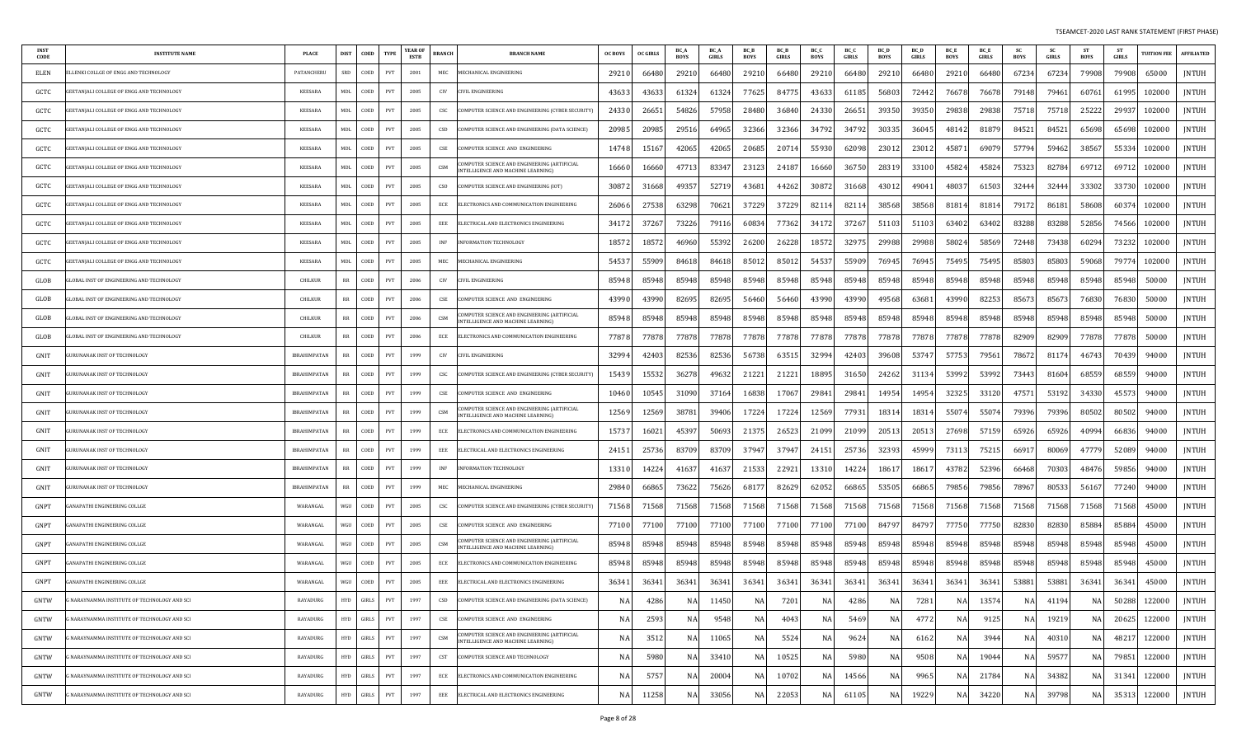| <b>INST</b><br>CODE | <b>INSTITUTE NAME</b>                            | PLACE               | <b>DIST</b> | COED  | <b>TYPE</b>                 | YEAR OF<br><b>ESTB</b> | <b>BRANCH</b> | <b>BRANCH NAME</b>                                                                        | <b>OC BOYS</b> | OC GIRLS | BC_A<br><b>BOYS</b> | BC A<br>GIRLS | BC_B<br><b>BOYS</b> | BC_B<br><b>GIRLS</b> | BC_C<br><b>BOYS</b> | BC_C<br>GIRLS | BC D<br><b>BOYS</b> | BC D<br><b>GIRLS</b> | BC_E<br><b>BOYS</b> | BC_E<br>GIRLS | SC<br><b>BOYS</b> | SC<br><b>GIRLS</b> | ST<br><b>BOYS</b> | ST<br><b>GIRLS</b> | <b>TUITION FEE</b> | <b>AFFILIATED</b> |
|---------------------|--------------------------------------------------|---------------------|-------------|-------|-----------------------------|------------------------|---------------|-------------------------------------------------------------------------------------------|----------------|----------|---------------------|---------------|---------------------|----------------------|---------------------|---------------|---------------------|----------------------|---------------------|---------------|-------------------|--------------------|-------------------|--------------------|--------------------|-------------------|
| ELEN                | LENKI COLLGE OF ENGG AND TECHNOLOGY              | PATANCHERU          | SRD         | COED  | PVT                         | 2001                   | MEC           | <b>IECHANICAL ENGINEERING</b>                                                             | 29210          | 66480    | 29210               | 66480         | 29210               | 66480                | 29210               | 66480         | 29210               | 66480                | 29210               | 66480         | 67234             | 67234              | 79908             | 79908              | 65000              | <b>JNTUH</b>      |
| GCTC                | EETANJALI COLLEGE OF ENGG AND TECHNOLOGY         | <b>KEESARA</b>      | MDL         | COED  | PVT                         | 2005                   | CIV           | VIL ENGINEERING                                                                           | 4363           | 43633    | 6132                | 6132          | 77625               | 84775                | 43633               | 61185         | 56803               | 72442                | 76678               | 76678         | 79148             | 79461              | 60761             | 6199.              | 102000             | <b>JNTUH</b>      |
| GCTC                | EETANJALI COLLEGE OF ENGG AND TECHNOLOGY         | <b>KEESARA</b>      | <b>MDL</b>  | COED  | PVT                         | 2005                   | CSC           | OMPUTER SCIENCE AND ENGINEERING (CYBER SECURITY)                                          | 2433           | 2665     | 54826               | 57958         | 28480               | 36840                | 24330               | 2665          | 39350               | 39350                | 29838               | 29838         | 75718             | 75718              | 25222             | 29937              | 102000             | <b>JNTUH</b>      |
| GCTC                | GEETANJALI COLLEGE OF ENGG AND TECHNOLOGY        | <b>KEESARA</b>      | MDL         | COED  | PVT                         | 2005                   | CSD           | COMPUTER SCIENCE AND ENGINEERING (DATA SCIENCE)                                           | 2098           | 20985    | 29516               | 6496          | 32366               | 32366                | 34792               | 34792         | 30335               | 36045                | 48142               | 8187          | 84521             | 84521              | 65698             | 65698              | 102000             | <b>JNTUH</b>      |
| GCTC                | EETANJALI COLLEGE OF ENGG AND TECHNOLOGY         | <b>KEESARA</b>      | MDL         | COED  | PVT                         | 2005                   | CSE           | OMPUTER SCIENCE AND ENGINEERING                                                           | 14748          | 1516     | 4206                | 42065         | 20685               | 20714                | 55930               | 62098         | 23012               | 23012                | 4587                | 6907          | 57794             | 59462              | 38567             | 5533               | 102000             | JNTUH             |
| GCTC                | EETANJALI COLLEGE OF ENGG AND TECHNOLOGY         | <b>KEESARA</b>      | <b>MDL</b>  | COED  | PVT                         | 2005                   | CSM           | COMPUTER SCIENCE AND ENGINEERING (ARTIFICIAL<br><b>INTELLIGENCE AND MACHINE LEARNING)</b> | 16660          | 16660    | 4771                | 8334          | 23123               | 24187                | 16660               | 36750         | 28319               | 33100                | 45824               | 45824         | 75323             | 82784              | 69712             | 6971               | 102000             | JNTUH             |
| GCTC                | <b>GEETANJALI COLLEGE OF ENGG AND TECHNOLOGY</b> | <b>KEESARA</b>      | <b>MDL</b>  | COED  | PVT                         | 2005                   | CSO           | COMPUTER SCIENCE AND ENGINEERING (IOT)                                                    | 3087           | 31668    | 4935                | 52719         | 43681               | 44262                | 30872               | 31668         | 4301                | 49041                | 4803                | 61503         | 32444             | 32444              | 33302             | 3373               | 102000             | JNTUH             |
| GCTC                | EETANJALI COLLEGE OF ENGG AND TECHNOLOGY         | KEESARA             | MDL         | COED  | PVT                         | 2005                   | ECE           | ELECTRONICS AND COMMUNICATION ENGINEERING                                                 | 26066          | 27538    | 63298               | 7062          | 37229               | 37229                | 82114               | 82114         | 38568               | 38568                | 8181                | 8181          | 79172             | 86181              | 58608             | 6037               | 102000             | <b>JNTUH</b>      |
| GCTC                | EETANJALI COLLEGE OF ENGG AND TECHNOLOGY         | KEESARA             | <b>MDL</b>  | COED  | PVT                         | 2005                   | EEE           | LECTRICAL AND ELECTRONICS ENGINEERING                                                     | 34172          | 37267    | 73226               | 7911          | 60834               | 77362                | 34172               | 3726          | 51103               | 51103                | 6340.               | 6340.         | 83288             | 83288              | 52856             | 74566              | 102000             | <b>JNTUH</b>      |
| GCTC                | EETANJALI COLLEGE OF ENGG AND TECHNOLOGY         | KEESARA             | MDL         | COED  | PVT                         | 2005                   | INF           | <b>VFORMATION TECHNOLOGY</b>                                                              | 1857           | 18572    | 4696                | 55392         | 26200               | 26228                | 18572               | 32975         | 29988               | 29988                | 5802                | 58569         | 72448             | 73438              | 60294             | 73232              | 102000             | <b>JNTUH</b>      |
| GCTC                | EETANJALI COLLEGE OF ENGG AND TECHNOLOGY         | <b>KEESARA</b>      | MDL         | COED  | PVT                         | 2005                   | MEC           | <b>IECHANICAL ENGINEERING</b>                                                             | 5453           | 55909    | 84618               | 8461          | 85012               | 85012                | 54537               | 55909         | 76945               | 76945                | 75495               | 75495         | 85803             | 85803              | 59068             | 7977               | 102000             | JNTUH             |
| GLOB                | LOBAL INST OF ENGINEERING AND TECHNOLOGY         | CHILKUR             | RR          | COED  | PVT                         | 2006                   | CIV           | IVIL ENGINEERING                                                                          | 85948          | 85948    | 85948               | 85948         | 85948               | 85948                | 85948               | 85948         | 85948               | 85948                | 85948               | 85948         | 85948             | 85948              | 85948             | 8594               | 50000              | <b>JNTUH</b>      |
| GLOB                | LOBAL INST OF ENGINEERING AND TECHNOLOGY         | <b>CHILKUR</b>      | $_{RR}$     | COED  | PVT                         | 2006                   | CSE           | OMPUTER SCIENCE AND ENGINEERING                                                           | 4399           | 43990    | 8269                | 82695         | 56460               | 56460                | 43990               | 4399          | 49568               | 63681                | 43990               | 82253         | 85673             | 85673              | 76830             | 76830              | 50000              | JNTUH             |
| GLOB                | LOBAL INST OF ENGINEERING AND TECHNOLOGY         | <b>CHILKUR</b>      | RR          | COED  | PVT                         | 2006                   | CSM           | OMPUTER SCIENCE AND ENGINEERING (ARTIFICIAL<br>INTELLIGENCE AND MACHINE LEARNING)         | 85948          | 85948    | 85948               | 85948         | 85948               | 85948                | 85948               | 85948         | 85948               | 85948                | 85948               | 85948         | 85948             | 85948              | 85948             | 85948              | 50000              | <b>JNTUH</b>      |
| GLOB                | LOBAL INST OF ENGINEERING AND TECHNOLOGY         | <b>CHILKUR</b>      | RR          | COED  | PVT                         | 2006                   | ECE           | ELECTRONICS AND COMMUNICATION ENGINEERING                                                 | 77878          | 77878    | 7787                | 77878         | 77878               | 77878                | 77878               | 77878         | 77878               | 77878                | 77878               | 77878         | 82909             | 82909              | 77878             | 7787               | 50000              | JNTUH             |
| GNIT                | URUNANAK INST OF TECHNOLOGY                      | <b>IBRAHIMPATAN</b> | RR          | COED  | PVT                         | 1999                   | CIV           | CIVIL ENGINEERING                                                                         | 3299           | 42403    | 82536               | 82536         | 56738               | 63515                | 32994               | 42403         | 39608               | 53747                | 57753               | 7956          | 78672             | 81174              | 46743             | 7043               | 94000              | <b>JNTUH</b>      |
| GNIT                | URUNANAK INST OF TECHNOLOGY                      | IBRAHIMPATAN        | $_{RR}$     | COED  | PVT                         | 1999                   | CSC           | OMPUTER SCIENCE AND ENGINEERING (CYBER SECURITY)                                          | 15439          | 15532    | 36278               | 49632         | 21221               | 21221                | 18895               | 31650         | 24262               | 31134                | 53992               | 53992         | 73443             | 81604              | 68559             | 68559              | 94000              | <b>JNTUH</b>      |
| GNIT                | URUNANAK INST OF TECHNOLOGY                      | IBRAHIMPATAN        | <b>RR</b>   | COED  | PVT                         | 1999                   | CSE           | OMPUTER SCIENCE AND ENGINEERING                                                           | 10460          | 10545    | 31090               | 3716          | 16838               | 17067                | 29841               | 2984          | 14954               | 14954                | 32325               | 33120         | 47571             | 53192              | 34330             | 4557               | 94000              | <b>JNTUH</b>      |
| GNIT                | URUNANAK INST OF TECHNOLOGY                      | <b>IBRAHIMPATAN</b> |             | COED  | PVT                         | 1999                   | CSM           | OMPUTER SCIENCE AND ENGINEERING (ARTIFICIAL<br><b>TELLIGENCE AND MACHINE LEARNING)</b>    | 12569          | 12569    | 3878                | 3940          | 17224               | 17224                | 12569               | 7793          | 18314               | 18314                | 5507                | 5507          | 79396             | 79396              | 80502             | 8050               | 94000              | <b>JNTUH</b>      |
| GNIT                | URUNANAK INST OF TECHNOLOGY                      | <b>IBRAHIMPATAN</b> | <b>RR</b>   | COED  | PVT                         | 1999                   | ECE           | ELECTRONICS AND COMMUNICATION ENGINEERING                                                 | 1573           | 16021    | 4539                | 50693         | 2137                | 26523                | 21099               | 2109          | 20513               | 20513                | 27698               | 57159         | 65926             | 65926              | 40994             | 6683               | 94000              | <b>JNTUH</b>      |
| GNIT                | URUNANAK INST OF TECHNOLOGY                      | <b>IBRAHIMPATAN</b> | $_{RR}$     | COED  | PVT                         | 1999                   | EEE           | ELECTRICAL AND ELECTRONICS ENGINEERING                                                    | 2415           | 25736    | 8370                | 83709         | 37947               | 37947                | 24151               | 25736         | 32393               | 45999                | 7311                | 75215         | 6691.             | 80069              | 4777              | 52089              | 94000              | <b>JNTUH</b>      |
| GNIT                | URUNANAK INST OF TECHNOLOGY                      | IBRAHIMPATAN        | RR          | COED  | PVT                         | 1999                   | INF           | <b>INFORMATION TECHNOLOGY</b>                                                             | 13310          | 14224    | 4163                | 4163          | 21533               | 22921                | 13310               | 14224         | 1861.               | 18617                | 43782               | 52396         | 66468             | 70303              | 48476             | 59856              | 94000              | JNTUH             |
| GNIT                | JRUNANAK INST OF TECHNOLOGY                      | <b>IBRAHIMPATAN</b> | RR          | COED  | PVT                         | 1999                   | MEC           | <b>IECHANICAL ENGINEERING</b>                                                             | 29840          | 66865    | 73622               | 75626         | 68177               | 82629                | 62052               | 6686          | 53505               | 66865                | 79856               | 79856         | 78967             | 80533              | 56167             | 7724               | 94000              | <b>JNTUH</b>      |
| GNPT                | ANAPATHI ENGINEERING COLLGE                      | WARANGAI            | WGU         | COED  | PVT                         | 2005                   | CSC           | COMPUTER SCIENCE AND ENGINEERING (CYBER SECURITY)                                         | 71568          | 71568    | 71568               | 71568         | 71568               | 71568                | 71568               | 71568         | 71568               | 71568                | 71568               | 71568         | 71568             | 71568              | 71568             | 71568              | 45000              | JNTUH             |
| GNPT                | ANAPATHI ENGINEERING COLLGE                      | WARANGAL            | WGII        | COED  | PVT                         | 2005                   | CSE           | OMPUTER SCIENCE AND ENGINEERING                                                           | 77100          | 77100    | 77100               | 77100         | 77100               | 77100                | 77100               | 77100         | 84797               | 84797                | 77750               | 77750         | 82830             | 82830              | 85884             | 8588               | 45000              | <b>JNTUH</b>      |
| GNPT                | ANAPATHI ENGINEERING COLLGE                      | WARANGAL            | WGU         | COED  | PVT                         | 2005                   | CSM           | OMPUTER SCIENCE AND ENGINEERING (ARTIFICIAL<br>NTELLIGENCE AND MACHINE LEARNING)          | 85948          | 85948    | 85948               | 85948         | 85948               | 85948                | 85948               | 85948         | 85948               | 85948                | 85948               | 85948         | 85948             | 85948              | 85948             | 8594               | 45000              | <b>JNTUH</b>      |
| GNPT                | ANAPATHI ENGINEERING COLLGE                      | WARANGAL            | WGU         | COED  | PVT                         | 2005                   | ECE           | LECTRONICS AND COMMUNICATION ENGINEERING                                                  | 85948          | 85948    | 85948               | 85948         | 85948               | 85948                | 85948               | 85948         | 85948               | 85948                | 85948               | 85948         | 85948             | 85948              | 85948             | 85948              | 45000              | JNTUH             |
| GNPT                | GANAPATHI ENGINEERING COLLGE                     | WARANGAL            | WGU         | COED  | PVT                         | 2005                   | EEE           | ELECTRICAL AND ELECTRONICS ENGINEERING                                                    | 3634           | 3634     | 3634                | 3634          | 36341               | 36341                | 36341               | 3634          | 3634                | 36341                | 3634                | 3634          | 53881             | 53881              | 36341             | 3634               | 45000              | JNTUH             |
| GNTW                | NARAYNAMMA INSTITUTE OF TECHNOLOGY AND SCI       | RAYADURG            | HYD 1       | GIRLS | PVT                         | 1997                   | CSD           | COMPUTER SCIENCE AND ENGINEERING (DATA SCIENCE)                                           | NA.            | 4286     | NA                  | 11450         | NA                  | 7201                 | NA                  | 4286          | NA                  | 7281                 | NA                  | 13574         | NA                | 41194              | NA                | 50288              | 122000             | JNTUH             |
| GNTW                | NARAYNAMMA INSTITUTE OF TECHNOLOGY AND SCI       | RAYADURG            | HYD         | GIRLS | PVT                         | 1997                   | CSE           | COMPUTER SCIENCE AND ENGINEERING                                                          | NA             | 2593     | NA                  | 9548          | NA                  | 4043                 | NA                  | 5469          | NA                  | 4772                 | NA                  | 9125          | <b>NA</b>         | 19219              | NA                | 20625              | 122000             | <b>JNTUH</b>      |
| GNTW                | NARAYNAMMA INSTITUTE OF TECHNOLOGY AND SCI       | RAYADURG            | <b>HYD</b>  | GIRLS | PVT                         | 1997                   | CSM           | COMPUTER SCIENCE AND ENGINEERING (ARTIFICIAL<br>INTELLIGENCE AND MACHINE LEARNING)        | N.             | 3512     | NA                  | 11065         | <b>NA</b>           | 5524                 | NA                  | 9624          | ΝA                  | 6162                 | NA                  | 3944          | <b>NA</b>         | 40310              | NA                | 48217              | 122000             | JNTUH             |
| GNTW                | NARAYNAMMA INSTITUTE OF TECHNOLOGY AND SCI       | RAYADURG            | <b>HYD</b>  | GIRLS | PVT                         | 1997                   | <b>CST</b>    | COMPUTER SCIENCE AND TECHNOLOGY                                                           | N/             | 5980     | NA                  | 3341          | <b>NA</b>           | 10525                | NA                  | 5980          | N/                  | 9508                 | NA                  | 19044         | <b>NA</b>         | 59577              | NA                | 79851              | 122000             | JNTUH             |
| GNTW                | NARAYNAMMA INSTITUTE OF TECHNOLOGY AND SCI       | RAYADURG            | HYD         | GIRLS | $\ensuremath{\mathrm{PVT}}$ | 1997                   | ECE           | ELECTRONICS AND COMMUNICATION ENGINEERING                                                 | NA             | 5757     | NA                  | 20004         | NA                  | 10702                | NA                  | 14566         | NA                  | 9965                 | NA                  | 21784         | <b>NA</b>         | 34382              | <b>NA</b>         | 31341              | 122000             | JNTUH             |
| GNTW                | WARAYNAMMA INSTITUTE OF TECHNOLOGY AND SCI       | RAYADURG            | <b>HYD</b>  | GIRLS | $\ensuremath{\mathrm{PVT}}$ | 1997                   | EEE           | ELECTRICAL AND ELECTRONICS ENGINEERING                                                    | NA             | 11258    | NA                  | 33056         | NA                  | 22053                | NA                  | 61105         | ΝA                  | 19229                | NA                  | 34220         | NA                | 39798              | NA                | 35313              | 122000             | <b>JNTUH</b>      |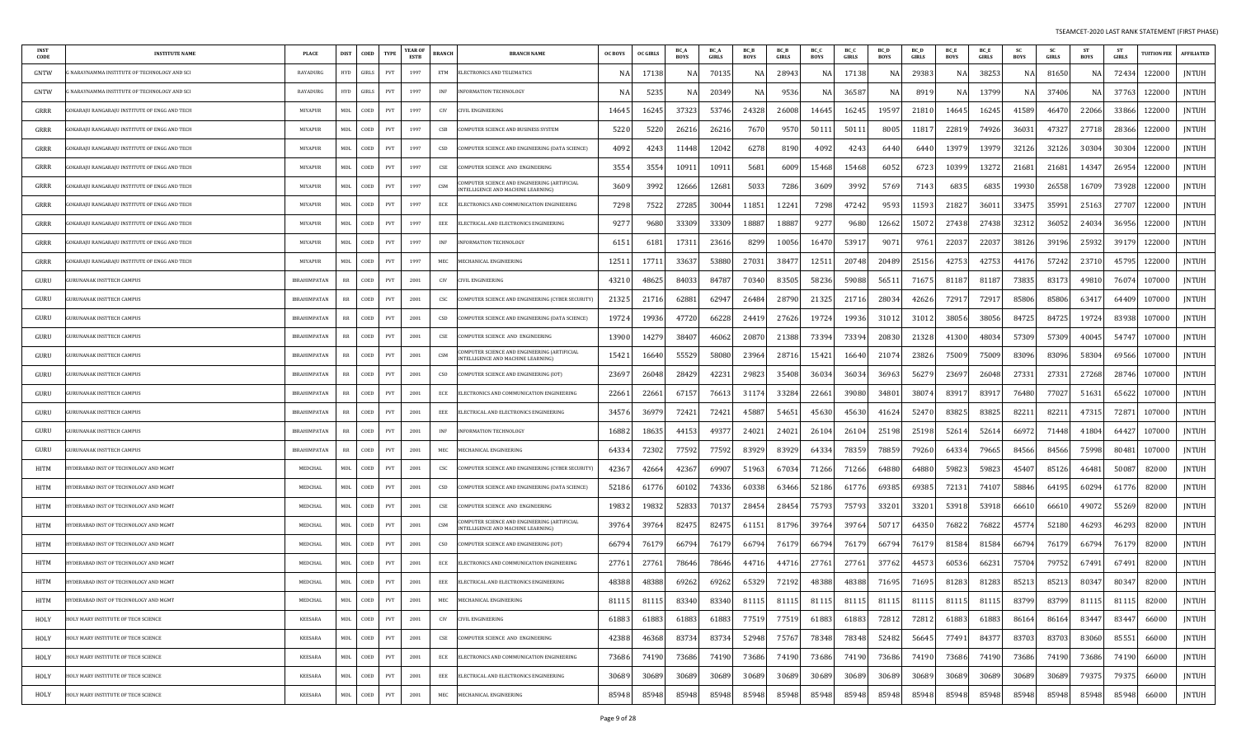| <b>INST</b><br>CODE | <b>INSTITUTE NAME</b>                        | <b>PLACE</b>        | <b>DIST</b> | COED     | <b>TYPE</b> | YEAR OF<br>ESTB | <b>BRANCH</b> | <b>BRANCH NAME</b>                                                                | <b>OC BOYS</b> | <b>OC GIRLS</b> | BC /<br><b>BOYS</b> | BC A<br><b>GIRLS</b> | BC_B<br><b>BOYS</b> | <b>BC</b> B<br><b>GIRLS</b> | BC_C<br><b>BOYS</b> | BC_C<br><b>GIRLS</b> | <b>BC</b> D<br><b>BOYS</b> | <b>BC</b> D<br><b>GIRLS</b> | BC_E<br><b>BOYS</b> | BC_E<br><b>GIRLS</b> | <b>SC</b><br><b>BOYS</b> | - SC<br><b>GIRLS</b> | ST<br><b>BOYS</b> | <b>ST</b><br><b>GIRLS</b> | <b>TUITION FEE</b> | <b>AFFILIATED</b> |
|---------------------|----------------------------------------------|---------------------|-------------|----------|-------------|-----------------|---------------|-----------------------------------------------------------------------------------|----------------|-----------------|---------------------|----------------------|---------------------|-----------------------------|---------------------|----------------------|----------------------------|-----------------------------|---------------------|----------------------|--------------------------|----------------------|-------------------|---------------------------|--------------------|-------------------|
| GNTW                | NARAYNAMMA INSTITUTE OF TECHNOLOGY AND SCI   | RAYADURG            | <b>HYD</b>  | GIRLS    | PVT         | 1997            | ETM           | ELECTRONICS AND TELEMATICS                                                        |                | 1713            | NA                  | 70135                |                     | 2894                        | -NA                 | 17138                |                            | 2938                        | NA                  | 3825                 | N.                       | 81650                | -NA               | 72434                     | 122000             | JNTUH             |
| GNTW                | NARAYNAMMA INSTITUTE OF TECHNOLOGY AND SCI   | RAYADURG            | <b>HYD</b>  | GIRLS    | PVT         | 1997            | <b>INF</b>    | NFORMATION TECHNOLOGY                                                             |                | 523             | NA                  | 20349                | N/                  | 9536                        | NA                  | 36587                | N.                         | 891                         | NA                  | 1379                 | N.                       | 37406                | NA                | 37763                     | 122000             | <b>JNTUH</b>      |
| GRRR                | OKARAJU RANGARAJU INSTITUTE OF ENGG AND TECH | MIYAPUR             | MDL         | COED     | PVT         | 1997            | CIV           | <b>IVIL ENGINEERING</b>                                                           | 14645          | 1624            | 37323               | 53746                | 24328               | 26008                       | 14645               | 16245                | 19597                      | 2181                        | 14645               | 16245                | 41589                    | 46470                | 22066             | 33866                     | 122000             | <b>JNTUH</b>      |
| GRRR                | OKARAJU RANGARAJU INSTITUTE OF ENGG AND TECH | MIYAPUR             | MDL         | COED     | PVT         | 1997            | CSB           | COMPUTER SCIENCE AND BUSINESS SYSTEM                                              | 5220           | 522             | 26216               | 26216                | 7670                | 9570                        | 50111               | 50111                | 8005                       | 1181                        | 22819               | 74926                | 36031                    | 47327                | 27718             | 28366                     | 122000             | <b>JNTUH</b>      |
| GRRR                | OKARAJU RANGARAJU INSTITUTE OF ENGG AND TECH | MIYAPUR             | <b>MDL</b>  | COED     | PVT         | 1997            | CSD           | COMPUTER SCIENCE AND ENGINEERING (DATA SCIENCE)                                   | 4092           | 424             | 11448               | 12042                | 6278                | 8190                        | 4092                | 4243                 | 6440                       | 644                         | 13979               | 1397                 | 32126                    | 32126                | 30304             | 30304                     | 122000             | <b>JNTUH</b>      |
| GRRR                | OKARAJU RANGARAJU INSTITUTE OF ENGG AND TECH | MIYAPUR             | <b>MDL</b>  | COED     | PVT         | 1997            | CSE           | COMPUTER SCIENCE AND ENGINEERING                                                  | 3554           | 355             | 10911               | 1091:                | 5681                | 6009                        | 15468               | 15468                | 605                        | 672                         | 10399               | 1327                 | 21681                    | 21681                | 14347             | 26954                     | 122000             | <b>JNTUH</b>      |
| GRRR                | OKARAJU RANGARAJU INSTITUTE OF ENGG AND TECH | MIYAPUR             | MDL         | COED     | PVT         | 1997            | CSM           | OMPUTER SCIENCE AND ENGINEERING (ARTIFICIAL<br>NTELLIGENCE AND MACHINE LEARNING)  | 3609           | 399             | 12666               | 12681                | 5033                | 7286                        | 3609                | 3992                 | 5769                       | 7143                        | 6835                | 683                  | 19930                    | 26558                | 16709             | 73928                     | 122000             | <b>JNTUH</b>      |
| GRRR                | OKARAJU RANGARAJU INSTITUTE OF ENGG AND TECH | MIYAPUR             | MDL         | COED     | PVT         | 1997            | ECE           | ELECTRONICS AND COMMUNICATION ENGINEERING                                         | 7298           | 752             | 27285               | 3004                 | 11851               | 1224                        | 7298                | 47242                | 9593                       | 11593                       | 21827               | 3601                 | 33475                    | 35991                | 25163             | 27707                     | 122000             | JNTUH             |
| GRRR                | OKARAJU RANGARAJU INSTITUTE OF ENGG AND TECH | MIYAPUR             | MDL         | COED     | PVT         | 1997            | EEE           | ELECTRICAL AND ELECTRONICS ENGINEERING                                            | 927            | 968             | 33309               | 33309                | 18887               | 1888                        | 9277                | 9680                 | 12662                      | 1507                        | 27438               | 27438                | 32312                    | 36052                | 24034             | 36956                     | 122000             | JNTUH             |
| GRRR                | OKARAJU RANGARAJU INSTITUTE OF ENGG AND TECH | <b>MIYAPUR</b>      | MDL         | COED     | PVT         | 1997            | INF           | NFORMATION TECHNOLOGY                                                             | 6151           | 618             | 17311               | 23616                | 8299                | 10056                       | 16470               | 53917                | 907                        | 9761                        | 22037               | 2203                 | 38126                    | 39196                | 25932             | 3917                      | 122000             | JNTUH             |
| GRRR                | OKARAJU RANGARAJU INSTITUTE OF ENGG AND TECH | <b>MIYAPUR</b>      | MDL         | COED     | PVT         | 1997            | MEC           | <b><i>AECHANICAL ENGINEERING</i></b>                                              | 1251           | 1771            | 33637               | 53880                | 27031               | 3847                        | 12511               | 20748                | 20489                      | 25156                       | 42753               | 42753                | 4417                     | 57242                | 23710             | 45795                     | 122000             | <b>JNTUH</b>      |
| GURU                | URUNANAK INSTTECH CAMPUS                     | <b>IBRAHIMPATAN</b> | RR          | COED     | <b>PVT</b>  | 2001            | CIV           | IVIL ENGINEERING                                                                  | 43210          | 4862            | 84033               | 84787                | 70340               | 83505                       | 58236               | 59088                | 5651                       | 7167.                       | 81187               | 8118                 | 73835                    | 83173                | 49810             | 7607                      | 107000             | <b>JNTUH</b>      |
| GURU                | URUNANAK INSTTECH CAMPUS                     | <b>IBRAHIMPATAN</b> | RR          | COED     | PVT         | 2001            | <b>CSC</b>    | COMPUTER SCIENCE AND ENGINEERING (CYBER SECURITY)                                 | 21325          | 2171            | 62881               | 6294.                | 26484               | 28790                       | 21325               | 21716                | 28034                      | 42626                       | 72917               | 7291                 | 85806                    | 85806                | 63417             | 6440                      | 107000             | <b>JNTUH</b>      |
| GURU                | URUNANAK INSTTECH CAMPUS                     | IBRAHIMPATAN        | RR          | COED     | PVT         | 2001            | CSD           | COMPUTER SCIENCE AND ENGINEERING (DATA SCIENCE)                                   | 19724          | 1993            | 47720               | 66228                | 2441                | 27626                       | 19724               | 19936                | 3101.                      | 3101                        | 38056               | 38056                | 84725                    | 84725                | 19724             | 83938                     | 107000             | <b>JNTUH</b>      |
| GURU                | URUNANAK INSTTECH CAMPUS                     | <b>IBRAHIMPATAN</b> | RR          | COED     | <b>PVT</b>  | 2001            | CSE           | COMPUTER SCIENCE AND ENGINEERING                                                  | 13900          | 1427            | 38407               | 46062                | 2087                | 21388                       | 73394               | 73394                | 20830                      | 2132                        | 41300               | 4803                 | 57309                    | 57309                | 40045             | 54747                     | 107000             | <b>JNTUH</b>      |
| GURU                | URUNANAK INSTTECH CAMPUS                     | <b>IBRAHIMPATAN</b> | RR          | COED     | <b>PVT</b>  | 2001            | CSM           | COMPUTER SCIENCE AND ENGINEERING (ARTIFICIAL<br>NTELLIGENCE AND MACHINE LEARNING) | 15421          | 1664            | 55529               | 58080                | 23964               | 28716                       | 15421               | 16640                | 2107                       | 23826                       | 75009               | 75009                | 83096                    | 83096                | 58304             | 69566                     | 107000             | JNTUH             |
| GURU                | URUNANAK INSTTECH CAMPUS                     | <b>IBRAHIMPATAN</b> | RR          | COED     | PVT         | 2001            | <b>CSO</b>    | COMPUTER SCIENCE AND ENGINEERING (IOT)                                            | 2369           | 2604            | 28429               | 42231                | 29823               | 35408                       | 36034               | 36034                | 36963                      | 5627                        | 23697               | 26048                | 27331                    | 2733                 | 27268             | 28746                     | 107000             | JNTUH             |
| GURU                | URUNANAK INSTTECH CAMPUS                     | IBRAHIMPATAN        | RR          | COED     | PVT         | 2001            | ECE           | ELECTRONICS AND COMMUNICATION ENGINEERING                                         | 22661          | 2266            | 67157               | 7661.                | 3117                | 33284                       | 22661               | 39080                | 34801                      | 3807                        | 83917               | 8391                 | 76480                    | 77027                | 51631             | 65622                     | 107000             | JNTUH             |
| GURU                | URUNANAK INSTTECH CAMPUS                     | <b>IBRAHIMPATAN</b> | RR          | COED     | PVT         | 2001            | EEE           | ELECTRICAL AND ELECTRONICS ENGINEERING                                            | 34576          | 3697            | 72421               | 72421                | 45887               | 54651                       | 45630               | 45630                | 41624                      | 52470                       | 83825               | 83825                | 8221                     | 82211                | 47315             | 72871                     | 107000             | JNTUH             |
| GURU                | URUNANAK INSTTECH CAMPUS                     | <b>IBRAHIMPATAN</b> | RR          | COED     | PVT         | 2001            | <b>INF</b>    | <b>INFORMATION TECHNOLOGY</b>                                                     | 16882          | 1863            | 44153               | 4937                 | 24021               | 24021                       | 26104               | 26104                | 25198                      | 25198                       | 52614               | 5261                 | 66972                    | 71448                | 41804             | 64427                     | 107000             | <b>JNTUH</b>      |
| GURU                | URUNANAK INSTTECH CAMPUS                     | <b>IBRAHIMPATAN</b> | RR          | COED     | PVT         | 2001            | MEC           | MECHANICAL ENGINEERING                                                            | 64334          | 7230            | 77592               | 77592                | 83929               | 8392                        | 64334               | 78359                | 78859                      | 79260                       | 64334               | 79665                | 84566                    | 84566                | 75998             | 80481                     | 107000             | <b>JNTUH</b>      |
| HITM                | YDERABAD INST OF TECHNOLOGY AND MGMT         | MEDCHAL             | MDL         | COED     | PVT         | 2001            | CSC           | COMPUTER SCIENCE AND ENGINEERING (CYBER SECURITY)                                 | 42367          | 4266            | 42367               | 69907                | 51963               | 6703                        | 71266               | 71266                | 64880                      | 64880                       | 59823               | 5982.                | 45407                    | 85126                | 46481             | 50087                     | 82000              | <b>JNTUH</b>      |
| HITM                | YDERABAD INST OF TECHNOLOGY AND MGMT         | MEDCHAI             | <b>MDL</b>  | COED     | PVT         | 2001            | CSD           | COMPUTER SCIENCE AND ENGINEERING (DATA SCIENCE)                                   | 52186          | 6177            | 60102               | 74336                | 6033                | 63466                       | 52186               | 61776                | 69385                      | 6938                        | 72131               | 7410                 | 58846                    | 64195                | 60294             | 61776                     | 82000              | JNTUH             |
| HITM                | YDERABAD INST OF TECHNOLOGY AND MGMT         | MEDCHAI             | MDL         | COED     | PVT         | 2001            | CSE           | COMPUTER SCIENCE AND ENGINEERING                                                  | 19832          | 1983            | 52833               | 70137                | 28454               | 28454                       | 75793               | 75793                | 33201                      | 3320                        | 53918               | 5391                 | 6661                     | 66610                | 49072             | 55269                     | 82000              | JNTUH             |
| HITM                | YDERABAD INST OF TECHNOLOGY AND MGMT         | MEDCHAI             | MDL         | COED     | PVT         | 2001            | CSM           | OMPUTER SCIENCE AND ENGINEERING (ARTIFICIAL<br>NTELLIGENCE AND MACHINE LEARNING)  | 39764          | 3976            | 82475               | 8247!                | 61151               | 81796                       | 39764               | 39764                | 5071                       | 6435                        | 76822               | 76822                | 45774                    | 52180                | 46293             | 46293                     | 82000              | JNTUH             |
| HITM                | YDERABAD INST OF TECHNOLOGY AND MGMT         | MEDCHAI             | MDL         | COED     | PVT         | 2001            | CSO           | COMPUTER SCIENCE AND ENGINEERING (IOT)                                            | 66794          | 7617            | 66794               | 76179                | 66794               | 7617                        | 66794               | 76179                | 66794                      | 7617                        | 81584               | 81584                | 66794                    | 76179                | 66794             | 7617                      | 82000              | JNTUH             |
| HITM                | YDERABAD INST OF TECHNOLOGY AND MGMT         | MEDCHAI             | MDL         | COED     | PVT         | 2001            | ECE           | ELECTRONICS AND COMMUNICATION ENGINEERING                                         | 27761          | 2776            | 78646               | 78646                | 4471                | 44716                       | 27761               | 27761                | 3776.                      | 4457                        | 60536               | 6623                 | 75704                    | 79752                | 67491             | 67491                     | 82000              | <b>JNTUH</b>      |
| HITM                | YDERABAD INST OF TECHNOLOGY AND MGMT         | MEDCHAI             | MDL         | COED     | PVT         | 2001            | EEE           | ELECTRICAL AND ELECTRONICS ENGINEERING                                            | 48388          | 4838            | 69262               | 69262                | 65329               | 72192                       | 48388               | 48388                | 71695                      | 71695                       | 81283               | 81283                | 8521                     | 85213                | 80347             | 80347                     | 82000              | JNTUH             |
| HITM                | HYDERABAD INST OF TECHNOLOGY AND MGMT        | MEDCHAL             |             | MDL COED | PVT         | 2001            | MEC           | MECHANICAL ENGINEERING                                                            | 81115          | 81115           | 83340               | 83340                | 81115               | 81115                       | 81115               | 81115                | 81115                      | 81115                       | 81115               | 81115                | 83799                    | 83799                | 81115             | 81115                     | 82000              | <b>JNTUH</b>      |
| HOLY                | HOLY MARY INSTITUTE OF TECH SCIENCE          | KEESARA             |             | MDL COED | PVT         | 2001            | CIV           | CIVIL ENGINEERING                                                                 | 61883          | 61883           | 61883               | 61883                | 77519               | 77519                       | 61883               | 61883                | 72812                      | 72812                       | 61883               | 61883                | 86164                    | 86164                | 83447             | 83447                     | 66000              | <b>JNTUH</b>      |
| HOLY                | HOLY MARY INSTITUTE OF TECH SCIENCE          | <b>KEESARA</b>      | MDL         | COED     | PVT         | 2001            | CSE           | COMPUTER SCIENCE AND ENGINEERING                                                  | 42388          | 46368           | 83734               | 83734                | 52948               | 75767                       | 78348               | 78348                | 52482                      | 56645                       | 77491               | 84377                | 83703                    | 83703                | 83060             | 85551                     | 66000              | JNTUH             |
| HOLY                | HOLY MARY INSTITUTE OF TECH SCIENCE          | KEESARA             | MDL         | COED     | PVT         | 2001            | ECE           | ELECTRONICS AND COMMUNICATION ENGINEERING                                         | 73686          | 74190           | 73686               | 74190                | 73686               | 74190                       | 73686               | 74190                | 73686                      | 74190                       | 73686               | 74190                | 73686                    | 74190                | 73686             | 74190                     | 66000              | <b>JNTUH</b>      |
| HOLY                | HOLY MARY INSTITUTE OF TECH SCIENCE          | KEESARA             | MDL         | COED     | PVT         | 2001            | EEE           | ELECTRICAL AND ELECTRONICS ENGINEERING                                            | 30689          | 30689           | 30689               | 30689                | 30689               | 30689                       | 30689               | 30689                | 30689                      | 30689                       | 30689               | 30689                | 30689                    | 30689                | 79375             | 79375                     | 66000              | JNTUH             |
| HOLY                | HOLY MARY INSTITUTE OF TECH SCIENCE          | KEESARA             | MDL         | COED     | PVT         | 2001            | MEC           | MECHANICAL ENGINEERING                                                            | 85948          | 85948           | 85948               | 85948                | 85948               | 85948                       | 85948               | 85948                | 85948                      | 85948                       | 85948               | 85948                | 85948                    | 85948                | 85948             | 85948                     | 66000              | <b>JNTUH</b>      |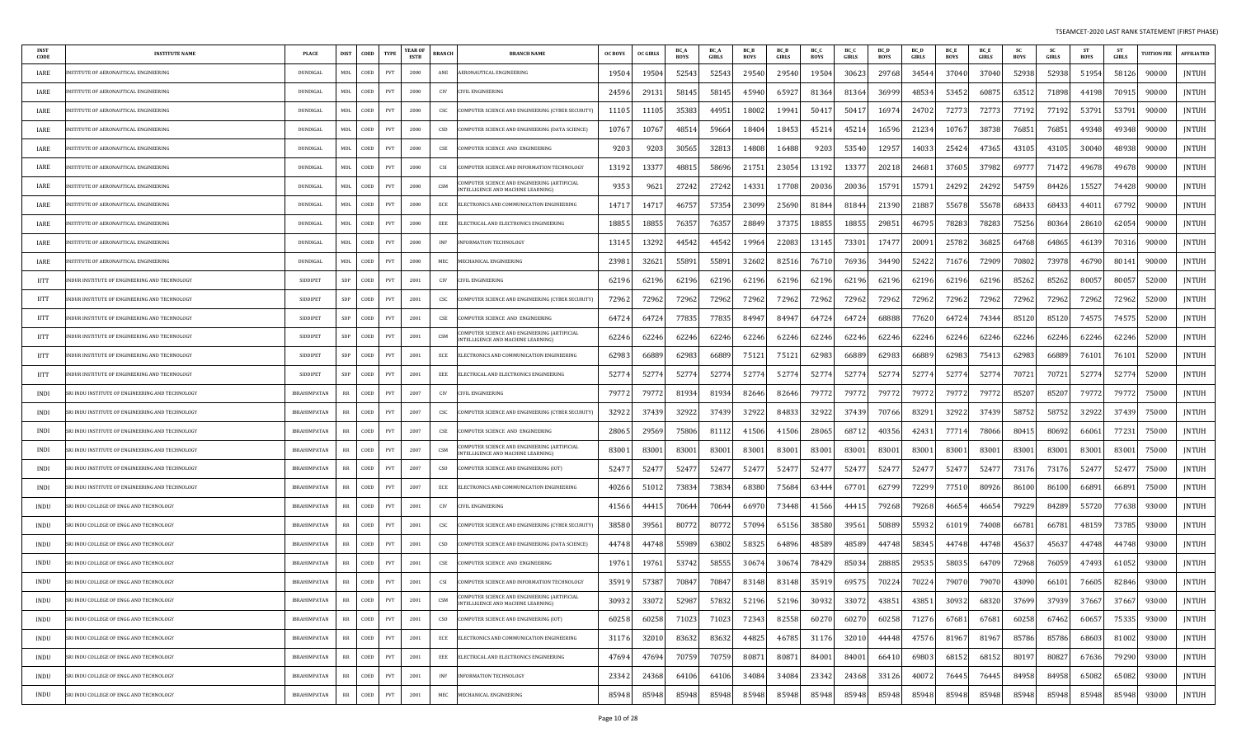| <b>INST</b><br>CODE | <b>INSTITUTE NAME</b>                           | <b>PLACE</b>        | <b>DIST</b> | COED | <b>TYPE</b>                 | <b>YEAR OF</b><br>ESTB | <b>BRANCH</b> | <b>BRANCH NAME</b>                                                                 | <b>OC BOYS</b> | <b>OC GIRLS</b> | BC_A<br>BOYS | <b>BC</b> A<br>GIRLS | <b>BC</b> E<br>BOYS | <b>BC</b> B<br>GIRLS | BC_C<br>BOYS | BC C<br><b>GIRLS</b> | BC I<br><b>BOYS</b> | <b>BC</b> D<br>GIRLS | <b>BC</b> E<br><b>BOYS</b> | BC E<br>GIRLS | -SC<br><b>BOYS</b> | <b>SC</b><br>GIRLS | <b>ST</b><br><b>BOYS</b> | - ST<br><b>GIRLS</b> | <b>UITION FEE</b> | <b>AFFILIATED</b> |
|---------------------|-------------------------------------------------|---------------------|-------------|------|-----------------------------|------------------------|---------------|------------------------------------------------------------------------------------|----------------|-----------------|--------------|----------------------|---------------------|----------------------|--------------|----------------------|---------------------|----------------------|----------------------------|---------------|--------------------|--------------------|--------------------------|----------------------|-------------------|-------------------|
| IARE                | NSTITUTE OF AERONAUTICAL ENGINEERING            | DUNDIGAL            | MDL         | COED | PVT                         | 2000                   | ANE           | AERONAUTICAL ENGINEERING                                                           | 19504          | 19504           | 52543        | 52543                | 29540               | 29540                | 19504        | 30623                | 29768               | 34544                | 37040                      | 37040         | 52938              | 52938              | 51954                    | 58126                | 90000             | <b>JNTUH</b>      |
| IARE                | <b>ISTITUTE OF AERONAUTICAL ENGINEERING</b>     | DUNDIGAL            | <b>MDL</b>  | COED | PVT                         | 2000                   | CIV           | IVIL ENGINEERING                                                                   | 24596          | 29131           | 58145        | 5814                 | 45940               | 65927                | 81364        | 81364                | 36999               | 48534                | 53452                      | 6087          | 63512              | 71898              | 44198                    | 70915                | 90000             | <b>JNTUH</b>      |
| IARE                | <b>ISTITUTE OF AERONAUTICAL ENGINEERING</b>     | DUNDIGAL            | <b>MDL</b>  | COED | PVT                         | 2000                   | CSC           | COMPUTER SCIENCE AND ENGINEERING (CYBER SECURITY)                                  | 11105          | 11105           | 35383        | 4495                 | 18002               | 19941                | 50417        | 5041                 | 16974               | 24702                | 72773                      | 72773         | 77192              | 77192              | 53791                    | 53791                | 90000             | JNTUH             |
| IARE                | NSTITUTE OF AERONAUTICAL ENGINEERING            | DUNDIGAL            | MDL         | COED | <b>PVT</b>                  | 2000                   | CSD           | COMPUTER SCIENCE AND ENGINEERING (DATA SCIENCE)                                    | 1076           | 10767           | 4851         | 59664                | 1840                | 18453                | 45214        | 4521                 | 16596               | 21234                | 10767                      | 38738         | 76851              | 76851              | 49348                    | 49348                | 90000             | JNTUH             |
| IARE                | NSTITUTE OF AERONAUTICAL ENGINEERING            | DUNDIGAL            | MDL         | COED | PVT                         | 2000                   | CSE           | COMPUTER SCIENCE AND ENGINEERING                                                   | 9203           | 9203            | 30565        | 3281                 | 14808               | 16488                | 9203         | 53540                | 12957               | 14033                | 25424                      | 47365         | 43105              | 43105              | 30040                    | 48938                | 90000             | JNTUH             |
| IARE                | NSTITUTE OF AERONAUTICAL ENGINEERING            | DUNDIGAL            | MDL         | COED | PVT                         | 2000                   | <b>CSI</b>    | COMPUTER SCIENCE AND INFORMATION TECHNOLOGY                                        | 13192          | 1337            | 48815        | 58696                | 21751               | 23054                | 13192        | 1337                 | 20218               | 24681                | 37605                      | 37982         | 69777              | 71472              | 49678                    | 49678                | 90000             | JNTUH             |
| IARE                | NSTITUTE OF AERONAUTICAL ENGINEERING            | DUNDIGAL            | MDL         | COED | PVT                         | 2000                   | CSM           | OMPUTER SCIENCE AND ENGINEERING (ARTIFICIAL<br>INTELLIGENCE AND MACHINE LEARNING)  | 9353           | 962             | 27242        | 27242                | 14331               | 17708                | 20036        | 20036                | 15791               | 15791                | 24292                      | 24292         | 54759              | 84426              | 15527                    | 74428                | 90000             | JNTUH             |
| IARE                | NSTITUTE OF AERONAUTICAL ENGINEERING            | DUNDIGAL            | MDL         | COED | PVT                         | 2000                   | ECE           | ELECTRONICS AND COMMUNICATION ENGINEERING                                          | 1471.          | 14717           | 46757        | 57354                | 2309                | 25690                | 81844        | 81844                | 21390               | 21887                | 55678                      | 55678         | 68433              | 68433              | 44011                    | 67792                | 90000             | JNTUH             |
| IARE                | NSTITUTE OF AERONAUTICAL ENGINEERING            | DUNDIGAL            | MDL         | COED | PVT                         | 2000                   | EEE           | ELECTRICAL AND ELECTRONICS ENGINEERING                                             | 18855          | 18855           | 76357        | 7635                 | 2884                | 37375                | 18855        | 18855                | 29851               | 46795                | 78283                      | 78283         | 75256              | 80364              | 28610                    | 62054                | 90000             | <b>JNTUH</b>      |
| IARE                | ISTITUTE OF AERONAUTICAL ENGINEERING            | DUNDIGAL            | <b>MDL</b>  | COED | PVT                         | 2000                   | INF           | NFORMATION TECHNOLOGY                                                              | 13145          | 13292           | 44542        | 44542                | 19964               | 22083                | 13145        | 73301                | 17477               | 20091                | 25782                      | 36825         | 64768              | 64865              | 46139                    | 70316                | 90000             | JNTUH             |
| IARE                | NSTITUTE OF AERONAUTICAL ENGINEERING            | DUNDIGAL            | <b>MDL</b>  | COED | PVT                         | 2000                   | MEC           | MECHANICAL ENGINEERING                                                             | 2398           | 32621           | 55891        | 5589                 | 32602               | 82516                | 76710        | 76936                | 34490               | 52422                | 71676                      | 72909         | 70802              | 73978              | 46790                    | 80141                | 90000             | JNTUH             |
| <b>IITT</b>         | NDUR INSTITUTE OF ENGINEERING AND TECHNOLOGY    | <b>SIDDIPET</b>     | SDP         | COED | PVT                         | 2001                   | CIV           | <b>IVIL ENGINEERING</b>                                                            | 6219           | 62196           | 62196        | 6219                 | 62196               | 62196                | 62196        | 62196                | 62196               | 62196                | 62196                      | 62196         | 85262              | 85262              | 80057                    | 80057                | 52000             | JNTUH             |
| <b>IITT</b>         | NDUR INSTITUTE OF ENGINEERING AND TECHNOLOGY    | <b>SIDDIPET</b>     | SDP         | COED | PVT                         | 2001                   | csc           | COMPUTER SCIENCE AND ENGINEERING (CYBER SECURITY)                                  | 72962          | 72962           | 72962        | 72962                | 72962               | 72962                | 72962        | 72962                | 72962               | 72962                | 72962                      | 72962         | 72962              | 72962              | 72962                    | 72962                | 52000             | JNTUH             |
| <b>IITT</b>         | NDUR INSTITUTE OF ENGINEERING AND TECHNOLOGY    | <b>SIDDIPET</b>     | SDP         | COED | PVT                         | 2001                   | CSE           | COMPUTER SCIENCE AND ENGINEERING                                                   | 6472           | 64724           | 77835        | 77835                | 84947               | 84947                | 64724        | 64724                | 68888               | 77620                | 64724                      | 74344         | 85120              | 85120              | 74575                    | 74575                | 52000             | JNTUH             |
| <b>IITT</b>         | NDUR INSTITUTE OF ENGINEERING AND TECHNOLOGY    | <b>SIDDIPET</b>     | SDP         | COED | PVT                         | 2001                   | CSM           | COMPUTER SCIENCE AND ENGINEERING (ARTIFICIAL<br>INTELLIGENCE AND MACHINE LEARNING) | 62246          | 62246           | 62246        | 62246                | 62246               | 62246                | 62246        | 62246                | 62246               | 62246                | 62246                      | 62246         | 62246              | 62246              | 62246                    | 62246                | 52000             | JNTUH             |
| <b>IITT</b>         | NDUR INSTITUTE OF ENGINEERING AND TECHNOLOGY    | <b>SIDDIPET</b>     | SDP         | COED | PVT                         | 2001                   | ECE           | ELECTRONICS AND COMMUNICATION ENGINEERING                                          | 6298           | 6688            | 62983        | 66889                | 7512                | 75121                | 62983        | 66889                | 62983               | 66889                | 62983                      | 75413         | 62983              | 66889              | 76101                    | 7610                 | 52000             | JNTUH             |
| IITT                | NDUR INSTITUTE OF ENGINEERING AND TECHNOLOGY    | <b>SIDDIPET</b>     | SDP         | COED | PVT                         | 2001                   | EEE           | ELECTRICAL AND ELECTRONICS ENGINEERING                                             | 52774          | 52774           | 52774        | 5277                 | 5277                | 52774                | 52774        | 52774                | 52774               | 52774                | 52774                      | 52774         | 70721              | 70721              | 52774                    | 52774                | 52000             | JNTUH             |
| <b>INDI</b>         | RI INDU INSTITUTE OF ENGINEERING AND TECHNOLOGY | <b>IBRAHIMPATAN</b> | <b>RR</b>   | COED | PVT                         | 2007                   | CIV           | CIVIL ENGINEERING                                                                  | 79772          | 7977            | 81934        | 81934                | 82646               | 82646                | 79772        | 79772                | 79772               | 79772                | 79772                      | 79772         | 85207              | 85207              | 79772                    | 79772                | 75000             | <b>JNTUH</b>      |
| <b>INDI</b>         | RI INDU INSTITUTE OF ENGINEERING AND TECHNOLOGY | IBRAHIMPATAN        | $_{RR}$     | COED | PVT                         | 2007                   | CSC           | COMPUTER SCIENCE AND ENGINEERING (CYBER SECURITY)                                  | 32922          | 37439           | 32922        | 37439                | 32922               | 84833                | 32922        | 37439                | 70766               | 83291                | 32922                      | 37439         | 58752              | 58752              | 32922                    | 37439                | 75000             | JNTUH             |
| INDI                | RI INDU INSTITUTE OF ENGINEERING AND TECHNOLOGY | <b>IBRAHIMPATAN</b> | <b>RR</b>   | COED | <b>PVT</b>                  | 2007                   | CSE           | OMPUTER SCIENCE AND ENGINEERING                                                    | 2806           | 29569           | 75806        | 8111                 | 41506               | 41506                | 28065        | 6871                 | 40356               | 42431                | 77714                      | 78066         | 80415              | 80692              | 66061                    | 77231                | 75000             | <b>JNTUH</b>      |
| <b>INDI</b>         | RI INDU INSTITUTE OF ENGINEERING AND TECHNOLOGY | <b>IBRAHIMPATAN</b> | <b>RR</b>   | COED | PVT                         | 2007                   | CSM           | OMPUTER SCIENCE AND ENGINEERING (ARTIFICIAL<br>NTELLIGENCE AND MACHINE LEARNING)   | 8300           | 8300            | 8300         | 8300                 | 8300                | 83001                | 83001        | 83001                | 83001               | 83001                | 83001                      | 83001         | 83001              | 83001              | 83001                    | 83001                | 75000             | JNTUH             |
| <b>INDI</b>         | RI INDU INSTITUTE OF ENGINEERING AND TECHNOLOGY | <b>IBRAHIMPATAN</b> | $_{RR}$     | COED | PVT                         | 2007                   | cso           | COMPUTER SCIENCE AND ENGINEERING (IOT)                                             | 5247           | 52477           | 52477        | 5247                 | 5247                | 52477                | 52477        | 5247                 | 5247                | 52477                | 52477                      | 52477         | 73176              | 73176              | 52477                    | 52477                | 75000             | JNTUH             |
| INDI                | RI INDU INSTITUTE OF ENGINEERING AND TECHNOLOGY | IBRAHIMPATAN        | RR          | COED | PVT                         | 2007                   | ECE           | ELECTRONICS AND COMMUNICATION ENGINEERING                                          | 40266          | 51012           | 73834        | 73834                | 68380               | 75684                | 63444        | 67701                | 62799               | 72299                | 77510                      | 80926         | 86100              | 86100              | 66891                    | 66891                | 75000             | JNTUH             |
| <b>INDU</b>         | RI INDU COLLEGE OF ENGG AND TECHNOLOGY          | <b>IBRAHIMPATAN</b> | RR          | COED | PVT                         | 2001                   | CIV           | CIVIL ENGINEERING                                                                  | 41566          | 44415           | 70644        | 70644                | 6697                | 73448                | 41566        | 4441.                | 79268               | 79268                | 46654                      | 46654         | 79229              | 84289              | 55720                    | 77638                | 93000             | JNTUH             |
| <b>INDU</b>         | RI INDU COLLEGE OF ENGG AND TECHNOLOGY          | IBRAHIMPATAN        | RR          | COED | PVT                         | 2001                   | CSC           | COMPUTER SCIENCE AND ENGINEERING (CYBER SECURITY)                                  | 38580          | 39561           | 80772        | 8077                 | 57094               | 65156                | 38580        | 39561                | 50889               | 55932                | 61019                      | 74008         | 66781              | 66781              | 48159                    | 73785                | 93000             | JNTUH             |
| INDU                | RI INDU COLLEGE OF ENGG AND TECHNOLOGY          | <b>IBRAHIMPATAN</b> | <b>RR</b>   | COED | PVT                         | 2001                   | CSD           | COMPUTER SCIENCE AND ENGINEERING (DATA SCIENCE)                                    | 44748          | 44748           | 55989        | 63802                | 5832                | 64896                | 48589        | 48589                | 44748               | 58345                | 44748                      | 44748         | 45637              | 45637              | 44748                    | 44748                | 93000             | JNTUH             |
| <b>INDU</b>         | RI INDU COLLEGE OF ENGG AND TECHNOLOGY          | IBRAHIMPATAN        | RR          | COED | PVT                         | 2001                   | CSE           | OMPUTER SCIENCE AND ENGINEERING                                                    | 19761          | 19761           | 53742        | 5855                 | 3067                | 30674                | 78429        | 85034                | 28885               | 29535                | 58035                      | 64709         | 72968              | 76059              | 47493                    | 61052                | 93000             | JNTUH             |
| INDU                | SRI INDU COLLEGE OF ENGG AND TECHNOLOGY         | IBRAHIMPATAN        | RR          | COED | PVT                         | 2001                   | CSI           | COMPUTER SCIENCE AND INFORMATION TECHNOLOGY                                        | 35919          | 57387           | 70847        | 7084                 | 83148               | 83148                | 35919        | 69575                | 70224               | 70224                | 79070                      | 79070         | 43090              | 66101              | 76605                    | 82846                | 93000             | JNTUH             |
| INDU                | SRI INDU COLLEGE OF ENGG AND TECHNOLOGY         | IBRAHIMPATAN        | RR          | COED | PVT                         | 2001                   | CSM           | MPUTER SCIENCE AND ENGINEERING (ARTIFICIAL<br>INTELLIGENCE AND MACHINE LEARNING)   | 30932          | 33072           | 52987        | 57832                | 52196               | 52196                | 30932        | 33072                | 43851               | 43851                | 30932                      | 68320         | 37699              | 37939              | 37667                    | 37667                | 93000             | JNTUH             |
| <b>INDU</b>         | SRI INDU COLLEGE OF ENGG AND TECHNOLOGY         | <b>IBRAHIMPATAN</b> | RR          | COED | PVT                         | 2001                   | CSO           | COMPUTER SCIENCE AND ENGINEERING (IOT)                                             | 60258          | 60258           | 71023        | 71023                | 72343               | 82558                | 60270        | 60270                | 60258               | 71276                | 67681                      | 67681         | 60258              | 67462              | 60657                    | 75335                | 93000             | JNTUH             |
| INDU                | SRI INDU COLLEGE OF ENGG AND TECHNOLOGY         | <b>IBRAHIMPATAN</b> | RR          | COED | PVT                         | 2001                   | ECE           | ELECTRONICS AND COMMUNICATION ENGINEERING                                          | 31176          | 32010           | 83632        | 83632                | 44825               | 46785                | 31176        | 32010                | 44448               | 47576                | 81967                      | 81967         | 85786              | 85786              | 68603                    | 81002                | 93000             | JNTUH             |
| INDU                | SRI INDU COLLEGE OF ENGG AND TECHNOLOGY         | IBRAHIMPATAN        | RR          | COED | PVT                         | 2001                   | EEE           | ELECTRICAL AND ELECTRONICS ENGINEERING                                             | 47694          | 47694           | 70759        | 70759                | 80871               | 80871                | 84001        | 84001                | 66410               | 69803                | 68152                      | 68152         | 80197              | 80827              | 67636                    | 79290                | 93000             | JNTUH             |
| INDU                | SRI INDU COLLEGE OF ENGG AND TECHNOLOGY         | <b>IBRAHIMPATAN</b> | RR          | COED | PVT                         | 2001                   | INF           | INFORMATION TECHNOLOGY                                                             | 23342          | 24368           | 64106        | 64106                | 34084               | 34084                | 23342        | 24368                | 33126               | 40072                | 76445                      | 76445         | 84958              | 84958              | 65082                    | 65082                | 93000             | JNTUH             |
| INDU                | SRI INDU COLLEGE OF ENGG AND TECHNOLOGY         | <b>IBRAHIMPATAN</b> | RR          | COED | $\ensuremath{\mathrm{PVT}}$ | 2001                   | MEC           | MECHANICAL ENGINEERING                                                             | 85948          | 85948           | 85948        | 85948                | 85948               | 85948                | 85948        | 85948                | 85948               | 85948                | 85948                      | 85948         | 85948              | 85948              | 85948                    | 85948                | 93000             | <b>JNTUH</b>      |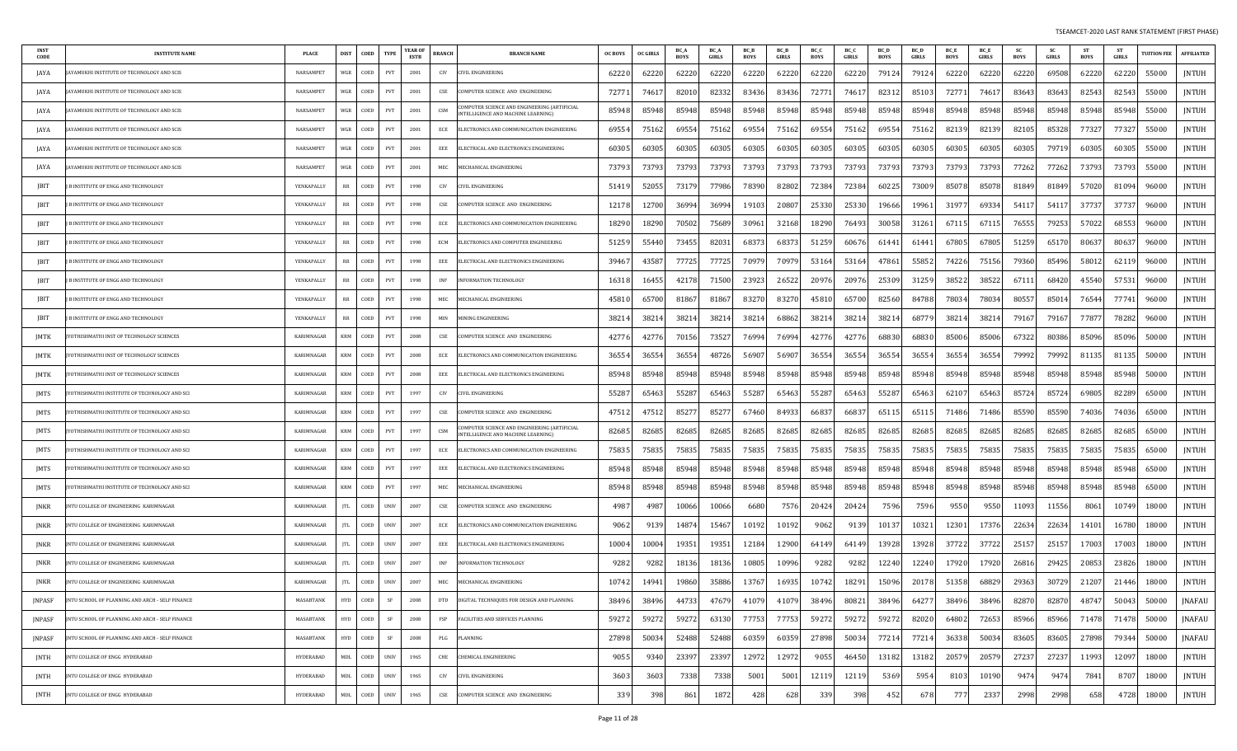| <b>INST</b><br>CODE | <b>INSTITUTE NAME</b>                            | <b>PLACE</b> | <b>DIST</b> | COED          | <b>TYPE</b> | <b>YEAR OF</b><br><b>ESTB</b> | <b>BRANCH</b>               | <b>BRANCH NAME</b>                                                                 | OC BOYS | OC GIRLS | BC_A<br><b>BOYS</b> | <b>BC</b> A<br>GIRLS | BC E<br><b>BOYS</b> | <b>BCB</b><br>GIRLS | BC C<br><b>BOYS</b> | BC 0<br><b>GIRLS</b> | <b>BC</b> D<br><b>BOYS</b> | <b>BC</b> D<br>GIRLS | <b>BC</b> E<br><b>BOYS</b> | <b>BC</b> E<br>GIRLS | -SC<br>BOYS | <b>SC</b><br>GIRLS | <b>ST</b><br>BOYS | - ST<br><b>GIRLS</b> | <b>UITION FEE</b> | <b>AFFILIATED</b> |
|---------------------|--------------------------------------------------|--------------|-------------|---------------|-------------|-------------------------------|-----------------------------|------------------------------------------------------------------------------------|---------|----------|---------------------|----------------------|---------------------|---------------------|---------------------|----------------------|----------------------------|----------------------|----------------------------|----------------------|-------------|--------------------|-------------------|----------------------|-------------------|-------------------|
| JAYA                | AYAMUKHI INSTITUTE OF TECHNOLOGY AND SCIS        | NARSAMPET    | WGR         | COED          | PVT         | 2001                          | CIV                         | CIVIL ENGINEERING                                                                  | 62220   | 62220    | 62220               | 62220                | 62220               | 62220               | 62220               | 62220                | 79124                      | 79124                | 62220                      | 62220                | 62220       | 69508              | 62220             | 62220                | 55000             | JNTUH             |
| JAYA                | YAMUKHI INSTITUTE OF TECHNOLOGY AND SCIS         | NARSAMPET    | WGR         | COED          | PVT         | 2001                          | CSE                         | OMPUTER SCIENCE AND ENGINEERING                                                    | 7277    | 74617    | 82010               | 8233                 | 83436               | 83436               | 72771               | 7461                 | 82312                      | 85103                | 72771                      | 7461.                | 83643       | 83643              | 82543             | 82543                | 55000             | <b>JNTUH</b>      |
| JAYA                | YAMUKHI INSTITUTE OF TECHNOLOGY AND SCIS         | NARSAMPET    | WGR         | COED          | PVT         | 2001                          | CSM                         | OMPUTER SCIENCE AND ENGINEERING (ARTIFICIAL<br>INTELLIGENCE AND MACHINE LEARNING)  | 85948   | 85948    | 85948               | 85948                | 85948               | 85948               | 85948               | 85948                | 85948                      | 85948                | 85948                      | 85948                | 85948       | 85948              | 85948             | 85948                | 55000             | JNTUH             |
| JAYA                | <b>VYAMUKHI INSTITUTE OF TECHNOLOGY AND SCIS</b> | NARSAMPET    | WGR         | COED          | PVT         | 2001                          | ECE                         | ELECTRONICS AND COMMUNICATION ENGINEERING                                          | 6955    | 75162    | 69554               | 7516                 | 69554               | 75162               | 69554               | 75162                | 69554                      | 75162                | 82139                      | 82139                | 82105       | 85328              | 77327             | 77327                | 55000             | JNTUH             |
| JAYA                | AYAMUKHI INSTITUTE OF TECHNOLOGY AND SCIS        | NARSAMPET    | WGR         | COED          | PVT         | 2001                          | EEE                         | ELECTRICAL AND ELECTRONICS ENGINEERING                                             | 60305   | 60305    | 60305               | 6030                 | 60305               | 60305               | 60305               | 60305                | 60305                      | 60305                | 60305                      | 60305                | 60305       | 79719              | 60305             | 60305                | 55000             | <b>JNTUH</b>      |
| JAYA                | YAMUKHI INSTITUTE OF TECHNOLOGY AND SCIS         | NARSAMPET    | WGR         | COED          | PVT         | 2001                          | MEC                         | MECHANICAL ENGINEERING                                                             | 7379    | 73793    | 73793               | 73793                | 73793               | 73793               | 73793               | 73793                | 73793                      | 73793                | 73793                      | 73793                | 77262       | 77262              | 73793             | 73793                | 55000             | JNTUH             |
| JBIT                | B INSTITUTE OF ENGG AND TECHNOLOGY               | YENKAPALLY   | RR          | COED          | PVT         | 1998                          | CIV                         | CIVIL ENGINEERING                                                                  | 51419   | 52055    | 73179               | 77986                | 78390               | 82802               | 72384               | 72384                | 60225                      | 73009                | 85078                      | 85078                | 81849       | 81849              | 57020             | 81094                | 96000             | JNTUH             |
| JBIT                | <b>B INSTITUTE OF ENGG AND TECHNOLOGY</b>        | YENKAPALLY   | RR          | COED          | PVT         | 1998                          | CSE                         | COMPUTER SCIENCE AND ENGINEERING                                                   | 12178   | 12700    | 36994               | 36994                | 19103               | 20807               | 25330               | 25330                | 19666                      | 19961                | 31977                      | 69334                | 54117       | 54117              | 37737             | 37737                | 96000             | JNTUH             |
| JBIT                | B INSTITUTE OF ENGG AND TECHNOLOGY               | YENKAPALLY   | RR          | COED          | PVT         | 1998                          | ECE                         | ELECTRONICS AND COMMUNICATION ENGINEERING                                          | 18290   | 18290    | 70502               | 7568                 | 30961               | 32168               | 18290               | 76493                | 30058                      | 31261                | 67115                      | 67115                | 76555       | 79253              | 57022             | 68553                | 96000             | <b>JNTUH</b>      |
| JBIT                | B INSTITUTE OF ENGG AND TECHNOLOGY               | YENKAPALLY   | RR          | COED          | PVT         | 1998                          | ECM                         | ELECTRONICS AND COMPUTER ENGINEERING                                               | 51259   | 55440    | 73455               | 8203                 | 68373               | 68373               | 51259               | 60676                | 61441                      | 61441                | 67805                      | 67805                | 51259       | 65170              | 80637             | 80637                | 96000             | <b>JNTUH</b>      |
| JBIT                | B INSTITUTE OF ENGG AND TECHNOLOGY               | YENKAPALLY   | RR          | COED          | PVT         | 1998                          | EEE                         | ELECTRICAL AND ELECTRONICS ENGINEERING                                             | 3946    | 43587    | 77725               | 7772                 | 70979               | 70979               | 53164               | 53164                | 47861                      | 55852                | 74226                      | 75156                | 79360       | 85496              | 58012             | 62119                | 96000             | <b>JNTUH</b>      |
| JBIT                | B INSTITUTE OF ENGG AND TECHNOLOGY               | YENKAPALLY   | RR          | COED          | PVT         | 1998                          | INF                         | NFORMATION TECHNOLOGY                                                              | 16318   | 16455    | 42178               | 7150                 | 23923               | 26522               | 20976               | 20976                | 25309                      | 31259                | 38522                      | 38522                | 67111       | 68420              | 45540             | 57531                | 96000             | JNTUH             |
| JBIT                | B INSTITUTE OF ENGG AND TECHNOLOGY               | YENKAPALLY   | RR          | COED          | PVT         | 1998                          | MEC                         | MECHANICAL ENGINEERING                                                             | 45810   | 65700    | 81867               | 8186                 | 83270               | 83270               | 45810               | 65700                | 82560                      | 84788                | 78034                      | 78034                | 80557       | 85014              | 76544             | 77741                | 96000             | <b>JNTUH</b>      |
| JBIT                | B INSTITUTE OF ENGG AND TECHNOLOGY               | YENKAPALLY   | RR          | COED          | PVT         | 1998                          | MIN                         | <b><i>AINING ENGINEERING</i></b>                                                   | 3821    | 38214    | 38214               | 3821                 | 38214               | 68862               | 38214               | 38214                | 38214                      | 68779                | 38214                      | 38214                | 79167       | 79167              | 77877             | 78282                | 96000             | <b>JNTUH</b>      |
| JMTK                | OTHISHMATHI INST OF TECHNOLOGY SCIENCES          | KARIMNAGAR   | KRM         | COED          | PVT         | 2008                          | CSE                         | COMPUTER SCIENCE AND ENGINEERING                                                   | 4277    | 42776    | 70156               | 73527                | 76994               | 76994               | 42776               | 42776                | 68830                      | 68830                | 85006                      | 85006                | 67322       | 80386              | 85096             | 85096                | 50000             | <b>JNTUH</b>      |
| JMTK                | OTHISHMATHI INST OF TECHNOLOGY SCIENCES          | KARIMNAGAR   | <b>KRM</b>  | COED          | PVT         | 2008                          | ECE                         | ELECTRONICS AND COMMUNICATION ENGINEERING                                          | 36554   | 36554    | 36554               | 4872                 | 56907               | 56907               | 36554               | 36554                | 36554                      | 36554                | 36554                      | 36554                | 79992       | 79992              | 81135             | 8113                 | 50000             | JNTUH             |
| JMTK                | OTHISHMATHI INST OF TECHNOLOGY SCIENCES          | KARIMNAGAR   | <b>KRM</b>  | COED          | PVT         | 2008                          | EEE                         | ELECTRICAL AND ELECTRONICS ENGINEERING                                             | 85948   | 85948    | 85948               | 85948                | 85948               | 85948               | 85948               | 85948                | 85948                      | 85948                | 85948                      | 85948                | 85948       | 85948              | 85948             | 85948                | 50000             | JNTUH             |
| JMTS                | OTHISHMATHI INSTITUTE OF TECHNOLOGY AND SCI      | KARIMNAGAR   | <b>KRM</b>  | COED          | PVT         | 1997                          | CIV                         | CIVIL ENGINEERING                                                                  | 5528    | 65463    | 55287               | 6546                 | 55287               | 65463               | 55287               | 65463                | 55287                      | 65463                | 62107                      | 65463                | 85724       | 85724              | 69805             | 82289                | 65000             | <b>JNTUH</b>      |
| JMTS                | )THISHMATHI INSTITUTE OF TECHNOLOGY AND SCI      | KARIMNAGAR   | KRM         | COED          | PVT         | 1997                          | CSE                         | OMPUTER SCIENCE AND ENGINEERING                                                    | 47512   | 47512    | 8527                | 8527                 | 67460               | 84933               | 66837               | 66837                | 65115                      | 65115                | 71486                      | 71486                | 85590       | 85590              | 74036             | 74036                | 65000             | <b>JNTUH</b>      |
| <b>IMTS</b>         | OTHISHMATHI INSTITUTE OF TECHNOLOGY AND SCI      | KARIMNAGAR   | <b>KRM</b>  | COED          | PVT         | 1997                          | CSM                         | COMPUTER SCIENCE AND ENGINEERING (ARTIFICIAL<br>INTELLIGENCE AND MACHINE LEARNING) | 8268    | 82685    | 82685               | 8268                 | 82685               | 82685               | 82685               | 82685                | 82685                      | 82685                | 82685                      | 82685                | 82685       | 82685              | 82685             | 82685                | 65000             | <b>JNTUH</b>      |
| JMTS                | OTHISHMATHI INSTITUTE OF TECHNOLOGY AND SCI      | KARIMNAGAR   | KRM         | COED          | PVT         | 1997                          | ECE                         | ELECTRONICS AND COMMUNICATION ENGINEERING                                          | 7583.   | 75835    | 75835               | 7583!                | 75835               | 75835               | 75835               | 75835                | 75835                      | 75835                | 75835                      | 75835                | 75835       | 75835              | 75835             | 75835                | 65000             | JNTUH             |
| JMTS                | 'OTHISHMATHI INSTITUTE OF TECHNOLOGY AND SCI     | KARIMNAGAR   | <b>KRM</b>  | COED          | PVT         | 1997                          | EEE                         | ELECTRICAL AND ELECTRONICS ENGINEERING                                             | 85948   | 85948    | 85948               | 8594                 | 85948               | 85948               | 85948               | 85948                | 85948                      | 85948                | 85948                      | 85948                | 85948       | 85948              | 85948             | 85948                | 65000             | <b>JNTUH</b>      |
| JMTS                | OTHISHMATHI INSTITUTE OF TECHNOLOGY AND SCI      | KARIMNAGAR   | <b>KRM</b>  | COED          | PVT         | 1997                          | MEC                         | MECHANICAL ENGINEERING                                                             | 85948   | 85948    | 85948               | 85948                | 85948               | 85948               | 85948               | 85948                | 85948                      | 85948                | 85948                      | 85948                | 85948       | 85948              | 85948             | 85948                | 65000             | <b>JNTUH</b>      |
| <b>JNKR</b>         | NTU COLLEGE OF ENGINEERING KARIMNAGAR            | KARIMNAGAR   | JTL.        | COED          | <b>UNIV</b> | 2007                          | CSE                         | COMPUTER SCIENCE AND ENGINEERING                                                   | 4987    | 4987     | 10066               | 10066                | 6680                | 7576                | 20424               | 20424                | 7596                       | 7596                 | 9550                       | 9550                 | 11093       | 11556              | 8061              | 10749                | 18000             | JNTUH             |
| <b>JNKR</b>         | NTU COLLEGE OF ENGINEERING KARIMNAGAR            | KARIMNAGAR   | <b>TL</b>   | COED          | <b>UNIV</b> | 2007                          | ECE                         | ELECTRONICS AND COMMUNICATION ENGINEERING                                          | 9062    | 9139     | 14874               | 1546                 | 10192               | 10192               | 9062                | 9139                 | 10137                      | 10321                | 12301                      | 17376                | 22634       | 22634              | 14101             | 16780                | 18000             | <b>JNTUH</b>      |
| JNKR                | NTU COLLEGE OF ENGINEERING KARIMNAGAR            | KARIMNAGAR   | JTL.        | COED          | <b>UNIV</b> | 2007                          | EEE                         | ELECTRICAL AND ELECTRONICS ENGINEERING                                             | 10004   | 10004    | 19351               | 1935                 | 12184               | 12900               | 64149               | 64149                | 13928                      | 13928                | 37722                      | 37722                | 25157       | 25157              | 17003             | 17003                | 18000             | <b>JNTUH</b>      |
| <b>JNKR</b>         | NTU COLLEGE OF ENGINEERING KARIMNAGAR            | KARIMNAGAR   | JTL         | COED          | <b>UNIV</b> | 2007                          | INF                         | <b>INFORMATION TECHNOLOGY</b>                                                      | 9282    | 9282     | 18136               | 1813                 | 10805               | 10996               | 9282                | 9282                 | 12240                      | 12240                | 17920                      | 17920                | 26816       | 29425              | 20853             | 23826                | 18000             | <b>JNTUH</b>      |
| JNKR                | JNTU COLLEGE OF ENGINEERING KARIMNAGAR           | KARIMNAGAR   | JTL         | COED          | <b>UNIV</b> | 2007                          | MEC                         | MECHANICAL ENGINEERING                                                             | 10742   | 14941    | 19860               | 3588                 | 13767               | 16935               | 10742               | 18291                | 15096                      | 20178                | 51358                      | 68829                | 29363       | 30729              | 21207             | 21446                | 18000             | <b>JNTUH</b>      |
| JNPASF              | INTU SCHOOL OF PLANNING AND ARCH - SELF FINANCE  | MASABTANK    | HYD         | COED          | SF          | 2008                          | <b>DTD</b>                  | DIGITAL TECHNIQUES FOR DESIGN AND PLANNING                                         | 38496   | 38496    | 44733               | 47679                | 41079               | 41079               | 38496               | 80821                | 38496                      | 64277                | 38496                      | 38496                | 82870       | 82870              | 48747             | 50043                | 50000             | JNAFAU            |
| JNPASF              | INTU SCHOOL OF PLANNING AND ARCH - SELF FINANCE  | MASABTANK    | HYD         | $_{\tt COED}$ | SF          | 2008                          | FSP                         | FACILITIES AND SERVICES PLANNING                                                   | 59272   | 59272    | 59272               | 63130                | 77753               | 77753               | 59272               | 59272                | 59272                      | 82020                | 64802                      | 72653                | 85966       | 85966              | 71478             | 71478                | 50000             | JNAFAU            |
| JNPASF              | NTU SCHOOL OF PLANNING AND ARCH - SELF FINANCE   | MASABTANK    | HYD         | COED          | SF          | 2008                          | PLG                         | PLANNING                                                                           | 27898   | 50034    | 52488               | 52488                | 60359               | 60359               | 27898               | 50034                | 77214                      | 77214                | 36338                      | 50034                | 83605       | 83605              | 27898             | 79344                | 50000             | JNAFAU            |
| JNTH                | INTU COLLEGE OF ENGG HYDERABAD                   | HYDERABAD    | MDL         | COED          | <b>UNIV</b> | 1965                          | CHE                         | CHEMICAL ENGINEERING                                                               | 905     | 9340     | 23397               | 23397                | 12972               | 12972               | 9055                | 46450                | 13182                      | 13182                | 20579                      | 20579                | 27237       | 27237              | 11993             | 12097                | 18000             | JNTUH             |
| JNTH                | JNTU COLLEGE OF ENGG HYDERABAD                   | HYDERABAD    | MDL         | COED          | <b>UNIV</b> | 1965                          | CIV                         | CIVIL ENGINEERING                                                                  | 3603    | 3603     | 7338                | 7338                 | 5001                | 5001                | 12119               | 12119                | 5369                       | 5954                 | 8103                       | 10190                | 9474        | 9474               | 7841              | 8707                 | 18000             | JNTUH             |
| JNTH                | JNTU COLLEGE OF ENGG HYDERABAD                   | HYDERABAD    | MDL         | COED          | <b>UNIV</b> | 1965                          | $\ensuremath{\mathsf{CSE}}$ | COMPUTER SCIENCE AND ENGINEERING                                                   | 339     | 398      | 861                 | 1872                 | 428                 | 628                 | 339                 | 398                  | 452                        | 678                  | 777                        | 2337                 | 2998        | 2998               | 658               | 4728                 | 18000             | <b>JNTUH</b>      |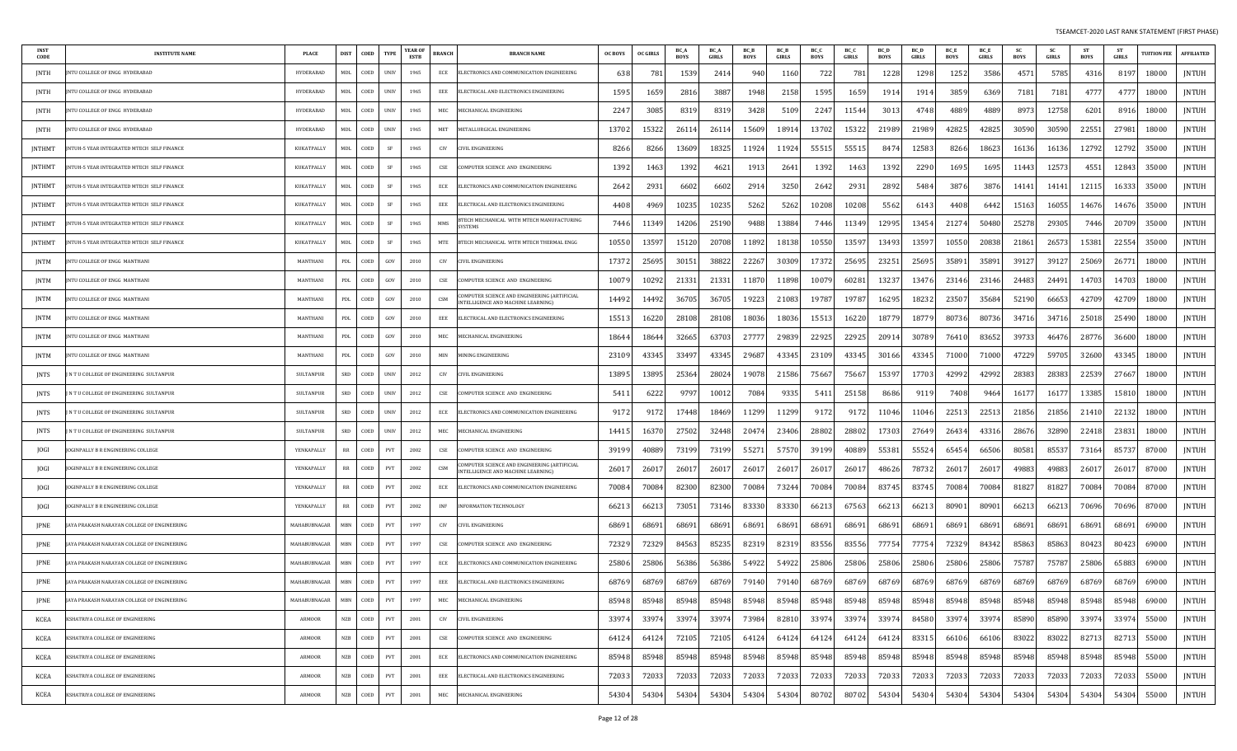| INST<br>CODE  | <b>INSTITUTE NAME</b>                       | <b>PLACE</b>     | <b>DIST</b>  | COED                                                      | <b>TYPE</b> | YEAR OF<br>ESTB | BRANCH | <b>BRANCH NAME</b>                                                                 | <b>OC BOYS</b> | <b>OC GIRLS</b> | BC_A<br><b>BOYS</b> | BC_A<br><b>GIRLS</b> | <b>BC</b> B<br><b>BOYS</b> | <b>BC</b> B<br>GIRLS | BC_C<br><b>BOYS</b> | BC_C<br><b>GIRLS</b> | BC D<br><b>BOYS</b> | BC_D<br><b>GIRLS</b> | BC_E<br><b>BOYS</b> | BC_E<br>GIRLS | <b>SC</b><br><b>BOYS</b> | <b>SC</b><br>GIRLS | <b>ST</b><br><b>BOYS</b> | -ST<br><b>GIRLS</b> | <b>TUITION FEE</b> | <b>AFFILIATED</b> |
|---------------|---------------------------------------------|------------------|--------------|-----------------------------------------------------------|-------------|-----------------|--------|------------------------------------------------------------------------------------|----------------|-----------------|---------------------|----------------------|----------------------------|----------------------|---------------------|----------------------|---------------------|----------------------|---------------------|---------------|--------------------------|--------------------|--------------------------|---------------------|--------------------|-------------------|
| JNTH          | NTU COLLEGE OF ENGG HYDERABAD               | HYDERABAD        | MDL          | COED                                                      | <b>UNIV</b> | 1965            | ECE    | ELECTRONICS AND COMMUNICATION ENGINEERING                                          | 638            | 781             | 1539                | 2414                 | 940                        | 1160                 | 722                 | 781                  | 1228                | 1298                 | 1252                | 3586          | 457                      | 5785               | 4316                     | 8197                | 18000              | <b>JNTUH</b>      |
| JNTH          | <b>NTU COLLEGE OF ENGG HYDERABAD</b>        | HYDERABAD        | MDL          | COED                                                      | <b>UNIV</b> | 1965            | EEE    | ELECTRICAL AND ELECTRONICS ENGINEERING                                             | 159            | 1659            | 2816                | 3887                 | 1948                       | 2158                 | 1595                | 1659                 | 191                 | 1914                 | 3859                | 6369          | 718                      | 7181               | 4777                     | 4777                | 18000              | JNTUH             |
| JNTH          | JNTU COLLEGE OF ENGG HYDERABAD              | <b>HYDERABAD</b> | MDL          | COED                                                      | <b>UNIV</b> | 1965            | MEC    | MECHANICAL ENGINEERING                                                             | 2247           | 3085            | 8319                | 8319                 | 3428                       | 5109                 | 2247                | 11544                | 301                 | 4748                 | 4889                | 4889          | 8973                     | 12758              | 6201                     | 891                 | 18000              | JNTUH             |
| <b>JNTH</b>   | JNTU COLLEGE OF ENGG HYDERABAD              | HYDERABAD        | MDL          | COED                                                      | <b>UNIV</b> | 1965            | MET    | METALLURGICAL ENGINEERING                                                          | 1370           | 15322           | 26114               | 2611                 | 15609                      | 18914                | 13702               | 15322                | 21989               | 21989                | 42825               | 42825         | 30590                    | 30590              | 22551                    | 2798                | 18000              | <b>JNTUH</b>      |
| JNTHMT        | NTUH-5 YEAR INTEGRATED MTECH SELF FINANCE   | KUKATPALLY       | MDL          | COED                                                      | SF          | 1965            | CIV    | IVIL ENGINEERINO                                                                   | 8266           | 8266            | 13609               | 1832                 | 11924                      | 11924                | 55515               | 55515                | 847                 | 12583                | 8266                | 18623         | 16136                    | 16136              | 12792                    | 12792               | 35000              | <b>JNTUH</b>      |
| JNTHMT        | NTUH-5 YEAR INTEGRATED MTECH SELF FINANCE   | KUKATPALLY       | MDL          | COED                                                      | SF          | 1965            | CSE    | COMPUTER SCIENCE AND ENGINEERING                                                   | 139            | 1463            | 1392                | 4621                 | 1913                       | 2641                 | 1392                | 1463                 | 1392                | 2290                 | 1695                | 1695          | 11443                    | 12573              | 4551                     | 12843               | 35000              | JNTUH             |
| JNTHMT        | NTUH-5 YEAR INTEGRATED MTECH SELF FINANCE   | KUKATPALLY       | MDL          | COED                                                      | SF          | 1965            | ECE    | ELECTRONICS AND COMMUNICATION ENGINEERING                                          | 264            | 293             | 6602                | 6602                 | 2914                       | 3250                 | 2642                | 2931                 | 2892                | 5484                 | 3876                | 3876          | 1414                     | 14141              | 12115                    | 16333               | 35000              | JNTUH             |
| JNTHMT        | NTUH-5 YEAR INTEGRATED MTECH SELF FINANCE   | KUKATPALLY       | MDL          | COED                                                      | SF          | 1965            | EEE    | ELECTRICAL AND ELECTRONICS ENGINEERING                                             | 4408           | 4969            | 10235               | 10235                | 5262                       | 5262                 | 10208               | 10208                | 5562                | 6143                 | 4408                | 6442          | 15163                    | 16055              | 14676                    | 14676               | 35000              | <b>JNTUH</b>      |
| <b>JNTHMT</b> | NTUH-5 YEAR INTEGRATED MTECH SELF FINANCE   | KUKATPALLY       | MDL          | COED                                                      | SF          | 1965            | MMS    | <b>STECH MECHANICAL WITH MTECH MANUFACTURING</b><br><b>YSTEMS</b>                  | 7446           | 11349           | 14206               | 25190                | 9488                       | 13884                | 7446                | 11349                | 12995               | 13454                | 21274               | 50480         | 25278                    | 29305              | 7446                     | 20709               | 35000              | JNTUH             |
| JNTHMT        | NTUH-5 YEAR INTEGRATED MTECH SELF FINANCE   | KUKATPALLY       | MDL          | COED                                                      | SF          | 1965            | MTE    | BTECH MECHANICAL WITH MTECH THERMAL ENGG                                           | 10550          | 13597           | 15120               | 20708                | 11892                      | 18138                | 10550               | 13597                | 13493               | 13597                | 10550               | 20838         | 2186                     | 26573              | 15381                    | 22554               | 35000              | <b>JNTUH</b>      |
| JNTM          | NTU COLLEGE OF ENGG MANTHANI                | MANTHANI         | PDL          | COED                                                      | GOV         | 2010            | CIV    | CIVIL ENGINEERING                                                                  | 17372          | 25695           | 30151               | 38822                | 22267                      | 30309                | 17372               | 25695                | 23251               | 25695                | 35891               | 35891         | 39127                    | 39127              | 25069                    | 2677                | 18000              | <b>JNTUH</b>      |
| JNTM          | NTU COLLEGE OF ENGG-MANTHANI                | MANTHANI         | PDL          | COED                                                      | GOV         | 2010            | CSE    | COMPUTER SCIENCE AND ENGINEERING                                                   | 1007           | 10292           | 21331               | 21331                | 1187                       | 11898                | 10079               | 60281                | 13237               | 13476                | 23146               | 23146         | 24483                    | 24491              | 14703                    | 14703               | 18000              | <b>JNTUH</b>      |
| JNTM          | INTU COLLEGE OF ENGG MANTHANI               | MANTHANI         | PDL          | COED                                                      | GOV         | 2010            | CSM    | COMPUTER SCIENCE AND ENGINEERING (ARTIFICIAI<br>INTELLIGENCE AND MACHINE LEARNING) | 14492          | 14492           | 36705               | 3670                 | 19223                      | 21083                | 19787               | 19787                | 16295               | 18232                | 23507               | 35684         | 52190                    | 66653              | 42709                    | 42709               | 18000              | <b>JNTUH</b>      |
| JNTM          | NTU COLLEGE OF ENGG MANTHANI                | MANTHANI         | PDL          | COED                                                      | GOV         | 2010            | EEE    | ELECTRICAL AND ELECTRONICS ENGINEERING                                             | 15513          | 16220           | 28108               | 28108                | 18036                      | 18036                | 15513               | 16220                | 18779               | 18779                | 80736               | 80736         | 34716                    | 34716              | 25018                    | 25490               | 18000              | <b>JNTUH</b>      |
| JNTM          | NTU COLLEGE OF ENGG MANTHANI                | MANTHANI         | PDL          | COED                                                      | GOV         | 2010            | MEC    | MECHANICAL ENGINEERING                                                             | 18644          | 18644           | 32665               | 63703                | 2777                       | 29839                | 22925               | 22925                | 2091                | 30789                | 76410               | 83652         | 39733                    | 46476              | 28776                    | 36600               | 18000              | JNTUH             |
| JNTM          | NTU COLLEGE OF ENGG MANTHANI                | MANTHANI         | PDL          | COED                                                      | GOV         | 2010            | MIN    | MINING ENGINEERING                                                                 | 2310           | 43345           | 33497               | 43345                | 29687                      | 43345                | 23109               | 43345                | 30166               | 43345                | 71000               | 71000         | 47229                    | 59705              | 32600                    | 4334.               | 18000              | JNTUH             |
| JNTS          | N T U COLLEGE OF ENGINEERING SULTANPUR      | <b>SULTANPUR</b> | SRD          | COED                                                      | <b>UNIV</b> | 2012            | CIV    | CIVIL ENGINEERING                                                                  | 1389           | 13895           | 25364               | 28024                | 19078                      | 21586                | 75667               | 75667                | 1539                | 17703                | 42992               | 42992         | 28383                    | 28383              | 22539                    | 2766                | 18000              | JNTUH             |
| JNTS          | N T U COLLEGE OF ENGINEERING SULTANPUR      | SULTANPUR        | SRD          | COED                                                      | UNIV        | 2012            | CSE    | COMPUTER SCIENCE AND ENGINEERING                                                   | 5411           | 6222            | 9797                | 10012                | 7084                       | 9335                 | 5411                | 25158                | 8686                | 9119                 | 7408                | 9464          | 16177                    | 16177              | 13385                    | 15810               | 18000              | <b>JNTUH</b>      |
| JNTS          | N T U COLLEGE OF ENGINEERING SULTANPUR      | <b>SULTANPUR</b> | SRD          | COED                                                      | <b>UNIV</b> | 2012            | ECE    | ELECTRONICS AND COMMUNICATION ENGINEERING                                          | 9172           | 9172            | 17448               | 18469                | 11299                      | 11299                | 9172                | 9172                 | 11046               | 11046                | 22513               | 22513         | 21856                    | 21856              | 21410                    | 22132               | 18000              | <b>JNTUH</b>      |
| JNTS          | IN TU COLLEGE OF ENGINEERING SULTANPUR      | <b>SULTANPUR</b> | SRD          | COED                                                      | <b>UNIV</b> | 2012            | MEC    | MECHANICAL ENGINEERING                                                             | 1441.          | 16370           | 27502               | 32448                | 20474                      | 23406                | 28802               | 28802                | 17303               | 27649                | 26434               | 43316         | 28676                    | 32890              | 22418                    | 2383                | 18000              | <b>JNTUH</b>      |
| JOGI          | OGINPALLY B R ENGINEERING COLLEGE           | YENKAPALLY       | RR           | COED                                                      | PVT         | 2002            | CSE    | COMPUTER SCIENCE AND ENGINEERING                                                   | 39199          | 40889           | 73199               | 73199                | 5527                       | 57570                | 39199               | 40889                | 55381               | 55524                | 65454               | 66506         | 8058                     | 85537              | 73164                    | 85737               | 87000              | <b>JNTUH</b>      |
| JOGI          | OGINPALLY B R ENGINEERING COLLEGE           | YENKAPALLY       | RR           | COED                                                      | PVT         | 2002            | CSM    | COMPUTER SCIENCE AND ENGINEERING (ARTIFICIAL<br>INTELLIGENCE AND MACHINE LEARNING) | 2601           | 2601            | 26017               | 2601                 | 2601                       | 26017                | 26017               | 26017                | 48626               | 78732                | 2601.               | 2601.         | 49883                    | 49883              | 26017                    | 2601.               | 87000              | <b>JNTUH</b>      |
| JOGI          | OGINPALLY B R ENGINEERING COLLEGE           | YENKAPALLY       | RR           | COED                                                      | PVT         | 2002            | ECE    | ELECTRONICS AND COMMUNICATION ENGINEERING                                          | 70084          | 70084           | 82300               | 82300                | 7008                       | 73244                | 70084               | 70084                | 83745               | 83745                | 7008                | 70084         | 81827                    | 81827              | 70084                    | 70084               | 87000              | <b>JNTUH</b>      |
| JOGI          | OGINPALLY B R ENGINEERING COLLEGE           | YENKAPALLY       | RR           | COED                                                      | PVT         | 2002            | INF    | INFORMATION TECHNOLOGY                                                             | 6621           | 66213           | 73051               | 73146                | 83330                      | 83330                | 66213               | 67563                | 66213               | 66213                | 8090                | 80901         | 66213                    | 66213              | 70696                    | 70696               | 87000              | JNTUH             |
| JPNE          | JAYA PRAKASH NARAYAN COLLEGE OF ENGINEERING | MAHABUBNAGAR     | <b>MBN</b>   | COED                                                      | PVT         | 1997            | CIV    | CIVIL ENGINEERING                                                                  | 6869           | 6869            | 68691               | 6869                 | 6869                       | 68691                | 68691               | 68691                | 6869                | 68691                | 6869                | 68691         | 6869                     | 68691              | 6869                     | 6869                | 69000              | JNTUH             |
| JPNE          | JAYA PRAKASH NARAYAN COLLEGE OF ENGINEERING | MAHABUBNAGAR     | MBN          | COED                                                      | PVT         | 1997            | CSE    | COMPUTER SCIENCE AND ENGINEERING                                                   | 72329          | 72329           | 84563               | 85235                | 8231                       | 82319                | 83556               | 83556                | 77754               | 77754                | 72329               | 84342         | 85863                    | 85863              | 80423                    | 80423               | 69000              | JNTUH             |
| JPNE          | JAYA PRAKASH NARAYAN COLLEGE OF ENGINEERING | MAHABUBNAGAR     | MBN          | COED                                                      | PVT         | 1997            | ECE    | ELECTRONICS AND COMMUNICATION ENGINEERING                                          | 25806          | 25806           | 56386               | 56386                | 54922                      | 54922                | 25806               | 25806                | 25806               | 25806                | 25806               | 25806         | 75787                    | 75787              | 25806                    | 65883               | 69000              | JNTUH             |
| JPNE          | JAYA PRAKASH NARAYAN COLLEGE OF ENGINEERING | MAHABUBNAGAR     | MBN          | COED                                                      | PVT         | 1997            | EEE    | ELECTRICAL AND ELECTRONICS ENGINEERING                                             | 68769          | 68769           | 68769               | 68769                | 79140                      | 79140                | 68769               | 68769                | 68769               | 68769                | 68769               | 68769         | 68769                    | 68769              | 68769                    | 68769               | 69000              | JNTUH             |
| JPNE          | JAYA PRAKASH NARAYAN COLLEGE OF ENGINEERING | MAHABUBNAGAR     |              | $\begin{tabular}{ll} \bf MBN & \tt COED \\ \end{tabular}$ | PVT         | 1997            | MEC    | MECHANICAL ENGINEERING                                                             | 85948          | 85948           | 85948               | 85948                | 85948                      | 85948                | 85948               | 85948                | 85948               | 85948                | 85948               | 85948         | 85948                    | 85948              | 85948                    | 85948               | 69000              | JNTUH             |
| KCEA          | KSHATRIYA COLLEGE OF ENGINEERING            | <b>ARMOOR</b>    | NZB          | COED                                                      | PVT         | 2001            | CIV    | CIVIL ENGINEERING                                                                  | 33974          | 33974           | 33974               | 33974                | 73984                      | 82810                | 33974               | 33974                | 33974               | 84580                | 33974               | 33974         | 85890                    | 85890              | 33974                    | 33974               | 55000              | <b>INTUH</b>      |
| KCEA          | (SHATRIYA COLLEGE OF ENGINEERING            | ARMOOR           | <b>NZB</b>   | COED                                                      | PVT         | 2001            | CSE    | COMPUTER SCIENCE AND ENGINEERING                                                   | 64124          | 64124           | 72105               | 72105                | 64124                      | 64124                | 64124               | 64124                | 64124               | 83315                | 66106               | 66106         | 83022                    | 83022              | 82713                    | 82713               | 55000              | <b>JNTUH</b>      |
| KCEA          | KSHATRIYA COLLEGE OF ENGINEERING            | ARMOOR           | <b>NZB</b>   | COED                                                      | PVT         | 2001            | ECE    | ELECTRONICS AND COMMUNICATION ENGINEERING                                          | 85948          | 85948           | 85948               | 85948                | 85948                      | 85948                | 85948               | 85948                | 85948               | 85948                | 85948               | 85948         | 85948                    | 85948              | 85948                    | 85948               | 55000              | <b>JNTUH</b>      |
| KCEA          | KSHATRIYA COLLEGE OF ENGINEERING            | ARMOOR           | <b>NZB</b>   | COED                                                      | PVT         | 2001            | EEE    | ELECTRICAL AND ELECTRONICS ENGINEERING                                             | 72033          | 72033           | 72033               | 72033                | 72033                      | 72033                | 72033               | 72033                | 72033               | 72033                | 72033               | 72033         | 72033                    | 72033              | 72033                    | 72033               | 55000              | JNTUH             |
| KCEA          | KSHATRIYA COLLEGE OF ENGINEERING            | <b>ARMOOR</b>    | $_{\rm NZB}$ | COED                                                      | PVT         | 2001            | MEC    | MECHANICAL ENGINEERING                                                             | 54304          | 54304           | 54304               | 54304                | 54304                      | 54304                | 80702               | 80702                | 5430                | 54304                | 54304               | 54304         | 54304                    | 54304              | 54304                    | 54304               | 55000              | <b>JNTUH</b>      |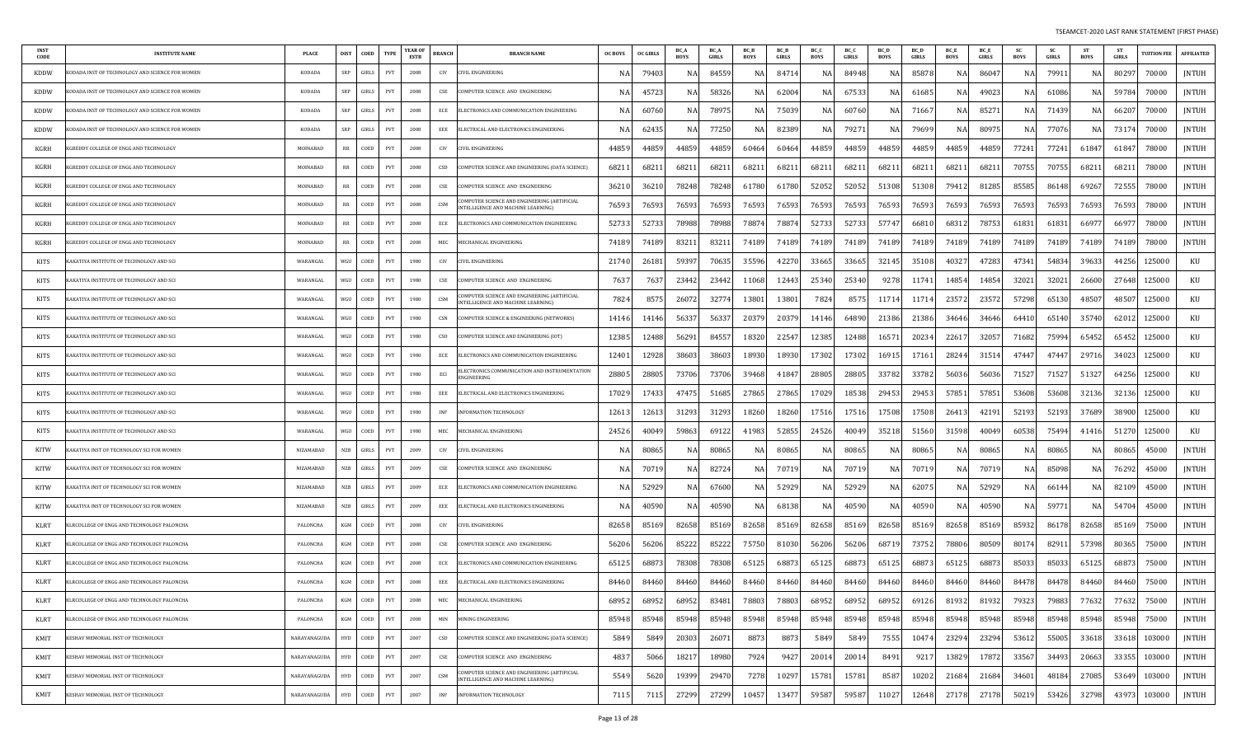| INST<br>CODE | <b>INSTITUTE NAME</b>                          | <b>PLACE</b>     | <b>DIST</b><br>COED | <b>TYPE</b> | YEAR OI<br><b>ESTB</b> | <b>BRANCH</b><br><b>BRANCH NAME</b>                                                            | <b>OC BOYS</b> | <b>OC GIRLS</b> | BC A<br><b>BOYS</b> | <b>BC</b> A<br>GIRLS | BC B<br><b>BOYS</b> | <b>BCB</b><br>GIRLS | BC C<br>BOYS | BC O<br><b>GIRLS</b> | <b>BC</b> D<br><b>BOYS</b> | <b>BC</b> D<br>GIRLS | <b>BC</b> E<br><b>BOYS</b> | <b>BC</b> E<br>GIRLS | -SC<br>BOYS | <b>SC</b><br>GIRLS | <b>ST</b><br>BOYS | - ST<br><b>GIRLS</b> | <b>UITION FEE</b> | <b>AFFILIATED</b> |
|--------------|------------------------------------------------|------------------|---------------------|-------------|------------------------|------------------------------------------------------------------------------------------------|----------------|-----------------|---------------------|----------------------|---------------------|---------------------|--------------|----------------------|----------------------------|----------------------|----------------------------|----------------------|-------------|--------------------|-------------------|----------------------|-------------------|-------------------|
| <b>KDDW</b>  | ODADA INST OF TECHNOLOGY AND SCIENCE FOR WOMEN | <b>KODADA</b>    | GIRLS<br>SRP        | PVT         | 2008                   | CIV<br>IVIL ENGINEERING:                                                                       |                | 79403           | N                   | 8455                 | NA                  | 8471                | NA           | 84948                | NA                         | 85878                | NA                         | 86047                | NA          | 7991               | NA                | 80297                | 70000             | JNTUH             |
| <b>KDDW</b>  | ODADA INST OF TECHNOLOGY AND SCIENCE FOR WOMEN | <b>KODADA</b>    | SRP<br>GIRLS        | PVT         | 2008                   | CSE<br>OMPUTER SCIENCE AND ENGINEERING                                                         | -N             | 4572            | NA                  | 5832                 | NA                  | 62004               | NA           | 6753                 | N.                         | 6168                 | NA                         | 49023                | NA          | 61086              | NA                | 59784                | 70000             | <b>JNTUH</b>      |
| KDDW         | ODADA INST OF TECHNOLOGY AND SCIENCE FOR WOMEN | <b>KODADA</b>    | GIRLS<br>SRP        | PVT         | 2008                   | ECE<br>LECTRONICS AND COMMUNICATION ENGINEERING                                                | -N.            | 60760           | NA                  | 7897                 | NA                  | 75039               | NA           | 6076                 | NA                         | 7166                 | NA                         | 8527                 | NA          | 71439              | NA                | 66207                | 70000             | JNTUH             |
| KDDW         | ODADA INST OF TECHNOLOGY AND SCIENCE FOR WOMEN | KODADA           | GIRLS<br>SRP        | PVT         | 2008                   | EEE<br>ELECTRICAL AND ELECTRONICS ENGINEERING                                                  | -N             | 6243            | NA                  | 77250                |                     | 82389               | NA           | 7927                 |                            | 79699                | NA                         | 80975                | N.          | 77076              | NA                | 73174                | 70000             | JNTUH             |
| KGRH         | GREDDY COLLEGE OF ENGG AND TECHNOLOGY!         | MOINABAD         | RR<br>COED          | PVT         | 2008                   | CIV<br>IVIL ENGINEERING                                                                        | 4485           | 44859           | 44859               | 4485                 | 60464               | 60464               | 44859        | 44859                | 44859                      | 44859                | 44859                      | 44859                | 77241       | 77241              | 61847             | 6184.                | 78000             | <b>JNTUH</b>      |
| KGRH         | GREDDY COLLEGE OF ENGG AND TECHNOLOGY          | MOINABAD         | RR<br>COED          | PVT         | 2008                   | CSD<br>OMPUTER SCIENCE AND ENGINEERING (DATA SCIENCE)                                          | 6821           | 6821            | 68211               | 6821                 | 68211               | 68211               | 68211        | 68211                | 68211                      | 6821                 | 68211                      | 68211                | 70755       | 70755              | 68211             | 68211                | 78000             | JNTUH             |
| KGRH         | GREDDY COLLEGE OF ENGG AND TECHNOLOGY          | MOINABAD         | COED<br>RR          | PVT         | 2008                   | CSE<br>OMPUTER SCIENCE AND ENGINEERING                                                         | 3621           | 36210           | 78248               | 78248                | 61780               | 61780               | 52052        | 52052                | 51308                      | 51308                | 79412                      | 81285                | 85585       | 86148              | 69267             | 72555                | 78000             | JNTUH             |
| <b>KGRH</b>  | GREDDY COLLEGE OF ENGG AND TECHNOLOGY          | MOINABAD         | RR<br>COED          | PVT         | 2008                   | OMPUTER SCIENCE AND ENGINEERING (ARTIFICIAI<br>CSM<br><b>ITELLIGENCE AND MACHINE LEARNING)</b> | 76593          | 76593           | 76593               | 76593                | 76593               | 76593               | 76593        | 76593                | 76593                      | 76593                | 76593                      | 76593                | 76593       | 76593              | 76593             | 76593                | 78000             | JNTUH             |
| KGRH         | GREDDY COLLEGE OF ENGG AND TECHNOLOGY!         | MOINARAD         | COED<br>RR          | PVT         | 2008                   | ECE<br>ELECTRONICS AND COMMUNICATION ENGINEERING                                               | 5273           | 5273            | 78988               | 78988                | 78874               | 78874               | 52733        | 52733                | 57747                      | 6681                 | 68312                      | 78753                | 61831       | 61831              | 66977             | 6697                 | 78000             | <b>JNTUH</b>      |
| KGRH         | GREDDY COLLEGE OF ENGG AND TECHNOLOGY          | MOINABAD         | COED<br>RR          | PVT         | 2008                   | MEC<br><b>ECHANICAL ENGINEERING</b>                                                            | 74189          | 74189           | 83211               | 8321                 | 74189               | 74189               | 74189        | 74189                | 74189                      | 74189                | 74189                      | 74189                | 74189       | 74189              | 74189             | 74189                | 78000             | <b>JNTUH</b>      |
| KITS         | AKATIYA INSTITUTE OF TECHNOLOGY AND SCI        | WARANGAL         | WGU<br>COED         | PVT         | 1980                   | CIV<br>IVIL ENGINEERING                                                                        | 21740          | 2618            | 59397               | 7063                 | 35596               | 42270               | 33665        | 33665                | 32145                      | 35108                | 40327                      | 47283                | 47341       | 54834              | 39633             | 44256                | 125000            | KU                |
| KITS         | AKATIYA INSTITUTE OF TECHNOLOGY AND SCI        | WARANGAL         | COED<br>WGU         | PVT         | 1980                   | CSE<br>OMPUTER SCIENCE AND ENGINEERING                                                         | 7637           | 763             | 23442               | 2344                 | 11068               | 12443               | 25340        | 25340                | 9278                       | 1174                 | 14854                      | 14854                | 32021       | 32021              | 26600             | 27648                | 125000            | KU                |
| KITS         | AKATIYA INSTITUTE OF TECHNOLOGY AND SCI        | WARANGAL         | WGU<br>COED         | PVT         | 1980                   | OMPUTER SCIENCE AND ENGINEERING (ARTIFICIAL<br>CSM<br>NTELLIGENCE AND MACHINE LEARNING)        | 7824           | 857             | 26072               | 3277                 | 13801               | 13801               | 7824         | 857                  | 11714                      | 1171                 | 23572                      | 23572                | 57298       | 65130              | 48507             | 48507                | 125000            | KU                |
| KITS         | AKATIYA INSTITUTE OF TECHNOLOGY AND SCI        | WARANGAL         | COED<br>WGU         | PVT         | 1980                   | CSN<br>OMPUTER SCIENCE & ENGINEERING (NETWORKS)                                                | 14146          | 14146           | 56337               | 5633                 | 20379               | 20379               | 14146        | 64890                | 21386                      | 21386                | 34646                      | 34646                | 64410       | 65140              | 35740             | 62012                | 125000            | KU                |
| KITS         | AKATIYA INSTITUTE OF TECHNOLOGY AND SCI        | WARANGAL         | WGU<br>COED         | PVT         | 1980                   | <b>CSO</b><br>OMPUTER SCIENCE AND ENGINEERING (IOT)                                            | 12385          | 12488           | 56291               | 84557                | 18320               | 22547               | 12385        | 12488                | 16571                      | 20234                | 22617                      | 32057                | 71682       | 75994              | 65452             | 65452                | 125000            | KU                |
| KITS         | AKATIYA INSTITUTE OF TECHNOLOGY AND SCI        | WARANGAL         | COED<br>WGU         | PVT         | 1980                   | ECE<br>LECTRONICS AND COMMUNICATION ENGINEERING                                                | 12401          | 12928           | 38603               | 3860                 | 18930               | 18930               | 17302        | 17302                | 1691                       | 1716                 | 28244                      | 31514                | 47447       | 47447              | 29716             | 34023                | 125000            | KU                |
| KITS         | AKATIYA INSTITUTE OF TECHNOLOGY AND SCI        | WARANGAL         | WGU<br>COED         | PVT         | 1980                   | LECTRONICS COMMUNICATION AND INSTRUMENTATION:<br>ECI<br>NGINEERING                             | 28805          | 28805           | 73706               | 73706                | 39468               | 41847               | 28805        | 28805                | 33782                      | 33782                | 56036                      | 56036                | 7152.       | 71527              | 51327             | 64256                | 125000            | KU                |
| KITS         | AKATIYA INSTITUTE OF TECHNOLOGY AND SCI        | WARANGAL         | COED<br>WGU         | PVT         | 1980                   | EEE<br>ELECTRICAL AND ELECTRONICS ENGINEERING                                                  | 17029          | 17433           | 47475               | 5168                 | 27865               | 27865               | 17029        | 18538                | 29453                      | 29453                | 57851                      | 57851                | 53608       | 53608              | 32136             | 32136                | 125000            | KU                |
| KITS         | AKATIYA INSTITUTE OF TECHNOLOGY AND SCI        | WARANGAL         | WGU<br>COED         | PVT         | 1980                   | INF<br>NFORMATION TECHNOLOGY                                                                   | 1261           | 1261            | 31293               | 3129                 | 18260               | 18260               | 17516        | 17516                | 17508                      | 17508                | 26413                      | 42191                | 52193       | 52193              | 37689             | 38900                | 125000            | KU                |
| KITS         | AKATIYA INSTITUTE OF TECHNOLOGY AND SCI        | WARANGAL         | COED<br>WGU         | PVT         | 1980                   | MEC<br><b>IECHANICAL ENGINEERING</b>                                                           | 2452           | 4004            | 59863               | 6912                 | 41983               | 52855               | 24526        | 40049                | 35218                      | 51560                | 31598                      | 40049                | 60538       | 75494              | 41416             | 51270                | 125000            | KU                |
| <b>KITW</b>  | AKATIYA INST OF TECHNOLOGY SCI FOR WOMEN       | <b>NIZAMABAD</b> | <b>NZB</b><br>GIRLS | PVT         | 2009                   | CIV<br>IVIL ENGINEERING                                                                        |                | 8086            | NA                  | 8086                 | ΝA                  | 80865               | NA           | 80865                | NA                         | 80865                | NA                         | 80865                | NA          | 80865              | NA                | 80865                | 45000             | JNTUH             |
| <b>KITW</b>  | AKATIYA INST OF TECHNOLOGY SCI FOR WOMEN       | <b>NIZAMABAD</b> | GIRLS<br><b>NZB</b> | PVT         | 2009                   | CSE<br>OMPUTER SCIENCE AND ENGINEERING                                                         |                | 7071            | NA                  | 8272                 |                     | 70719               | NA           | 7071                 |                            | 7071                 | ΝA                         | 70719                |             | 85098              | NA                | 76292                | 45000             | JNTUH             |
| <b>KITW</b>  | AKATIYA INST OF TECHNOLOGY SCI FOR WOMEN       | <b>NIZAMABAD</b> | NZB<br>GIRLS        | PVT         | 2009                   | ECE<br>LECTRONICS AND COMMUNICATION ENGINEERING                                                | -N.            | 52929           | NA                  | 67600                | NA.                 | 52929               | NA           | 5292                 | NA                         | 6207                 | NA                         | 52929                | NA.         | 66144              | NA                | 82109                | 45000             | JNTUH             |
| <b>KITW</b>  | AKATIYA INST OF TECHNOLOGY SCI FOR WOMEN       | <b>NIZAMABAD</b> | <b>NZB</b><br>GIRLS | PVT         | 2009                   | EEE<br>ELECTRICAL AND ELECTRONICS ENGINEERING                                                  | -N             | 40590           | NA                  | 40590                | NA                  | 68138               | NA           | 40590                | NA                         | 40590                | NA                         | 40590                | N/          | 59771              | NA                | 54704                | 45000             | JNTUH             |
| KLRT         | LRCOLLEGE OF ENGG AND TECHNOLOGY PALONCHA      | PALONCHA         | KGM<br>COED         | PVT         | 2008                   | CIV<br>CIVIL ENGINEERING                                                                       | 82658          | 8516            | 82658               | 8516                 | 82658               | 85169               | 82658        | 85169                | 82658                      | 85169                | 82658                      | 85169                | 85932       | 86178              | 82658             | 85169                | 75000             | <b>JNTUH</b>      |
| KLRT         | LRCOLLEGE OF ENGG AND TECHNOLOGY PALONCHA      | PALONCHA         | COED<br>KGM         | PVT         | 2008                   | CSE<br>OMPUTER SCIENCE AND ENGINEERING                                                         | 56206          | 56206           | 85222               | 8522                 | 75750               | 81030               | 56206        | 56206                | 68719                      | 73752                | 78806                      | 80509                | 80174       | 82911              | 57398             | 80365                | 75000             | <b>JNTUH</b>      |
| KLRT         | LRCOLLEGE OF ENGG AND TECHNOLOGY PALONCHA      | PALONCHA         | COED<br>KGM         | PVT         | 2008                   | ECE<br>LECTRONICS AND COMMUNICATION ENGINEERING                                                | 6512           | 6887            | 78308               | 7830                 | 65125               | 68873               | 65125        | 6887                 | 65125                      | 6887                 | 65125                      | 6887                 | 85033       | 85033              | 65125             | 68873                | 75000             | <b>JNTUH</b>      |
| KLRT         | KLRCOLLEGE OF ENGG AND TECHNOLOGY PALONCHA     | PALONCHA         | KGM<br>COED         | PVT         | 2008                   | EEE<br>ELECTRICAL AND ELECTRONICS ENGINEERING                                                  | 84460          | 84460           | 84460               | 84460                | 84460               | 84460               | 84460        | 84460                | 84460                      | 84460                | 84460                      | 84460                | 84478       | 84478              | 84460             | 84460                | 75000             | <b>JNTUH</b>      |
| KLRT         | KLRCOLLEGE OF ENGG AND TECHNOLOGY PALONCHA     | PALONCHA         | KGM<br>COED         | PVT         | 2008                   | MEC<br>MECHANICAL ENGINEERING                                                                  | 68952          | 68952           | 68952               | 83481                | 78803               | 78803               | 68952        | 68952                | 68952                      | 69126                | 81932                      | 81932                | 79323       | 79883              | 77632             | 77632                | 75000             | JNTUH             |
| KLRT         | KLRCOLLEGE OF ENGG AND TECHNOLOGY PALONCHA     | PALONCHA         | $KGM$ $COED$        | PVT         | 2008                   | MIN<br><b>IINING ENGINEERING</b>                                                               | 85948          | 85948           | 85948               | 85948                | 85948               | 85948               | 85948        | 85948                | 85948                      | 85948                | 85948                      | 85948                | 85948       | 85948              | 85948             | 85948                | 75000             | <b>JNTUH</b>      |
| KMIT         | ESHAV MEMORIAL INST OF TECHNOLOGY              | NARAYANAGUDA     | HYD  <br>COED       | PVT         | 2007                   | CSD<br>OMPUTER SCIENCE AND ENGINEERING (DATA SCIENCE)                                          | 5849           | 5849            | 20303               | 26071                | 8873                | 8873                | 5849         | 5849                 | 7555                       | 10474                | 23294                      | 23294                | 53612       | 55005              | 33618             | 33618                | 103000            | JNTUH             |
| KMIT         | ESHAV MEMORIAL INST OF TECHNOLOGY              | NARAYANAGUDA     | COED<br>HYD         | PVT         | 2007                   | CSE<br>OMPUTER SCIENCE AND ENGINEERING                                                         | 483            | 5066            | 18217               | 18980                | 7924                | 9427                | 20014        | 2001                 | 8491                       | 921                  | 13829                      | 17872                | 33567       | 34493              | 20663             | 33355                | 103000            | JNTUH             |
| KMIT         | <b>KESHAV MEMORIAL INST OF TECHNOLOGY</b>      | NARAYANAGUDA     | HYD  <br>COED       | PVT         | 2007                   | OMPUTER SCIENCE AND ENGINEERING (ARTIFICIAL<br>CSM<br>NTELLIGENCE AND MACHINE LEARNING)        | 5549           | 5620            | 19399               | 29470                | 7278                | 10297               | 15781        | 15781                | 8587                       | 10202                | 21684                      | 21684                | 34601       | 48184              | 27085             | 53649                | 103000            | JNTUH             |
| KMIT         | KESHAV MEMORIAL INST OF TECHNOLOGY             | NARAYANAGUDA     | COED<br><b>HYD</b>  | PVT         | 2007                   | $\ensuremath{\mathsf{INF}}\xspace$<br>INFORMATION TECHNOLOGY                                   | 711            | 7115            | 27299               | 27299                | 10457               | 13477               | 59587        | 59587                | 11027                      | 12648                | 27178                      | 27178                | 50219       | 53426              | 32798             | 43973                | 103000            | JNTUH             |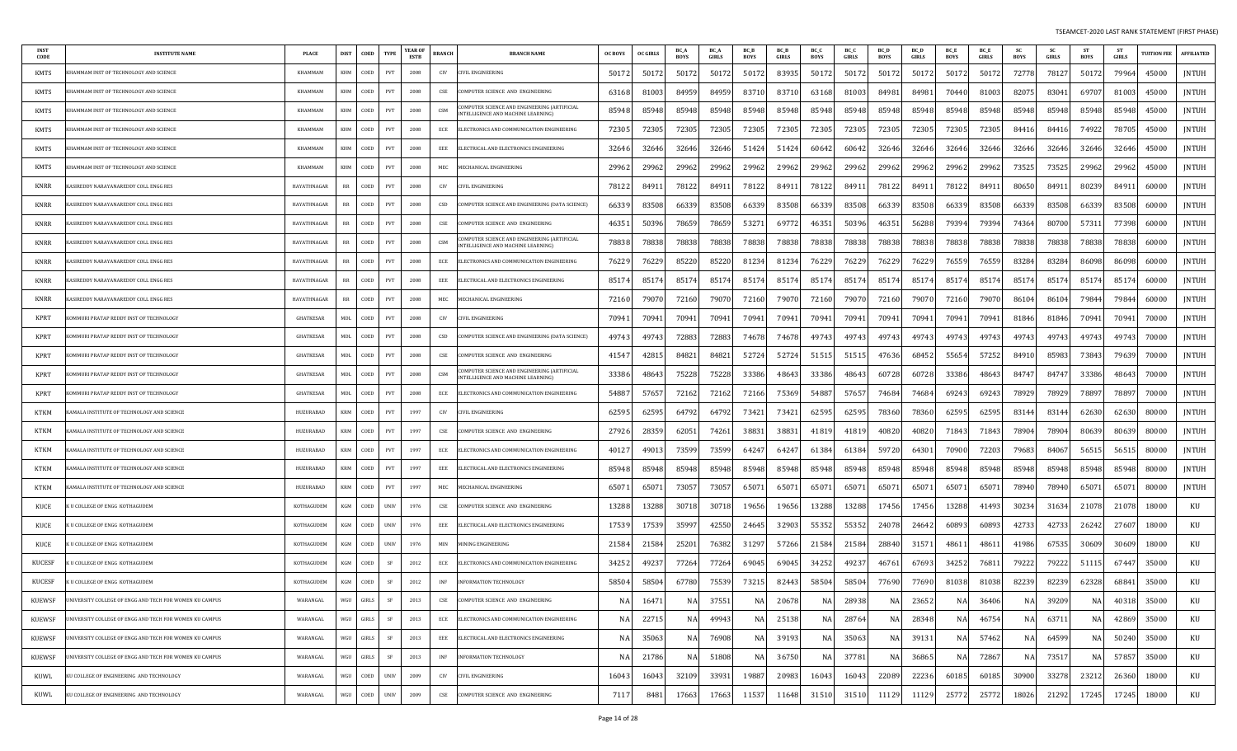| <b>INST</b><br>CODE | <b>INSTITUTE NAME</b>                                   | <b>PLACE</b>       | <b>DIST</b> | COED           | <b>TYPE</b>                       | <b>YEAR OF</b><br><b>ESTB</b> | <b>BRANCH</b>  | <b>BRANCH NAME</b>                                                               | <b>OC BOYS</b> | <b>OC GIRLS</b> | BC_A<br><b>BOYS</b> | <b>BC</b> A<br>GIRLS | BC_B<br>BOYS | <b>BC</b> B<br>GIRLS | BC_C<br><b>BOYS</b> | BC O<br><b>GIRLS</b> | BC D<br><b>BOYS</b> | <b>BC</b> L<br><b>GIRLS</b> | <b>BC</b> E<br><b>BOYS</b> | <b>BC</b> E<br>GIRLS | <b>SC</b><br>BOYS | <b>SC</b><br>GIRLS | <b>ST</b><br><b>BOYS</b> | - ST<br><b>GIRLS</b> | <b>UITION FEE</b> | <b>AFFILIATED</b> |
|---------------------|---------------------------------------------------------|--------------------|-------------|----------------|-----------------------------------|-------------------------------|----------------|----------------------------------------------------------------------------------|----------------|-----------------|---------------------|----------------------|--------------|----------------------|---------------------|----------------------|---------------------|-----------------------------|----------------------------|----------------------|-------------------|--------------------|--------------------------|----------------------|-------------------|-------------------|
| KMTS                | HAMMAM INST OF TECHNOLOGY AND SCIENCE                   | KHAMMAM            | KHM         | COED           | PVT                               | 2008                          | CIV            | IVIL ENGINEERING                                                                 | 5017           | 5017            | 50172               | 5017                 | 5017         | 83935                | 50172               | 5017                 | 50172               | 5017                        | 50172                      | 50172                | 72778             | 78127              | 50172                    | 79964                | 45000             | <b>JNTUH</b>      |
| <b>KMTS</b>         | HAMMAM INST OF TECHNOLOGY AND SCIENCE                   | KHAMMAM            | KHM         | COED           | PVT                               | 2008                          | CSE            | OMPUTER SCIENCE AND ENGINEERING                                                  | 6316           | 8100            | 84959               | 8495                 | 8371         | 83710                | 63168               | 81003                | 84981               | 84981                       | 70440                      | 81003                | 8207              | 83041              | 69707                    | 81003                | 45000             | <b>JNTUH</b>      |
| KMTS                | HAMMAM INST OF TECHNOLOGY AND SCIENCE                   | KHAMMAM            | KHM         | COED           | PVT                               | 2008                          | CSM            | MPUTER SCIENCE AND ENGINEERING (ARTIFICIAL<br>NTELLIGENCE AND MACHINE LEARNING)  | 85948          | 8594            | 85948               | 85948                | 85948        | 85948                | 85948               | 85948                | 85948               | 85948                       | 85948                      | 85948                | 85948             | 85948              | 85948                    | 85948                | 45000             | JNTUH             |
| <b>KMTS</b>         | HAMMAM INST OF TECHNOLOGY AND SCIENCE                   | KHAMMAM            | KHM         | COED           | PVT                               | 2008                          | ECE            | ELECTRONICS AND COMMUNICATION ENGINEERING                                        | 72305          | 72305           | 72305               | 7230                 | 72305        | 72305                | 72305               | 72305                | 72305               | 72305                       | 72305                      | 72305                | 84416             | 84416              | 74922                    | 78705                | 45000             | JNTUH             |
| KMTS                | HAMMAM INST OF TECHNOLOGY AND SCIENCE                   | KHAMMAM            | KHM         | COED           | PVT                               | 2008                          | EEE            | ELECTRICAL AND ELECTRONICS ENGINEERING                                           | 3264           | 32646           | 32646               | 32646                | 51424        | 51424                | 60642               | 60642                | 32646               | 32646                       | 32646                      | 32646                | 32646             | 32646              | 32646                    | 32646                | 45000             | <b>JNTUH</b>      |
| KMTS                | HAMMAM INST OF TECHNOLOGY AND SCIENCE                   | KHAMMAM            | KHM         | COED           | PVT                               | 2008                          | MEC            | <b>MECHANICAL ENGINEERING</b>                                                    | 2996           | 2996            | 29962               | 29962                | 29962        | 29962                | 29962               | 29962                | 29962               | 29962                       | 29962                      | 29962                | 73525             | 73525              | 29962                    | 29962                | 45000             | JNTUH             |
| KNRR                | ASIREDDY NARAYANAREDDY COLL ENGG RES                    | <b>HAYATHNAGAR</b> | RR          | COED           | PVT                               | 2008                          | CIV            | IVIL ENGINEERING                                                                 | 7812           | 8491            | 78122               | 8491                 | 78122        | 8491                 | 78122               | 8491                 | 78122               | 8491                        | 78122                      | 8491.                | 80650             | 84911              | 80239                    | 8491                 | 60000             | <b>JNTUH</b>      |
| <b>KNRR</b>         | ASIREDDY NARAYANAREDDY COLL ENGG RES                    | <b>HAYATHNAGAR</b> | RR          | COED           | PVT                               | 2008                          | CSD            | COMPUTER SCIENCE AND ENGINEERING (DATA SCIENCE)                                  | 66339          | 83508           | 66339               | 8350                 | 66339        | 83508                | 66339               | 83508                | 66339               | 83508                       | 66339                      | 83508                | 66339             | 83508              | 66339                    | 83508                | 60000             | JNTUH             |
| KNRR                | ASIREDDY NARAYANAREDDY COLL ENGG RES                    | HAYATHNAGAR        | RR          | COED           | PVT                               | 2008                          | CSE            | OMPUTER SCIENCE AND ENGINEERING                                                  | 4635           | 50396           | 78659               | 7865                 | 5327         | 6977                 | 46351               | 50396                | 4635                | 56288                       | 79394                      | 79394                | 74364             | 80700              | 57311                    | 77398                | 60000             | <b>JNTUH</b>      |
| <b>KNRR</b>         | ASIREDDY NARAYANAREDDY COLL ENGG RES                    | HAYATHNAGAR        | RR          | COED           | PVT                               | 2008                          | CSM            | OMPUTER SCIENCE AND ENGINEERING (ARTIFICIAL<br>NTELLIGENCE AND MACHINE LEARNING) | 78838          | 7883            | 78838               | 7883                 | 78838        | 78838                | 78838               | 78838                | 78838               | 78838                       | 78838                      | 78838                | 78838             | 78838              | 78838                    | 78838                | 60000             | <b>JNTUH</b>      |
| KNRR                | ASIREDDY NARAYANAREDDY COLL ENGG RES                    | HAYATHNAGAR        | RR          | COED           | PVT                               | 2008                          | ECE            | ELECTRONICS AND COMMUNICATION ENGINEERING                                        | 76229          | 7622            | 85220               | 8522                 | 81234        | 81234                | 76229               | 76229                | 76229               | 76229                       | 76559                      | 76559                | 8328              | 83284              | 86098                    | 86098                | 60000             | <b>JNTUH</b>      |
| <b>KNRR</b>         | ASIREDDY NARAYANAREDDY COLL ENGG RES                    | HAYATHNAGAR        | RR          | COED           | PVT                               | 2008                          | EEE            | ELECTRICAL AND ELECTRONICS ENGINEERING                                           | 8517           | 8517            | 8517                | 8517                 | 8517         | 8517                 | 85174               | 8517                 | 85174               | 8517                        | 85174                      | 85174                | 85174             | 85174              | 85174                    | 85174                | 60000             | JNTUH             |
| <b>KNRR</b>         | ASIREDDY NARAYANAREDDY COLL ENGG RES                    | HAYATHNAGAR        | RR          | COED           | PVT                               | 2008                          | MEC            | <b>MECHANICAL ENGINEERING</b>                                                    | 7216           | 7907            | 72160               | 7907                 | 72160        | 79070                | 72160               | 79070                | 72160               | 7907                        | 72160                      | 79070                | 8610              | 86104              | 79844                    | 79844                | 60000             | <b>JNTUH</b>      |
| KPRT                | OMMURI PRATAP REDDY INST OF TECHNOLOGY                  | <b>GHATKESAR</b>   | MDL         | COED           | PVT                               | 2008                          | CIV            | IVIL ENGINEERING:                                                                | 7094           | 7094            | 70941               | 7094                 | 70941        | 70941                | 70941               | 70941                | 7094.               | 7094                        | 70941                      | 70941                | 81846             | 81846              | 70941                    | 70941                | 70000             | <b>JNTUH</b>      |
| KPRT                | OMMURI PRATAP REDDY INST OF TECHNOLOGY                  | GHATKESAR          | MDL         | COED           | PVT                               | 2008                          | CSD            | COMPUTER SCIENCE AND ENGINEERING (DATA SCIENCE                                   | 49743          | 4974            | 72883               | 72883                | 74678        | 74678                | 49743               | 49743                | 4974.               | 49743                       | 49743                      | 49743                | 49743             | 49743              | 49743                    | 49743                | 70000             | <b>JNTUH</b>      |
| KPRT                | OMMURI PRATAP REDDY INST OF TECHNOLOGY                  | <b>GHATKESAR</b>   | MDL         | COED           | PVT                               | 2008                          | CSE            | OMPUTER SCIENCE AND ENGINEERING                                                  | 4154           | 4281            | 84821               | 8482                 | 52724        | 5272                 | 51515               | 5151                 | 47636               | 6845                        | 55654                      | 57252                | 84910             | 85983              | 73843                    | 79639                | 70000             | JNTUH             |
| KPRT                | OMMURI PRATAP REDDY INST OF TECHNOLOGY                  | <b>GHATKESAR</b>   | MDL         | COED           | PVT                               | 2008                          | CSM            | OMPUTER SCIENCE AND ENGINEERING (ARTIFICIAI<br>NTELLIGENCE AND MACHINE LEARNINGT | 33386          | 4864            | 75228               | 75228                | 33386        | 48643                | 33386               | 48643                | 60728               | 60728                       | 33386                      | 48643                | 84747             | 84747              | 33386                    | 48643                | 70000             | JNTUH             |
| <b>KPRT</b>         | OMMURI PRATAP REDDY INST OF TECHNOLOGY                  | <b>GHATKESAR</b>   | MDL         | COED           | PVT                               | 2008                          | ECE            | ELECTRONICS AND COMMUNICATION ENGINEERING                                        | 54887          | 5765            | 72162               | 7216                 | 72166        | 75369                | 54887               | 57657                | 7468                | 74684                       | 69243                      | 69243                | 78929             | 78929              | 78897                    | 78897                | 70000             | <b>JNTUH</b>      |
| KTKM                | AMALA INSTITUTE OF TECHNOLOGY AND SCIENCE               | HUZURABAD          | <b>KRM</b>  | COED           | PVT                               | 1997                          | CIV            | IVIL ENGINEERING                                                                 | 6259           | 6259            | 64792               | 6479                 | 73421        | 73421                | 62595               | 6259                 | 78360               | 78360                       | 62595                      | 62595                | 83144             | 83144              | 62630                    | 62630                | 80000             | <b>JNTUH</b>      |
| KTKM                | AMALA INSTITUTE OF TECHNOLOGY AND SCIENCE               | HUZURABAD          | KRM         | COED           | PVT                               | 1997                          | CSE            | OMPUTER SCIENCE AND ENGINEERING                                                  | 2792           | 2835            | 62051               | 7426                 | 38831        | 3883                 | 41819               | 41819                | 40820               | 40820                       | 71843                      | 71843                | 7890              | 78904              | 80639                    | 80639                | 80000             | <b>JNTUH</b>      |
| <b>KTKM</b>         | AMALA INSTITUTE OF TECHNOLOGY AND SCIENCE               | <b>HUZURABAD</b>   | KRM         | COED           | PVT                               | 1997                          | ECE            | ELECTRONICS AND COMMUNICATION ENGINEERING                                        | 4012           | 4901            | 73599               | 73599                | 64247        | 64247                | 61384               | 61384                | 59720               | 64301                       | 70900                      | 72203                | 79683             | 84067              | 56515                    | 56515                | 80000             | JNTUH             |
| <b>KTKM</b>         | AMALA INSTITUTE OF TECHNOLOGY AND SCIENCE               | HUZURABAD          | <b>KRM</b>  | COED           | PVT                               | 1997                          | EEE            | ELECTRICAL AND ELECTRONICS ENGINEERING                                           | 85948          | 85948           | 85948               | 85948                | 85948        | 85948                | 85948               | 85948                | 85948               | 85948                       | 85948                      | 85948                | 85948             | 85948              | 85948                    | 85948                | 80000             | JNTUH             |
| KTKM                | AMALA INSTITUTE OF TECHNOLOGY AND SCIENCE               | HUZURABAD          | <b>KRM</b>  | COED           | PVT                               | 1997                          | MEC            | <b>IECHANICAL ENGINEERING</b>                                                    | 6507           | 6507            | 73057               | 7305                 | 65071        | 6507                 | 65071               | 6507                 | 6507                | 6507                        | 65071                      | 6507                 | 78940             | 78940              | 65071                    | 6507                 | 80000             | JNTUH             |
| KUCE                | U COLLEGE OF ENGG KOTHAGUDEM                            | KOTHAGUDEM         | KGM         | COED           | <b>UNIV</b>                       | 1976                          | CSE            | COMPUTER SCIENCE AND ENGINEERING                                                 | 13288          | 1328            | 30718               | 3071                 | 19656        | 19656                | 13288               | 13288                | 17456               | 17456                       | 13288                      | 41493                | 30234             | 31634              | 21078                    | 21078                | 18000             | KU                |
| KUCE                | <b>U COLLEGE OF ENGG KOTHAGUDEM</b>                     | KOTHAGUDEM         | KGM         | COED           | <b>UNIV</b>                       | 1976                          | EEE            | ELECTRICAL AND ELECTRONICS ENGINEERING                                           | 17539          | 1753            | 35997               | 42550                | 24645        | 32903                | 55352               | 55352                | 24078               | 24642                       | 60893                      | 60893                | 42733             | 42733              | 26242                    | 27607                | 18000             | KU                |
| KUCE                | U COLLEGE OF ENGG KOTHAGUDEM                            | KOTHAGUDEM         | KGM         | COED           | <b>UNIV</b>                       | 1976                          | MIN            | <b>MINING ENGINEERING</b>                                                        | 21584          | 2158            | 25201               | 7638                 | 3129         | 57266                | 21584               | 21584                | 28840               | 3157                        | 48611                      | 4861                 | 41986             | 67535              | 30609                    | 30609                | 18000             | KU                |
| <b>KUCESF</b>       | U COLLEGE OF ENGG KOTHAGUDEM                            | KOTHAGUDEM         | KGM         | COED           | <b>SF</b>                         | 2012                          | ECE            | LECTRONICS AND COMMUNICATION ENGINEERING                                         | 3425           | 4923            | 77264               | 7726                 | 69045        | 69045                | 34252               | 4923                 | 4676                | 67693                       | 34252                      | 7681                 | 79222             | 79222              | 51115                    | 67447                | 35000             | KU                |
| KUCESF              | U COLLEGE OF ENGG KOTHAGUDEM                            | KOTHAGUDEM         | KGM         | COED           | SF                                | 2012                          | <b>INF</b>     | INFORMATION TECHNOLOGY                                                           | 58504          | 58504           | 67780               | 7553                 | 73215        | 82443                | 58504               | 58504                | 77690               | 77690                       | 81038                      | 81038                | 82239             | 82239              | 62328                    | 68841                | 35000             | KU                |
| KUEWSF              | UNIVERSITY COLLEGE OF ENGG AND TECH FOR WOMEN KU CAMPUS | WARANGAL           | WGU         | GIRLS          | SF                                | 2013                          | CSE            | COMPUTER SCIENCE AND ENGINEERING                                                 | NA             | 16471           | NA                  | 37551                | NA           | 20678                | NA                  | 28938                | NA                  | 23652                       | NA                         | 36406                | NA                | 39209              | NA                       | 40318                | 35000             | KU                |
| <b>KUEWSF</b>       | NIVERSITY COLLEGE OF ENGG AND TECH FOR WOMEN KU CAMPUS  | WARANGAL           | WGU         | GIRLS          | $\rm SF$                          | 2013                          | ECE            | ELECTRONICS AND COMMUNICATION ENGINEERING                                        | N.             | 22715           | <b>NA</b>           | 49943                | <b>NA</b>    | 25138                | NA                  | 28764                | NA                  | 28348                       | <b>NA</b>                  | 46754                | <b>NA</b>         | 63711              | <b>NA</b>                | 42869                | 35000             | KU                |
| KUEWSF              | INIVERSITY COLLEGE OF ENGG AND TECH FOR WOMEN KU CAMPUS | WARANGAL           | WGU         | $\mbox{GIRLS}$ | $\ensuremath{\mathsf{SF}}\xspace$ | 2013                          | EEE            | ELECTRICAL AND ELECTRONICS ENGINEERING                                           | N.             | 3506            | NA                  | 76908                | NA           | 39193                | NA                  | 35063                | NA                  | 39131                       | NA                         | 57462                | NA                | 64599              | NA                       | 50240                | 35000             | KU                |
| KUEWSF              | NIVERSITY COLLEGE OF ENGG AND TECH FOR WOMEN KU CAMPUS  | WARANGAL           | WGU         | GIRLS          | SF                                | 2013                          | INF            | INFORMATION TECHNOLOGY                                                           | N.             | 21786           | NA                  | 51808                | NA           | 36750                | NA                  | 37781                | NA                  | 3686                        | NA                         | 72867                | NA                | 73517              | NA                       | 57857                | 35000             | KU                |
| KUWL                | KU COLLEGE OF ENGINEERING AND TECHNOLOGY                | WARANGAL           | WGU         | COED           | <b>UNIV</b>                       | 2009                          | CIV            | <b>CIVIL ENGINEERING</b>                                                         | 16043          | 1604            | 32109               | 33931                | 19887        | 20983                | 16043               | 16043                | 22089               | 22236                       | 60185                      | 60185                | 30900             | 33278              | 23212                    | 26360                | 18000             | KU                |
| KUWL                | KU COLLEGE OF ENGINEERING AND TECHNOLOGY                | WARANGAL           | WGU         | COED           | <b>UNIV</b>                       | 2009                          | $\mathsf{CSE}$ | COMPUTER SCIENCE AND ENGINEERING                                                 | 7117           | 8481            | 17663               | 17663                | 11537        | 11648                | 31510               | 31510                | 11129               | 11129                       | 25772                      | 25772                | 18026             | 21292              | 17245                    | 17245                | 18000             | KU                |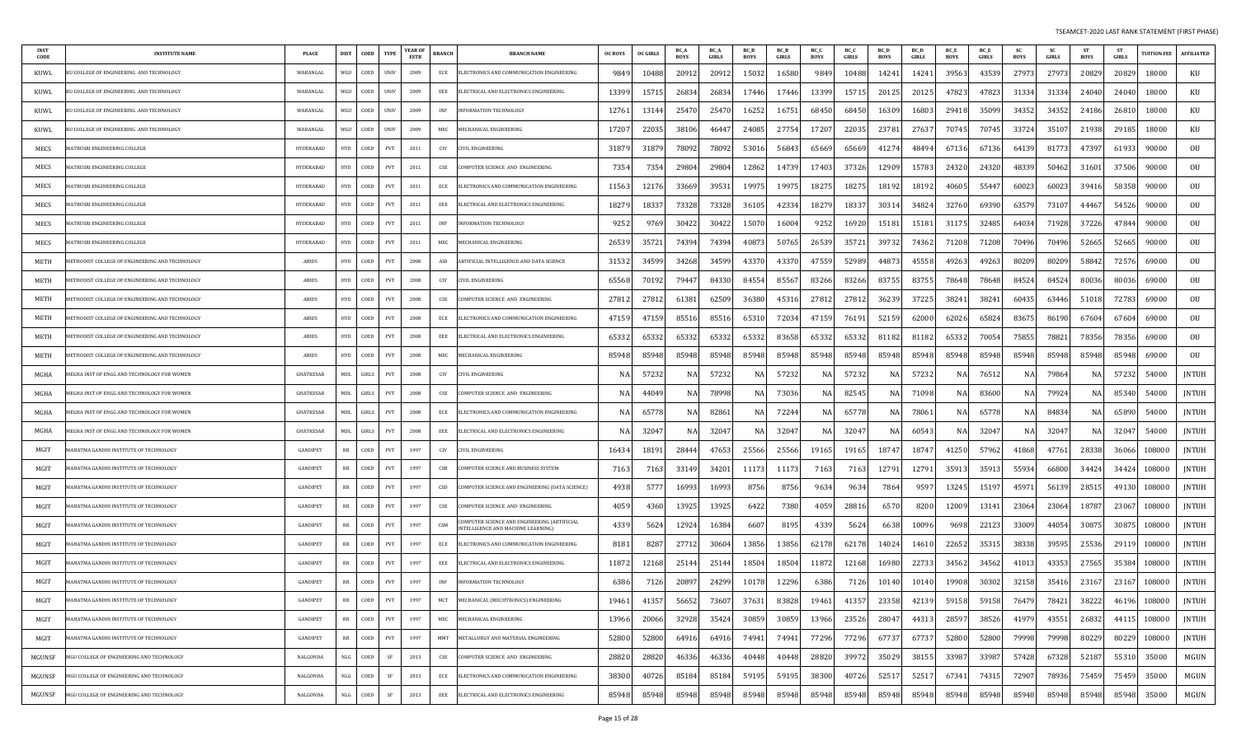| <b>INST</b><br><b>CODE</b> | <b>INSTITUTE NAME</b>                                         | <b>PLACE</b>     | <b>DIST</b> | COED  | <b>TYPE</b> | <b>YEAR OF</b><br>ESTB | BRANCH     | <b>BRANCH NAME</b>                                                                 | <b>OC BOYS</b> | <b>OC GIRLS</b> | BC /<br><b>BOYS</b> | <b>BC_A</b><br>GIRLS | BC_B<br><b>BOYS</b> | BC_B<br>GIRLS | BC_C<br><b>BOYS</b> | BC_C<br>GIRLS | BC_D<br><b>BOYS</b> | <b>BC</b> D<br><b>GIRLS</b> | BC_E<br><b>BOYS</b> | BC_E<br>GIRLS | <b>SC</b><br><b>BOYS</b> | -SC<br>GIRLS | <b>ST</b><br>BOYS | <b>ST</b><br>GIRLS | <b>TUITION FEE</b> | <b>AFFILIATED</b> |
|----------------------------|---------------------------------------------------------------|------------------|-------------|-------|-------------|------------------------|------------|------------------------------------------------------------------------------------|----------------|-----------------|---------------------|----------------------|---------------------|---------------|---------------------|---------------|---------------------|-----------------------------|---------------------|---------------|--------------------------|--------------|-------------------|--------------------|--------------------|-------------------|
| KUWL                       | J COLLEGE OF ENGINEERING AND TECHNOLOGY                       | WARANGAL         | WGU         | COED  | <b>UNIV</b> | 2009                   | ECE        | ELECTRONICS AND COMMUNICATION ENGINEERING                                          | 9849           | 10488           | 20912               | 2091                 | 15032               | 16580         | 9849                | 10488         | 14241               | 14241                       | 39563               | 43539         | 27973                    | 27973        | 20829             | 20829              | 18000              | KU                |
| KUWL                       | J COLLEGE OF ENGINEERING AND TECHNOLOGY                       | WARANGAL         | WGU         | COED  | <b>UNIV</b> | 2009                   | EEE        | ELECTRICAL AND ELECTRONICS ENGINEERING                                             | 13399          | 1571            | 26834               | 26834                | 17446               | 17446         | 13399               | 15715         | 20125               | 2012                        | 47823               | 47823         | 31334                    | 31334        | 24040             | 24040              | 18000              | KU                |
| KUWL                       | J COLLEGE OF ENGINEERING AND TECHNOLOGY                       | WARANGAL         | WGU         | COED  | <b>UNIV</b> | 2009                   | INF        | INFORMATION TECHNOLOGY                                                             | 12761          | 1314            | 25470               | 25470                | 16252               | 16751         | 68450               | 68450         | 16309               | 1680                        | 29418               | 35099         | 34352                    | 34352        | 24186             | 26810              | 18000              | KU                |
| KUWL                       | U COLLEGE OF ENGINEERING AND TECHNOLOGY                       | WARANGAL         | WGU         | COED  | <b>UNIV</b> | 2009                   | MEC        | MECHANICAL ENGINEERING                                                             | 17207          | 2203            | 38106               | 4644.                | 24085               | 27754         | 17207               | 22035         | 23781               | 27637                       | 70745               | 70745         | 33724                    | 35107        | 21938             | 29185              | 18000              | KU                |
| MECS                       | <b>ATRUSRI ENGINEERING COLLEGE</b>                            | <b>HYDERABAD</b> | <b>HYD</b>  | COED  | PVT         | 2011                   | CIV        | <b>IVIL ENGINEERING</b>                                                            | 31879          | 3187            | 78092               | 78092                | 5301                | 5684          | 65669               | 65669         | 4127                | 4849                        | 67136               | 67136         | 64139                    | 8177.        | 47397             | 61933              | 90000              | OU                |
| MECS                       | <b>AATRUSRI ENGINEERING COLLEGE</b>                           | HYDERABAD        | <b>HYD</b>  | COED  | PVT         | 2011                   | CSE        | COMPUTER SCIENCE AND ENGINEERING                                                   | 7354           | $735-$          | 29804               | 29804                | 12862               | 1473          | 17403               | 37326         | 12909               | 15783                       | 24320               | 24320         | 48339                    | 50462        | 31601             | 37506              | 90000              | OU                |
| MECS                       | <b>AATRUSRI ENGINEERING COLLEGE</b>                           | <b>HYDERABAD</b> | <b>HYD</b>  | COED  | PVT         | 2011                   | ECE        | ELECTRONICS AND COMMUNICATION ENGINEERING                                          | 11563          | 1217            | 33669               | 39531                | 19975               | 1997.         | 18275               | 18275         | 18192               | 1819.                       | 40605               | 5544.         | 60023                    | 60023        | 39416             | 58358              | 90000              | OU                |
| MECS                       | <b>AATRUSRI ENGINEERING COLLEGE</b>                           | <b>HYDERABAD</b> | <b>HYD</b>  | COED  | PVT         | 2011                   | EEE        | ELECTRICAL AND ELECTRONICS ENGINEERING                                             | 18279          | 1833            | 73328               | 73328                | 36105               | 4233          | 18279               | 18337         | 30314               | 34824                       | 32760               | 69390         | 63579                    | 73107        | 44467             | 54526              | 90000              | OU                |
| MECS                       | <b>IATRUSRI ENGINEERING COLLEGE</b>                           | <b>HYDERABAD</b> | <b>HYD</b>  | COED  | PVT         | 2011                   | <b>INF</b> | NFORMATION TECHNOLOGY                                                              | 9252           | 976             | 30422               | 30422                | 15070               | 16004         | 9252                | 16920         | 15181               | 1518                        | 31175               | 32485         | 64034                    | 71928        | 37226             | 47844              | 90000              | OU                |
| MECS                       | <b>AATRUSRI ENGINEERING COLLEGE</b>                           | <b>HYDERABAD</b> | <b>HYD</b>  | COED  | <b>PVT</b>  | 2011                   | MEC        | MECHANICAL ENGINEERING                                                             | 26539          | 3572            | 74394               | 74394                | 40873               | 50765         | 26539               | 35721         | 39732               | 74362                       | 71208               | 71208         | 70496                    | 70496        | 52665             | 52665              | 90000              | OU                |
| METH                       | <b><i>AETHODIST COLLEGE OF ENGINEERING AND TECHNOLOGY</i></b> | ABIDS            | <b>HYD</b>  | COED  | PVT         | 2008                   | AID        | ARTIFICIAL INTELLIGENCE AND DATA SCIENCE                                           | 31532          | 34599           | 34268               | 34599                | 4337                | 43370         | 47559               | 52989         | 44873               | 45558                       | 49263               | 49263         | 80209                    | 80209        | 58842             | 72576              | 69000              | OU                |
| METH                       | (ETHODIST COLLEGE OF ENGINEERING AND TECHNOLOGY               | ABIDS            | <b>HYD</b>  | COED  | PVT         | 2008                   | CIV        | CIVIL ENGINEERING                                                                  | 65568          | 7019.           | 79447               | 84330                | 84554               | 85567         | 83266               | 83266         | 83755               | 83755                       | 78648               | 78648         | 84524                    | 84524        | 80036             | 80036              | 69000              | 0U                |
| METH                       | ETHODIST COLLEGE OF ENGINEERING AND TECHNOLOGY                | ABIDS            | <b>HYD</b>  | COED  | PVT         | 2008                   | CSE        | COMPUTER SCIENCE AND ENGINEERING                                                   | 27812          | 2781            | 61381               | 62509                | 36380               | 45316         | 27812               | 27812         | 36239               | 37225                       | 38241               | 3824          | 60435                    | 63446        | 51018             | 72783              | 69000              | OU                |
| METH                       | ETHODIST COLLEGE OF ENGINEERING AND TECHNOLOGY                | ABIDS            | <b>HYD</b>  | COED  | PVT         | 2008                   | ECE        | ELECTRONICS AND COMMUNICATION ENGINEERING                                          | 4715           | 4715            | 85516               | 85516                | 6531                | 72034         | 47159               | 76191         | 52159               | 62000                       | 62026               | 65824         | 83675                    | 86190        | 67604             | 67604              | 69000              | OU                |
| METH                       | <b><i>AETHODIST COLLEGE OF ENGINEERING AND TECHNOLOGY</i></b> | ABIDS            | <b>HYD</b>  | COED  | PVT         | 2008                   | EEE        | ELECTRICAL AND ELECTRONICS ENGINEERING                                             | 65332          | 6533            | 65332               | 65332                | 65332               | 83658         | 65332               | 65332         | 81182               | 81182                       | 65332               | 7005          | 75855                    | 78821        | 78356             | 78356              | 69000              | OU                |
| METH                       | (AETHODIST COLLEGE OF ENGINEERING AND TECHNOLOGY              | ABIDS            | <b>HYD</b>  | COED  | PVT         | 2008                   | MEC        | MECHANICAL ENGINEERING                                                             | 85948          | 8594            | 85948               | 85948                | 85948               | 85948         | 85948               | 85948         | 85948               | 8594                        | 85948               | 85948         | 85948                    | 85948        | 85948             | 85948              | 69000              | OU                |
| MGHA                       | EGHA INST OF ENGG AND TECHNOLOGY FOR WOMEN                    | <b>GHATKESAR</b> | MDL         | GIRLS | PVT         | 2008                   | CIV        | CIVIL ENGINEERING                                                                  |                | 5723            | NA.                 | 57232                | N/                  | 5723          | NA                  | 57232         | N/                  | 5723                        | NA                  | 76512         | N A                      | 79864        | NA                | 57232              | 54000              | JNTUH             |
| MGHA                       | EGHA INST OF ENGG AND TECHNOLOGY FOR WOMEN                    | <b>GHATKESAR</b> | MDL         | GIRLS | PVT         | 2008                   | CSE        | COMPUTER SCIENCE AND ENGINEERING                                                   |                | 4404            | NA                  | 78998                | N/                  | 73036         | NA                  | 82545         | N/                  | 71098                       | NA                  | 83600         | NA                       | 7992         | NA                | 85340              | 54000              | JNTUH             |
| MGHA                       | EGHA INST OF ENGG AND TECHNOLOGY FOR WOMEN                    | <b>GHATKESAR</b> | MDL         | GIRLS | <b>PVT</b>  | 2008                   | ECE        | ELECTRONICS AND COMMUNICATION ENGINEERING                                          |                | 6577            | NA                  | 82861                | N/                  | 7224          | NA                  | 6577          | N/                  | 7806                        | NA                  | 65778         | N/                       | 8483         | NA                | 65890              | 54000              | JNTUH             |
| MGHA                       | IEGHA INST OF ENGG AND TECHNOLOGY FOR WOMEN                   | <b>GHATKESAR</b> | MDL         | GIRLS | PVT         | 2008                   | EEE        | ELECTRICAL AND ELECTRONICS ENGINEERING                                             |                | 3204            | NA                  | 32047                | N/                  | 3204          | NA                  | 32047         | -N                  | 6054                        | ΝA                  | 32047         | N.                       | 32047        | NA                | 32047              | 54000              | <b>JNTUH</b>      |
| MGIT                       | AHATMA GANDHI INSTITUTE OF TECHNOLOGY                         | <b>GANDIPET</b>  | RR          | COED  | PVT         | 1997                   | CIV        | CIVIL ENGINEERING                                                                  | 16434          | 1819            | 28444               | 47653                | 25566               | 25566         | 19165               | 19165         | 18747               | 1874                        | 41250               | 57962         | 41868                    | 47761        | 28338             | 36066              | 108000             | <b>JNTUH</b>      |
| MGIT                       | AHATMA GANDHI INSTITUTE OF TECHNOLOGY                         | <b>GANDIPET</b>  | RR          | COED  | PVT         | 1997                   | CSB        | COMPUTER SCIENCE AND BUSINESS SYSTEM                                               | 7163           | 716             | 33149               | 34201                | 11173               | 1117          | 7163                | 7163          | 12791               | 1279                        | 35913               | 3591          | 55934                    | 66800        | 34424             | 34424              | 108000             | <b>JNTUH</b>      |
| MGIT                       | AHATMA GANDHI INSTITUTE OF TECHNOLOGY                         | <b>GANDIPET</b>  | RR          | COED  | PVT         | 1997                   | CSD        | COMPUTER SCIENCE AND ENGINEERING (DATA SCIENCE)                                    | 4938           | 577             | 16993               | 16993                | 8756                | 8756          | 9634                | 9634          | 7864                | 959                         | 13245               | 1519          | 45971                    | 56139        | 28515             | 49130              | 108000             | JNTUH             |
| MGIT                       | <b>AAHATMA GANDHI INSTITUTE OF TECHNOLOGY</b>                 | <b>GANDIPET</b>  | RR          | COED  | PVT         | 1997                   | CSE        | COMPUTER SCIENCE AND ENGINEERING                                                   | 405            | 436             | 13925               | 13925                | 6422                | 7380          | 4059                | 28816         | 6570                | 8200                        | 12009               | 1314.         | 23064                    | 23064        | 18787             | 23067              | 108000             | <b>JNTUH</b>      |
| MGIT                       | <b>AAHATMA GANDHI INSTITUTE OF TECHNOLOGY</b>                 | <b>GANDIPET</b>  | RR          | COED  | PVT         | 1997                   | CSM        | COMPUTER SCIENCE AND ENGINEERING (ARTIFICIAL<br>INTELLIGENCE AND MACHINE LEARNING) | 4339           | 562             | 12924               | 16384                | 6607                | 8195          | 4339                | 5624          | 6638                | 10096                       | 9698                | 22123         | 33009                    | 44054        | 30875             | 30875              | 108000             | JNTUH             |
| MGIT                       | AHATMA GANDHI INSTITUTE OF TECHNOLOGY                         | <b>GANDIPET</b>  | RR          | COED  | PVT         | 1997                   | ECE        | ELECTRONICS AND COMMUNICATION ENGINEERING                                          | 8181           | 828             | 27712               | 30604                | 13856               | 13856         | 62178               | 62178         | 14024               | 14610                       | 22652               | 3531.         | 38338                    | 39595        | 25536             | 29119              | 108000             | JNTUH             |
| MGIT                       | <b>AAHATMA GANDHI INSTITUTE OF TECHNOLOGY</b>                 | <b>GANDIPET</b>  | RR          | COED  | PVT         | 1997                   | EEE        | ELECTRICAL AND ELECTRONICS ENGINEERING                                             | 11872          | 1216            | 25144               | 25144                | 18504               | 18504         | 11872               | 12168         | 16980               | 2273                        | 34562               | 34562         | 41013                    | 43353        | 27565             | 35384              | 108000             | JNTUH             |
| MGIT                       | MAHATMA GANDHI INSTITUTE OF TECHNOLOGY                        | <b>GANDIPET</b>  | RR          | COED  | PVT         | 1997                   | <b>INF</b> | <b>INFORMATION TECHNOLOGY</b>                                                      | 6386           | 7126            | 20897               | 24299                | 10178               | 12296         | 6386                | 7126          | 10140               | 10140                       | 19908               | 30302         | 32158                    | 35416        | 23167             | 23167              | 108000             | <b>JNTUH</b>      |
| MGIT                       | MAHATMA GANDHI INSTITUTE OF TECHNOLOGY                        | GANDIPET         | RR          | COED  | PVT         | 1997                   | MCT        | MECHANICAL (MECHTRONICS) ENGINEERING                                               | 19461          | 41357           | 56652               | 73607                | 37631               | 83828         | 19461               | 41357         | 23358               | 42139                       | 59158               | 59158         | 76479                    | 78421        | 38222             | 46196              | 108000             | JNTUH             |
| MGIT                       | MAHATMA GANDHI INSTITUTE OF TECHNOLOGY                        | GANDIPET         | RR          | COED  | PVT         | 1997                   | MEC        | MECHANICAL ENGINEERING                                                             | 13966          | 20066           | 32928               | 35424                | 30859               | 30859         | 13966               | 23526         | 28047               | 44313                       | 28597               | 38526         | 41979                    | 43551        | 26832             | 44115              | 108000             | JNTUH             |
| MGIT                       | MAHATMA GANDHI INSTITUTE OF TECHNOLOGY                        | GANDIPET         | $_{\rm RR}$ | COED  | PVT         | 1997                   | MMT        | METALLURGY AND MATERIAL ENGINEERING                                                | 52800          | 52800           | 64916               | 64916                | 74941               | 74941         | 77296               | 77296         | 67737               | 67737                       | 52800               | 52800         | 79998                    | 79998        | 80229             | 80229              | 108000             | JNTUH             |
| MGUNSF                     | MGU COLLEGE OF ENGINEERING AND TECHNOLOGY                     | NALGONDA         | NLG         | COED  | SF          | 2013                   | CSE        | COMPUTER SCIENCE AND ENGINEERING                                                   | 28820          | 2882            | 46336               | 46336                | 40448               | 40448         | 28820               | 39972         | 35029               | 38155                       | 33987               | 33987         | 57428                    | 67328        | 52187             | 55310              | 35000              | MGUN              |
| MGUNSF                     | MGU COLLEGE OF ENGINEERING AND TECHNOLOGY                     | NALGONDA         | $\rm NLG$   | COED  | $\mbox{SF}$ | 2013                   | ECE        | ELECTRONICS AND COMMUNICATION ENGINEERING                                          | 38300          | 40726           | 85184               | 85184                | 59195               | 59195         | 38300               | 40726         | 52517               | 5251                        | 67341               | 7431          | 72907                    | 78936        | 75459             | 75459              | 35000              | MGUN              |
| MGUNSF                     | MGU COLLEGE OF ENGINEERING AND TECHNOLOGY                     | NALGONDA         | $\rm NLG$   | COED  | SF          | 2013                   | EEE        | ELECTRICAL AND ELECTRONICS ENGINEERING                                             | 85948          | 8594            | 85948               | 85948                | 85948               | 85948         | 85948               | 85948         | 85948               | 85948                       | 85948               | 85948         | 85948                    | 85948        | 85948             | 85948              | 35000              | MGUN              |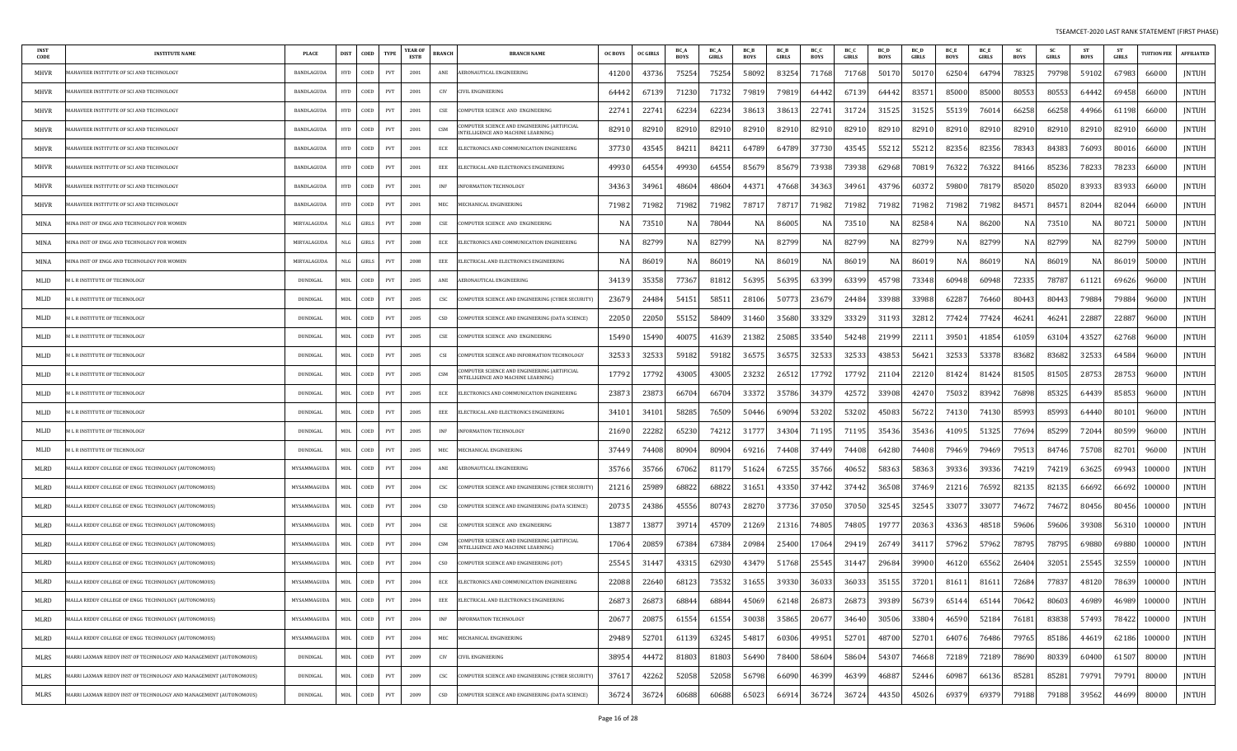| <b>INST</b><br>CODE | <b>INSTITUTE NAME</b>                                             | <b>PLACE</b> | <b>DIST</b> | COED  | <b>TYPE</b>                 | <b>YEAR OF</b><br><b>ESTB</b> | <b>BRANCH</b>    | <b>BRANCH NAME</b>                                                               | <b>OC BOYS</b> | <b>OC GIRLS</b> | BC_A<br><b>BOYS</b> | <b>BC</b> A<br>GIRLS | <b>BC_B</b><br>BOYS | <b>BC</b> B<br>GIRLS | BC_C<br><b>BOYS</b> | BC O<br><b>GIRLS</b> | BC D<br>BOYS | <b>BC</b> L<br><b>GIRLS</b> | <b>BC</b> E<br><b>BOYS</b> | <b>BC</b> E<br>GIRLS | -SC<br>BOYS | <b>SC</b><br>GIRLS | <b>ST</b><br>BOYS | - ST<br><b>GIRLS</b> | <b>UITION FEE</b> | <b>AFFILIATED</b> |
|---------------------|-------------------------------------------------------------------|--------------|-------------|-------|-----------------------------|-------------------------------|------------------|----------------------------------------------------------------------------------|----------------|-----------------|---------------------|----------------------|---------------------|----------------------|---------------------|----------------------|--------------|-----------------------------|----------------------------|----------------------|-------------|--------------------|-------------------|----------------------|-------------------|-------------------|
| MHVR                | AHAVEER INSTITUTE OF SCI AND TECHNOLOGY                           | BANDLAGUDA   | <b>HYD</b>  | COED  | PVT                         | 2001                          | ANE              | AERONAUTICAL ENGINEERING                                                         | 41200          | 4373            | 75254               | 7525                 | 58092               | 83254                | 71768               | 71768                | 50170        | 5017                        | 62504                      | 64794                | 78325       | 79798              | 59102             | 67983                | 66000             | <b>JNTUH</b>      |
| MHVR                | AHAVEER INSTITUTE OF SCI AND TECHNOLOGY                           | BANDLAGUDA   | <b>HYD</b>  | COED  | PVT                         | 2001                          | CIV              | IVIL ENGINEERING                                                                 | 6444           | 6713            | 71230               | 7173                 | 7981                | 7981                 | 64442               | 6713                 | 64442        | 8357                        | 85000                      | 85000                | 80553       | 80553              | 64442             | 69458                | 66000             | <b>JNTUH</b>      |
| MHVR                | AHAVEER INSTITUTE OF SCI AND TECHNOLOGY                           | BANDLAGUDA   | <b>HYD</b>  | COED  | PVT                         | 2001                          | CSE              | OMPUTER SCIENCE AND ENGINEERING                                                  | 22741          | 2274            | 62234               | 6223                 | 3861                | 3861                 | 22741               | 31724                | 3152.        | 31525                       | 55139                      | 7601                 | 66258       | 66258              | 44966             | 61198                | 66000             | JNTUH             |
| <b>MHVR</b>         | IAHAVEER INSTITUTE OF SCI AND TECHNOLOGY                          | BANDLAGUDA   | <b>HYD</b>  | COED  | PVT                         | 2001                          | CSM              | OMPUTER SCIENCE AND ENGINEERING (ARTIFICIAL<br>NTELLIGENCE AND MACHINE LEARNING) | 8291           | 8291            | 82910               | 8291                 | 8291                | 82910                | 82910               | 82910                | 82910        | 82910                       | 82910                      | 82910                | 8291        | 82910              | 82910             | 82910                | 66000             | JNTUH             |
| MHVR                | IAHAVEER INSTITUTE OF SCI AND TECHNOLOGY                          | BANDLAGUDA   | <b>HYD</b>  | COED  | PVT                         | 2001                          | ECE              | LECTRONICS AND COMMUNICATION ENGINEERING:                                        | 3773           | 4354            | 84211               | 8421                 | 64789               | 64789                | 37730               | 4354.                | 55212        | 5521                        | 82356                      | 82356                | 78343       | 84383              | 76093             | 80016                | 66000             | JNTUH             |
| MHVR                | IAHAVEER INSTITUTE OF SCI AND TECHNOLOGY                          | BANDLAGUDA   | <b>HYD</b>  | COED  | PVT                         | 2001                          | EEE              | ELECTRICAL AND ELECTRONICS ENGINEERING                                           | 49930          | 6455            | 49930               | 64554                | 8567                | 8567                 | 73938               | 73938                | 62968        | 7081                        | 76322                      | 76322                | 84166       | 85236              | 78233             | 78233                | 66000             | JNTUH             |
| MHVR                | AHAVEER INSTITUTE OF SCI AND TECHNOLOGY                           | BANDLAGUDA   | <b>HYD</b>  | COED  | PVT                         | 2001                          | INF              | <b>INFORMATION TECHNOLOGY</b>                                                    | 34363          | 3496            | 48604               | 4860                 | 44371               | 47668                | 34363               | 34961                | 43796        | 6037                        | 59800                      | 78179                | 85020       | 85020              | 83933             | 83933                | 66000             | <b>JNTUH</b>      |
| MHVR                | <b>IAHAVEER INSTITUTE OF SCI AND TECHNOLOGY</b>                   | BANDLAGUDA   | <b>HYD</b>  | COED  | PVT                         | 2001                          | MEC              | <b>IECHANICAL ENGINEERING</b>                                                    | 71982          | 7198            | 71982               | 71982                | 7871                | 7871                 | 71982               | 71982                | 71982        | 71982                       | 71982                      | 71982                | 8457.       | 84571              | 82044             | 82044                | 66000             | JNTUH             |
| MINA                | IINA INST OF ENGG AND TECHNOLOGY FOR WOMEN                        | MIRYALAGUDA  | NLG         | GIRLS | PVT                         | 2008                          | CSE              | OMPUTER SCIENCE AND ENGINEERING                                                  |                | 7351            | NA                  | 7804                 | N.                  | 8600                 | NA                  | 73510                | N.           | 8258                        | NA                         | 86200                | N.          | 73510              | NA                | 8072                 | 50000             | <b>JNTUH</b>      |
| MINA                | IINA INST OF ENGG AND TECHNOLOGY FOR WOMEN                        | MIRYALAGUDA  | NLG         | GIRLS | PVT                         | 2008                          | ECE              | LECTRONICS AND COMMUNICATION ENGINEERING                                         |                | 8279            | NA                  | 82799                | N A                 | 82799                | NA                  | 82799                | N/           | 82799                       | NA                         | 82799                | NA          | 82799              | NA                | 82799                | 50000             | <b>JNTUH</b>      |
| MINA                | IINA INST OF ENGG AND TECHNOLOGY FOR WOMEN                        | MIRYALAGUDA  | NLG         | GIRLS | PVT                         | 2008                          | EEE              | ELECTRICAL AND ELECTRONICS ENGINEERING                                           |                | 8601            | NA                  | 8601                 | N.                  | 8601                 | NA                  | 8601                 |              | 8601                        | NA                         | 86019                | N.          | 86019              | NA                | 8601                 | 50000             | <b>JNTUH</b>      |
| MLID                | L R INSTITUTE OF TECHNOLOGY                                       | DUNDIGAL     | <b>MDL</b>  | COED  | PVT                         | 2005                          | ANE              | AERONAUTICAL ENGINEERING                                                         | 3413           | 3535            | 77367               | 8181                 | 56395               | 56395                | 63399               | 63399                | 45798        | 73348                       | 60948                      | 60948                | 7233        | 78787              | 61121             | 69626                | 96000             | JNTUH             |
| MLID                | L R INSTITUTE OF TECHNOLOGY                                       | DUNDIGAL     | MDL         | COED  | PVT                         | 2005                          | CSC              | COMPUTER SCIENCE AND ENGINEERING (CYBER SECURITY)                                | 2367           | 24484           | 54151               | 5851                 | 28106               | 5077                 | 23679               | 24484                | 33988        | 33988                       | 62287                      | 76460                | 80443       | 80443              | 79884             | 79884                | 96000             | JNTUH             |
| MLID                | L R INSTITUTE OF TECHNOLOGY                                       | DUNDIGAL     | MDL         | COED  | PVT                         | 2005                          | CSD              | :OMPUTER SCIENCE AND ENGINEERING (DATA SCIENCE)                                  | 2205           | 2205            | 55152               | 5840                 | 31460               | 35680                | 33329               | 33329                | 3119         | 3281                        | 77424                      | 77424                | 46241       | 46241              | 22887             | 22887                | 96000             | JNTUH             |
| MLID                | L R INSTITUTE OF TECHNOLOGY                                       | DUNDIGAL     | MDL         | COED  | PVT                         | 2005                          | CSE              | OMPUTER SCIENCE AND ENGINEERING                                                  | 15490          | 15490           | 40075               | 4163                 | 21382               | 25085                | 33540               | 54248                | 21999        | 2211                        | 39501                      | 41854                | 61059       | 63104              | 43527             | 62768                | 96000             | JNTUH             |
| MLID                | L R INSTITUTE OF TECHNOLOGY                                       | DUNDIGAL     | MDL         | COED  | PVT                         | 2005                          | CSI              | OMPUTER SCIENCE AND INFORMATION TECHNOLOGY                                       | 32533          | 3253            | 59182               | 5918                 | 3657                | 3657                 | 32533               | 32533                | 43853        | 5642                        | 32533                      | 53378                | 83682       | 83682              | 32533             | 64584                | 96000             | <b>JNTUH</b>      |
| MLID                | L R INSTITUTE OF TECHNOLOGY                                       | DUNDIGAL     | MDL         | COED  | PVT                         | 2005                          | CSM              | OMPUTER SCIENCE AND ENGINEERING (ARTIFICIAI<br>NTELLIGENCE AND MACHINE LEARNING) | 1779           | 1779            | 43005               | 4300                 | 23232               | 26512                | 17792               | 17792                | 21104        | 22120                       | 81424                      | 81424                | 81505       | 81505              | 28753             | 28753                | 96000             | JNTUH             |
| MLID                | I L R INSTITUTE OF TECHNOLOGY                                     | DUNDIGAL     | MDL         | COED  | PVT                         | 2005                          | ECE              | ELECTRONICS AND COMMUNICATION ENGINEERING                                        | 2387           | 2387            | 66704               | 6670                 | 3337                | 35786                | 34379               | 42572                | 33908        | 42470                       | 75032                      | 83942                | 76898       | 85325              | 64439             | 85853                | 96000             | <b>JNTUH</b>      |
| MLID                | L R INSTITUTE OF TECHNOLOGY                                       | DUNDIGAL     | MDL         | COED  | PVT                         | 2005                          | EEE              | LECTRICAL AND ELECTRONICS ENGINEERING                                            | 34101          | 3410            | 58285               | 7650                 | 50446               | 69094                | 53202               | 53202                | 45083        | 56722                       | 74130                      | 74130                | 85993       | 85993              | 64440             | 8010                 | 96000             | <b>JNTUH</b>      |
| MLID                | L R INSTITUTE OF TECHNOLOGY                                       | DUNDIGAL     | MDL         | COED  | PVT                         | 2005                          | <b>INF</b>       | NFORMATION TECHNOLOGY                                                            | 2169           | 2228            | 65230               | 7421                 | 3177                | 3430                 | 71195               | 71195                | 35436        | 35436                       | 4109                       | 5132                 | 7769        | 85299              | 72044             | 80599                | 96000             | <b>JNTUH</b>      |
| MLID                | <b>L R INSTITUTE OF TECHNOLOGY</b>                                | DUNDIGAL     | MDL         | COED  | PVT                         | 2005                          | MEC              | MECHANICAL ENGINEERING                                                           | 37449          | 7440            | 80904               | 8090                 | 6921                | 74408                | 37449               | 74408                | 64280        | 74408                       | 79469                      | 79469                | 79513       | 84746              | 75708             | 82701                | 96000             | JNTUH             |
| MLRD                | IALLA REDDY COLLEGE OF ENGG  TECHNOLOGY (AUTONOMOUS)              | MYSAMMAGUDA  | MDL         | COED  | PVT                         | 2004                          | ANE              | AERONAUTICAL ENGINEERING                                                         | 35766          | 35766           | 67062               | 8117                 | 51624               | 67255                | 35766               | 40652                | 58363        | 58363                       | 39336                      | 39336                | 74219       | 74219              | 63625             | 69943                | 100000            | JNTUH             |
| MLRD                | ALLA REDDY COLLEGE OF ENGG TECHNOLOGY (AUTONOMOUS)                | MYSAMMAGUDA  | MDL         | COED  | PVT                         | 2004                          | CSC              | OMPUTER SCIENCE AND ENGINEERING (CYBER SECURITY)                                 | 2121           | 2598            | 68822               | 6882                 | 31651               | 43350                | 37442               | 37442                | 36508        | 3746                        | 21216                      | 76592                | 82135       | 82135              | 66692             | 66692                | 100000            | JNTUH             |
| MLRD                | ALLA REDDY COLLEGE OF ENGG TECHNOLOGY (AUTONOMOUS)                | MYSAMMAGUDA  | MDL         | COED  | PVT                         | 2004                          | CSD              | COMPUTER SCIENCE AND ENGINEERING (DATA SCIENCE)                                  | 20735          | 24386           | 45556               | 8074                 | 28270               | 37736                | 37050               | 37050                | 32545        | 32545                       | 33077                      | 3307.                | 74672       | 74672              | 80456             | 80456                | 100000            | JNTUH             |
| MLRD                | IALLA REDDY COLLEGE OF ENGG TECHNOLOGY (AUTONOMOUS)               | MYSAMMAGUDA  | MDL         | COED  | PVT                         | 2004                          | CSE              | COMPUTER SCIENCE AND ENGINEERING                                                 | 1387           | 1387            | 39714               | 4570                 | 21269               | 21316                | 74805               | 74805                | 19777        | 20363                       | 43363                      | 48518                | 59606       | 59606              | 39308             | 56310                | 100000            | <b>JNTUH</b>      |
| MLRD                | ALLA REDDY COLLEGE OF ENGG  TECHNOLOGY (AUTONOMOUS)               | MYSAMMAGUDA  | <b>MDL</b>  | COED  | PVT                         | 2004                          | CSM              | OMPUTER SCIENCE AND ENGINEERING (ARTIFICIAL<br>NTELLIGENCE AND MACHINE LEARNING) | 17064          | 2085            | 67384               | 6738                 | 20984               | 25400                | 17064               | 29419                | 26749        | 3411                        | 57962                      | 57962                | 78795       | 78795              | 69880             | 69880                | 100000            | <b>JNTUH</b>      |
| MLRD                | ALLA REDDY COLLEGE OF ENGG TECHNOLOGY (AUTONOMOUS)                | MYSAMMAGUDA  | <b>MDL</b>  | COED  | PVT                         | 2004                          | CSO <sub>1</sub> | OMPUTER SCIENCE AND ENGINEERING (IOT)                                            | 25545          | 3144            | 4331                | 6293                 | 4347                | 51768                | 25545               | 31447                | 29684        | 39900                       | 46120                      | 65562                | 26404       | 32051              | 25545             | 32559                | 100000            | <b>JNTUH</b>      |
| MLRD                | MALLA REDDY COLLEGE OF ENGG TECHNOLOGY (AUTONOMOUS)               | MYSAMMAGUDA  | MDL         | COED  | PVT                         | 2004                          | ECE              | ELECTRONICS AND COMMUNICATION ENGINEERING                                        | 22088          | 22640           | 68123               | 73532                | 31655               | 39330                | 36033               | 36033                | 35155        | 37201                       | 81611                      | 8161                 | 72684       | 77837              | 48120             | 78639                | 100000            | <b>JNTUH</b>      |
| MLRD                | MALLA REDDY COLLEGE OF ENGG TECHNOLOGY (AUTONOMOUS)               | MYSAMMAGUDA  | MDL         | COED  | PVT                         | 2004                          | EEE              | ELECTRICAL AND ELECTRONICS ENGINEERING                                           | 26873          | 26873           | 68844               | 68844                | 45069               | 62148                | 26873               | 26873                | 39389        | 56739                       | 65144                      | 65144                | 70642       | 80603              | 46989             | 46989                | 100000            | JNTUH             |
| MLRD                | AALLA REDDY COLLEGE OF ENGG TECHNOLOGY (AUTONOMOUS)               | MYSAMMAGUDA  | MDL         | COED  | PVT                         | 2004                          | <b>INF</b>       | INFORMATION TECHNOLOGY                                                           | 20677          | 20875           | 61554               | 61554                | 30038               | 35865                | 20677               | 34640                | 30506        | 33804                       | 46590                      | 52184                | 76181       | 83838              | 57493             | 78422                | 100000            | JNTUH             |
| MLRD                | AALLA REDDY COLLEGE OF ENGG TECHNOLOGY (AUTONOMOUS)               | MYSAMMAGUDA  | MDL         | COED  | PVT                         | 2004                          | MEC              | MECHANICAL ENGINEERING                                                           | 29489          | 52701           | 61139               | 6324                 | 54817               | 60306                | 49951               | 52701                | 48700        | 52701                       | 64076                      | 76486                | 79765       | 85186              | 44619             | 62186                | 100000            | JNTUH             |
| MLRS                | IARRI LAXMAN REDDY INST OF TECHNOLOGY AND MANAGEMENT (AUTONOMOUS) | DUNDIGAL     | MDL         | COED  | PVT                         | 2009                          | CIV              | CIVIL ENGINEERING                                                                | 38954          | 44472           | 81803               | 81803                | 56490               | 78400                | 58604               | 58604                | 54307        | 74668                       | 72189                      | 72189                | 78690       | 80339              | 60400             | 61507                | 80000             | JNTUH             |
| MLRS                | AARRI LAXMAN REDDY INST OF TECHNOLOGY AND MANAGEMENT (AUTONOMOUS) | DUNDIGAL     | MDL         | COED  | PVT                         | 2009                          | CSC              | COMPUTER SCIENCE AND ENGINEERING (CYBER SECURITY)                                | 37617          | 42262           | 52058               | 52058                | 56798               | 66090                | 46399               | 46399                | 46887        | 52446                       | 60987                      | 66136                | 85281       | 85281              | 79791             | 79791                | 80000             | JNTUH             |
| MLRS                | MARRI LAXMAN REDDY INST OF TECHNOLOGY AND MANAGEMENT (AUTONOMOUS) | DUNDIGAL     | MDL         | COED  | $\ensuremath{\mathrm{PVT}}$ | 2009                          | $_{\tt CSD}$     | COMPUTER SCIENCE AND ENGINEERING (DATA SCIENCE)                                  | 36724          | 3672            | 60688               | 60688                | 65023               | 6691                 | 36724               | 36724                | 44350        | 45026                       | 69379                      | 69379                | 79188       | 79188              | 39562             | 44699                | 80000             | JNTUH             |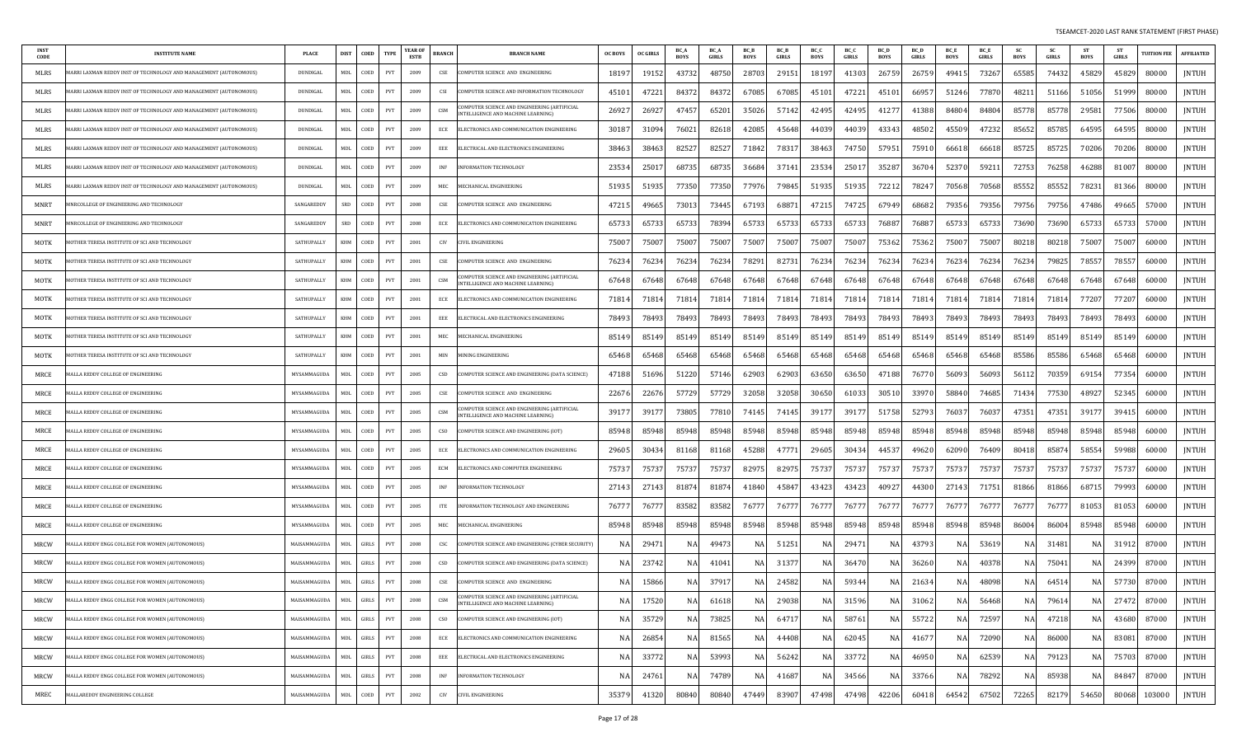| <b>INST</b><br>CODE | <b>INSTITUTE NAME</b>                                             | <b>PLACE</b>    | <b>DIST</b>    | COED<br><b>TYPE</b>                 | YEAR OI<br><b>ESTB</b> | BRANCH                             | <b>BRANCH NAME</b>                                                                       | <b>OC BOYS</b> | OC GIRLS | BC_A<br>BOYS | <b>BC</b> A<br>GIRLS | <b>BC</b> E<br>BOYS | <b>BC</b> B<br>GIRLS | BC_C<br>BOYS | <b>BC C</b><br>GIRLS | BC <sub>D</sub><br><b>BOYS</b> | BC D<br>GIRLS | BC_E<br><b>BOYS</b> | <b>BC</b> E<br>GIRLS | <b>BOYS</b> | <b>SC</b><br>GIRLS | ST<br><b>BOYS</b> | -ST<br><b>GIRLS</b> | <b>TUITION FEE</b> | <b>AFFILIATED</b> |
|---------------------|-------------------------------------------------------------------|-----------------|----------------|-------------------------------------|------------------------|------------------------------------|------------------------------------------------------------------------------------------|----------------|----------|--------------|----------------------|---------------------|----------------------|--------------|----------------------|--------------------------------|---------------|---------------------|----------------------|-------------|--------------------|-------------------|---------------------|--------------------|-------------------|
| MLRS                | IARRI LAXMAN REDDY INST OF TECHNOLOGY AND MANAGEMENT (AUTONOMOUS) | DUNDIGAL        | MDL            | COED<br>PVT                         | 2009                   | CSE                                | OMPUTER SCIENCE AND ENGINEERING                                                          | 18197          | 19152    | 4373.        | 48750                | 2870                | 29151                | 18197        | 41303                | 26759                          | 26759         | 4941.               | 73267                | 65585       | 74432              | 45829             | 45829               | 80000              | <b>JNTUH</b>      |
| MLRS                | IARRI LAXMAN REDDY INST OF TECHNOLOGY AND MANAGEMENT (AUTONOMOUS) | DUNDIGAL        | MDL            | COED<br>PVT                         | 2009                   | CSI                                | <b>OMPUTER SCIENCE AND INFORMATION TECHNOLOGY</b>                                        | 4510           | 47221    | 8437         | 8437                 | 67085               | 67085                | 45101        | 47221                | 4510                           | 66957         | 51246               | 77870                | 4821        | 51166              | 51056             | 51999               | 80000              | <b>JNTUH</b>      |
| MLRS                | IARRI LAXMAN REDDY INST OF TECHNOLOGY AND MANAGEMENT (AUTONOMOUS) | DUNDIGAL        | MDL            | COED<br>PVT                         | 2009                   | CSM                                | MPUTER SCIENCE AND ENGINEERING (ARTIFICIAL<br><b>INTELLIGENCE AND MACHINE LEARNING)</b>  | 2692           | 26927    | 47457        | 65201                | 35026               | 57142                | 42495        | 42495                | 4127                           | 41388         | 8480                | 84804                | 85778       | 85778              | 2958              | 77506               | 80000              | <b>JNTUH</b>      |
| <b>MLRS</b>         | ARRI LAXMAN REDDY INST OF TECHNOLOGY AND MANAGEMENT (AUTONOMOUS)  | DUNDIGAL        | MDL            | COED<br>PVT                         | 2009                   | ECE                                | ELECTRONICS AND COMMUNICATION ENGINEERING                                                | 3018           | 31094    | 7602         | 8261                 | 42085               | 45648                | 44039        | 44039                | 43343                          | 48502         | 4550                | 47232                | 85652       | 85785              | 64595             | 64595               | 80000              | <b>JNTUH</b>      |
| MLRS                | IARRI LAXMAN REDDY INST OF TECHNOLOGY AND MANAGEMENT (AUTONOMOUS) | DUNDIGAL        | MDL            | COED<br>PVT                         | 2009                   | EEE                                | ELECTRICAL AND ELECTRONICS ENGINEERING                                                   | 3846           | 38463    | 82527        | 82527                | 71842               | 78317                | 38463        | 74750                | 5795                           | 75910         | 6661                | 66618                | 85725       | 85725              | 70206             | 70206               | 80000              | <b>JNTUH</b>      |
| MLRS                | IARRI LAXMAN REDDY INST OF TECHNOLOGY AND MANAGEMENT (AUTONOMOUS) | DUNDIGAL        | MDL            | COED<br>PVT                         | 2009                   | INF                                | <b>INFORMATION TECHNOLOGY</b>                                                            | 23534          | 2501     | 68735        | 68735                | 3668                | 37141                | 23534        | 2501                 | 3528                           | 36704         | 52370               | 59211                | 72753       | 76258              | 46288             | 81007               | 80000              | JNTUH             |
| MLRS                | ARRI LAXMAN REDDY INST OF TECHNOLOGY AND MANAGEMENT (AUTONOMOUS)  | <b>DUNDIGAL</b> | MDL            | COED<br>PVT                         | 2009                   | MEC                                | MECHANICAL ENGINEERING                                                                   | 51935          | 51935    | 77350        | 77350                | 77976               | 79845                | 51935        | 51935                | 7221                           | 78247         | 70568               | 70568                | 85552       | 85552              | 7823              | 81366               | 80000              | <b>JNTUH</b>      |
| <b>MNRT</b>         | INRCOLLEGE OF ENGINEERING AND TECHNOLOGY                          | SANGAREDDY      | SRD            | COED<br>PVT                         | 2008                   | CSE                                | COMPUTER SCIENCE AND ENGINEERING                                                         | 4721           | 49665    | 7301         | 73445                | 67193               | 68871                | 47215        | 74725                | 67949                          | 68682         | 79356               | 79356                | 79756       | 79756              | 47486             | 4966                | 57000              | <b>JNTUH</b>      |
| MNRT                | INRCOLLEGE OF ENGINEERING AND TECHNOLOGY                          | SANGAREDDY      | <b>SRD</b>     | COED<br>PVT                         | 2008                   | ECE                                | ELECTRONICS AND COMMUNICATION ENGINEERING                                                | 6573.          | 6573.    | 6573         | 7839                 | 65733               | 65733                | 65733        | 6573                 | 7688                           | 76887         | 6573                | 65733                | 73690       | 73690              | 65733             | 65733               | 57000              | <b>JNTUH</b>      |
| MOTK                | OTHER TERESA INSTITUTE OF SCI AND TECHNOLOGY                      | SATHUPALLY      | KHM            | COED<br>PVT                         | 2001                   | CIV                                | IVIL ENGINEERING                                                                         | 7500           | 75007    | 7500         | 75007                | 7500                | 75007                | 75007        | 75007                | 75362                          | 75362         | 7500                | 75007                | 80218       | 80218              | 7500              | 75007               | 60000              | <b>JNTUH</b>      |
| MOTK                | OTHER TERESA INSTITUTE OF SCI AND TECHNOLOGY                      | SATHUPALLY      | KHM            | COED<br>PVT                         | 2001                   | CSE                                | COMPUTER SCIENCE AND ENGINEERING                                                         | 76234          | 76234    | 76234        | 7623                 | 7829                | 82731                | 76234        | 76234                | 7623                           | 76234         | 76234               | 76234                | 76234       | 79825              | 78557             | 78557               | 60000              | <b>JNTUH</b>      |
| MOTK                | OTHER TERESA INSTITUTE OF SCI AND TECHNOLOGY                      | SATHUPALLY      | <b>KHM</b>     | COEL<br>PVT                         | 2001                   | CSM                                | OMPUTER SCIENCE AND ENGINEERING (ARTIFICIAL<br>NTELLIGENCE AND MACHINE LEARNING)         | 67648          | 67648    | 67648        | 67648                | 67648               | 67648                | 67648        | 67648                | 67648                          | 67648         | 67648               | 67648                | 67648       | 67648              | 67648             | 67648               | 60000              | <b>JNTUH</b>      |
| MOTK                | OTHER TERESA INSTITUTE OF SCI AND TECHNOLOGY                      | SATHUPALLY      | KHM            | COED<br>PVT                         | 2001                   | ECE                                | ELECTRONICS AND COMMUNICATION ENGINEERING                                                | 7181           | 71814    | 71814        | 71814                | 7181                | 71814                | 71814        | 71814                | 7181                           | 71814         | 71814               | 71814                | 71814       | 71814              | 77207             | 77207               | 60000              | <b>JNTUH</b>      |
| MOTK                | IOTHER TERESA INSTITUTE OF SCI AND TECHNOLOGY                     | SATHUPALLY      | KHM            | COED<br>PVT                         | 2001                   | EEE                                | ELECTRICAL AND ELECTRONICS ENGINEERING                                                   | 7849.          | 78493    | 7849.        | 78493                | 78493               | 78493                | 78493        | 78493                | 7849.                          | 78493         | 7849                | 78493                | 78493       | 78493              | 78493             | 7849                | 60000              | <b>JNTUH</b>      |
| MOTK                | OTHER TERESA INSTITUTE OF SCI AND TECHNOLOGY                      | SATHUPALLY      | KHM            | COED<br>PVT                         | 2001                   | MEC                                | MECHANICAL ENGINEERING                                                                   | 85149          | 85149    | 8514         | 85149                | 85149               | 85149                | 85149        | 85149                | 85149                          | 85149         | 85149               | 85149                | 85149       | 85149              | 85149             | 85149               | 60000              | <b>JNTUH</b>      |
| MOTK                | OTHER TERESA INSTITUTE OF SCI AND TECHNOLOGY                      | SATHUPALLY      | KHM            | COED<br>PVT                         | 2001                   | MIN                                | <b>INING ENGINEERING</b>                                                                 | 65468          | 65468    | 65468        | 65468                | 65468               | 65468                | 65468        | 65468                | 65468                          | 65468         | 65468               | 65468                | 85586       | 85586              | 65468             | 65468               | 60000              | <b>JNTUH</b>      |
| MRCE                | ALLA REDDY COLLEGE OF ENGINEERING                                 | MYSAMMAGUDA     | MDL            | COED<br>PVT                         | 2005                   | CSD                                | COMPUTER SCIENCE AND ENGINEERING (DATA SCIENCE)                                          | 47188          | 51696    | 51220        | 57146                | 62903               | 62903                | 63650        | 63650                | 47188                          | 76770         | 56093               | 56093                | 5611        | 70359              | 6915              | 7735                | 60000              | JNTUH             |
| MRCE                | ALLA REDDY COLLEGE OF ENGINEERING                                 | MYSAMMAGUDA     | MDI.           | COED<br>PVT                         | 2005                   | CSE                                | COMPUTER SCIENCE AND ENGINEERING                                                         | 2267           | 22676    | 5772         | 57729                | 32058               | 32058                | 30650        | 61033                | 30510                          | 33970         | 58840               | 74685                | 71434       | 77530              | 4892              | 52345               | 60000              | <b>JNTUH</b>      |
| MRCE                | ALLA REDDY COLLEGE OF ENGINEERING                                 | MYSAMMAGUDA     | MDL            | COED<br>PVT                         | 2005                   | CSM                                | OMPUTER SCIENCE AND ENGINEERING (ARTIFICIAL<br><b>INTELLIGENCE AND MACHINE LEARNING)</b> | 39177          | 3917     | 7380         | 7781                 | 74145               | 74145                | 39177        | 3917                 | 51758                          | 52793         | 7603                | 76037                | 47351       | 47351              | 3917              | 39415               | 60000              | <b>JNTUH</b>      |
| MRCE                | ALLA REDDY COLLEGE OF ENGINEERING                                 | MYSAMMAGUDA     | MDL            | COED<br><b>PVT</b>                  | 2005                   | CSO                                | COMPUTER SCIENCE AND ENGINEERING (IOT)                                                   | 85948          | 85948    | 85948        | 85948                | 85948               | 85948                | 85948        | 85948                | 85948                          | 85948         | 85948               | 85948                | 85948       | 85948              | 85948             | 85948               | 60000              | <b>JNTUH</b>      |
| MRCE                | <b>IALLA REDDY COLLEGE OF ENGINEERING</b>                         | MYSAMMAGUDA     | MDL            | COED<br>PVT                         | 2005                   | ECE                                | ELECTRONICS AND COMMUNICATION ENGINEERING                                                | 2960           | 30434    | 81168        | 81168                | 45288               | 47771                | 29605        | 30434                | 4453                           | 49620         | 62090               | 76409                | 80418       | 85874              | 5855              | 59988               | 60000              | JNTUH             |
| MRCE                | IALLA REDDY COLLEGE OF ENGINEERING                                | MYSAMMAGUDA     | MDI.           | COED<br><b>PVT</b>                  | 2005                   | ECM                                | ELECTRONICS AND COMPUTER ENGINEERING                                                     | 7573           | 75737    | 7573         | 7573                 | 82975               | 82975                | 75737        | 75737                | 7573                           | 75737         | 7573.               | 75737                | 75737       | 75737              | 75737             | 7573.               | 60000              | <b>JNTUH</b>      |
| MRCE                | ALLA REDDY COLLEGE OF ENGINEERING                                 | MYSAMMAGUDA     | MDL            | COED<br>PVT                         | 2005                   | INF                                | NFORMATION TECHNOLOGY                                                                    | 27143          | 27143    | 8187         | 8187                 | 41840               | 45847                | 43423        | 43423                | 4092                           | 44300         | 27143               | 71751                | 81866       | 81866              | 68715             | 79993               | 60000              | JNTUH             |
| MRCE                | ALLA REDDY COLLEGE OF ENGINEERING                                 | MYSAMMAGUDA     | MDL            | COED<br>PVT                         | 2005                   | ITE                                | INFORMATION TECHNOLOGY AND ENGINEERING                                                   | 7677           | 76777    | 83582        | 83582                | 7677                | 76777                | 76777        | 76777                | 7677                           | 76777         | 7677                | 76777                | 7677        | 76777              | 81053             | 81053               | 60000              | JNTUH             |
| MRCE                | ALLA REDDY COLLEGE OF ENGINEERING                                 | MYSAMMAGUDA     | MDL            | COED<br>PVT                         | 2005                   | MEC                                | MECHANICAL ENGINEERING                                                                   | 85948          | 85948    | 85948        | 85948                | 85948               | 85948                | 85948        | 85948                | 85948                          | 85948         | 85948               | 85948                | 8600        | 86004              | 85948             | 85948               | 60000              | <b>JNTUH</b>      |
| MRCW                | ALLA REDDY ENGG COLLEGE FOR WOMEN (AUTONOMOUS)                    | MAISAMMAGUDA    | MDL            | GIRLS<br>PVT                        | 2008                   | csc                                | COMPUTER SCIENCE AND ENGINEERING (CYBER SECURITY)                                        | N.             | 2947     | NA           | 4947                 | N/                  | 51251                | NA           | 2947                 | N/                             | 43793         | NA                  | 5361                 | NA          | 31481              | NA                | 31912               | 87000              | <b>JNTUH</b>      |
| MRCW                | ALLA REDDY ENGG COLLEGE FOR WOMEN (AUTONOMOUS)                    | MAISAMMAGUDA    | MDI.           | <b>GIRLS</b><br><b>PVT</b>          | 2008                   | CSD                                | COMPUTER SCIENCE AND ENGINEERING (DATA SCIENCE)                                          |                | 23742    | NA           | 4104                 | ΝA                  | 31377                | NA           | 3647                 | NA                             | 36260         | NA                  | 40378                | NA          | 75041              | NA                | 2439                | 87000              | <b>JNTUH</b>      |
| MRCW                | MALLA REDDY ENGG COLLEGE FOR WOMEN (AUTONOMOUS)                   | MAISAMMAGUDA    | MDL            | GIRLS<br>PVT                        | 2008                   | CSE                                | COMPUTER SCIENCE AND ENGINEERING                                                         |                | 15866    | NA           | 37917                | NA                  | 24582                | NA           | 59344                | NA                             | 21634         | NA                  | 48098                | NA          | 64514              | NA                | 57730               | 87000              | <b>JNTUH</b>      |
| MRCW                | MALLA REDDY ENGG COLLEGE FOR WOMEN (AUTONOMOUS)                   | MAISAMMAGUDA    | MDL            | GIRLS<br>PVT                        | 2008                   | CSM                                | MPUTER SCIENCE AND ENGINEERING (ARTIFICIAL<br>INTELLIGENCE AND MACHINE LEARNING)         | NA.            | 17520    | NA           | 61618                | NA                  | 29038                | NA           | 31596                | NAI                            | 31062         | NA                  | 56468                | NA          | 79614              | NA                | 27472               | 87000              | JNTUH             |
| MRCW                | MALLA REDDY ENGG COLLEGE FOR WOMEN (AUTONOMOUS)                   | MAISAMMAGUDA    | <b>MDL</b>     | GIRLS<br>PVT                        | 2008                   | <b>CSO</b>                         | COMPUTER SCIENCE AND ENGINEERING (IOT)                                                   | <b>NA</b>      | 35729    | NA           | 73825                | NA                  | 64717                | NA           | 58761                | NA                             | 55722         | NA                  | 72597                | <b>NA</b>   | 47218              | NA                | 43680               | 87000              | JNTUH             |
| MRCW                | IALLA REDDY ENGG COLLEGE FOR WOMEN (AUTONOMOUS)                   | MAISAMMAGUDA    | MDL            | $\mbox{GIRLS}$<br>$_{\mathrm{PVT}}$ | 2008                   | ECE                                | ELECTRONICS AND COMMUNICATION ENGINEERING                                                |                | 26854    | <b>NA</b>    | 81565                | NA                  | 44408                | NA           | 62045                | NA                             | 41677         | NA                  | 72090                | NA          | 86000              | NA                | 83081               | 87000              | <b>JNTUH</b>      |
| MRCW                | <b>IALLA REDDY ENGG COLLEGE FOR WOMEN (AUTONOMOUS)</b>            | MAISAMMAGUDA    | MDL            | GIRLS<br>PVT                        | 2008                   | EEE                                | ELECTRICAL AND ELECTRONICS ENGINEERING                                                   | N,             | 33772    | NA           | 53993                | NA                  | 56242                | NA           | 33772                | NA                             | 46950         | NA                  | 62539                | NA          | 79123              | NA                | 75703               | 87000              | JNTUH             |
| MRCW                | MALLA REDDY ENGG COLLEGE FOR WOMEN (AUTONOMOUS)                   | MAISAMMAGUDA    | MDL            | GIRLS<br>PVT                        | 2008                   | $\ensuremath{\mathsf{INF}}\xspace$ | INFORMATION TECHNOLOGY                                                                   | N.             | 24761    | NA           | 74789                | NA                  | 41687                | NA           | 34566                | NA                             | 33766         | NA                  | 78292                | NA          | 85938              | NA                | 84847               | 87000              | JNTUH             |
| MREC                | MALLAREDDY ENGINEERING COLLEGE                                    | MAISAMMAGUDA    | $\texttt{MDL}$ | COED<br>PVT                         | 2002                   | CIV                                | CIVIL ENGINEERING                                                                        | 35379          | 41320    | 80840        | 80840                | 47449               | 83907                | 47498        | 47498                | 42206                          | 60418         | 64542               | 67502                | 72265       | 82179              | 54650             | 80068               | 103000             | JNTUH             |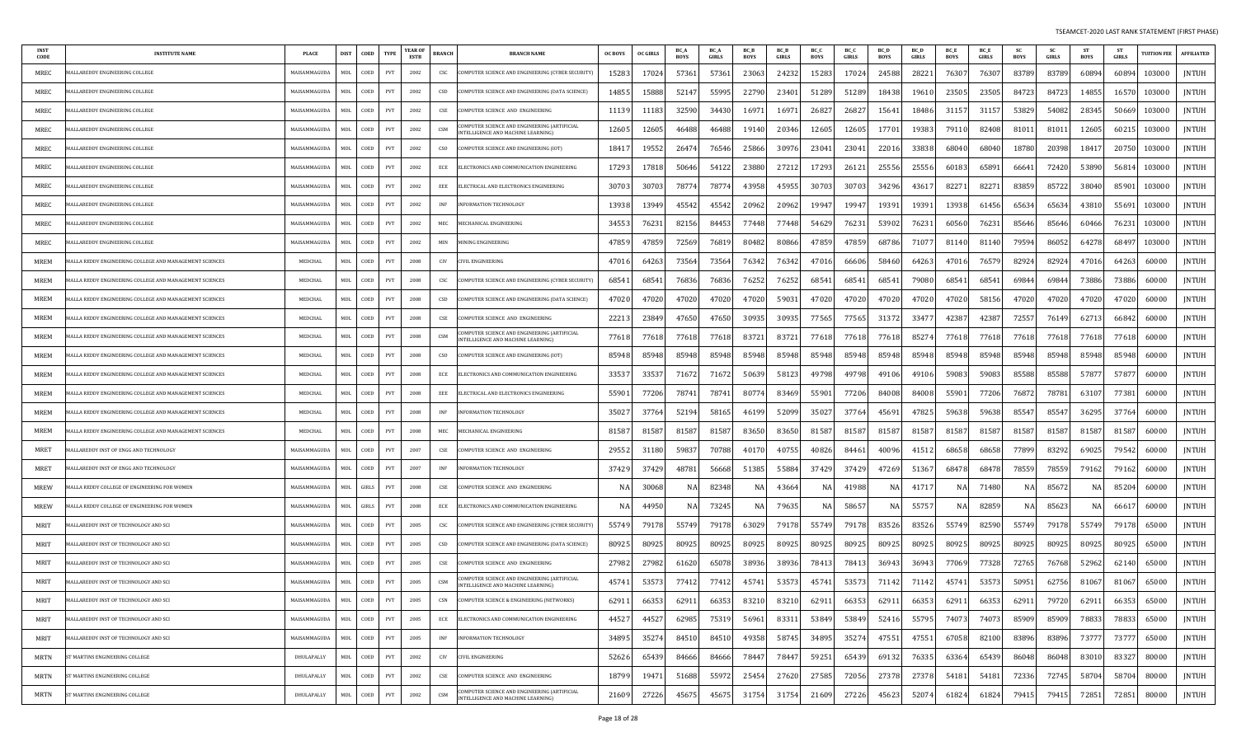| INST<br>CODE | <b>INSTITUTE NAME</b>                                   | <b>PLACE</b> | <b>DIST</b> | COED     | <b>TYPE</b>                 | YEAR OF<br><b>ESTB</b> | <b>BRANCH</b> | <b>BRANCH NAME</b>                                                                      | <b>OC BOYS</b> | <b>OC GIRLS</b> | BC_/<br><b>BOYS</b> | BC_A<br><b>GIRLS</b> | BC_B<br><b>BOYS</b> | <b>BC B</b><br><b>GIRLS</b> | BC_C<br><b>BOYS</b> | BC_C<br><b>GIRLS</b> | BC_D<br><b>BOYS</b> | <b>BC</b> D<br><b>GIRLS</b> | <b>BC</b> E<br><b>BOYS</b> | BC_E<br><b>GIRLS</b> | <b>SC</b><br><b>BOYS</b> | <b>SC</b><br>GIRLS | <b>ST</b><br><b>BOYS</b> | <b>ST</b><br>GIRLS | <b>TUITION FEE</b> | <b>AFFILIATED</b> |
|--------------|---------------------------------------------------------|--------------|-------------|----------|-----------------------------|------------------------|---------------|-----------------------------------------------------------------------------------------|----------------|-----------------|---------------------|----------------------|---------------------|-----------------------------|---------------------|----------------------|---------------------|-----------------------------|----------------------------|----------------------|--------------------------|--------------------|--------------------------|--------------------|--------------------|-------------------|
| MREC         | ALLAREDDY ENGINEERING COLLEGE                           | MAISAMMAGUDA | MDL         | COED     | PVT                         | 2002                   | CSC           | COMPUTER SCIENCE AND ENGINEERING (CYBER SECURITY)                                       | 15283          | 17024           | 57361               | 57361                | 23063               | 24232                       | 15283               | 17024                | 24588               | 2822                        | 76307                      | 76307                | 83789                    | 83789              | 60894                    | 60894              | 103000             | JNTUH             |
| MREC         | ALLAREDDY ENGINEERING COLLEGE                           | MAISAMMAGUDA | MDL         | COED     | PVT                         | 2002                   | CSD           | OMPUTER SCIENCE AND ENGINEERING (DATA SCIENCE):                                         | 14855          | 15888           | 52147               | 55995                | 22790               | 23401                       | 51289               | 51289                | 18438               | 1961                        | 23505                      | 23505                | 84723                    | 84723              | 14855                    | 16570              | 103000             | JNTUH             |
| MREC         | ALLAREDDY ENGINEERING COLLEGE                           | MAISAMMAGUDA | MDL         | COED     | PVT                         | 2002                   | CSE           | COMPUTER SCIENCE AND ENGINEERING                                                        | 11139          | 11183           | 32590               | 34430                | 1697                | 1697                        | 26827               | 26827                | 15641               | 18486                       | 31157                      | 3115                 | 53829                    | 54082              | 28345                    | 50669              | 103000             | JNTUH             |
| MREC         | ALLAREDDY ENGINEERING COLLEGE                           | MAISAMMAGUDA | MDL         | COED     | PVT                         | 2002                   | CSM           | OMPUTER SCIENCE AND ENGINEERING (ARTIFICIAL<br><b>TELLIGENCE AND MACHINE LEARNING)</b>  | 12605          | 12605           | 46488               | 46488                | 19140               | 20346                       | 12605               | 12605                | 17701               | 19383                       | 79110                      | 82408                | 81011                    | 81011              | 12605                    | 6021               | 103000             | <b>JNTUH</b>      |
| MREC         | ALLAREDDY ENGINEERING COLLEGE                           | MAISAMMAGUDA | <b>MDL</b>  | COED     | PVT                         | 2002                   | <b>CSO</b>    | OMPUTER SCIENCE AND ENGINEERING (IOT)                                                   | 1841.          | 19552           | 26474               | 76546                | 25866               | 30976                       | 23041               | 23041                | 22016               | 3383                        | 68040                      | 68040                | 18780                    | 20398              | 18417                    | 20750              | 103000             | <b>JNTUH</b>      |
| MREC         | <b>IALLAREDDY ENGINEERING COLLEGE</b>                   | MAISAMMAGUDA | MDL         | COED     | PVT                         | 2002                   | ECE           | ELECTRONICS AND COMMUNICATION ENGINEERING                                               | 17293          | 17818           | 50646               | 54122                | 23880               | 27212                       | 17293               | 26121                | 25556               | 2555                        | 60183                      | 6589                 | 66641                    | 72420              | 53890                    | 56814              | 103000             | JNTUH             |
| MREC         | <b>IALLAREDDY ENGINEERING COLLEGE</b>                   | MAISAMMAGUDA | MDL         | COED     | PVT                         | 2002                   | EEE           | ELECTRICAL AND ELECTRONICS ENGINEERING                                                  | 30703          | 30703           | 78774               | 7877                 | 43958               | 45955                       | 30703               | 30703                | 34296               | 4361                        | 82271                      | 8227                 | 83859                    | 85722              | 38040                    | 85901              | 103000             | JNTUH             |
| MREC         | IALLAREDDY ENGINEERING COLLEGE                          | MAISAMMAGUDA | <b>MDL</b>  | COED     | PVT                         | 2002                   | <b>INF</b>    | <b>INFORMATION TECHNOLOGY</b>                                                           | 13938          | 13949           | 45542               | 45542                | 20962               | 20962                       | 19947               | 19947                | 19391               | 1939                        | 13938                      | 61456                | 65634                    | 65634              | 43810                    | 55691              | 103000             | JNTUH             |
| MREC         | ALLAREDDY ENGINEERING COLLEGE                           | MAISAMMAGUDA | MDL         | COED     | PVT                         | 2002                   | MEC           | <b>IECHANICAL ENGINEERING</b>                                                           | 34553          | 7623            | 82156               | 84453                | 77448               | 77448                       | 54629               | 76231                | 53902               | 7623                        | 60560                      | 76231                | 85646                    | 85646              | 60466                    | 76231              | 103000             | JNTUH             |
| MREC         | ALLAREDDY ENGINEERING COLLEGE                           | MAISAMMAGUDA | MDL         | COED     | PVT                         | 2002                   | MIN           | <b>IINING ENGINEERING</b>                                                               | 4785           | 4785            | 72569               | 76819                | 80482               | 80866                       | 47859               | 47859                | 68786               | 7107                        | 81140                      | 81140                | 79594                    | 86052              | 64278                    | 68497              | 103000             | JNTUH             |
| <b>MREM</b>  | ALLA REDDY ENGINEERING COLLEGE AND MANAGEMENT SCIENCES  | MEDCHAL      | MDL         | COED     | PVT                         | 2008                   | CIV           | IVIL ENGINEERING                                                                        | 47016          | 64263           | 73564               | 73564                | 76342               | 76342                       | 47016               | 66606                | 58460               | 6426                        | 47016                      | 7657                 | 82924                    | 82924              | 47016                    | 64263              | 60000              | JNTUH             |
| <b>MREM</b>  | ALLA REDDY ENGINEERING COLLEGE AND MANAGEMENT SCIENCES  | MEDCHAL      | <b>MDL</b>  | COED     | PVT                         | 2008                   | CSC           | COMPUTER SCIENCE AND ENGINEERING (CYBER SECURITY                                        | 6854           | 6854            | 76836               | 76836                | 76252               | 7625                        | 68541               | 68541                | 68541               | 7908                        | 68541                      | 6854                 | 69844                    | 6984               | 73886                    | 73886              | 60000              | <b>JNTUH</b>      |
| <b>MREM</b>  | ALLA REDDY ENGINEERING COLLEGE AND MANAGEMENT SCIENCES  | MEDCHAL      | MDL         | COED     | PVT                         | 2008                   | CSD           | COMPUTER SCIENCE AND ENGINEERING (DATA SCIENCE)                                         | 47020          | 47020           | 47020               | 47020                | 4702                | 5903                        | 47020               | 47020                | 47020               | 4702                        | 47020                      | 5815                 | 47020                    | 4702               | 47020                    | 47020              | 60000              | <b>JNTUH</b>      |
| <b>MREM</b>  | ALLA REDDY ENGINEERING COLLEGE AND MANAGEMENT SCIENCES  | MEDCHAL      | <b>MDL</b>  | COED     | PVT                         | 2008                   | CSE           | OMPUTER SCIENCE AND ENGINEERING                                                         | 2221           | 23849           | 47650               | 47650                | 30935               | 30935                       | 77565               | 77565                | 3137                | 3347                        | 42387                      | 42387                | 72557                    | 76149              | 62713                    | 66842              | 60000              | JNTUH             |
| <b>MREM</b>  | ALLA REDDY ENGINEERING COLLEGE AND MANAGEMENT SCIENCES  | MEDCHAL      | MDL         | COED     | PVT                         | 2008                   | CSM           | COMPUTER SCIENCE AND ENGINEERING (ARTIFICIAL<br>NTELLIGENCE AND MACHINE LEARNING'       | 77618          | 77618           | 77618               | 77618                | 8372                | 8372                        | 77618               | 77618                | 77618               | 8527                        | 77618                      | 77618                | 77618                    | 77618              | 77618                    | 77618              | 60000              | JNTUH             |
| <b>MREM</b>  | ALLA REDDY ENGINEERING COLLEGE AND MANAGEMENT SCIENCES  | MEDCHAL      | MDL         | COED     | PVT                         | 2008                   | cso           | COMPUTER SCIENCE AND ENGINEERING (IOT)                                                  | 85948          | 85948           | 85948               | 85948                | 85948               | 85948                       | 85948               | 85948                | 85948               | 8594                        | 85948                      | 85948                | 85948                    | 85948              | 85948                    | 85948              | 60000              | JNTUH             |
| <b>MREM</b>  | IALLA REDDY ENGINEERING COLLEGE AND MANAGEMENT SCIENCES | MEDCHAL      | MDL         | COED     | PVT                         | 2008                   | ECE           | ELECTRONICS AND COMMUNICATION ENGINEERING                                               | 3353           | 3353            | 71672               | 71672                | 50639               | 58123                       | 49798               | 49798                | 49106               | 49106                       | 59083                      | 59083                | 85588                    | 85588              | 57877                    | 57877              | 60000              | JNTUH             |
| MREM         | ALLA REDDY ENGINEERING COLLEGE AND MANAGEMENT SCIENCES  | MEDCHAL      | MDL         | COED     | PVT                         | 2008                   | EEE           | ELECTRICAL AND ELECTRONICS ENGINEERING                                                  | 5590           | 77206           | 78741               | 78741                | 80774               | 83469                       | 55901               | 77206                | 84008               | 84008                       | 55901                      | 77206                | 76872                    | 78781              | 63107                    | 77381              | 60000              | JNTUH             |
| <b>MREM</b>  | ALLA REDDY ENGINEERING COLLEGE AND MANAGEMENT SCIENCES  | MEDCHAI      | MDL         | COED     | PVT                         | 2008                   | INF           | NFORMATION TECHNOLOGY                                                                   | 35027          | 37764           | 52194               | 58165                | 46199               | 5209                        | 35027               | 37764                | 45691               | 4782                        | 59638                      | 59638                | 85547                    | 85547              | 36295                    | 37764              | 60000              | JNTUH             |
| MREM         | IALLA REDDY ENGINEERING COLLEGE AND MANAGEMENT SCIENCES | MEDCHAL      | MDL         | COED     | PVT                         | 2008                   | MEC           | <b>IECHANICAL ENGINEERING</b>                                                           | 8158           | 81587           | 81587               | 81587                | 83650               | 83650                       | 81587               | 81587                | 81587               | 8158                        | 81587                      | 81587                | 81587                    | 81587              | 81587                    | 81587              | 60000              | JNTUH             |
| MRET         | ALLAREDDY INST OF ENGG AND TECHNOLOGY                   | MAISAMMAGUDA | MDL         | COED     | PVT                         | 2007                   | CSE           | COMPUTER SCIENCE AND ENGINEERING                                                        | 29552          | 31180           | 59837               | 70788                | 4017                | 40755                       | 40826               | 84461                | 40096               | 4151                        | 68658                      | 68658                | 77899                    | 83292              | 69025                    | 79542              | 60000              | <b>JNTUH</b>      |
| MRET         | IALLAREDDY INST OF ENGG AND TECHNOLOGY                  | MAISAMMAGUDA | MDL         | COED     | PVT                         | 2007                   | INF           | NFORMATION TECHNOLOGY                                                                   | 37429          | 37429           | 48781               | 56668                | 51385               | 55884                       | 37429               | 37429                | 47269               | 5136                        | 68478                      | 6847                 | 78559                    | 78559              | 79162                    | 79162              | 60000              | <b>JNTUH</b>      |
| MREW         | ALLA REDDY COLLEGE OF ENGINEERING FOR WOMEN             | MAISAMMAGUDA | MDI         | GIRLS    | PVT                         | 2008                   | CSE           | OMPUTER SCIENCE AND ENGINEERING                                                         |                | 30068           |                     | 82348                |                     | 4366                        | NA                  | 41988                | N.                  | 4171                        | NA                         | 71480                | N/                       | 8567               | NA                       | 85204              | 60000              | JNTUH             |
| MREW         | IALLA REDDY COLLEGE OF ENGINEERING FOR WOMEN            | MAISAMMAGUDA | <b>MDL</b>  | GIRLS    | PVT                         | 2008                   | ECE           | ELECTRONICS AND COMMUNICATION ENGINEERING                                               |                | 44950           |                     | 73245                |                     | 79635                       | NA                  | 58657                |                     | 5575                        | NA                         | 82859                | $N_{\ell}$               | 85623              | NA                       | 6661               | 60000              | JNTUH             |
| MRIT         | IALLAREDDY INST OF TECHNOLOGY AND SCI                   | MAISAMMAGUDA | MDL         | COED     | PVT                         | 2005                   | CSC           | OMPUTER SCIENCE AND ENGINEERING (CYBER SECURITY)                                        | 5574           | 79178           | 55749               | 79178                | 63029               | 79178                       | 55749               | 79178                | 83526               | 8352                        | 55749                      | 82590                | 55749                    | 79178              | 55749                    | 79178              | 65000              | JNTUH             |
| MRIT         | IALLAREDDY INST OF TECHNOLOGY AND SCI                   | MAISAMMAGUDA | <b>MDL</b>  | COED     | PVT                         | 2005                   | CSD           | COMPUTER SCIENCE AND ENGINEERING (DATA SCIENCE)                                         | 80925          | 80925           | 80925               | 80925                | 80925               | 80925                       | 80925               | 80925                | 80925               | 80925                       | 80925                      | 80925                | 80925                    | 80925              | 80925                    | 80925              | 65000              | JNTUH             |
| MRIT         | IALLAREDDY INST OF TECHNOLOGY AND SCI                   | MAISAMMAGUDA | MDL         | COED     | PVT                         | 2005                   | CSE           | OMPUTER SCIENCE AND ENGINEERING                                                         | 2798           | 27982           | 61620               | 65078                | 38936               | 38936                       | 78413               | 78413                | 36943               | 3694                        | 77069                      | 7732                 | 72765                    | 76768              | 52962                    | 62140              | 65000              | JNTUH             |
| MRIT         | MALLAREDDY INST OF TECHNOLOGY AND SCI                   | MAISAMMAGUDA | MDL         | COED     | PVT                         | 2005                   | CSM           | OMPUTER SCIENCE AND ENGINEERING (ARTIFICIAL<br>NTELLIGENCE AND MACHINE LEARNING)        | 45741          | 53573           | 77412               | 77412                | 45741               | 53573                       | 45741               | 53573                | 71142               | 71142                       | 45741                      | 5357                 | 50951                    | 62756              | 81067                    | 81067              | 65000              | JNTUH             |
| MRIT         | MALLAREDDY INST OF TECHNOLOGY AND SCI                   | MAISAMMAGUDA |             | MDL COED | PVT                         | 2005                   | CSN           | COMPUTER SCIENCE & ENGINEERING (NETWORKS)                                               | 62911          | 66353           | 62911               | 66353                | 83210               | 83210                       | 62911               | 66353                | 62911               | 66353                       | 62911                      | 66353                | 62911                    | 79720              | 62911                    | 66353              | 65000              | <b>JNTUH</b>      |
| MRIT         | MALLAREDDY INST OF TECHNOLOGY AND SCI                   | MAISAMMAGUDA | MDL         | COED     | $\ensuremath{\mathrm{PVT}}$ | 2005                   | ECE           | ELECTRONICS AND COMMUNICATION ENGINEERING                                               | 44527          | 44527           | 62985               | 75319                | 56961               | 83311                       | 53849               | 53849                | 52416               | 55795                       | 74073                      | 74073                | 85909                    | 85909              | 78833                    | 78833              | 65000              | JNTUH             |
| MRIT         | MALLAREDDY INST OF TECHNOLOGY AND SCI                   | MAISAMMAGUDA | MDL         | COED     | PVT                         | 2005                   | <b>INF</b>    | INFORMATION TECHNOLOGY                                                                  | 34895          | 35274           | 84510               | 84510                | 49358               | 58745                       | 34895               | 35274                | 47551               | 4755                        | 67058                      | 82100                | 83896                    | 83896              | 73777                    | 73777              | 65000              | JNTUH             |
| <b>MRTN</b>  | T MARTINS ENGINEERING COLLEGE                           | DHULAPALLY   | <b>MDL</b>  | COED     | PVT                         | 2002                   | <b>CIV</b>    | CIVIL ENGINEERING                                                                       | 52626          | 65439           | 84666               | 84666                | 78447               | 78447                       | 59251               | 65439                | 69132               | 7633                        | 63364                      | 6543                 | 86048                    | 86048              | 83010                    | 83327              | 80000              | JNTUH             |
| MRTN         | T MARTINS ENGINEERING COLLEGE                           | DHULAPALLY   | MDL         | COED     | PVT                         | 2002                   | CSE           | COMPUTER SCIENCE AND ENGINEERING                                                        | 18799          | 19471           | 51688               | 55972                | 25454               | 27620                       | 27585               | 72056                | 27378               | 2737                        | 54181                      | 54181                | 72336                    | 72745              | 58704                    | 58704              | 80000              | JNTUH             |
| MRTN         | ST MARTINS ENGINEERING COLLEGE                          | DHULAPALLY   | <b>MDL</b>  | COED     | PVT                         | 2002                   | CSM           | COMPUTER SCIENCE AND ENGINEERING (ARTIFICIAL<br><b>NTELLIGENCE AND MACHINE LEARNING</b> | 21609          | 27226           | 45675               | 45675                | 31754               | 31754                       | 21609               | 27226                | 45623               | 5207                        | 61824                      | 61824                | 79415                    | 79415              | 72851                    | 72851              | 80000              | <b>JNTUH</b>      |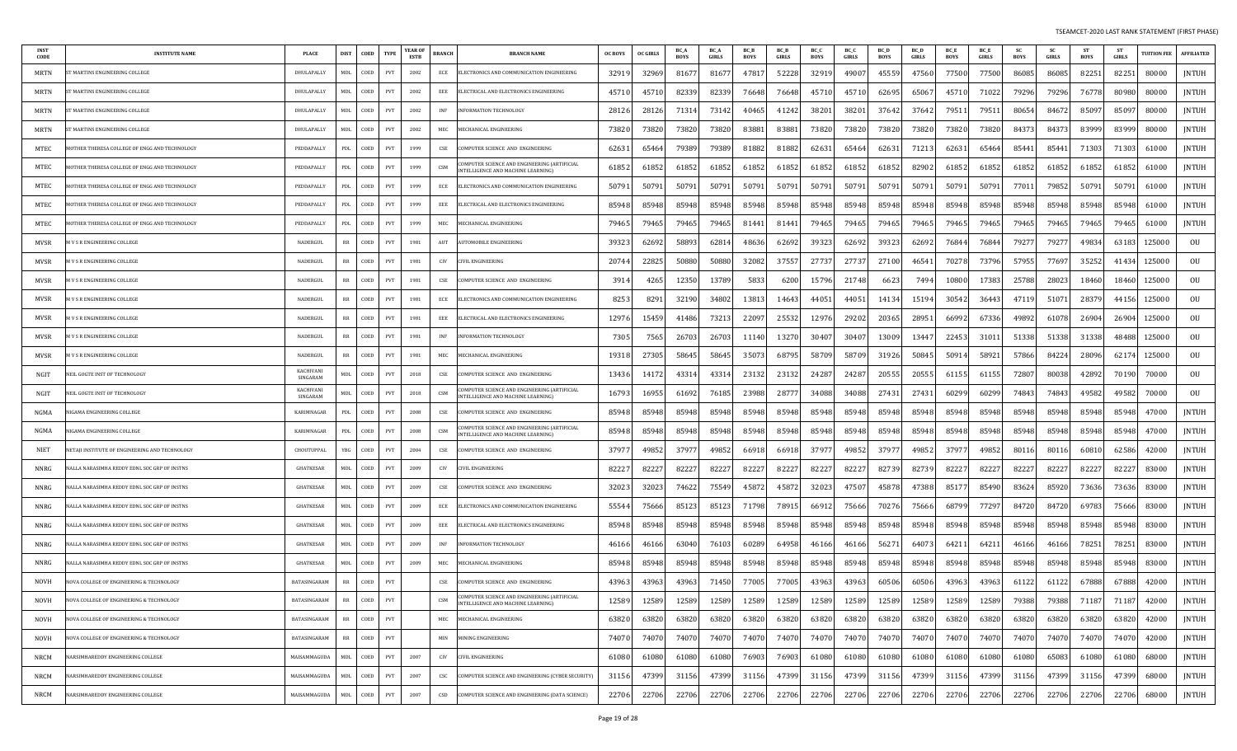| <b>INST</b><br>CODE | <b>INSTITUTE NAME</b>                                | <b>PLACE</b>                        | <b>DIST</b> | COED    | <b>TYPE</b> | YEAR OF<br>ESTB | <b>BRANCH</b> | <b>BRANCH NAME</b>                                                                 | <b>OC BOYS</b> | <b>OC GIRLS</b> | BC /<br><b>BOYS</b> | BC A<br><b>GIRLS</b> | BC_B<br><b>BOYS</b> | <b>BC</b> B<br><b>GIRLS</b> | BC_C<br><b>BOYS</b> | BC_C<br><b>GIRLS</b> | BC_D<br><b>BOYS</b> | <b>BC</b> D<br><b>GIRLS</b> | BC_E<br><b>BOYS</b> | BC_E<br><b>GIRLS</b> | <b>SC</b><br><b>BOYS</b> | - SC<br><b>GIRLS</b> | <b>ST</b><br><b>BOYS</b> | <b>ST</b><br><b>GIRLS</b> | <b>TUITION FEE</b> | <b>AFFILIATED</b> |
|---------------------|------------------------------------------------------|-------------------------------------|-------------|---------|-------------|-----------------|---------------|------------------------------------------------------------------------------------|----------------|-----------------|---------------------|----------------------|---------------------|-----------------------------|---------------------|----------------------|---------------------|-----------------------------|---------------------|----------------------|--------------------------|----------------------|--------------------------|---------------------------|--------------------|-------------------|
| MRTN                | <b>I MARTINS ENGINEERING COLLEGE</b>                 | DHULAPALLY                          | <b>MDL</b>  | COED    | PVT         | 2002            | ECE           | ELECTRONICS AND COMMUNICATION ENGINEERING                                          | 32919          | 32969           | 8167                | 81677                | 4781                | 52228                       | 32919               | 49007                | 45559               | 47560                       | 77500               | 77500                | 86085                    | 86085                | 82251                    | 82251                     | 80000              | <b>JNTUH</b>      |
| MRTN                | <b>I MARTINS ENGINEERING COLLEGE</b>                 | DHULAPALLY                          | MDL         | COED    | PVT         | 2002            | EEE           | ELECTRICAL AND ELECTRONICS ENGINEERING                                             | 4571           | 4571            | 82339               | 82339                | 76648               | 76648                       | 45710               | 45710                | 62695               | 6506                        | 45710               | 7102                 | 79296                    | 79296                | 76778                    | 80980                     | 80000              | JNTUH             |
| MRTN                | MARTINS ENGINEERING COLLEGE                          | DHULAPALLY                          | MDL         | COED    | PVT         | 2002            | <b>INF</b>    | <b>INFORMATION TECHNOLOGY</b>                                                      | 28126          | 2812            | 71314               | 73142                | 40465               | 41242                       | 38201               | 38201                | 37642               | 37642                       | 79511               | 7951                 | 80654                    | 84672                | 85097                    | 85097                     | 80000              | <b>JNTUH</b>      |
| <b>MRTN</b>         | r MARTINS ENGINEERING COLLEGE                        | DHULAPALLY                          | MDL         | COED    | PVT         | 2002            | MEC           | MECHANICAL ENGINEERING                                                             | 73820          | 7382            | 73820               | 73820                | 83881               | 83881                       | 73820               | 73820                | 73820               | 73820                       | 73820               | 73820                | 84373                    | 84373                | 83999                    | 83999                     | 80000              | <b>JNTUH</b>      |
| MTEC                | OTHER THERESA COLLEGE OF ENGG AND TECHNOLOGY         | PEDDAPALLY                          | PDL         | COED    | PVT         | 1999            | CSE           | COMPUTER SCIENCE AND ENGINEERING                                                   | 62631          | 6546            | 79389               | 79389                | 81882               | 81882                       | 62631               | 65464                | 62631               | 7121                        | 62631               | 65464                | 85441                    | 85441                | 71303                    | 71303                     | 61000              | <b>JNTUH</b>      |
| MTEC                | IOTHER THERESA COLLEGE OF ENGG AND TECHNOLOGY        | PEDDAPALLY                          | PDL         | COED    | PVT         | 1999            | CSM           | COMPUTER SCIENCE AND ENGINEERING (ARTIFICIAL<br>NTELLIGENCE AND MACHINE LEARNING)  | 61852          | 6185            | 61852               | 61852                | 61852               | 6185                        | 61852               | 61852                | 61852               | 82902                       | 61852               | 6185                 | 61852                    | 61852                | 61852                    | 61852                     | 61000              | JNTUH             |
| MTEC                | <b>IOTHER THERESA COLLEGE OF ENGG AND TECHNOLOGY</b> | PEDDAPALLY                          | PDL         | COED    | PVT         | 1999            | ECE           | ELECTRONICS AND COMMUNICATION ENGINEERING                                          | 5079           | 5079            | 50791               | 5079                 | 5079                | 5079                        | 50791               | 50791                | 5079                | 5079                        | 50791               | 5079                 | 7701                     | 79852                | 50791                    | 50791                     | 61000              | <b>JNTUH</b>      |
| MTEC                | IOTHER THERESA COLLEGE OF ENGG AND TECHNOLOGY        | PEDDAPALLY                          | PDL         | COED    | PVT         | 1999            | EEE           | ELECTRICAL AND ELECTRONICS ENGINEERING                                             | 85948          | 85948           | 85948               | 85948                | 85948               | 85948                       | 85948               | 85948                | 85948               | 85948                       | 85948               | 85948                | 85948                    | 85948                | 85948                    | 85948                     | 61000              | JNTUH             |
| MTEC                | OTHER THERESA COLLEGE OF ENGG AND TECHNOLOGY         | PEDDAPALLY                          | PDL         | COED    | PVT         | 1999            | MEC           | MECHANICAL ENGINEERING                                                             | 79465          | 7946            | 79465               | 79465                | 81441               | 81441                       | 79465               | 79465                | 79465               | 7946.                       | 79465               | 79465                | 79465                    | 79465                | 79465                    | 7946.                     | 61000              | <b>JNTUH</b>      |
| <b>MVSR</b>         | I V S R ENGINEERING COLLEGE                          | NADERGUI                            | RR          | COED    | PVT         | 1981            | AUT           | <b>UTOMOBILE ENGINEERING</b>                                                       | 3932           | 6269            | 58893               | 62814                | 48636               | 62692                       | 39323               | 62692                | 39323               | 62692                       | 76844               | 76844                | 79277                    | 7927                 | 49834                    | 63183                     | 125000             | OU                |
| MVSR                | V S R ENGINEERING COLLEGE                            | NADERGUL                            | RR          | COED    | PVT         | 1981            | CIV           | <b>IVIL ENGINEERING</b>                                                            | 20744          | 2282            | 50880               | 50880                | 32082               | 37557                       | 27737               | 27737                | 27100               | 4654                        | 70278               | 73796                | 57955                    | 77697                | 35252                    | 41434                     | 125000             | OU                |
| MVSR                | I V S R ENGINEERING COLLEGE                          | NADERGUL                            | RR          | COED    | PVT         | 1981            | CSE           | COMPUTER SCIENCE AND ENGINEERING                                                   | 3914           | 426             | 12350               | 13789                | 5833                | 6200                        | 15796               | 21748                | 6623                | 7494                        | 10800               | 17383                | 25788                    | 28023                | 18460                    | 18460                     | 125000             | OU                |
| MVSR                | I V S R ENGINEERING COLLEGE                          | NADERGUL                            | RR          | COED    | PVT         | 1981            | ECE           | ELECTRONICS AND COMMUNICATION ENGINEERING                                          | 8253           | 829             | 32190               | 34802                | 1381.               | 1464.                       | 44051               | 44051                | 14134               | 15194                       | 30542               | 3644                 | 4711                     | 5107                 | 28379                    | 44156                     | 125000             | OU                |
| <b>MVSR</b>         | V S R ENGINEERING COLLEGE                            | NADERGUL                            | RR          | COED    | PVT         | 1981            | EEE           | ELECTRICAL AND ELECTRONICS ENGINEERING                                             | 12976          | 1545            | 41486               | 73213                | 2209                | 2553                        | 12976               | 29202                | 20365               | 2895                        | 66992               | 67336                | 49892                    | 61078                | 26904                    | 26904                     | 125000             | OU                |
| <b>MVSR</b>         | V S R ENGINEERING COLLEGE                            | NADERGUL                            | RR          | COED    | PVT         | 1981            | INF           | <b>NFORMATION TECHNOLOGY</b>                                                       | 7305           | 756             | 26703               | 26703                | 1114                | 1327                        | 30407               | 30407                | 13009               | 1344                        | 22453               | 3101                 | 51338                    | 51338                | 31338                    | 48488                     | 125000             | OU                |
| <b>MVSR</b>         | V S R ENGINEERING COLLEGE                            | NADERGUL                            | RR          | COED    | <b>PVT</b>  | 1981            | MEC           | MECHANICAL ENGINEERING                                                             | 19318          | 2730            | 58645               | 58645                | 3507.               | 68795                       | 58709               | 58709                | 31926               | 5084                        | 50914               | 58921                | 57866                    | 84224                | 28096                    | 62174                     | 125000             | OU                |
| NGIT                | EIL GOGTE INST OF TECHNOLOGY                         | <b>KACHIVANI</b><br><b>SINGARAM</b> | MDI.        | COED    | PVT         | 2018            | CSE           | COMPUTER SCIENCE AND ENGINEERING                                                   | 13436          | 1417            | 43314               | 4331                 | 2313                | 23132                       | 24287               | 24287                | 20555               | 2055                        | 61155               | 61155                | 72807                    | 80038                | 42892                    | 70190                     | 70000              | OU                |
| NGIT                | EIL GOGTE INST OF TECHNOLOGY                         | <b>KACHIVANI</b><br>SINGARAM        | MDL         | COED    | PVT         | 2018            | CSM           | COMPUTER SCIENCE AND ENGINEERING (ARTIFICIAL<br>INTELLIGENCE AND MACHINE LEARNING) | 16793          | 1695            | 61692               | 76185                | 23988               | 2877                        | 34088               | 34088                | 27431               | 2743                        | 60299               | 60299                | 74843                    | 74843                | 49582                    | 49582                     | 70000              | OU                |
| NGMA                | IGAMA ENGINEERING COLLEGE                            | KARIMNAGAR                          | PDL         | COED    | PVT         | 2008            | CSE           | COMPUTER SCIENCE AND ENGINEERING                                                   | 85948          | 85948           | 85948               | 85948                | 85948               | 85948                       | 85948               | 85948                | 85948               | 85948                       | 85948               | 85948                | 85948                    | 85948                | 85948                    | 85948                     | 47000              | JNTUH             |
| NGMA                | <b>IGAMA ENGINEERING COLLEGE</b>                     | KARIMNAGAR                          | PDL         | COED    | PVT         | 2008            | CSM           | COMPUTER SCIENCE AND ENGINEERING (ARTIFICIAL<br>NTELLIGENCE AND MACHINE LEARNING)  | 85948          | 85948           | 85948               | 85948                | 85948               | 85948                       | 85948               | 85948                | 85948               | 85948                       | 85948               | 85948                | 85948                    | 85948                | 85948                    | 85948                     | 47000              | <b>JNTUH</b>      |
| NIET                | ETAII INSTITUTE OF ENGINEERING AND TECHNOLOGY        | CHOUTUPPAI                          | YBG         | COED    | PVT         | 2004            | CSE           | COMPUTER SCIENCE AND ENGINEERING                                                   | 3797           | 4985            | 37977               | 49852                | 6691                | 6691                        | 37977               | 49852                | 3797                | 49852                       | 37977               | 49852                | 80116                    | 80116                | 60810                    | 62586                     | 42000              | <b>JNTUH</b>      |
| NNRG                | ALLA NARASIMHA REDDY EDNL SOC GRP OF INSTNS          | GHATKESAR                           | MDL         | COED    | PVT         | 2009            | CIV           | CIVIL ENGINEERING                                                                  | 8222           | 8222            | 82227               | 82227                | 8222                | 8222                        | 82227               | 82227                | 82739               | 82739                       | 82227               | 8222                 | 82227                    | 82227                | 82227                    | 82227                     | 83000              | <b>JNTUH</b>      |
| NNRG                | ALLA NARASIMHA REDDY EDNL SOC GRP OF INSTNS          | GHATKESAR                           | <b>MDL</b>  | COED    | PVT         | 2009            | CSE           | COMPUTER SCIENCE AND ENGINEERING                                                   | 32023          | 3202            | 74622               | 75549                | 4587.               | 4587                        | 32023               | 47507                | 4587                | 4738                        | 85177               | 85490                | 83624                    | 85920                | 73636                    | 73636                     | 83000              | JNTUH             |
| <b>NNRG</b>         | ALLA NARASIMHA REDDY EDNL SOC GRP OF INSTNS          | GHATKESAR                           | MDL         | COED    | PVT         | 2009            | ECE           | ELECTRONICS AND COMMUNICATION ENGINEERING                                          | 55544          | 75666           | 85123               | 85123                | 71798               | 78915                       | 66912               | 75666                | 70276               | 75666                       | 68799               | 77297                | 84720                    | 84720                | 69783                    | 75666                     | 83000              | JNTUH             |
| <b>NNRG</b>         | ALLA NARASIMHA REDDY EDNL SOC GRP OF INSTNS          | <b>GHATKESAR</b>                    | <b>MDL</b>  | COED    | PVT         | 2009            | EEE           | ELECTRICAL AND ELECTRONICS ENGINEERING                                             | 85948          | 8594            | 85948               | 85948                | 85948               | 85948                       | 85948               | 85948                | 85948               | 85948                       | 85948               | 85948                | 85948                    | 85948                | 85948                    | 85948                     | 83000              | JNTUH             |
| NNRG                | ALLA NARASIMHA REDDY EDNL SOC GRP OF INSTNS          | GHATKESAR                           | MDL         | COED    | PVT         | 2009            | INF           | <b>INFORMATION TECHNOLOGY</b>                                                      | 46166          | 4616            | 63040               | 76103                | 60289               | 64958                       | 46166               | 46166                | 5627                | 6407                        | 64211               | 6421                 | 46166                    | 46166                | 78251                    | 78251                     | 83000              | JNTUH             |
| NNRG                | ALLA NARASIMHA REDDY EDNL SOC GRP OF INSTNS          | <b>GHATKESAR</b>                    | MDL         | COED    | PVT         | 2009            | MEC           | MECHANICAL ENGINEERING                                                             | 85948          | 85948           | 85948               | 85948                | 85948               | 85948                       | 85948               | 85948                | 85948               | 85948                       | 85948               | 85948                | 85948                    | 85948                | 85948                    | 85948                     | 83000              | JNTUH             |
| <b>NOVH</b>         | NOVA COLLEGE OF ENGINEERING & TECHNOLOGY             | BATASINGARAM                        | RR          | COED    | PVT         |                 | CSE           | COMPUTER SCIENCE AND ENGINEERING                                                   | 43963          | 43963           | 43963               | 71450                | 77005               | 77005                       | 43963               | 43963                | 60506               | 60506                       | 43963               | 43963                | 61122                    | 61122                | 67888                    | 67888                     | 42000              | JNTUH             |
| NOVH                | NOVA COLLEGE OF ENGINEERING & TECHNOLOGY             | BATASINGARAM                        |             | RR COED | PVT         |                 | CSM           | <b>OMBITED SCIENCE AND ENCINI</b><br>NTELLIGENCE AND MACHINE LEARNING)             | 12589          | 12589           | 12589               | 12589                | 12589               | 12589                       | 12589               | 12589                | 12589               | 12589                       | 12589               | 12589                | 79388                    | 79388                | 71187                    | 71187                     | 42000              | <b>JNTUH</b>      |
| <b>NOVH</b>         | NOVA COLLEGE OF ENGINEERING & TECHNOLOGY             | BATASINGARAM                        |             | RR COED | PVT         |                 | MEC           | MECHANICAL ENGINEERING                                                             | 63820          | 63820           | 63820               | 63820                | 63820               | 63820                       | 63820               | 63820                | 63820               | 63820                       | 63820               | 63820                | 63820                    | 63820                | 63820                    | 63820                     | 42000              | <b>JNTUH</b>      |
| <b>NOVH</b>         | NOVA COLLEGE OF ENGINEERING & TECHNOLOGY             | BATASINGARAM                        | RR          | COED    | PVT         |                 | MIN           | MINING ENGINEERING                                                                 | 74070          | 74070           | 74070               | 74070                | 74070               | 74070                       | 74070               | 74070                | 74070               | 74070                       | 74070               | 74070                | 74070                    | 74070                | 74070                    | 74070                     | 42000              | JNTUH             |
| <b>NRCM</b>         | <b>AARSIMHAREDDY ENGINEERING COLLEGE</b>             | MAISAMMAGUDA                        | MDL         | COED    | PVT         | 2007            | CIV           | CIVIL ENGINEERING                                                                  | 61080          | 61080           | 61080               | 61080                | 76903               | 76903                       | 61080               | 61080                | 61080               | 61080                       | 61080               | 61080                | 61080                    | 65083                | 61080                    | 61080                     | 68000              | JNTUH             |
| NRCM                | NARSIMHAREDDY ENGINEERING COLLEGE                    | MAISAMMAGUDA                        | MDL         | COED    | PVT         | 2007            | CSC           | COMPUTER SCIENCE AND ENGINEERING (CYBER SECURITY)                                  | 31156          | 47399           | 31156               | 47399                | 31156               | 47399                       | 31156               | 47399                | 31156               | 47399                       | 31156               | 47399                | 31156                    | 47399                | 31156                    | 47399                     | 68000              | JNTUH             |
| NRCM                | NARSIMHAREDDY ENGINEERING COLLEGE                    | MAISAMMAGUDA                        | MDL         | COED    | PVT         | 2007            | CSD           | COMPUTER SCIENCE AND ENGINEERING (DATA SCIENCE)                                    | 22706          | 22706           | 22706               | 22706                | 22706               | 22706                       | 22706               | 22706                | 22706               | 22706                       | 22706               | 22706                | 22706                    | 22706                | 22706                    | 22706                     | 68000              | JNTUH             |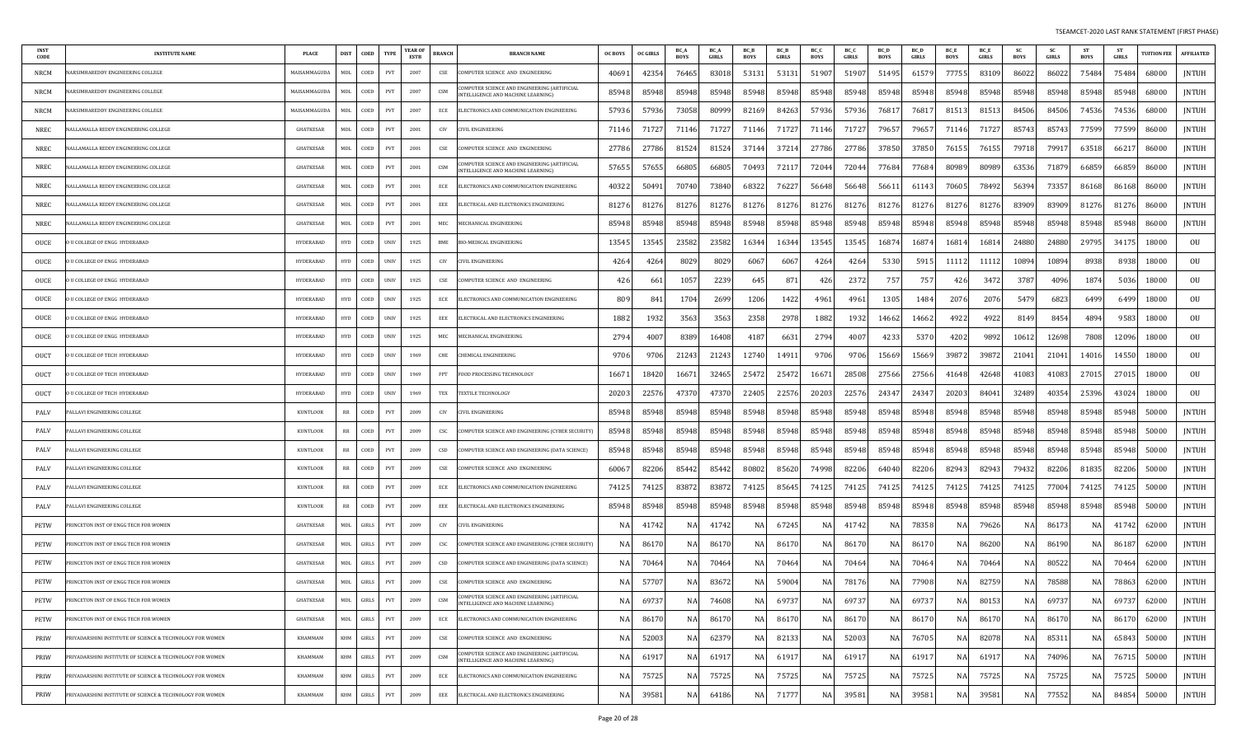| <b>INST</b><br>CODE | <b>INSTITUTE NAME</b>                                     | <b>PLACE</b>     | <b>DIST</b> | COED           | <b>TYPE</b> | <b>YEAR OF</b><br><b>ESTB</b> | <b>BRANCH</b> | <b>BRANCH NAME</b>                                                                 | <b>OC BOYS</b> | OC GIRLS | BC_A<br><b>BOYS</b> | <b>BC</b> A<br>GIRLS | BC E<br><b>BOYS</b> | <b>BCB</b><br>GIRLS | BC_C<br><b>BOYS</b> | BC 0<br><b>GIRLS</b> | <b>BC</b> D<br><b>BOYS</b> | <b>BC</b> D<br>GIRLS | <b>BC</b> E<br><b>BOYS</b> | <b>BC</b> E<br>GIRLS | -SC<br>BOYS | <b>SC</b><br>GIRLS | <b>ST</b><br>BOYS | - ST<br><b>GIRLS</b> | <b>UITION FEE</b> | <b>AFFILIATED</b> |
|---------------------|-----------------------------------------------------------|------------------|-------------|----------------|-------------|-------------------------------|---------------|------------------------------------------------------------------------------------|----------------|----------|---------------------|----------------------|---------------------|---------------------|---------------------|----------------------|----------------------------|----------------------|----------------------------|----------------------|-------------|--------------------|-------------------|----------------------|-------------------|-------------------|
| NRCM                | ARSIMHAREDDY ENGINEERING COLLEGI                          | MAISAMMAGUDA     | MDL         | COED           | PVT         | 2007                          | CSE           | OMPUTER SCIENCE AND ENGINEERING                                                    | 40691          | 42354    | 76465               | 8301                 | 53131               | 53131               | 51907               | 51907                | 51495                      | 61579                | 77755                      | 83109                | 86022       | 86022              | 75484             | 75484                | 68000             | <b>JNTUH</b>      |
| NRCM                | ARSIMHAREDDY ENGINEERING COLLEGE                          | MAISAMMAGUDA     | MDL         | COED           | PVT         | 2007                          | CSM           | OMPUTER SCIENCE AND ENGINEERING (ARTIFICIAL<br>INTELLIGENCE AND MACHINE LEARNING)  | 85948          | 85948    | 85948               | 85948                | 85948               | 85948               | 85948               | 85948                | 85948                      | 85948                | 85948                      | 85948                | 85948       | 85948              | 85948             | 85948                | 68000             | <b>JNTUH</b>      |
| NRCM                | ARSIMHAREDDY ENGINEERING COLLEGE                          | MAISAMMAGUDA     | MDL         | COED           | PVT         | 2007                          | ECE           | ELECTRONICS AND COMMUNICATION ENGINEERING                                          | 57936          | 57936    | 73058               | 8099                 | 82169               | 84263               | 57936               | 57936                | 7681.                      | 7681.                | 81513                      | 81513                | 84506       | 84506              | 74536             | 74536                | 68000             | JNTUH             |
| <b>NREC</b>         | <b>JALLAMALLA REDDY ENGINEERING COLLEGE</b>               | GHATKESAR        | MDL         | COED           | PVT         | 2001                          | CIV           | CIVIL ENGINEERING                                                                  | 71146          | 71727    | 71146               | 7172                 | 71146               | 71727               | 71146               | 71727                | 79657                      | 79657                | 71146                      | 71727                | 85743       | 85743              | 77599             | 77599                | 86000             | JNTUH             |
| NREC                | IALLAMALLA REDDY ENGINEERING COLLEGE                      | <b>GHATKESAR</b> | MDL         | COED           | PVT         | 2001                          | CSE           | OMPUTER SCIENCE AND ENGINEERING                                                    | 27786          | 27786    | 81524               | 8152                 | 37144               | 37214               | 27786               | 27786                | 37850                      | 37850                | 76155                      | 76155                | 79718       | 7991.              | 63518             | 66217                | 86000             | <b>JNTUH</b>      |
| NREC                | ALLAMALLA REDDY ENGINEERING COLLEGE                       | <b>GHATKESAR</b> | MDL         | COED           | PVT         | 2001                          | CSM           | COMPUTER SCIENCE AND ENGINEERING (ARTIFICIAL<br>INTELLIGENCE AND MACHINE LEARNING) | 5765           | 57655    | 66805               | 6680                 | 70493               | 72117               | 72044               | 72044                | 77684                      | 77684                | 80989                      | 80989                | 63536       | 71879              | 66859             | 66859                | 86000             | JNTUH             |
| NREC                | ALLAMALLA REDDY ENGINEERING COLLEGE                       | <b>GHATKESAR</b> | MDL         | COED           | PVT         | 2001                          | ECE           | ELECTRONICS AND COMMUNICATION ENGINEERING                                          | 40322          | 50491    | 70740               | 73840                | 68322               | 76227               | 56648               | 56648                | 56611                      | 61143                | 70605                      | 78492                | 56394       | 73357              | 86168             | 86168                | 86000             | <b>JNTUH</b>      |
| NREC                | ALLAMALLA REDDY ENGINEERING COLLEGE                       | GHATKESAR        | MDL         | COED           | PVT         | 2001                          | EEE           | ELECTRICAL AND ELECTRONICS ENGINEERING                                             | 81276          | 81276    | 81276               | 8127                 | 81276               | 81276               | 81276               | 81276                | 81276                      | 81276                | 81276                      | 81276                | 83909       | 83909              | 81276             | 81276                | 86000             | <b>JNTUH</b>      |
| NREC                | ALLAMALLA REDDY ENGINEERING COLLEGE                       | <b>GHATKESAR</b> | MDL         | COED           | PVT         | 2001                          | MEC           | MECHANICAL ENGINEERING                                                             | 85948          | 85948    | 85948               | 85948                | 85948               | 85948               | 85948               | 85948                | 85948                      | 85948                | 85948                      | 85948                | 85948       | 85948              | 85948             | 85948                | 86000             | <b>JNTUH</b>      |
| OUCE                | U COLLEGE OF ENGG HYDERABAD                               | HYDERABAD        | <b>HYD</b>  | COED           | <b>UNIV</b> | 1925                          | BME           | BIO-MEDICAL ENGINEERING                                                            | 1354.          | 13545    | 23582               | 23582                | 16344               | 16344               | 13545               | 13545                | 16874                      | 16874                | 16814                      | 16814                | 24880       | 24880              | 29795             | 34175                | 18000             | OU                |
| OUCE                | U COLLEGE OF ENGG HYDERABAD                               | HYDERABAD        | <b>HYD</b>  | COED           | <b>UNIV</b> | 1925                          | CIV           | CIVIL ENGINEERING                                                                  | 4264           | 4264     | 8029                | 802                  | 6067                | 6067                | 4264                | 4264                 | 5330                       | 5915                 | 11112                      | 11112                | 10894       | 10894              | 8938              | 8938                 | 18000             | OU                |
| OUCE                | U COLLEGE OF ENGG HYDERABAD                               | HYDERABAD        | <b>HYD</b>  | COED           | <b>UNIV</b> | 1925                          | CSE           | OMPUTER SCIENCE AND ENGINEERING                                                    | 42             | 661      | 1057                | 2239                 | 645                 | 871                 | 426                 | 237                  | 75                         | 757                  | 426                        | 3472                 | 3787        | 4096               | 1874              | 5036                 | 18000             | OU                |
| OUCE                | <b>ILCOLLEGE OF ENGG HYDERABAD</b>                        | HYDERABAD        | <b>HYD</b>  | COED           | <b>UNIV</b> | 1925                          | ECE           | ELECTRONICS AND COMMUNICATION ENGINEERING                                          | 80             | -84      | 1704                | 2699                 | 1206                | 1422                | 4961                | 4961                 | 1305                       | 1484                 | 2076                       | 2076                 | 5479        | 6823               | 649 <sup>c</sup>  | 649 <sup>c</sup>     | 18000             | OU                |
| OUCE                | U COLLEGE OF ENGG HYDERABAD                               | HYDERABAD        | <b>HYD</b>  | COED           | <b>UNIV</b> | 1925                          | EEE           | ELECTRICAL AND ELECTRONICS ENGINEERING                                             | 1882           | 1932     | 3563                | 3563                 | 2358                | 2978                | 1882                | 1932                 | 14662                      | 14662                | 4922                       | 4922                 | 8149        | 8454               | 4894              | 9583                 | 18000             | OU                |
| OUCE                | U COLLEGE OF ENGG HYDERABAD                               | HYDERABAD        | <b>HYD</b>  | COED           | <b>UNIV</b> | 1925                          | MEC           | MECHANICAL ENGINEERING                                                             | 2794           | 4007     | 8389                | 16408                | 4187                | 6631                | 2794                | 4007                 | 4233                       | 5370                 | 4202                       | 9892                 | 10612       | 12698              | 7808              | 12096                | 18000             | OU                |
| OUCT                | U COLLEGE OF TECH HYDERABAD                               | <b>HYDERABAD</b> | <b>HYD</b>  | COED           | <b>UNIV</b> | 1969                          | CHE           | <b>HEMICAL ENGINEERING</b>                                                         | 9706           | 9706     | 21243               | 2124                 | 12740               | 14911               | 9706                | 9706                 | 15669                      | 15669                | 39872                      | 39872                | 21041       | 21041              | 14016             | 14550                | 18000             | OU                |
| OUCT                | U COLLEGE OF TECH HYDERABAD                               | <b>HYDERABAD</b> | <b>HYD</b>  | COED           | <b>UNIV</b> | 1969                          | FPT           | FOOD PROCESSING TECHNOLOGY                                                         | 1667           | 18420    | 16671               | 32465                | 25472               | 25472               | 16671               | 28508                | 27566                      | 27566                | 41648                      | 42648                | 41083       | 41083              | 27015             | 27015                | 18000             | OU                |
| OUCT                | U COLLEGE OF TECH HYDERABAD                               | <b>HYDERABAD</b> | <b>HYD</b>  | COED           | <b>UNIV</b> | 1969                          | TEX           | <b>TEXTILE TECHNOLOGY</b>                                                          | 2020           | 22576    | 47370               | 4737                 | 22405               | 22576               | 20203               | 22576                | 24347                      | 24347                | 20203                      | 84041                | 32489       | 40354              | 25396             | 43024                | 18000             | OU                |
| PALV                | ALLAVI ENGINEERING COLLEGE                                | KUNTLOOR         | RR          | COED           | PVT         | 2009                          | CIV           | IVIL ENGINEERING                                                                   | 85948          | 85948    | 85948               | 8594                 | 85948               | 85948               | 85948               | 85948                | 85948                      | 85948                | 85948                      | 85948                | 85948       | 85948              | 85948             | 85948                | 50000             | <b>JNTUH</b>      |
| PALV                | ALLAVI ENGINEERING COLLEGE                                | <b>KUNTLOOR</b>  | RR          | COED           | PVT         | 2009                          | CSC           | COMPUTER SCIENCE AND ENGINEERING (CYBER SECURITY)                                  | 85948          | 85948    | 85948               | 85948                | 85948               | 85948               | 85948               | 85948                | 85948                      | 85948                | 85948                      | 85948                | 85948       | 85948              | 85948             | 85948                | 50000             | JNTUH             |
| PALV                | ALLAVI ENGINEERING COLLEGE                                | <b>KUNTLOOR</b>  | RR          | COED           | PVT         | 2009                          | CSD           | COMPUTER SCIENCE AND ENGINEERING (DATA SCIENCE)                                    | 85948          | 85948    | 85948               | 85948                | 85948               | 85948               | 85948               | 85948                | 85948                      | 85948                | 85948                      | 85948                | 85948       | 85948              | 85948             | 85948                | 50000             | JNTUH             |
| PALV                | ALLAVI ENGINEERING COLLEGE                                | <b>KUNTLOOR</b>  | RR          | COED           | PVT         | 2009                          | CSE           | COMPUTER SCIENCE AND ENGINEERING                                                   | 6006           | 82206    | 85442               | 8544.                | 80802               | 85620               | 74998               | 82206                | 64040                      | 82206                | 82943                      | 82943                | 79432       | 82206              | 81835             | 82206                | 50000             | JNTUH             |
| PALV                | ALLAVI ENGINEERING COLLEGE                                | <b>KUNTLOOR</b>  | RR          | COED           | PVT         | 2009                          | ECE           | ELECTRONICS AND COMMUNICATION ENGINEERING                                          | 74125          | 74125    | 83872               | 8387                 | 74125               | 85645               | 74125               | 74125                | 74125                      | 74125                | 74125                      | 74125                | 74125       | 77004              | 74125             | 74125                | 50000             | JNTUH             |
| PALV                | ALLAVI ENGINEERING COLLEGE                                | <b>KUNTLOOR</b>  | RR          | COED           | PVT         | 2009                          | EEE           | ELECTRICAL AND ELECTRONICS ENGINEERING                                             | 85948          | 85948    | 85948               | 85948                | 85948               | 85948               | 85948               | 85948                | 85948                      | 85948                | 85948                      | 85948                | 85948       | 85948              | 85948             | 85948                | 50000             | JNTUH             |
| PETW                | RINCETON INST OF ENGG TECH FOR WOMEN                      | <b>GHATKESAR</b> | MDL         | GIRLS          | PVT         | 2009                          | CIV           | CIVIL ENGINEERING                                                                  | N              | 41742    | NA                  | 4174                 | NA                  | 67245               | NA                  | 41742                | NA                         | 78358                | NA                         | 79626                | NA          | 86173              | NA                | 41742                | 62000             | <b>JNTUH</b>      |
| PETW                | RINCETON INST OF ENGG TECH FOR WOMEN                      | <b>GHATKESAR</b> | MDL         | GIRLS          | PVT         | 2009                          | csc           | COMPUTER SCIENCE AND ENGINEERING (CYBER SECURITY)                                  | N              | 86170    | NA                  | 8617                 | NA                  | 86170               | NA                  | 8617                 | NA                         | 86170                | NA                         | 86200                | NA.         | 86190              | NA                | 8618.                | 62000             | <b>JNTUH</b>      |
| PETW                | RINCETON INST OF ENGG TECH FOR WOMEN                      | <b>GHATKESAR</b> | MDL         | GIRLS          | PVT         | 2009                          | CSD           | COMPUTER SCIENCE AND ENGINEERING (DATA SCIENCE)                                    | N.             | 70464    | <b>NA</b>           | 7046                 | NAI                 | 70464               | NA                  | 70464                | NA                         | 70464                | NA                         | 70464                | NA          | 80522              | NA                | 70464                | 62000             | <b>JNTUH</b>      |
| PETW                | PRINCETON INST OF ENGG TECH FOR WOMEN                     | <b>GHATKESAR</b> | MDL         | GIRLS          | PVT         | 2009                          | CSE           | COMPUTER SCIENCE AND ENGINEERING                                                   | N.             | 57707    | NA                  | 8367                 | NA                  | 59004               | NA                  | 78176                | NA                         | 77908                | NA                         | 82759                | NA.         | 78588              | NA                | 78863                | 62000             | <b>JNTUH</b>      |
| PETW                | PRINCETON INST OF ENGG TECH FOR WOMEN                     | GHATKESAR        | MDL         | GIRLS          | PVT         | 2009                          | CSM           | )MPUTER SCIENCE AND ENGINEERING (ARTIFICIAL<br>INTELLIGENCE AND MACHINE LEARNING)  | NA             | 69737    | NA                  | 74608                | NA                  | 69737               | NA                  | 69737                | NA.                        | 69737                | NA                         | 80153                | NA          | 69737              | NA                | 69737                | 62000             | JNTUH             |
| PETW                | RINCETON INST OF ENGG TECH FOR WOMEN                      | GHATKESAR        | MDL         | $\mbox{GIRLS}$ | PVT         | 2009                          | ECE           | ELECTRONICS AND COMMUNICATION ENGINEERING                                          | N/             | 86170    | NA                  | 86170                | <b>NA</b>           | 86170               | NA                  | 86170                | <b>NA</b>                  | 86170                | <b>NA</b>                  | 86170                | NA          | 86170              | NA                | 86170                | 62000             | <b>JNTUH</b>      |
| PRIW                | RIYADARSHINI INSTITUTE OF SCIENCE & TECHNOLOGY FOR WOMEN  | KHAMMAM          | KHM         | $\mbox{GIRLS}$ | PVT         | 2009                          | CSE           | COMPUTER SCIENCE AND ENGINEERING                                                   | N              | 52003    | <b>NA</b>           | 62379                | NA                  | 82133               | NA                  | 52003                | NA                         | 76705                | NA                         | 82078                | <b>NA</b>   | 85311              | NA                | 65843                | 50000             | JNTUH             |
| PRIW                | RIYADARSHINI INSTITUTE OF SCIENCE & TECHNOLOGY FOR WOMEN  | KHAMMAM          | KHM         | GIRLS          | PVT         | 2009                          | CSM           | COMPUTER SCIENCE AND ENGINEERING (ARTIFICIAL<br>INTELLIGENCE AND MACHINE LEARNING) | N.             | 61917    | <b>NA</b>           | 6191                 | NA                  | 61917               | NA                  | 6191                 | NA                         | 61917                | NA                         | 61917                | NA          | 74096              | NA                | 76715                | 50000             | JNTUH             |
| PRIW                | PRIYADARSHINI INSTITUTE OF SCIENCE & TECHNOLOGY FOR WOMEN | KHAMMAM          | KHM         | GIRLS          | PVT         | 2009                          | ECE           | ELECTRONICS AND COMMUNICATION ENGINEERING                                          | N.             | 75725    | NA                  | 75725                | <b>NA</b>           | 75725               | NA                  | 75725                | NA                         | 75725                | NA                         | 75725                | NA          | 75725              | NA                | 75725                | 50000             | JNTUH             |
| PRIW                | PRIYADARSHINI INSTITUTE OF SCIENCE & TECHNOLOGY FOR WOMEN | KHAMMAM          | KHM         | GIRLS          | PVT         | 2009                          | EEE           | ELECTRICAL AND ELECTRONICS ENGINEERING                                             | N/             | 39581    | <b>NA</b>           | 64186                | <b>NA</b>           | 71777               | NA                  | 39581                | NA                         | 39581                | NA                         | 39581                | <b>NA</b>   | 77552              | NA                | 84854                | 50000             | <b>JNTUH</b>      |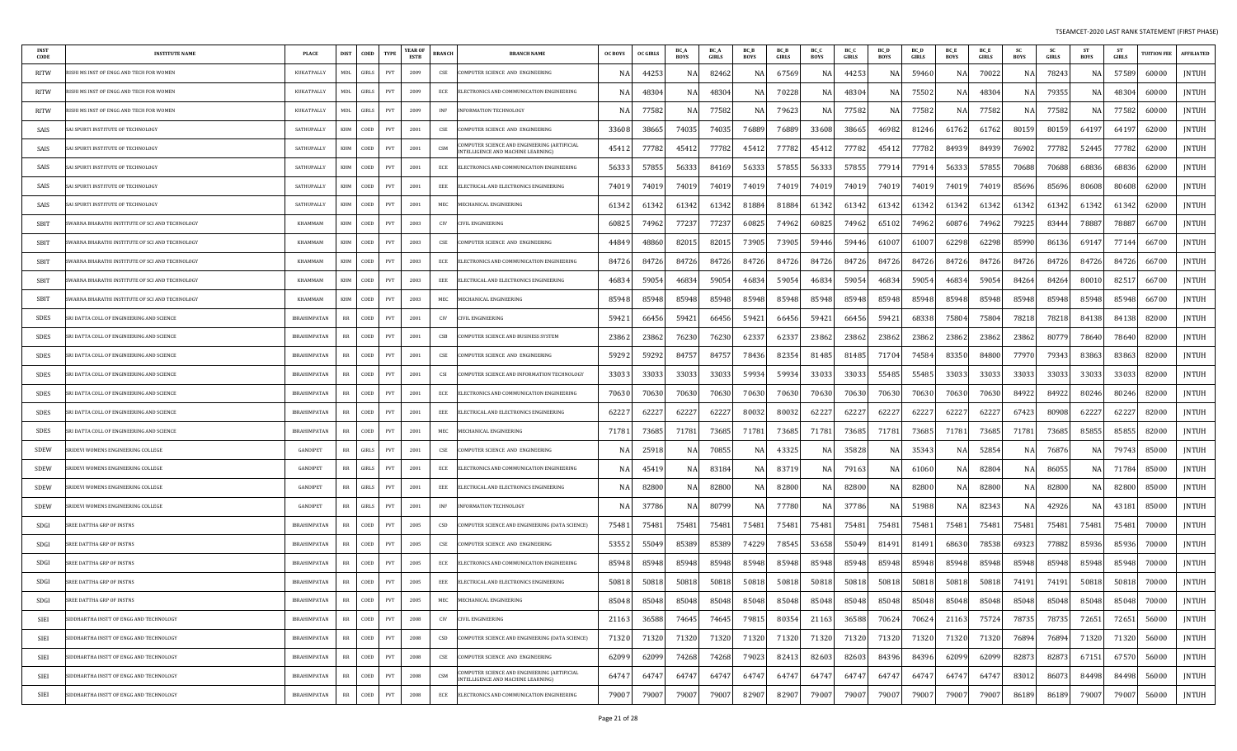| <b>INST</b><br>CODE | <b>INSTITUTE NAME</b>                          | PLACE               | <b>DIST</b>                       | COED  | <b>TYPE</b>                 | <b>YEAR OF</b><br>ESTB | <b>BRANCH</b> | <b>BRANCH NAME</b>                                                                | <b>OC BOYS</b> | <b>OC GIRLS</b> | BC.<br><b>BOYS</b> | <b>BC_A</b><br>GIRLS | BC_B<br><b>BOYS</b> | BC_B<br>GIRLS | BC_C<br><b>BOYS</b> | BC_C<br><b>GIRLS</b> | BC_D<br><b>BOYS</b> | <b>BC</b> D<br>GIRLS | BC_E<br><b>BOYS</b> | BC_E<br>GIRLS | <b>SC</b><br><b>BOYS</b> | - SC<br>GIRLS | <b>ST</b><br><b>BOYS</b> | -ST<br><b>GIRLS</b> | <b>TUITION FEE</b> | <b>AFFILIATED</b> |
|---------------------|------------------------------------------------|---------------------|-----------------------------------|-------|-----------------------------|------------------------|---------------|-----------------------------------------------------------------------------------|----------------|-----------------|--------------------|----------------------|---------------------|---------------|---------------------|----------------------|---------------------|----------------------|---------------------|---------------|--------------------------|---------------|--------------------------|---------------------|--------------------|-------------------|
| RITW                | ISHI MS INST OF ENGG AND TECH FOR WOMEN        | <b>KUKATPALLY</b>   | <b>MDL</b>                        | GIRLS | PVT                         | 2009                   | CSE           | COMPUTER SCIENCE AND ENGINEERING                                                  | -N             | 4425            | N.A                | 82462                | N/                  | 67569         | NA                  | 44253                | N/                  | 59460                | NA                  | 70022         | N A                      | 78243         | NA                       | 57589               | 60000              | <b>JNTUH</b>      |
| <b>RITW</b>         | ISHI MS INST OF ENGG AND TECH FOR WOMEN        | KUKATPALLY          | MDL                               | GIRLS | PVT                         | 2009                   | ECE           | <b>ELECTRONICS AND COMMUNICATION ENGINEERING</b>                                  | -N             | 4830            | NA                 | 4830                 | NA                  | 70228         | NA                  | 4830                 | N/                  | 75502                | NA                  | 48304         | N A                      | 79355         | NA                       | 48304               | 60000              | JNTUH             |
| RITW                | ISHI MS INST OF ENGG AND TECH FOR WOMEN        | KUKATPALLY          | MDL                               | GIRLS | PVT                         | 2009                   | INF           | INFORMATION TECHNOLOGY                                                            |                | 7758            | NA                 | 77582                | N/                  | 79623         | NA                  | 77582                | N/                  | 77582                | NA                  | 77582         | N.                       | 77582         | NA                       | 77582               | 60000              | <b>JNTUH</b>      |
| SAIS                | AI SPURTI INSTITUTE OF TECHNOLOGY              | SATHUPALLY          | KHM                               | COED  | PVT                         | 2001                   | CSE           | COMPUTER SCIENCE AND ENGINEERING                                                  | 33608          | 3866            | 74035              | 74035                | 76889               | 76889         | 33608               | 38665                | 46982               | 81246                | 61762               | 61762         | 80159                    | 80159         | 64197                    | 6419.               | 62000              | <b>JNTUH</b>      |
| SAIS                | AI SPURTI INSTITUTE OF TECHNOLOGY              | SATHUPALLY          | KHM                               | COED  | PVT                         | 2001                   | CSM           | OMPUTER SCIENCE AND ENGINEERING (ARTIFICIAL<br>NTELLIGENCE AND MACHINE LEARNING)  | 4541           | 77782           | 45412              | 7778                 | 45412               | 77782         | 45412               | 77782                | 45412               | 77782                | 84939               | 84939         | 76902                    | 77782         | 52445                    | 77782               | 62000              | <b>JNTUH</b>      |
| SAIS                | AI SPURTI INSTITUTE OF TECHNOLOGY              | SATHUPALLY          | KHM                               | COED  | PVT                         | 2001                   | ECE           | ELECTRONICS AND COMMUNICATION ENGINEERING                                         | 5633           | 57855           | 56333              | 8416                 | 56333               | 57855         | 56333               | 57855                | 77914               | 7791                 | 56333               | 57855         | 70688                    | 70688         | 68836                    | 68836               | 62000              | JNTUH             |
| SAIS                | AI SPHRTI INSTITUTE OF TECHNOLOGY              | SATHUPALLY          | KHM                               | COED  | PVT                         | 2001                   | EEE           | ELECTRICAL AND ELECTRONICS ENGINEERING                                            | 7401           | 7401            | 74019              | 7401                 | 74019               | 74019         | 74019               | 74019                | 7401                | 7401                 | 74019               | 74019         | 85696                    | 85696         | 80608                    | 80608               | 62000              | JNTUH             |
| SAIS                | AI SPURTI INSTITUTE OF TECHNOLOGY              | SATHUPALLY          | KHM                               | COED  | PVT                         | 2001                   | MEC           | MECHANICAL ENGINEERING                                                            | 61342          | 6134            | 61342              | 6134                 | 81884               | 81884         | 61342               | 61342                | 61342               | 61342                | 61342               | 61342         | 61342                    | 61342         | 61342                    | 61342               | 62000              | JNTUH             |
| SBIT                | WARNA BHARATHI INSTITUTE OF SCI AND TECHNOLOGY | KHAMMAM             | KHM                               | COED  | PVT                         | 2003                   | CIV           | <b>VIL ENGINEERING</b>                                                            | 60825          | 7496.           | 77237              | 77237                | 60825               | 74962         | 60825               | 74962                | 65102               | 74962                | 60876               | 74962         | 79225                    | 83444         | 78887                    | 78887               | 66700              | <b>JNTUH</b>      |
| SBIT                | WARNA BHARATHI INSTITUTE OF SCI AND TECHNOLOGY | KHAMMAM             | KHM                               | COED  | PVT                         | 2003                   | CSE           | COMPUTER SCIENCE AND ENGINEERING                                                  | 44849          | 4886            | 82015              | 8201                 | 73905               | 73905         | 59446               | 59446                | 61007               | 61007                | 62298               | 62298         | 85990                    | 86136         | 69147                    | 77144               | 66700              | <b>JNTUH</b>      |
| SBIT                | WARNA BHARATHI INSTITUTE OF SCI AND TECHNOLOGY | KHAMMAM             | KHM                               | COED  | PVT                         | 2003                   | ECE           | ELECTRONICS AND COMMUNICATION ENGINEERING                                         | 84726          | 84726           | 84726              | 84726                | 84726               | 84726         | 84726               | 84726                | 84726               | 84726                | 84726               | 84726         | 84726                    | 84726         | 84726                    | 84726               | 66700              | <b>JNTUH</b>      |
| SBIT                | WARNA BHARATHI INSTITUTE OF SCI AND TECHNOLOGY | KHAMMAM             | KHM                               | COED  | PVT                         | 2003                   | EEE           | ELECTRICAL AND ELECTRONICS ENGINEERING                                            | 46834          | 5905            | 46834              | 59054                | 46834               | 59054         | 46834               | 59054                | 46834               | 59054                | 46834               | 59054         | 84264                    | 84264         | 80010                    | 82517               | 66700              | <b>JNTUH</b>      |
| SBIT                | WARNA BHARATHI INSTITUTE OF SCI AND TECHNOLOGY | KHAMMAM             | KHM                               | COED  | PVT                         | 2003                   | MEC           | <b>IECHANICAL ENGINEERING</b>                                                     | 85948          | 8594            | 85948              | 85948                | 85948               | 85948         | 85948               | 85948                | 85948               | 85948                | 85948               | 85948         | 85948                    | 85948         | 85948                    | 85948               | 66700              | <b>JNTUH</b>      |
| SDES                | RI DATTA COLL OF ENGINEERING AND SCIENCE       | IBRAHIMPATAN        | RR                                | COED  | PVT                         | 2001                   | CIV           | IVIL ENGINEERING                                                                  | 5942           | 6645            | 59421              | 66456                | 59421               | 66456         | 59421               | 66456                | 59421               | 68338                | 75804               | 75804         | 78218                    | 78218         | 84138                    | 84138               | 82000              | JNTUH             |
| SDES                | RI DATTA COLL OF ENGINEERING AND SCIENCE       | <b>IBRAHIMPATAN</b> | RR                                | COED  | PVT                         | 2001                   | CSB           | COMPUTER SCIENCE AND BUSINESS SYSTEM                                              | 23862          | 23862           | 76230              | 76230                | 62337               | 6233          | 23862               | 23862                | 23862               | 23862                | 23862               | 23862         | 23862                    | 80779         | 78640                    | 78640               | 82000              | <b>JNTUH</b>      |
| SDES                | RI DATTA COLL OF ENGINEERING AND SCIENCE       | <b>IBRAHIMPATAN</b> | RR                                | COED  | PVT                         | 2001                   | CSE           | OMPUTER SCIENCE AND ENGINEERING                                                   | 59292          | 5929            | 84757              | 84757                | 78436               | 82354         | 81485               | 81485                | 7170                | 74584                | 83350               | 84800         | 77970                    | 79343         | 83863                    | 83863               | 82000              | JNTUH             |
| SDES                | RI DATTA COLL OF ENGINEERING AND SCIENCE       | <b>IBRAHIMPATAN</b> | RR                                | COED  | PVT                         | 2001                   | CSI           | COMPUTER SCIENCE AND INFORMATION TECHNOLOGY                                       | 33033          | 3303            | 33033              | 3303                 | 59934               | 59934         | 33033               | 33033                | 55485               | 55485                | 33033               | 33033         | 33033                    | 33033         | 33033                    | 33033               | 82000              | JNTUH             |
| SDES                | RI DATTA COLL OF ENGINEERING AND SCIENCE       | IBRAHIMPATAN        | RR                                | COED  | PVT                         | 2001                   | ECE           | ELECTRONICS AND COMMUNICATION ENGINEERING                                         | 70630          | 7063            | 70630              | 70630                | 70630               | 70630         | 70630               | 70630                | 70630               | 70630                | 70630               | 70630         | 84922                    | 84922         | 80246                    | 80246               | 82000              | JNTUH             |
| <b>SDES</b>         | RI DATTA COLL OF ENGINEERING AND SCIENCE       | <b>IBRAHIMPATAN</b> | RR                                | COED  | PVT                         | 2001                   | EEE           | ELECTRICAL AND ELECTRONICS ENGINEERING                                            | 6222           | 6222            | 62227              | 6222                 | 80032               | 80032         | 62227               | 62227                | 62227               | 6222                 | 62227               | 6222          | 67423                    | 80908         | 62227                    | 62227               | 82000              | JNTUH             |
| SDES                | RI DATTA COLL OF ENGINEERING AND SCIENCE       | <b>IBRAHIMPATAN</b> | RR                                | COED  | PVT                         | 2001                   | MEC           | <b>IECHANICAL ENGINEERING</b>                                                     | 7178           | 7368            | 71781              | 7368                 | 71781               | 73685         | 71781               | 73685                | 71781               | 7368                 | 71781               | 73685         | 71781                    | 73685         | 85855                    | 85855               | 82000              | <b>JNTUH</b>      |
| SDEW                | RIDEVI WOMENS ENGINEERING COLLEGE              | GANDIPET            | RR                                | GIRLS | PVT                         | 2001                   | CSE           | COMPUTER SCIENCE AND ENGINEERING                                                  | -N             | 2591            | NA                 | 7085                 | NA                  | 4332          | NA                  | 35828                | N/                  | 35343                | NA                  | 52854         | N A                      | 7687          | NA                       | 79743               | 85000              | <b>JNTUH</b>      |
| SDEW                | RIDEVI WOMENS ENGINEERING COLLEGE              | <b>GANDIPET</b>     | RR                                | GIRLS | PVT                         | 2001                   | ECE           | ELECTRONICS AND COMMUNICATION ENGINEERING                                         |                | 4541            | NA                 | 8318                 | N/                  | 8371          | NA                  | 7916                 | N/                  | 61060                | NA                  | 82804         | N.                       | 86055         | NA                       | 71784               | 85000              | <b>JNTUH</b>      |
| SDEW                | RIDEVI WOMENS ENGINEERING COLLEGE              | <b>GANDIPET</b>     | RR                                | GIRLS | PVT                         | 2001                   | EEE           | ELECTRICAL AND ELECTRONICS ENGINEERING                                            | -N             | 8280            | NA                 | 82800                | NA                  | 82800         | NA                  | 82800                | N/                  | 8280                 | NA                  | 82800         | NA                       | 82800         | NA                       | 82800               | 85000              | JNTUH             |
| SDEW                | RIDEVI WOMENS ENGINEERING COLLEGE              | <b>GANDIPET</b>     | RR                                | GIRLS | PVT                         | 2001                   | INF           | <b>INFORMATION TECHNOLOGY</b>                                                     |                | 3778            | NA                 | 80799                |                     | 77780         | NA                  | 37786                |                     | 51988                | NA                  | 82343         |                          | 42926         | NA                       | 43181               | 85000              | <b>JNTUH</b>      |
| SDGI                | SREE DATTHA GRP OF INSTNS                      | IBRAHIMPATAN        | RR                                | COED  | PVT                         | 2005                   | CSD           | COMPUTER SCIENCE AND ENGINEERING (DATA SCIENCE)                                   | 75481          | 75481           | 75481              | 75481                | 75481               | 75481         | 75481               | 75481                | 75481               | 75481                | 75481               | 75481         | 75481                    | 75481         | 75481                    | 75481               | 70000              | <b>JNTUH</b>      |
| SDGI                | REE DATTHA GRP OF INSTNS                       | <b>IBRAHIMPATAN</b> | RR                                | COED  | PVT                         | 2005                   | CSE           | COMPUTER SCIENCE AND ENGINEERING                                                  | 53552          | 5504            | 85389              | 8538                 | 74229               | 78545         | 53658               | 55049                | 81491               | 81491                | 68630               | 78538         | 69323                    | 77882         | 85936                    | 85936               | 70000              | JNTUH             |
| SDGI                | SREE DATTHA GRP OF INSTNS                      | <b>IBRAHIMPATAN</b> | RR                                | COED  | PVT                         | 2005                   | ECE           | ELECTRONICS AND COMMUNICATION ENGINEERING                                         | 85948          | 85948           | 85948              | 85948                | 85948               | 85948         | 85948               | 85948                | 85948               | 85948                | 85948               | 85948         | 85948                    | 85948         | 85948                    | 85948               | 70000              | JNTUH             |
| SDGI                | SREE DATTHA GRP OF INSTNS                      | IBRAHIMPATAN        | RR                                | COED  | PVT                         | 2005                   | EEE           | ELECTRICAL AND ELECTRONICS ENGINEERING                                            | 50818          | 5081            | 50818              | 50818                | 50818               | 50818         | 50818               | 50818                | 50818               | 50818                | 50818               | 50818         | 74191                    | 74191         | 50818                    | 50818               | 70000              | <b>JNTUH</b>      |
| SDGI                | SREE DATTHA GRP OF INSTNS                      | IBRAHIMPATAN        | RR                                | COED  | PVT                         | 2005                   | MEC           | MECHANICAL ENGINEERING                                                            | 85048          | 85048           | 85048              | 85048                | 85048               | 85048         | 85048               | 85048                | 85048               | 85048                | 85048               | 85048         | 85048                    | 85048         | 85048                    | 85048               | 70000              | JNTUH             |
| SIEI                | IDDHARTHA INSTT OF ENGG AND TECHNOLOGY         | <b>IBRAHIMPATAN</b> | RR                                | COED  | PVT                         | 2008                   | CIV           | IVIL ENGINEERING                                                                  | 21163          | 36588           | 74645              | 74645                | 79815               | 80354         | 21163               | 36588                | 70624               | 70624                | 21163               | 75724         | 78735                    | 78735         | 72651                    | 72651               | 56000              | <b>JNTUH</b>      |
| SIEI                | IDDHARTHA INSTT OF ENGG AND TECHNOLOGY         | IBRAHIMPATAN        | RR                                | COED  | PVT                         | 2008                   | CSD           | COMPUTER SCIENCE AND ENGINEERING (DATA SCIENCE)                                   | 71320          | 71320           | 71320              | 71320                | 71320               | 71320         | 71320               | 71320                | 71320               | 71320                | 71320               | 71320         | 76894                    | 76894         | 71320                    | 71320               | 56000              | <b>JNTUH</b>      |
| SIEI                | IDDHARTHA INSTT OF ENGG AND TECHNOLOGY         | <b>IBRAHIMPATAN</b> | RR                                | COED  | $\ensuremath{\mathrm{PVT}}$ | 2008                   | CSE           | COMPUTER SCIENCE AND ENGINEERING                                                  | 62099          | 6209            | 74268              | 74268                | 79023               | 82413         | 82603               | 82603                | 84396               | 84396                | 62099               | 62099         | 82873                    | 82873         | 67151                    | 67570               | 56000              | <b>JNTUH</b>      |
| SIEI                | IDDHARTHA INSTT OF ENGG AND TECHNOLOGY         | IBRAHIMPATAN        | $\ensuremath{\mathsf{RR}}\xspace$ | COED  | PVT                         | 2008                   | CSM           | COMPUTER SCIENCE AND ENGINEERING (ARTIFICIAL<br>NTELLIGENCE AND MACHINE LEARNING) | 64747          | 64747           | 64747              | 64747                | 64747               | 64747         | 64747               | 64747                | 64747               | 64747                | 64747               | 64747         | 83012                    | 8607          | 84498                    | 84498               | 56000              | JNTUH             |
| SIEI                | SIDDHARTHA INSTT OF ENGG AND TECHNOLOGY        | <b>IBRAHIMPATAN</b> | RR                                | COED  | PVT                         | 2008                   | $ECE$         | LECTRONICS AND COMMUNICATION ENGINEERING                                          | 79007          | 7900            | 79007              | 79007                | 82907               | 82907         | 79007               | 79007                | 79007               | 7900                 | 79007               | 79007         | 86189                    | 86189         | 79007                    | 79007               | 56000              | JNTUH             |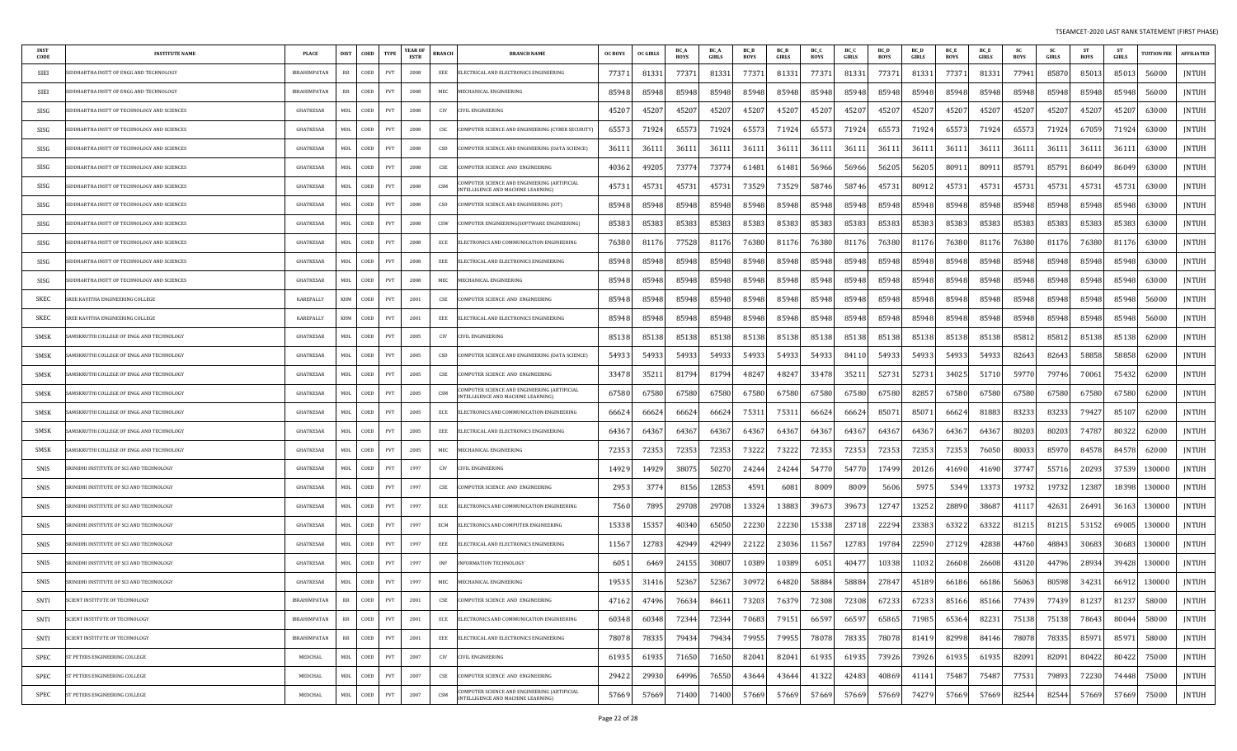| <b>INST</b><br>CODE | <b>INSTITUTE NAME</b>                            | <b>PLACE</b>        | COED<br><b>DIST</b> | <b>TYPE</b> | YEAR OI<br>ESTB | BRANCH<br><b>BRANCH NAME</b>                                                            | <b>OC BOYS</b> | <b>OC GIRLS</b> | BC /<br><b>BOYS</b> | <b>BC</b> A<br>GIRLS | <b>BCB</b><br><b>BOYS</b> | <b>BCB</b><br>GIRLS | BC O<br>BOYS | BC (<br>GIRLS | BC D<br><b>BOYS</b> | <b>BC</b> L<br>GIRLS | <b>BCE</b><br>BOYS | <b>BC</b> E<br>GIRLS | BOYS  | <b>SC</b><br>GIRLS | <b>ST</b><br>BOYS | GIRLS | <b>UITION FEE</b> | <b>AFFILIATED</b> |
|---------------------|--------------------------------------------------|---------------------|---------------------|-------------|-----------------|-----------------------------------------------------------------------------------------|----------------|-----------------|---------------------|----------------------|---------------------------|---------------------|--------------|---------------|---------------------|----------------------|--------------------|----------------------|-------|--------------------|-------------------|-------|-------------------|-------------------|
| SIEI                | <b>DDHARTHA INSTT OF ENGG AND TECHNOLOGY</b>     | <b>IBRAHIMPATAN</b> | COED<br>RR          | PVT         | 2008            | EEE<br>LECTRICAL AND ELECTRONICS ENGINEERING                                            | 77371          | 8133            | 77371               | 8133                 | 77371                     | 81331               | 77371        | 81331         | 77371               | 8133                 | 77371              | 81331                | 77941 | 85870              | 85013             | 85013 | 56000             | JNTUH             |
| SIEI                | IDDHARTHA INSTT OF ENGG AND TECHNOLOGY           | <b>IBRAHIMPATAN</b> | COED<br>RR          | PVT         | 2008            | MEC<br><b>IECHANICAL ENGINEERING</b>                                                    | 85948          | 85948           | 85948               | 85948                | 85948                     | 85948               | 85948        | 85948         | 85948               | 85948                | 85948              | 85948                | 85948 | 85948              | 85948             | 85948 | 56000             | <b>JNTUH</b>      |
| SISG                | DDHARTHA INSTT OF TECHNOLOGY AND SCIENCES        | GHATKESAR           | COED<br>MDL         | PVT         | 2008            | CIV<br>IVIL ENGINEERING                                                                 | 4520           | 45207           | 45207               | 4520                 | 45207                     | 45207               | 45207        | 45207         | 45207               | 4520                 | 45207              | 45207                | 45207 | 45207              | 45207             | 45207 | 63000             | <b>JNTUH</b>      |
| SISG                | <b>DDHARTHA INSTT OF TECHNOLOGY AND SCIENCES</b> | <b>GHATKESAR</b>    | MDL<br>COED         | PVT         | 2008            | CSC<br>OMPUTER SCIENCE AND ENGINEERING (CYBER SECURITY)                                 | 6557           | 71924           | 65573               | 7192                 | 65573                     | 71924               | 65573        | 71924         | 65573               | 71924                | 65573              | 71924                | 65573 | 71924              | 67059             | 71924 | 63000             | <b>JNTUH</b>      |
| SISG                | <b>DDHARTHA INSTT OF TECHNOLOGY AND SCIENCES</b> | <b>GHATKESAR</b>    | COED<br>MDL         | <b>PVT</b>  | 2008            | CSD<br>OMPUTER SCIENCE AND ENGINEERING (DATA SCIENCE)                                   | 3611           | 3611            | 36111               | 3611                 | 36111                     | 36111               | 36111        | 3611          | 3611                | 3611                 | 36111              | 3611                 | 36111 | 36111              | 36111             | 3611  | 63000             | JNTUH             |
| SISG                | IDDHARTHA INSTT OF TECHNOLOGY AND SCIENCES       | GHATKESAR           | COED<br>MDI.        | PVT         | 2008            | CSE<br>OMPUTER SCIENCE AND ENGINEERING                                                  | 4036           | 4920.           | 73774               | 7377                 | 61481                     | 61481               | 56966        | 56966         | 56205               | 56205                | 80911              | 8091                 | 85791 | 85791              | 86049             | 86049 | 63000             | JNTUH             |
| SISG                | <b>DDHARTHA INSTT OF TECHNOLOGY AND SCIENCES</b> | GHATKESAR           | MDL<br>COED         | PVT         | 2008            | MPUTER SCIENCE AND ENGINEERING (ARTIFICIAL<br>CSM<br>NTELLIGENCE AND MACHINE LEARNING)  | 45731          | 4573            | 45731               | 4573                 | 73529                     | 73529               | 58746        | 58746         | 45731               | 80912                | 45731              | 45731                | 45731 | 45731              | 45731             | 45731 | 63000             | JNTUH             |
| SISG                | <b>DDHARTHA INSTT OF TECHNOLOGY AND SCIENCES</b> | <b>GHATKESAR</b>    | COED<br>MDL         | PVT         | 2008            | <b>CSO</b><br>OMPUTER SCIENCE AND ENGINEERING (IOT)                                     | 85948          | 85948           | 85948               | 85948                | 85948                     | 85948               | 85948        | 85948         | 85948               | 85948                | 85948              | 85948                | 85948 | 85948              | 85948             | 85948 | 63000             | JNTUH             |
| SISG                | IDDHARTHA INSTT OF TECHNOLOGY AND SCIENCES       | <b>GHATKESAR</b>    | COED<br>MDL         | PVT         | 2008            | CSW<br>OMPUTER ENGINEERING(SOFTWARE ENGINEERING                                         | 85383          | 85383           | 85383               | 8538                 | 85383                     | 85383               | 85383        | 85383         | 85383               | 85383                | 85383              | 85383                | 85383 | 85383              | 85383             | 85383 | 63000             | JNTUH             |
| SISG                | IDDHARTHA INSTT OF TECHNOLOGY AND SCIENCES       | GHATKESAR           | COED<br>MDL         | PVT         | 2008            | ECE<br>LECTRONICS AND COMMUNICATION ENGINEERING                                         | 76380          | 81176           | 77528               | 8117                 | 76380                     | 81176               | 76380        | 81176         | 76380               | 81176                | 76380              | 81176                | 76380 | 81176              | 76380             | 81176 | 63000             | <b>JNTUH</b>      |
| SISG                | IDDHARTHA INSTT OF TECHNOLOGY AND SCIENCES       | <b>GHATKESAR</b>    | COED<br>MDI.        | PVT         | 2008            | EEE<br>ELECTRICAL AND ELECTRONICS ENGINEERING                                           | 85948          | 85948           | 85948               | 85948                | 85948                     | 85948               | 85948        | 85948         | 85948               | 85948                | 85948              | 85948                | 85948 | 85948              | 85948             | 85948 | 63000             | <b>JNTUH</b>      |
| SISG                | DDHARTHA INSTT OF TECHNOLOGY AND SCIENCES        | GHATKESAR           | COED<br>MDL         | PVT         | 2008            | MEC<br><b>IECHANICAL ENGINEERING</b>                                                    | 85948          | 85948           | 85948               | 85948                | 85948                     | 85948               | 85948        | 85948         | 85948               | 85948                | 85948              | 85948                | 85948 | 85948              | 85948             | 85948 | 63000             | JNTUH             |
| SKEC                | REE KAVITHA ENGINEERING COLLEGE                  | KAREPALLY           | COED<br>KHM         | PVT         | 2001            | CSE<br>OMPUTER SCIENCE AND ENGINEERING                                                  | 85948          | 85948           | 85948               | 85948                | 85948                     | 85948               | 85948        | 85948         | 85948               | 85948                | 85948              | 85948                | 85948 | 85948              | 85948             | 85948 | 56000             | JNTUH             |
| SKEC                | REE KAVITHA ENGINEERING COLLEGE                  | KAREPALLY           | COED<br>KHM         | PVT         | 2001            | EEE<br>LECTRICAL AND ELECTRONICS ENGINEERING                                            | 85948          | 85948           | 85948               | 85948                | 85948                     | 85948               | 85948        | 85948         | 85948               | 85948                | 85948              | 85948                | 85948 | 85948              | 85948             | 85948 | 56000             | JNTUH             |
| SMSK                | AMSKRUTHI COLLEGE OF ENGG AND TECHNOLOGY         | GHATKESAR           | COED<br>MDI.        | PVT         | 2005            | CIV<br>IVIL ENGINEERING:                                                                | 85138          | 85138           | 85138               | 8513                 | 85138                     | 85138               | 85138        | 85138         | 85138               | 85138                | 85138              | 85138                | 85812 | 85812              | 85138             | 85138 | 62000             | JNTUH             |
| SMSK                | AMSKRUTHI COLLEGE OF ENGG AND TECHNOLOGY         | GHATKESAR           | MDL<br>COED         | PVT         | 2005            | CSD<br>OMPUTER SCIENCE AND ENGINEERING (DATA SCIENCE)                                   | 5493           | 54933           | 54933               | 5493                 | 54933                     | 54933               | 54933        | 84110         | 54933               | 54933                | 54933              | 54933                | 82643 | 82643              | 58858             | 58858 | 62000             | <b>JNTUH</b>      |
| SMSK                | AMSKRUTHI COLLEGE OF ENGG AND TECHNOLOGY         | <b>GHATKESAR</b>    | MDL<br>COED         | PVT         | 2005            | $\mathsf{CSE}$<br>OMPUTER SCIENCE AND ENGINEERING                                       | 33478          | 3521            | 81794               | 81794                | 48247                     | 48247               | 33478        | 35211         | 52731               | 52731                | 34025              | 51710                | 59770 | 79746              | 70061             | 75432 | 62000             | JNTUH             |
| SMSK                | AMSKRUTHI COLLEGE OF ENGG AND TECHNOLOGY         | GHATKESAR           | <b>MDL</b><br>COED  | PVT         | 2005            | OMPUTER SCIENCE AND ENGINEERING (ARTIFICIAL<br>CSM<br>NTELLIGENCE AND MACHINE LEARNING) | 67580          | 67580           | 67580               | 67580                | 67580                     | 67580               | 67580        | 67580         | 67580               | 82857                | 67580              | 67580                | 67580 | 67580              | 67580             | 67580 | 62000             | <b>JNTUH</b>      |
| SMSK                | AMSKRUTHI COLLEGE OF ENGG AND TECHNOLOGY         | <b>GHATKESAR</b>    | COED<br>MDL         | PVT         | 2005            | ECE<br>LECTRONICS AND COMMUNICATION ENGINEERING:                                        | 6662           | 66624           | 66624               | 6662                 | 75311                     | 7531                | 66624        | 66624         | 8507                | 8507                 | 66624              | 81883                | 83233 | 83233              | 79427             | 85107 | 62000             | <b>JNTUH</b>      |
| SMSK                | AMSKRUTHI COLLEGE OF ENGG AND TECHNOLOGY         | GHATKESAR           | COED<br>MDL         | PVT         | 2005            | EEE<br>LECTRICAL AND ELECTRONICS ENGINEERING                                            | 64367          | 6436.           | 64367               | 6436                 | 64367                     | 64367               | 64367        | 64367         | 64367               | 6436                 | 64367              | 6436.                | 80203 | 80203              | 74787             | 80322 | 62000             | <b>JNTUH</b>      |
| SMSK                | AMSKRUTHI COLLEGE OF ENGG AND TECHNOLOGY         | GHATKESAR           | COED<br><b>MDL</b>  | PVT         | 2005            | MEC<br><b>ECHANICAL ENGINEERING</b>                                                     | 7235           | 72353           | 72353               | 7235                 | 73222                     | 73222               | 72353        | 72353         | 72353               | 72353                | 72353              | 76050                | 80033 | 85970              | 84578             | 84578 | 62000             | JNTUH             |
| SNIS                | RINIDHI INSTITUTE OF SCI AND TECHNOLOGY          | GHATKESAR           | MDL<br>COED         | PVT         | 1997            | CIV<br>IVIL ENGINEERING                                                                 | 1492           | 1492            | 3807                | 5027                 | 24244                     | 24244               | 54770        | 54770         | 17499               | 20126                | 41690              | 41690                | 37747 | 55716              | 20293             | 37539 | 130000            | JNTUH             |
| SNIS                | RINIDHI INSTITUTE OF SCI AND TECHNOLOGY          | <b>GHATKESAR</b>    | COED<br>MDI.        | PVT         | 1997            | CSE<br>OMPUTER SCIENCE AND ENGINEERING                                                  | 2953           | 3774            | 8156                | 1285                 | 4591                      | 6081                | 8009         | 8009          | 5606                | 597                  | 5349               | 13373                | 19732 | 19732              | 12387             | 18398 | 130000            | JNTUH             |
| SNIS                | RINIDHI INSTITUTE OF SCI AND TECHNOLOGY          | <b>GHATKESAR</b>    | COED<br>MDL         | PVT         | 1997            | ECE<br>LECTRONICS AND COMMUNICATION ENGINEERING                                         | 7560           | 7895            | 29708               | 29708                | 13324                     | 13883               | 39673        | 39673         | 12747               | 13252                | 28890              | 38687                | 41117 | 42631              | 26491             | 36163 | 130000            | JNTUH             |
| SNIS                | RINIDHI INSTITUTE OF SCI AND TECHNOLOGY          | GHATKESAR           | COED<br>MDL         | PVT         | 1997            | ECM<br>ELECTRONICS AND COMPUTER ENGINEERING                                             | 15338          | 1535.           | 40340               | 6505                 | 22230                     | 22230               | 15338        | 23718         | 22294               | 23383                | 63322              | 63322                | 81215 | 81215              | 53152             | 69005 | 130000            | JNTUH             |
| SNIS                | RINIDHI INSTITUTE OF SCI AND TECHNOLOGY          | <b>GHATKESAR</b>    | COED<br>MDL         | PVT         | 1997            | EEE<br>ELECTRICAL AND ELECTRONICS ENGINEERING                                           | 11567          | 12783           | 42949               | 4294                 | 22122                     | 23036               | 11567        | 12783         | 19784               | 22590                | 27129              | 42838                | 44760 | 48843              | 30683             | 30683 | 130000            | JNTUH             |
| SNIS                | RINIDHI INSTITUTE OF SCI AND TECHNOLOGY          | GHATKESAR           | COED<br>MDL         | PVT         | 1997            | INF<br>NFORMATION TECHNOLOGY                                                            | 605            | 6469            | 24155               | 3080                 | 10389                     | 10389               | 6051         | 4047          | 10338               | 1103                 | 26608              | 26608                | 43120 | 44796              | 28934             | 39428 | 130000            | <b>JNTUH</b>      |
| SNIS                | SRINIDHI INSTITUTE OF SCI AND TECHNOLOGY         | GHATKESAR           | COED<br>MDL         | PVT         | 1997            | MEC<br><b>IECHANICAL ENGINEERING</b>                                                    | 1953!          | 31416           | 52367               | 52367                | 30972                     | 64820               | 58884        | 58884         | 27847               | 45189                | 66186              | 66186                | 56063 | 80598              | 34231             | 66912 | 130000            | <b>JNTUH</b>      |
| SNTI                | SCIENT INSTITUTE OF TECHNOLOGY                   | IBRAHIMPATAN        | <b>RR</b><br>COED   | PVT         | 2001            | CSE<br>COMPUTER SCIENCE AND ENGINEERING                                                 | 47162          | 47496           | 76634               | 84611                | 73203                     | 76379               | 72308        | 72308         | 672331              | 67233                | 85166              | 85166                | 77439 | 774391             | 81237             | 81237 | 58000             | JNTUH             |
| SNTI                | <b>SCIENT INSTITUTE OF TECHNOLOGY</b>            | <b>IBRAHIMPATAN</b> | RR<br>COED          | PVT         | 2001            | ECE<br>ELECTRONICS AND COMMUNICATION ENGINEERING                                        | 60348          | 60348           | 72344               | 72344                | 70683                     | 79151               | 66597        | 66597         | 65865               | 71985                | 65364              | 82231                | 75138 | 75138              | 78643             | 80044 | 58000             | JNTUH             |
| SNTI                | SCIENT INSTITUTE OF TECHNOLOGY                   | <b>IBRAHIMPATAN</b> | COED<br>RR          | PVT         | 2001            | EEE<br>ELECTRICAL AND ELECTRONICS ENGINEERING                                           | 78078          | 78335           | 79434               | 79434                | 79955                     | 79955               | 78078        | 78335         | 78078               | 81419                | 82998              | 84146                | 78078 | 78335              | 85971             | 85971 | 58000             | JNTUH             |
| SPEC                | T PETERS ENGINEERING COLLEGE                     | MEDCHAL             | MDL<br>COED         | PVT         | 2007            | CIV<br>IVIL ENGINEERING                                                                 | 6193           | 61935           | 71650               | 71650                | 82041                     | 82041               | 61935        | 61935         | 73926               | 73926                | 61935              | 61935                | 82091 | 82091              | 80422             | 80422 | 75000             | JNTUH             |
| SPEC                | <b>ST PETERS ENGINEERING COLLEGE</b>             | MEDCHAL             | MDL<br>COED         | PVT         | 2007            | CSE<br>OMPUTER SCIENCE AND ENGINEERING                                                  | 29422          | 29930           | 64996               | 76550                | 43644                     | 43644               | 41322        | 42483         | 40869               | 41141                | 75487              | 75487                | 77531 | 79893              | 72230             | 74448 | 75000             | JNTUH             |
| SPEC                | ST PETERS ENGINEERING COLLEGE                    | MEDCHAL             | MDL<br>COED         | PVT         | 2007            | OMPUTER SCIENCE AND ENGINEERING (ARTIFICIAL<br>CSM<br>NTELLIGENCE AND MACHINE LEARNING) | 57669          | 57669           | 71400               | 71400                | 57669                     | 57669               | 57669        | 57669         | 57669               | 74279                | 57669              | 57669                | 82544 | 82544              | 57669             | 57669 | 75000             | JNTUH             |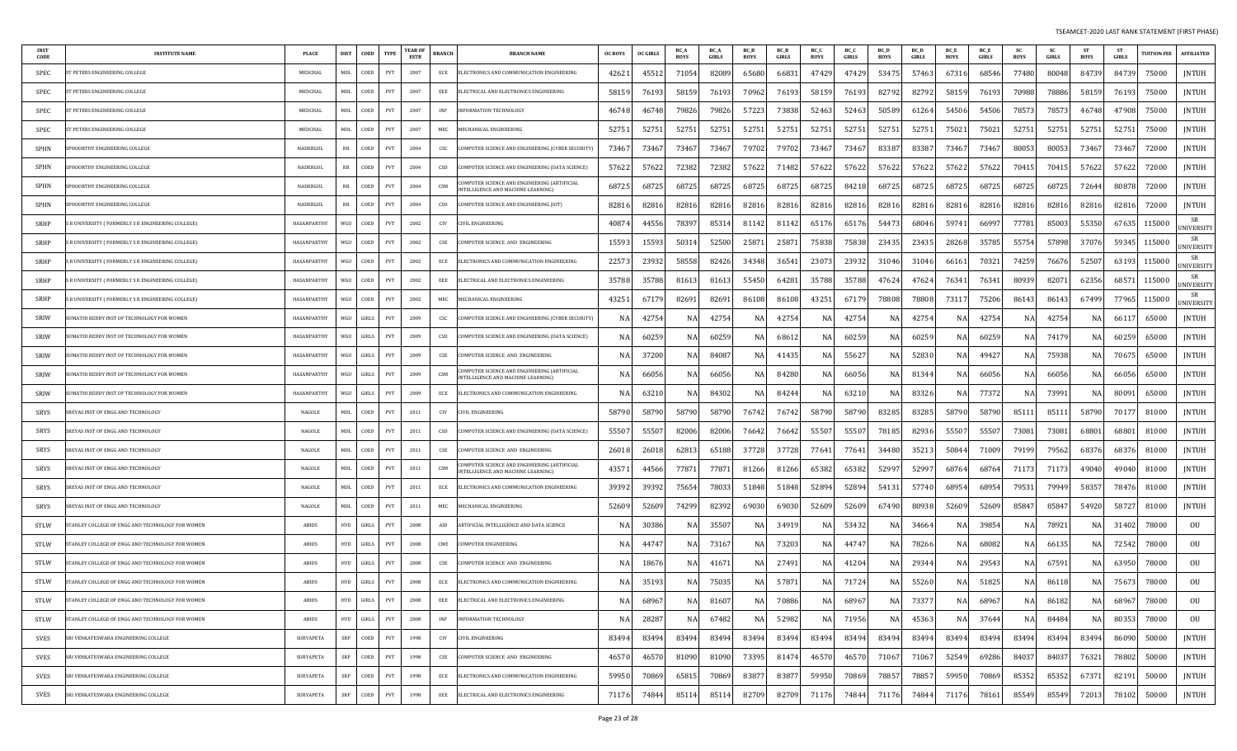| CODE        | <b>INSTITUTE NAME</b>                            | <b>PLACE</b> | <b>DIST</b> | COED  | <b>TYPE</b> | YEAR OF<br>ESTB | <b>BRANCH</b> | <b>BRANCH NAME</b>                                                                 | OC BOYS | <b>OC GIRLS</b> | BC A<br><b>BOYS</b> | <b>BC</b> A<br>GIRLS | BC_B<br>BOYS | <b>BCB</b><br>GIRLS | BC_C<br><b>BOYS</b> | BC O<br><b>GIRLS</b> | BC D<br>BOYS | BC L<br>GIRLS | <b>BCE</b><br><b>BOYS</b> | <b>BC</b> E<br>GIRLS | <b>SC</b><br>BOYS | <b>SC</b><br>GIRLS | <b>ST</b><br>BOYS | GIRLS | <b>UITION FEE</b> | <b>AFFILIATED</b>       |
|-------------|--------------------------------------------------|--------------|-------------|-------|-------------|-----------------|---------------|------------------------------------------------------------------------------------|---------|-----------------|---------------------|----------------------|--------------|---------------------|---------------------|----------------------|--------------|---------------|---------------------------|----------------------|-------------------|--------------------|-------------------|-------|-------------------|-------------------------|
| SPEC        | <b>PETERS ENGINEERING COLLEGE</b>                | MEDCHAI      | MDL         | COED  | PVT         | 2007            | ECE           | ELECTRONICS AND COMMUNICATION ENGINEERING                                          | 42621   | 4551            | 71054               | 8208                 | 65680        | 6683                | 47429               | 47429                | 5347         | 57463         | 67316                     | 68546                | 77480             | 80048              | 84739             | 84739 | 75000             | JNTUH                   |
| SPEC        | <b>T PETERS ENGINEERING COLLEGE</b>              | MEDCHAI      | MDL         | COED  | PVT         | 2007            | EEE           | LECTRICAL AND ELECTRONICS ENGINEERING                                              | 58159   | 7619            | 58159               | 7619                 | 70962        | 7619                | 58159               | 76193                | 82792        | 82792         | 58159                     | 76193                | 70988             | 78886              | 58159             | 76193 | 75000             | <b>JNTUH</b>            |
| SPEC        | PETERS ENGINEERING COLLEGE                       | MEDCHAL      | MDL         | COED  | PVT         | 2007            | INF           | NFORMATION TECHNOLOGY                                                              | 46748   | 4674            | 79826               | 79826                | 57223        | 73838               | 52463               | 52463                | 50589        | 61264         | 54506                     | 54506                | 78573             | 7857               | 46748             | 47908 | 75000             | JNTUH                   |
| SPEC        | <b>T PETERS ENGINEERING COLLEGE</b>              | MEDCHAI      | MDL         | COED  | PVT         | 2007            | MEC           | <b>MECHANICAL ENGINEERING</b>                                                      | 52751   | 5275            | 52751               | 5275                 | 52751        | 52751               | 52751               | 52751                | 5275         | 52751         | 75021                     | 7502                 | 52751             | 52751              | 52751             | 52751 | 75000             | JNTUH                   |
| SPHN        | PHOORTHY ENGINEERING COLLEGE                     | NADERGUL     | RR          | COED  | PVT         | 2004            | CSC           | OMPUTER SCIENCE AND ENGINEERING (CYBER SECURITY)                                   | 73467   | 7346            | 73467               | 7346                 | 79702        | 79702               | 73467               | 73467                | 83387        | 8338          | 73467                     | 7346.                | 80053             | 80053              | 73467             | 73467 | 72000             | JNTUH                   |
| SPHN        | PHOORTHY ENGINEERING COLLEGE                     | NADERGUL     | RR          | COED  | PVT         | 2004            | CSD           | OMPUTER SCIENCE AND ENGINEERING (DATA SCIENCE):                                    | 5762    | 5762            | 72382               | 72382                | 57622        | 71482               | 57622               | 57622                | 57622        | 57622         | 57622                     | 57622                | 7041.             | 70415              | 57622             | 57622 | 72000             | JNTUH                   |
| SPHN        | <b>PHOORTHY ENGINEERING COLLEGE</b>              | NADERGUL     | RR          | COED  | PVT         | 2004            | CSM           | OMPUTER SCIENCE AND ENGINEERING (ARTIFICIAL<br>INTELLIGENCE AND MACHINE LEARNING)  | 68725   | 6872            | 68725               | 68725                | 68725        | 68725               | 68725               | 84218                | 6872         | 68725         | 68725                     | 68725                | 68725             | 68725              | 72644             | 80878 | 72000             | JNTUH                   |
| SPHN        | PHOORTHY ENGINEERING COLLEGE                     | NADERGUI     | RR          | COED  | PVT         | 2004            | CSO           | COMPUTER SCIENCE AND ENGINEERING (IOT)                                             | 82816   | 8281            | 82816               | 8281                 | 82816        | 82816               | 82816               | 82816                | 82816        | 82816         | 82816                     | 82816                | 82816             | 82816              | 82816             | 82816 | 72000             | JNTUH                   |
| SRHP        | R UNIVERSITY ( FORMERLY S R ENGINEERING COLLEGE) | HASANPARTHY  | WGU         | COED  | <b>PVT</b>  | 2002            | CIV           | IVIL ENGINEERING                                                                   | 4087    | 4455            | 78397               | 8531                 | 81142        | 81142               | 65176               | 65176                | 54473        | 68046         | 59741                     | 6699.                | 7778              | 85003              | 55350             | 67635 | 115000            | SR<br><b>JNIVERSITY</b> |
| SRHP        | R UNIVERSITY ( FORMERLY S R ENGINEERING COLLEGE) | HASANPARTHY  | WGU         | COED  | PVT         | 2002            | CSE           | OMPUTER SCIENCE AND ENGINEERING                                                    | 15593   | 1559            | 50314               | 52500                | 2587         | 25871               | 75838               | 75838                | 23435        | 23435         | 28268                     | 35785                | 55754             | 57898              | 37076             | 59345 | 115000            | SR<br>JNIVERSITY        |
| SRHP        | R UNIVERSITY ( FORMERLY S R ENGINEERING COLLEGE) | HASANPARTHY  | WGU         | COED  | PVT         | 2002            | ECE           | ELECTRONICS AND COMMUNICATION ENGINEERING                                          | 2257    | 2393            | 58558               | 82426                | 34348        | 3654                | 23073               | 23932                | 31046        | 31046         | 66161                     | 70321                | 74259             | 76676              | 52507             | 63193 | 115000            | SR<br><b>JNIVERSITY</b> |
| SRHP        | R UNIVERSITY ( FORMERLY S R ENGINEERING COLLEGE) | HASANPARTHY  | WGU         | COED  | PVT         | 2002            | EEE           | LECTRICAL AND ELECTRONICS ENGINEERING                                              | 35788   | 3578            | 8161.               | 8161                 | 55450        | 64281               | 35788               | 35788                | 47624        | 4762          | 76341                     | 7634                 | 80939             | 8207               | 62356             | 68571 | 115000            | SR<br>JNIVERSITY        |
| SRHP        | R UNIVERSITY ( FORMERLY S R ENGINEERING COLLEGE) | HASANPARTHY  | WGU         | COED  | PVT         | 2002            | MEC           | <b>IECHANICAL ENGINEERING</b>                                                      | 4325    | 6717            | 8269                | 8269                 | 86108        | 86108               | 43251               | 67179                | 78808        | 78808         | 73117                     | 75206                | 86143             | 86143              | 67499             | 77965 | 115000            | SR<br><b>JNIVERSITY</b> |
| SRIW        | JMATHI REDDY INST OF TECHNOLOGY FOR WOMEN        | HASANPARTHY  | WGU         | GIRLS | PVT         | 2009            | CSC           | COMPUTER SCIENCE AND ENGINEERING (CYBER SECURITY)                                  |         | 4275            | NA                  | 4275                 | NA           | 4275                | NA                  | 4275                 | N/           | 4275          | NA                        | 42754                | NA                | 4275               | NA                | 6611  | 65000             | JNTUH                   |
| <b>SRIW</b> | JMATHI REDDY INST OF TECHNOLOGY FOR WOMEN        | HASANPARTHY  | WGH         | GIRLS | PVT         | 2009            | CSD           | COMPUTER SCIENCE AND ENGINEERING (DATA SCIENCE)                                    |         | 6025            | N/                  | 6025                 |              | 6861                | NA                  | 6025                 |              | 6025          |                           | 60259                |                   | 74179              | NA                | 60259 | 65000             | JNTUH                   |
| SRIW        | JMATHI REDDY INST OF TECHNOLOGY FOR WOMEN        | HASANPARTHY  | WGU         | GIRLS | PVT         | 2009            | CSE           | OMPUTER SCIENCE AND ENGINEERING                                                    |         | 3720            | NA                  | 84087                | N/           | 4143                | NA                  | 55627                | N.           | 5283          | NA                        | 49427                | N.                | 75938              | NA                | 70675 | 65000             | JNTUH                   |
| <b>SRIW</b> | JMATHI REDDY INST OF TECHNOLOGY FOR WOMEN        | HASANPARTHY  | WGU         | GIRLS | PVT         | 2009            | CSM           | OMPUTER SCIENCE AND ENGINEERING (ARTIFICIAL<br>NTELLIGENCE AND MACHINE LEARNING)   | -N      | 6605            | NA                  | 66056                | N.           | 84280               | NA                  | 66056                | N/           | 8134          | NA                        | 66056                | N.                | 66056              | NA                | 66056 | 65000             | JNTUH                   |
| SRIW        | JMATHI REDDY INST OF TECHNOLOGY FOR WOMEN        | HASANPARTHY  | WGU         | GIRLS | PVT         | 2009            | ECE           | LECTRONICS AND COMMUNICATION ENGINEERING                                           |         | 6321            | NA                  | 84302                | N.           | 84244               | NA                  | 63210                | N/           | 8332          | NA                        | 77372                | N.                | 73991              | NA                | 80091 | 65000             | <b>JNTUH</b>            |
| SRYS        | REYAS INST OF ENGG AND TECHNOLOGY                | NAGOLE       | MDL         | COED  | PVT         | 2011            | CIV           | IVIL ENGINEERING                                                                   | 58790   | 58790           | 58790               | 58790                | 76742        | 76742               | 58790               | 58790                | 8328         | 83285         | 58790                     | 58790                | 85111             | 8511               | 58790             | 70177 | 81000             | <b>JNTUH</b>            |
| SRYS        | REYAS INST OF ENGG AND TECHNOLOGY                | NAGOLE       | <b>MDL</b>  | COED  | PVT         | 2011            | CSD           | OMPUTER SCIENCE AND ENGINEERING (DATA SCIENCE):                                    | 5550    | 5550            | 82006               | 82006                | 76642        | 76642               | 55507               | 55507                | 7818         | 82936         | 55507                     | 55507                | 73081             | 73081              | 68801             | 68801 | 81000             | JNTUH                   |
| SRYS        | REYAS INST OF ENGG AND TECHNOLOGY                | NAGOLE       | <b>MDL</b>  | COED  | PVT         | 2011            | CSE           | OMPUTER SCIENCE AND ENGINEERING                                                    | 2601    | 2601            | 62813               | 6518                 | 37728        | 37728               | 77641               | 77641                | 34480        | 3521          | 50844                     | 7100                 | 79199             | 79562              | 68376             | 68376 | 81000             | JNTUH                   |
| SRYS        | REYAS INST OF ENGG AND TECHNOLOGY                | NAGOLE       | MDL         | COED  | PVT         | 2011            | CSM           | OMPUTER SCIENCE AND ENGINEERING (ARTIFICIAL):<br>NTELLIGENCE AND MACHINE LEARNING) | 4357    | 4456            | 77871               | 7787                 | 81266        | 81266               | 65382               | 65382                | 5299.        | 52997         | 68764                     | 6876                 | 71173             | 71173              | 49040             | 49040 | 81000             | JNTUH                   |
| SRYS        | REYAS INST OF ENGG AND TECHNOLOGY                | NAGOLE       | MDL         | COED  | PVT         | 2011            | ECE           | LECTRONICS AND COMMUNICATION ENGINEERING                                           | 3939    | 3939            | 75654               | 7803                 | 51848        | 51848               | 52894               | 52894                | 5413         | 57740         | 68954                     | 68954                | 79531             | 79949              | 58357             | 78476 | 81000             | JNTUH                   |
| SRYS        | REYAS INST OF ENGG AND TECHNOLOGY                | NAGOLE       | MDL         | COED  | PVT         | 2011            | MEC           | <b>MECHANICAL ENGINEERING</b>                                                      | 52609   | 5260            | 74299               | 8239                 | 69030        | 69030               | 52609               | 52609                | 67490        | 80938         | 52609                     | 52609                | 85847             | 85847              | 54920             | 58727 | 81000             | JNTUH                   |
| <b>STLW</b> | FANLEY COLLEGE OF ENGG AND TECHNOLOGY FOR WOMEN  | <b>ABIDS</b> | <b>HYD</b>  | GIRLS | PVT         | 2008            | AID           | RTIFICIAL INTELLIGENCE AND DATA SCIENCE                                            |         | 3038            | N.A                 | 3550                 | N/           | 3491                | NA                  | 53432                | N/           | 34664         | NA                        | 39854                | N/                | 7892               | NA                | 31402 | 78000             | OU                      |
| <b>STLW</b> | FANLEY COLLEGE OF ENGG AND TECHNOLOGY FOR WOMEN  | <b>ABIDS</b> | <b>HYD</b>  | GIRLS | PVT         | 2008            | CME           | OMPUTER ENGINEERING                                                                | N.      | 4474            | NA                  | 7316                 |              | 7320                | NA                  | 4474                 |              | 7826          | N A                       | 68082                |                   | 6613               | NA                | 72542 | 78000             | OU                      |
| STLW        | FANLEY COLLEGE OF ENGG AND TECHNOLOGY FOR WOMEN  | ABIDS        | <b>HYD</b>  | GIRLS | PVT         | 2008            | CSE           | OMPUTER SCIENCE AND ENGINEERING                                                    | -N      | 1867            | NA                  | 4167                 | N.           | 27491               | NA                  | 4120                 | N.           | 2934          | NA                        | 29543                | N.                | 67591              | NA                | 63950 | 78000             | OU                      |
| STLW        | TANLEY COLLEGE OF ENGG AND TECHNOLOGY FOR WOMEN  | ABIDS        | <b>HYD</b>  | GIRLS | PVT         | 2008            | ECE           | ELECTRONICS AND COMMUNICATION ENGINEERING                                          | N.      | 3519            | NA                  | 7503                 | NA           | 5787                | NA                  | 71724                | N/           | 55260         | NA                        | 51825                | NA                | 86118              | NA                | 75673 | 78000             | OU                      |
| STLW        | STANLEY COLLEGE OF ENGG AND TECHNOLOGY FOR WOMEN | <b>ABIDS</b> | HYD         | GIRLS | PVT         | 2008            | EEE           | ELECTRICAL AND ELECTRONICS ENGINEERING                                             | NA      | 68967           | NA                  | 81607                | NAI          | 70886               | NA                  | 68967                | NA.          | 73377         | NA                        | 68967                | NA                | 86182              | NA                | 68967 | 78000             | OU                      |
| STLW        | TANLEY COLLEGE OF ENGG AND TECHNOLOGY FOR WOMEN  | ABIDS        | <b>HYD</b>  | GIRLS | PVT         | 2008            | INF           | INFORMATION TECHNOLOGY                                                             | N.      | 28287           | NA                  | 67482                | NA           | 52982               | NA                  | 71956                | NA           | 45363         | NA                        | 37644                | NA                | 84484              | NA                | 80353 | 78000             | OU                      |
| SVES        | SRI VENKATESWARA ENGINEERING COLLEGE             | SURYAPETA    | SRP         | COED  | PVT         | 1998            | CIV           | CIVIL ENGINEERING                                                                  | 83494   | 83494           | 83494               | 83494                | 83494        | 83494               | 83494               | 83494                | 83494        | 83494         | 83494                     | 83494                | 83494             | 83494              | 83494             | 86090 | 50000             | <b>JNTUH</b>            |
| SVES        | SRI VENKATESWARA ENGINEERING COLLEGE             | SURYAPETA    | SRP         | COED  | PVT         | 1998            | CSE           | COMPUTER SCIENCE AND ENGINEERING                                                   | 4657    | 4657            | 81090               | 81090                | 73395        | 81474               | 46570               | 46570                | 7106         | 71067         | 52549                     | 69286                | 84037             | 84037              | 76321             | 78802 | 50000             | JNTUH                   |
| SVES        | SRI VENKATESWARA ENGINEERING COLLEGE             | SURYAPETA    | SRP         | COED  | PVT         | 1998            | ECE           | ELECTRONICS AND COMMUNICATION ENGINEERING                                          | 59950   | 70869           | 65815               | 70869                | 83877        | 83877               | 59950               | 70869                | 78857        | 78857         | 59950                     | 70869                | 85352             | 85352              | 67371             | 82191 | 50000             | JNTUH                   |
| SVES        | SRI VENKATESWARA ENGINEERING COLLEGE             | SURYAPETA    | SRP         | COED  | PVT         | 1998            | EEE           | ELECTRICAL AND ELECTRONICS ENGINEERING                                             | 71176   | 7484            | 85114               | 8511                 | 82709        | 82709               | 71176               | 74844                | 71176        | 7484          | 71176                     | 78161                | 85549             | 85549              | 72013             | 78102 | 50000             | JNTUH                   |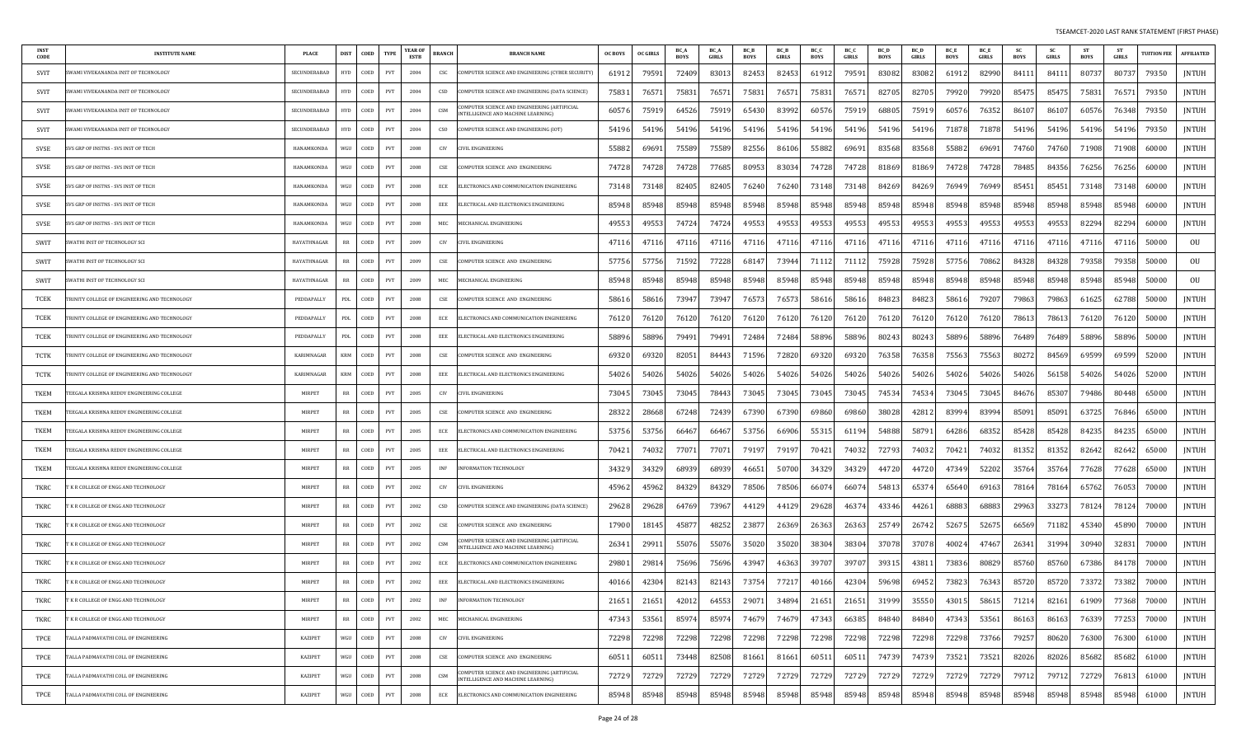| <b>INST</b><br>CODE | <b>INSTITUTE NAME</b>                        | <b>PLACE</b>   | <b>DIST</b> | COED | <b>TYPE</b> | YEAR OI<br><b>ESTB</b> | <b>BRANCH</b>    | <b>BRANCH NAME</b>                                                                 | <b>OC BOYS</b> | <b>OC GIRLS</b> | BC_A<br>BOYS | <b>BC</b> A<br>GIRLS | BC_B<br>BOYS | <b>BCB</b><br>GIRLS | BC_C<br>BOYS | BC O<br>GIRLS | <b>BCD</b><br>BOYS | BC D<br>GIRLS | <b>BC</b> E<br><b>BOYS</b> | <b>BC</b> E<br>GIRLS | BOYS  | <b>SC</b><br>GIRLS | <b>ST</b><br><b>BOYS</b> | GIRLS | <b>TUITION FEE</b> | <b>AFFILIATED</b> |
|---------------------|----------------------------------------------|----------------|-------------|------|-------------|------------------------|------------------|------------------------------------------------------------------------------------|----------------|-----------------|--------------|----------------------|--------------|---------------------|--------------|---------------|--------------------|---------------|----------------------------|----------------------|-------|--------------------|--------------------------|-------|--------------------|-------------------|
| SVIT                | WAMI VIVEKANANDA INST OF TECHNOLOGY          | SECUNDERABAD   | <b>HYD</b>  | COED | PVT         | 2004                   | CSC              | COMPUTER SCIENCE AND ENGINEERING (CYBER SECURITY)                                  | 61912          | 7959            | 72409        | 8301                 | 82453        | 82453               | 61912        | 79591         | 83082              | 83082         | 61912                      | 82990                | 84111 | 84111              | 80737                    | 80737 | 79350              | JNTUH             |
| SVIT                | WAMI VIVEKANANDA INST OF TECHNOLOGY          | SECUNDERABAD   | <b>HYD</b>  | COED | PVT         | 2004                   | CSD              | COMPUTER SCIENCE AND ENGINEERING (DATA SCIENCE)                                    | 75831          | 7657            | 75831        | 76571                | 75831        | 7657                | 75831        | 76571         | 82705              | 82705         | 79920                      | 79920                | 85475 | 85475              | 75831                    | 76571 | 79350              | <b>JNTUH</b>      |
| SVIT                | WAMI VIVEKANANDA INST OF TECHNOLOGY          | SECUNDERABAD   | <b>HYD</b>  | COED | PVT         | 2004                   | CSM              | OMPUTER SCIENCE AND ENGINEERING (ARTIFICIAL<br>INTELLIGENCE AND MACHINE LEARNING)  | 60576          | 7591            | 64526        | 75919                | 65430        | 83992               | 60576        | 75919         | 68805              | 7591          | 60576                      | 7635                 | 86107 | 8610               | 60576                    | 76348 | 79350              | <b>JNTUH</b>      |
| SVIT                | WAMI VIVEKANANDA INST OF TECHNOLOGY          | SECUNDERABAD   | <b>HYD</b>  | COED | PVT         | 2004                   | CSO <sub>1</sub> | COMPUTER SCIENCE AND ENGINEERING (IOT)                                             | 54196          | 54196           | 54196        | 54196                | 54196        | 54196               | 54196        | 54196         | 54196              | 54196         | 71878                      | 71878                | 54196 | 54196              | 54196                    | 54196 | 79350              | JNTUH             |
| SVSE                | VS GRP OF INSTNS - SVS INST OF TECH          | HANAMKONDA     | WGU         | COED | <b>PVT</b>  | 2008                   | CIV              | CIVIL ENGINEERING                                                                  | 55882          | 6969            | 75589        | 75589                | 82556        | 86106               | 55882        | 69691         | 83568              | 8356          | 55882                      | 69691                | 74760 | 74760              | 71908                    | 71908 | 60000              | JNTUH             |
| SVSE                | VS GRP OF INSTNS - SVS INST OF TECH          | HANAMKONDA     | WGU         | COED | PVT         | 2008                   | CSE              | COMPUTER SCIENCE AND ENGINEERING                                                   | 74728          | 7472            | 74728        | 77685                | 80953        | 83034               | 74728        | 74728         | 81869              | 8186          | 74728                      | 74728                | 78485 | 84356              | 76256                    | 76256 | 60000              | JNTUH             |
| SVSE                | VS GRP OF INSTNS - SVS INST OF TECH          | HANAMKONDA     | WGU         | COED | PVT         | 2008                   | ECE              | ELECTRONICS AND COMMUNICATION ENGINEERING                                          | 73148          | 7314            | 82405        | 82405                | 76240        | 76240               | 73148        | 73148         | 84269              | 8426          | 76949                      | 76949                | 85451 | 85451              | 73148                    | 73148 | 60000              | JNTUH             |
| SVSE                | VS GRP OF INSTNS - SVS INST OF TECH          | HANAMKONDA     | WGU         | COED | PVT         | 2008                   | EEE              | ELECTRICAL AND ELECTRONICS ENGINEERING                                             | 85948          | 85948           | 85948        | 85948                | 85948        | 85948               | 85948        | 85948         | 85948              | 85948         | 85948                      | 85948                | 85948 | 85948              | 85948                    | 85948 | 60000              | JNTUH             |
| SVSE                | VS GRP OF INSTNS - SVS INST OF TECH          | HANAMKONDA     | WGU         | COED | PVT         | 2008                   | MEC              | MECHANICAL ENGINEERING                                                             | 49553          | 4955            | 74724        | 74724                | 49553        | 49553               | 49553        | 49553         | 49553              | 49553         | 49553                      | 49553                | 49553 | 49553              | 82294                    | 82294 | 60000              | JNTUH             |
| SWIT                | WATHI INST OF TECHNOLOGY SCI                 | HAYATHNAGAR    | RR          | COED | PVT         | 2009                   | CIV              | CIVIL ENGINEERING                                                                  | 47116          | 4711            | 47116        | 47116                | 4711         | 4711                | 47116        | 47116         | 47116              | 4711          | 47116                      | 47116                | 47116 | 47116              | 47116                    | 47116 | 50000              | OU                |
| SWIT                | WATHI INST OF TECHNOLOGY SCI                 | HAYATHNAGAR    | RR          | COED | PVT         | 2009                   | CSE              | COMPUTER SCIENCE AND ENGINEERING                                                   | 57756          | 57756           | 71592        | 77228                | 6814         | 7394                | 71112        | 71112         | 75928              | 75928         | 57756                      | 70862                | 84328 | 84328              | 79358                    | 79358 | 50000              | OU                |
| SWIT                | WATHI INST OF TECHNOLOGY SCI                 | HAYATHNAGAR    | RR          | COED | PVT         | 2009                   | MEC              | IECHANICAL ENGINEERING                                                             | 85948          | 8594            | 85948        | 85948                | 85948        | 85948               | 85948        | 85948         | 85948              | 85948         | 85948                      | 85948                | 85948 | 85948              | 85948                    | 85948 | 50000              | OU                |
| TCEK                | RINITY COLLEGE OF ENGINEERING AND TECHNOLOGY | PEDDAPALLY     | PDL         | COED | <b>PVT</b>  | 2008                   | CSE              | COMPUTER SCIENCE AND ENGINEERING                                                   | 5861           | 5861            | 73947        | 73947                | 7657.        | 7657                | 58616        | 58616         | 84823              | 8482.         | 58616                      | 7920.                | 79863 | 79863              | 61625                    | 62788 | 50000              | JNTUH             |
| TCEK                | RINITY COLLEGE OF ENGINEERING AND TECHNOLOGY | PEDDAPALLY     | PDL         | COED | PVT         | 2008                   | ECE              | ELECTRONICS AND COMMUNICATION ENGINEERING                                          | 76120          | 7612            | 76120        | 76120                | 76120        | 76120               | 76120        | 76120         | 76120              | 76120         | 76120                      | 76120                | 78613 | 7861               | 76120                    | 76120 | 50000              | JNTUH             |
| TCEK                | RINITY COLLEGE OF ENGINEERING AND TECHNOLOGY | PEDDAPALLY     | PDL         | COED | PVT         | 2008                   | EEE              | ELECTRICAL AND ELECTRONICS ENGINEERING                                             | 58896          | 5889            | 79491        | 7949.                | 72484        | 72484               | 58896        | 58896         | 80243              | 8024          | 58896                      | 58896                | 76489 | 76489              | 58896                    | 58896 | 50000              | JNTUH             |
| TCTK                | RINITY COLLEGE OF ENGINEERING AND TECHNOLOGY | KARIMNAGAR     | <b>KRM</b>  | COED | PVT         | 2008                   | CSE              | COMPUTER SCIENCE AND ENGINEERING                                                   | 6932           | 6932            | 82051        | 84443                | 71596        | 7282                | 69320        | 69320         | 76358              | 7635          | 75563                      | 75563                | 80272 | 84569              | 69599                    | 69599 | 52000              | <b>JNTUH</b>      |
| TCTK                | RINITY COLLEGE OF ENGINEERING AND TECHNOLOGY | KARIMNAGAR     | <b>KRM</b>  | COED | PVT         | 2008                   | EEE              | ELECTRICAL AND ELECTRONICS ENGINEERING                                             | 54026          | 5402            | 54026        | 54026                | 54026        | 54026               | 54026        | 54026         | 54026              | 54026         | 54026                      | 54026                | 54026 | 56158              | 54026                    | 54026 | 52000              | JNTUH             |
| TKEM                | EEGALA KRISHNA REDDY ENGINEERING COLLEGE     | <b>MIRPET</b>  | RR          | COED | PVT         | 2005                   | CIV              | CIVIL ENGINEERING                                                                  | 73045          | 7304.           | 73045        | 78443                | 73045        | 73045               | 73045        | 73045         | 74534              | 74534         | 73045                      | 73045                | 84676 | 85307              | 79486                    | 80448 | 65000              | JNTUH             |
| TKEM                | EEGALA KRISHNA REDDY ENGINEERING COLLEGE     | MIRPET         | RR          | COED | PVT         | 2005                   | CSE              | COMPUTER SCIENCE AND ENGINEERING                                                   | 28322          | 2866            | 67248        | 72439                | 67390        | 67390               | 69860        | 69860         | 38028              | 4281          | 83994                      | 83994                | 85091 | 85091              | 63725                    | 76846 | 65000              | <b>JNTUH</b>      |
| TKEM                | EEGALA KRISHNA REDDY ENGINEERING COLLEGE     | <b>MIRPET</b>  | RR          | COED | PVT         | 2005                   | ECE              | ELECTRONICS AND COMMUNICATION ENGINEERING                                          | 53756          | 53756           | 66467        | 6646                 | 53756        | 66906               | 55315        | 61194         | 54888              | 5879          | 64286                      | 6835                 | 85428 | 85428              | 84235                    | 84235 | 65000              | <b>JNTUH</b>      |
| TKEM                | EEGALA KRISHNA REDDY ENGINEERING COLLEGE     | <b>MIRPET</b>  | RR          | COED | PVT         | 2005                   | EEE              | ELECTRICAL AND ELECTRONICS ENGINEERING                                             | 70421          | 7403            | 77071        | 7707                 | 79197        | 79197               | 70421        | 74032         | 72793              | 7403.         | 70421                      | 74032                | 81352 | 81352              | 82642                    | 82642 | 65000              | JNTUH             |
| TKEM                | EEGALA KRISHNA REDDY ENGINEERING COLLEGE     | <b>MIRPET</b>  | RR          | COED | PVT         | 2005                   | INF              | INFORMATION TECHNOLOGY                                                             | 34329          | 3432            | 68939        | 6893                 | 4665         | 50700               | 34329        | 34329         | 4472               | 4472          | 47349                      | 52202                | 35764 | 35764              | 77628                    | 77628 | 65000              | JNTUH             |
| TKRC                | K R COLLEGE OF ENGG AND TECHNOLOGY           | MIRPET         | RR          | COED | PVT         | 2002                   | CIV              | IVIL ENGINEERING                                                                   | 45962          | 4596            | 84329        | 8432                 | 78506        | 78506               | 66074        | 66074         | 5481               | 6537          | 65640                      | 6916.                | 78164 | 78164              | 65762                    | 76053 | 70000              | JNTUH             |
| TKRC                | K R COLLEGE OF ENGG AND TECHNOLOGY           | <b>MIRPET</b>  | RR          | COED | PVT         | 2002                   | CSD              | COMPUTER SCIENCE AND ENGINEERING (DATA SCIENCE)                                    | 29628          | 29628           | 64769        | 73967                | 44129        | 4412                | 29628        | 46374         | 43346              | 44261         | 68883                      | 68883                | 29963 | 3327               | 78124                    | 78124 | 70000              | JNTUH             |
| TKRC                | K R COLLEGE OF ENGG AND TECHNOLOGY           | <b>MIRPET</b>  | RR          | COED | PVT         | 2002                   | CSE              | COMPUTER SCIENCE AND ENGINEERING                                                   | 17900          | 1814.           | 45877        | 48252                | 2387         | 2636                | 26363        | 26363         | 25749              | 26742         | 52675                      | 52675                | 66569 | 71182              | 45340                    | 45890 | 70000              | JNTUH             |
| TKRC                | K R COLLEGE OF ENGG AND TECHNOLOGY           | <b>MIRPET</b>  | RR          | COED | PVT         | 2002                   | CSM              | COMPUTER SCIENCE AND ENGINEERING (ARTIFICIAL<br>NTELLIGENCE AND MACHINE LEARNING)  | 26341          | 2991            | 55076        | 55076                | 35020        | 3502                | 38304        | 38304         | 37078              | 3707          | 40024                      | 4746.                | 26341 | 31994              | 30940                    | 3283  | 70000              | JNTUH             |
| TKRC                | K R COLLEGE OF ENGG AND TECHNOLOGY           | MIRPET         | RR          | COED | PVT         | 2002                   | ECE              | ELECTRONICS AND COMMUNICATION ENGINEERING                                          | 29801          | 2981            | 75696        | 75696                | 43947        | 4636                | 39707        | 39707         | 3931               | 4381          | 73836                      | 8082                 | 85760 | 85760              | 67386                    | 84178 | 70000              | <b>JNTUH</b>      |
| TKRC                | K R COLLEGE OF ENGG AND TECHNOLOGY           | <b>MIRPET</b>  | RR          | COED | PVT         | 2002                   | EEE              | ELECTRICAL AND ELECTRONICS ENGINEERING                                             | 40166          | 4230            | 82143        | 82143                | 73754        | 7721                | 40166        | 42304         | 59698              | 6945          | 73823                      | 7634                 | 85720 | 85720              | 73372                    | 73382 | 70000              | <b>JNTUH</b>      |
| TKRC                | 'K R COLLEGE OF ENGG AND TECHNOLOGY          | <b>MIRPET</b>  | RR          | COED | PVT         | 2002                   | <b>INF</b>       | INFORMATION TECHNOLOGY                                                             | 21651          | 21651           | 42012        | 64553                | 29071        | 34894               | 21651        | 21651         | 31999              | 35550         | 43015                      | 58615                | 71214 | 82161              | 61909                    | 77368 | 70000              | JNTUH             |
| TKRC                | K R COLLEGE OF ENGG AND TECHNOLOGY           | MIRPET         | RR          | COED | PVT         | 2002                   | MEC              | MECHANICAL ENGINEERING                                                             | 47343          | 5356            | 85974        | 85974                | 74679        | 74679               | 47343        | 66385         | 84840              | 84840         | 47343                      | 53561                | 86163 | 86163              | 76339                    | 77253 | 70000              | JNTUH             |
| TPCE                | ALLA PADMAVATHI COLL OF ENGINEERING          | KAZIPET        | WGU         | COED | PVT         | 2008                   | CIV              | CIVIL ENGINEERING                                                                  | 72298          | 72298           | 72298        | 72298                | 72298        | 72298               | 72298        | 72298         | 72298              | 72298         | 72298                      | 73766                | 79257 | 80620              | 76300                    | 76300 | 61000              | JNTUH             |
| TPCE                | ALLA PADMAVATHI COLL OF ENGINEERING          | <b>KAZIPET</b> | <b>WGU</b>  | COED | PVT         | 2008                   | CSE              | COMPUTER SCIENCE AND ENGINEERING                                                   | 60511          | 6051            | 73448        | 82508                | 81661        | 81661               | 60511        | 60511         | 74739              | 7473          | 73521                      | 73521                | 82026 | 82026              | 85682                    | 85682 | 61000              | <b>JNTUH</b>      |
| TPCE                | ALLA PADMAVATHI COLL OF ENGINEERING          | <b>KAZIPET</b> | WGU         | COED | PVT         | 2008                   | CSM              | COMPUTER SCIENCE AND ENGINEERING (ARTIFICIAL<br>INTELLIGENCE AND MACHINE LEARNING) | 72729          | 7272            | 72729        | 72729                | 72729        | 72729               | 72729        | 72729         | 72729              | 7272          | 72729                      | 72729                | 79712 | 79712              | 72729                    | 76813 | 61000              | JNTUH             |
| TPCE                | ALLA PADMAVATHI COLL OF ENGINEERING          | KAZIPET        | WGU         | COED | PVT         | 2008                   | ECE              | ELECTRONICS AND COMMUNICATION ENGINEERING                                          | 85948          | 8594            | 85948        | 85948                | 85948        | 8594                | 85948        | 85948         | 85948              | 85948         | 85948                      | 85948                | 85948 | 85948              | 85948                    | 85948 | 61000              | JNTUH             |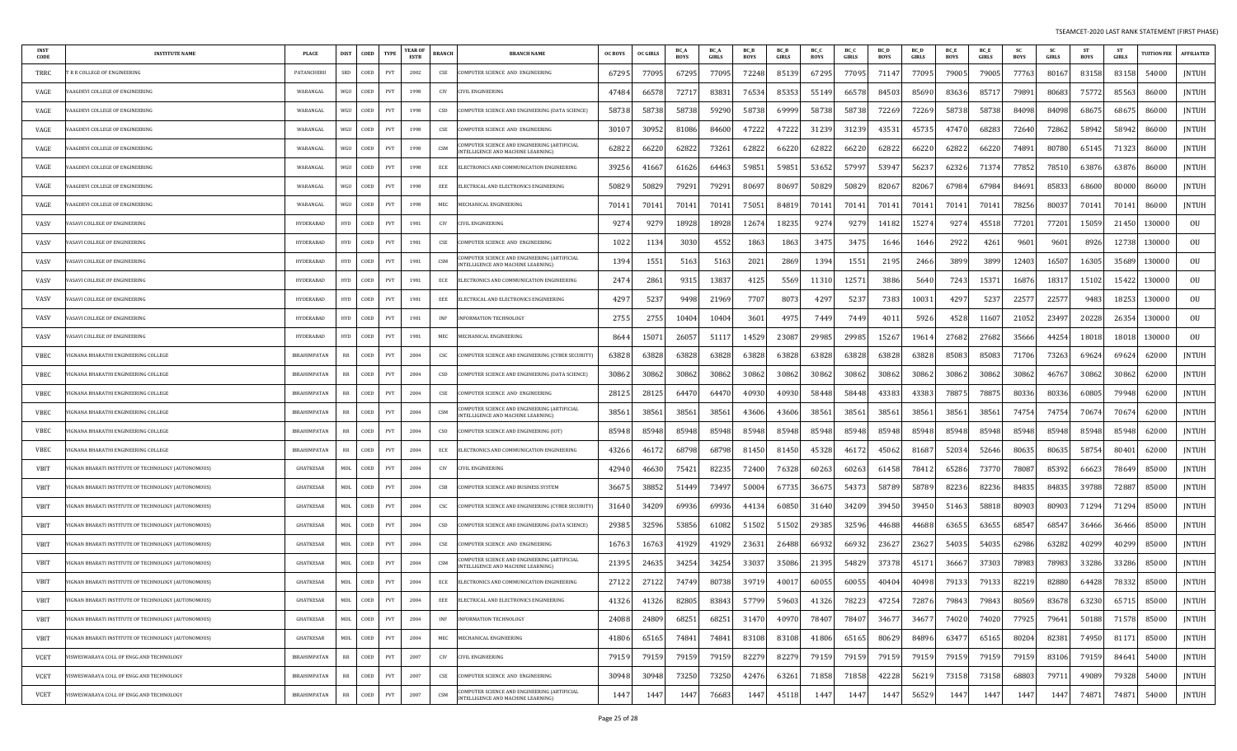| INS 1<br>CODE | <b>INSTITUTE NAMI</b>                               | <b>PLACE</b>        | <b>DIST</b>                       | COED | <b>TYPE</b>                 | <b>YEAR OF</b><br>ESTB | <b>BRANCH</b>               | <b>BRANCH NAME</b>                                                                       | <b>OC BOYS</b> | <b>OC GIRLS</b> | BC /<br><b>BOYS</b> | BC_A<br>GIRLS | BC_B<br><b>BOYS</b> | BC_B<br>GIRLS | BC_C<br>BOYS | BC_C<br>GIRLS | BC_D<br>BOYS | BC_D<br><b>GIRLS</b> | BC_E<br><b>BOYS</b> | BC_E<br>GIRLS | <b>SC</b><br>BOYS | <b>SC</b><br>GIRLS | ST<br>BOYS | -ST<br><b>GIRLS</b> | <b>TUITION FEE</b> | <b>AFFILIATED</b> |
|---------------|-----------------------------------------------------|---------------------|-----------------------------------|------|-----------------------------|------------------------|-----------------------------|------------------------------------------------------------------------------------------|----------------|-----------------|---------------------|---------------|---------------------|---------------|--------------|---------------|--------------|----------------------|---------------------|---------------|-------------------|--------------------|------------|---------------------|--------------------|-------------------|
| TRRC          | R R COLLEGE OF ENGINEERING                          | PATANCHERL          | SRD                               | COED | PVT                         | 2002                   | CSE                         | COMPUTER SCIENCE AND ENGINEERING                                                         | 67295          | 7709            | 67295               | 77095         | 72248               | 8513          | 67295        | 77095         | 71147        | 7709.                | 79005               | 79005         | 77763             | 8016               | 83158      | 83158               | 54000              | JNTUH             |
| VAGE          | AAGDEVI COLLEGE OF ENGINEERING                      | WARANGAL            | WGU                               | COED | PVT                         | 1998                   | CIV                         | <b>IVIL ENGINEERING</b>                                                                  | 47484          | 6657            | 72717               | 8383          | 76534               | 85353         | 55149        | 66578         | 84503        | 85690                | 83636               | 8571          | 79891             | 80683              | 75772      | 85563               | 86000              | <b>JNTUH</b>      |
| VAGE          | AAGDEVI COLLEGE OF ENGINEERING                      | WARANGAI            | WGU                               | COED | PVT                         | 1998                   | CSD                         | COMPUTER SCIENCE AND ENGINEERING (DATA SCIENCE)                                          | 58738          | 5873            | 58738               | 59290         | 58738               | 69999         | 58738        | 58738         | 72269        | 7226                 | 58738               | 5873          | 84098             | 84098              | 68675      | 6867                | 86000              | <b>JNTUH</b>      |
| VAGE          | AAGDEVI COLLEGE OF ENGINEERING                      | WARANGAL            | WGU                               | COED | PVT                         | 1998                   | CSE                         | COMPUTER SCIENCE AND ENGINEERING                                                         | 3010           | 3095            | 81086               | 84600         | 4722                | 4722          | 31239        | 31239         | 4353         | 45735                | 47470               | 6828          | 72640             | 72862              | 58942      | 58942               | 86000              | <b>JNTUH</b>      |
| VAGE          | AAGDEVI COLLEGE OF ENGINEERING                      | WARANGAI            | WGU                               | COED | PVT                         | 1998                   | CSM                         | OMPUTER SCIENCE AND ENGINEERING (ARTIFICIAL<br><b>INTELLIGENCE AND MACHINE LEARNING)</b> | 62822          | 6622            | 62822               | 73261         | 6282                | 6622          | 62822        | 66220         | 6282         | 6622                 | 62822               | 6622          | 74891             | 80780              | 65145      | 7132.               | 86000              | <b>JNTUH</b>      |
| VAGE          | AAGDEVI COLLEGE OF ENGINEERING                      | WARANGAL            | WGU                               | COED | PVT                         | 1998                   | ECE                         | ELECTRONICS AND COMMUNICATION ENGINEERING                                                | 39256          | 4166            | 61626               | 6446.         | 5985                | 5985          | 53652        | 57997         | 53947        | 5623                 | 62326               | 7137          | 77852             | 78510              | 63876      | 63876               | 86000              | JNTUH             |
| VAGE          | AAGDEVI COLLEGE OF ENGINEERING                      | WARANGAL            | WGU                               | COED | PVT                         | 1998                   | EEE                         | ELECTRICAL AND ELECTRONICS ENGINEERING                                                   | 50829          | 5082            | 79291               | 79291         | 80697               | 8069          | 50829        | 50829         | 82067        | 8206                 | 67984               | 67984         | 84691             | 8583               | 68600      | 80000               | 86000              | JNTUH             |
| VAGE          | AAGDEVI COLLEGE OF ENGINEERING                      | WARANGAI            | WGU                               | COED | PVT                         | 1998                   | MEC                         | MECHANICAL ENGINEERING                                                                   | 70141          | 7014            | 70141               | 70141         | 75051               | 8481          | 70141        | 70141         | 70141        | 70141                | 70141               | 70141         | 78256             | 8003               | 70141      | 70141               | 86000              | JNTUH             |
| VASV          | ASAVI COLLEGE OF ENGINEERING                        | <b>HYDERABAD</b>    | <b>HYD</b>                        | COED | PVT                         | 1981                   | CIV                         | <b>IVIL ENGINEERING</b>                                                                  | 9274           | 927             | 18928               | 18928         | 1267                | 18235         | 9274         | 9279          | 14182        | 1527                 | 9274                | 4551          | 77201             | 77201              | 15059      | 2145                | 130000             | OU                |
| VASV          | ASAVI COLLEGE OF ENGINEERING                        | <b>HYDERABAD</b>    | <b>HYD</b>                        | COED | PVT                         | 1981                   | CSE                         | COMPUTER SCIENCE AND ENGINEERING                                                         | 1022           | 113             | 3030                | 4552          | 1863                | 1863          | 3475         | 3475          | 1646         | 1646                 | 2922                | 4261          | 9601              | 9601               | 8926       | 12738               | 130000             | OU                |
| VASV          | ASAVI COLLEGE OF ENGINEERING                        | <b>HYDERABAD</b>    | <b>HYD</b>                        | COED | PVT                         | 1981                   | CSM                         | COMPUTER SCIENCE AND ENGINEERING (ARTIFICIAL<br>NTELLIGENCE AND MACHINE LEARNING)        | 1394           | 155             | 5163                | 5163          | 2021                | 2869          | 1394         | 1551          | 2195         | 2466                 | 3899                | 3899          | 12403             | 16507              | 16305      | 3568                | 130000             | OU                |
| VASV          | ASAVI COLLEGE OF ENGINEERING                        | HYDERABAD           | <b>HYD</b>                        | COED | PVT                         | 1981                   | ECE                         | ELECTRONICS AND COMMUNICATION ENGINEERING                                                | 2474           | 286             | 9315                | 13837         | 4125                | 5569          | 11310        | 12571         | 3886         | 5640                 | 7243                | 1537          | 16876             | 1831               | 15102      | 15422               | 130000             | 0U                |
| VASV          | ASAVI COLLEGE OF ENGINEERING                        | HYDERABAD           | <b>HYD</b>                        | COED | PVT                         | 1981                   | EEE                         | ELECTRICAL AND ELECTRONICS ENGINEERING                                                   | 429            | 523             | 9498                | 21969         | 7707                | 807           | 4297         | 5237          | 7383         | 1003                 | 4297                | 523           | 2257              | 22577              | 9483       | 18253               | 130000             | OU                |
| VASV          | ASAVI COLLEGE OF ENGINEERING                        | HYDERABAD           | <b>HYD</b>                        | COED | PVT                         | 1981                   | INF                         | <b>INFORMATION TECHNOLOGY</b>                                                            | 2755           | 275             | 10404               | 10404         | 3601                | 497           | 7449         | 7449          | 401          | 5926                 | 4528                | 11607         | 21052             | 23497              | 20228      | 26354               | 130000             | OU                |
| VASV          | ASAVI COLLEGE OF ENGINEERING                        | <b>HYDERABAD</b>    | <b>HYD</b>                        | COED | PVT                         | 1981                   | MEC                         | MECHANICAL ENGINEERING                                                                   | 864            | 1507            | 26057               | 5111          | 14529               | 2308          | 29985        | 29985         | 15267        | 1961                 | 27682               | 27682         | 35666             | 44254              | 18018      | 18018               | 130000             | OU                |
| VBEC          | IGNANA BHARATHI ENGINEERING COLLEGE                 | IBRAHIMPATAN        | $_{\rm RR}$                       | COED | PVT                         | 2004                   | CSC                         | COMPUTER SCIENCE AND ENGINEERING (CYBER SECURITY                                         | 63828          | 6382            | 63828               | 63828         | 63828               | 6382          | 63828        | 63828         | 63828        | 6382                 | 85083               | 85083         | 71706             | 73263              | 69624      | 69624               | 62000              | <b>JNTUH</b>      |
| VBEC          | GNANA BHARATHI ENGINEERING COLLEGE                  | <b>IBRAHIMPATAN</b> | RR                                | COED | PVT                         | 2004                   | CSD                         | COMPUTER SCIENCE AND ENGINEERING (DATA SCIENCE)                                          | 30862          | 3086            | 30862               | 30862         | 30862               | 30862         | 30862        | 30862         | 30862        | 30862                | 30862               | 30862         | 30862             | 46767              | 30862      | 30862               | 62000              | JNTUH             |
| VBEC          | GNANA BHARATHI ENGINEERING COLLEGE                  | IBRAHIMPATAN        | RR                                | COED | PVT                         | 2004                   | CSE                         | COMPUTER SCIENCE AND ENGINEERING                                                         | 28125          | 2812            | 64470               | 64470         | 40930               | 4093          | 58448        | 58448         | 43383        | 43383                | 78875               | 7887.         | 80336             | 80336              | 60805      | 79948               | 62000              | <b>JNTUH</b>      |
| VBEC          | <b>GNANA BHARATHI ENGINEERING COLLEGE</b>           | <b>IBRAHIMPATAN</b> | RR                                | COED | PVT                         | 2004                   | CSM                         | COMPUTER SCIENCE AND ENGINEERING (ARTIFICIAI<br><b>NTELLIGENCE AND MACHINE LEARNING</b>  | 38561          | 3856            | 38561               | 38561         | 43606               | 43606         | 38561        | 38561         | 38561        | 38561                | 38561               | 38561         | 74754             | 74754              | 70674      | 70674               | 62000              | JNTUH             |
| <b>VBEC</b>   | GNANA BHARATHI ENGINEERING COLLEGE                  | <b>IBRAHIMPATAN</b> | RR                                | COED | PVT                         | 2004                   | CSO                         | COMPUTER SCIENCE AND ENGINEERING (IOT)                                                   | 85948          | 8594            | 85948               | 85948         | 85948               | 85948         | 85948        | 85948         | 85948        | 85948                | 85948               | 8594          | 85948             | 85948              | 85948      | 85948               | 62000              | <b>JNTUH</b>      |
| VBEC          | GNANA BHARATHI ENGINEERING COLLEGE                  | IBRAHIMPATAN        | RR                                | COED | PVT                         | 2004                   | ECE                         | ELECTRONICS AND COMMUNICATION ENGINEERING                                                | 43266          | 4617            | 68798               | 68798         | 81450               | 81450         | 45328        | 46172         | 45062        | 8168                 | 52034               | 52646         | 80635             | 80635              | 58754      | 80401               | 62000              | JNTUH             |
| <b>VBIT</b>   | GNAN BHARATI INSTITUTE OF TECHNOLOGY (AUTONOMOUS)   | <b>GHATKESAR</b>    | MDL                               | COED | PVT                         | 2004                   | CIV                         | <b>IVIL ENGINEERING</b>                                                                  | 42940          | 4663            | 75421               | 82235         | 72400               | 7632          | 60263        | 60263         | 61458        | 7841                 | 65286               | 7377          | 78087             | 85392              | 66623      | 78649               | 85000              | JNTUH             |
| VBIT          | IGNAN BHARATI INSTITUTE OF TECHNOLOGY (AUTONOMOUS)  | <b>GHATKESAR</b>    | MDL                               | COED | <b>PVT</b>                  | 2004                   | CSB                         | COMPUTER SCIENCE AND BUSINESS SYSTEM                                                     | 36675          | 3885            | 51449               | 73497         | 50004               | 67735         | 36675        | 54373         | 58789        | 5878                 | 82236               | 82236         | 84835             | 84835              | 39788      | 72887               | 85000              | JNTUH             |
| VBIT          | IGNAN BHARATI INSTITUTE OF TECHNOLOGY (AUTONOMOUS)  | <b>GHATKESAR</b>    | MDL                               | COED | PVT                         | 2004                   | CSC                         | COMPUTER SCIENCE AND ENGINEERING (CYBER SECURITY)                                        | 31640          | 3420            | 69936               | 69936         | 4413                | 60850         | 31640        | 34209         | 39450        | 3945                 | 51463               | 5881          | 80903             | 80903              | 71294      | 71294               | 85000              | JNTUH             |
| VBIT          | GNAN BHARATI INSTITUTE OF TECHNOLOGY (AUTONOMOUS)   | GHATKESAR           | MDL                               | COED | PVT                         | 2004                   | CSD                         | COMPUTER SCIENCE AND ENGINEERING (DATA SCIENCE)                                          | 29385          | 3259            | 53856               | 61082         | 51502               | 51502         | 29385        | 32596         | 44688        | 44688                | 63655               | 63655         | 68547             | 68547              | 36466      | 36466               | 85000              | <b>JNTUH</b>      |
| VBIT          | IGNAN BHARATI INSTITUTE OF TECHNOLOGY (AUTONOMOUS)  | <b>GHATKESAR</b>    | MDL                               | COED | PVT                         | 2004                   | CSE                         | COMPUTER SCIENCE AND ENGINEERING                                                         | 16763          | 1676.           | 41929               | 41929         | 23631               | 26488         | 66932        | 66932         | 23627        | 23627                | 54035               | 54035         | 62986             | 63282              | 40299      | 40299               | 85000              | JNTUH             |
| VBIT          | IGNAN BHARATI INSTITUTE OF TECHNOLOGY (AUTONOMOUS)  | <b>GHATKESAR</b>    | MDL                               | COED | PVT                         | 2004                   | CSM                         | COMPUTER SCIENCE AND ENGINEERING (ARTIFICIAL<br>NTELLIGENCE AND MACHINE LEARNING)        | 21395          | 2463            | 34254               | 34254         | 33037               | 35086         | 21395        | 54829         | 3737         | 4517                 | 36667               | 3730          | 78983             | 78983              | 33286      | 33286               | 85000              | <b>JNTUH</b>      |
| VBIT          | VIGNAN BHARATI INSTITUTE OF TECHNOLOGY (AUTONOMOUS) | <b>GHATKESAR</b>    | MDL                               | COED | PVT                         | 2004                   | ECE                         | ELECTRONICS AND COMMUNICATION ENGINEERING                                                | 27122          | 27122           | 74749               | 80738         | 3971                | 4001          | 60055        | 60055         | 40404        | 40498                | 79133               | 79133         | 82219             | 82880              | 64428      | 78332               | 85000              | <b>JNTUH</b>      |
| VBIT          | VIGNAN BHARATI INSTITUTE OF TECHNOLOGY (AUTONOMOUS) | GHATKESAR           | MDL                               | COED | PVT                         | 2004                   | EEE                         | ELECTRICAL AND ELECTRONICS ENGINEERING                                                   | 41326          | 41326           | 82805               | 83843         | 57799               | 59603         | 41326        | 78223         | 47254        | 72876                | 79843               | 79843         | 80569             | 83678              | 63230      | 65715               | 85000              | JNTUH             |
| VBIT          | IGNAN BHARATI INSTITUTE OF TECHNOLOGY (AUTONOMOUS)  | GHATKESAR           | MDL                               | COED | PVT                         | 2004                   | INF                         | <b>NFORMATION TECHNOLOGY</b>                                                             | 24088          | 24809           | 68251               | 68251         | 31470               | 40970         | 78407        | 78407         | 34677        | 34677                | 74020               | 74020         | 77925             | 79641              | 50188      | 71578               | 85000              | <b>JNTUH</b>      |
| VBIT          | IGNAN BHARATI INSTITUTE OF TECHNOLOGY (AUTONOMOUS)  | GHATKESAR           | MDL                               | COED | PVT                         | 2004                   | MEC                         | MECHANICAL ENGINEERING                                                                   | 41806          | 6516            | 74841               | 74841         | 83108               | 83108         | 41806        | 65165         | 80629        | 84896                | 63477               | 65165         | 80204             | 82381              | 74950      | 81171               | 85000              | JNTUH             |
| <b>VCET</b>   | ISWESWARAYA COLL OF ENGG AND TECHNOLOGY             | <b>IBRAHIMPATAN</b> | RR                                | COED | $\ensuremath{\mathrm{PVT}}$ | 2007                   | CIV                         | CIVIL ENGINEERING                                                                        | 79159          | 7915            | 79159               | 79159         | 82279               | 82279         | 79159        | 79159         | 79159        | 79159                | 79159               | 79159         | 79159             | 83106              | 79159      | 84641               | 54000              | <b>JNTUH</b>      |
| <b>VCET</b>   | ISWESWARAYA COLL OF ENGG AND TECHNOLOGY             | <b>IBRAHIMPATAN</b> | $\ensuremath{\mathsf{RR}}\xspace$ | COED | PVT                         | 2007                   | $\ensuremath{\mathsf{CSE}}$ | COMPUTER SCIENCE AND ENGINEERING                                                         | 30948          | 30948           | 73250               | 73250         | 42476               | 63261         | 71858        | 71858         | 42228        | 5621                 | 73158               | 73158         | 68803             | 79711              | 49089      | 79328               | 54000              | JNTUH             |
| VCET          | VISWESWARAYA COLL OF ENGG AND TECHNOLOGY            | <b>IBRAHIMPATAN</b> | $\ensuremath{\mathsf{RR}}\xspace$ | COED | PVT                         | 2007                   | $\mathsf{CSM}\xspace$       | COMPUTER SCIENCE AND ENGINEERING (ARTIFICIAL<br><b>NTELLIGENCE AND MACHINE LEARNING)</b> | 1447           | 144             | 1447                | 76683         | 1447                | 4511          | 1447         | 1447          | 1447         | 5652                 | 1447                | 1447          | 1447              | 1447               | 74871      | 74871               | 54000              | JNTUH             |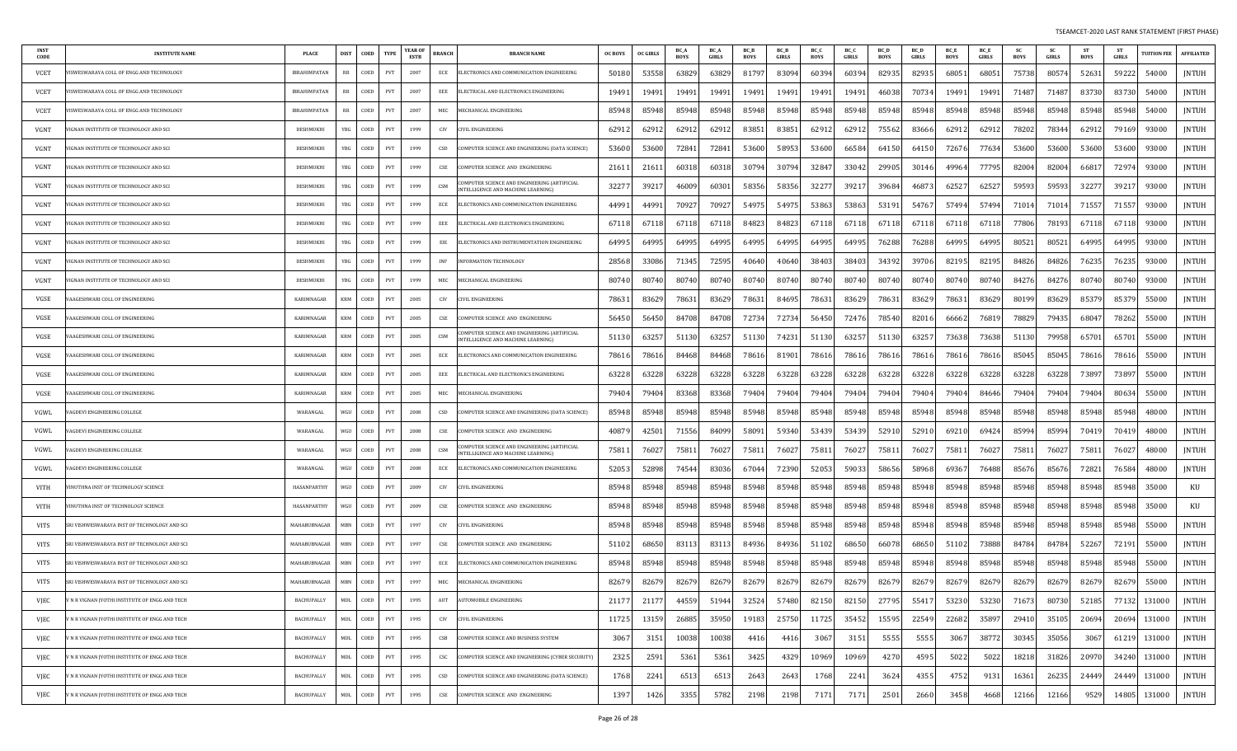| <b>INST</b><br>CODE | <b>INSTITUTE NAME</b>                        | PLACE               | <b>DIST</b> | COED | <b>TYPE</b>                 | <b>YEAR OF</b><br>ESTB | <b>BRANCH</b>               | <b>BRANCH NAME</b>                                                                 | <b>OC BOYS</b> | <b>OC GIRLS</b> | BC.<br><b>BOYS</b> | <b>BC_A</b><br><b>GIRLS</b> | BC_B<br><b>BOYS</b> | BC_B<br>GIRLS | BC_C<br><b>BOYS</b> | BC_C<br><b>GIRLS</b> | <b>BC_D</b><br><b>BOYS</b> | <b>BC</b> L<br>GIRLS | BC_E<br><b>BOYS</b> | BC_E<br>GIRLS | <b>SC</b><br><b>BOYS</b> | <b>SC</b><br>GIRLS | <b>ST</b><br><b>BOYS</b> | <b>ST</b><br>GIRLS | <b>TUITION FEE</b> | <b>AFFILIATED</b> |
|---------------------|----------------------------------------------|---------------------|-------------|------|-----------------------------|------------------------|-----------------------------|------------------------------------------------------------------------------------|----------------|-----------------|--------------------|-----------------------------|---------------------|---------------|---------------------|----------------------|----------------------------|----------------------|---------------------|---------------|--------------------------|--------------------|--------------------------|--------------------|--------------------|-------------------|
| VCET                | ISWESWARAYA COLL OF ENGG AND TECHNOLOGY      | <b>IBRAHIMPATAN</b> | RR          | COED | PVT                         | 2007                   | ECE                         | ELECTRONICS AND COMMUNICATION ENGINEERING                                          | 50180          | 53551           | 63829              | 6382                        | 81797               | 83094         | 60394               | 60394                | 82935                      | 82935                | 68051               | 68051         | 75738                    | 80574              | 52631                    | 59222              | 54000              | JNTUH             |
| <b>VCET</b>         | ISWESWARAYA COLL OF ENGG AND TECHNOLOGY      | <b>IBRAHIMPATAN</b> | RR          | COED | PVT                         | 2007                   | EEE                         | ELECTRICAL AND ELECTRONICS ENGINEERING                                             | 19491          | 1949            | 19491              | 1949                        | 19491               | 19491         | 19491               | 19491                | 46038                      | 7073                 | 19491               | 19491         | 71487                    | 71487              | 83730                    | 83730              | 54000              | JNTUH             |
| VCET                | ISWESWARAYA COLL OF ENGG AND TECHNOLOGY      | <b>IBRAHIMPATAN</b> | RR          | COED | PVT                         | 2007                   | MEC                         | MECHANICAL ENGINEERING                                                             | 85948          | 8594            | 85948              | 85948                       | 85948               | 85948         | 85948               | 85948                | 85948                      | 85948                | 85948               | 85948         | 85948                    | 85948              | 85948                    | 85948              | 54000              | <b>JNTUH</b>      |
| VGNT                | IGNAN INSTITUTE OF TECHNOLOGY AND SCI        | DESHMUKHI           | YBG         | COED | PVT                         | 1999                   | CIV                         | CIVIL ENGINEERING                                                                  | 6291           | 6291            | 62912              | 6291                        | 83851               | 83851         | 62912               | 62912                | 75562                      | 83666                | 62912               | 62912         | 78202                    | 78344              | 62912                    | 79169              | 93000              | <b>JNTUH</b>      |
| VGNT                | GNAN INSTITUTE OF TECHNOLOGY AND SCI         | DESHMUKHI           | YBG         | COED | PVT                         | 1999                   | CSD                         | COMPUTER SCIENCE AND ENGINEERING (DATA SCIENCE)                                    | 53600          | 53600           | 72841              | 7284                        | 53600               | 58953         | 53600               | 66584                | 64150                      | 64150                | 72676               | 77634         | 53600                    | 53600              | 53600                    | 53600              | 93000              | <b>JNTUH</b>      |
| <b>VGNT</b>         | IGNAN INSTITUTE OF TECHNOLOGY AND SCI        | DESHMUKHI           | YBG         | COED | PVT                         | 1999                   | CSE                         | COMPUTER SCIENCE AND ENGINEERING                                                   | 2161           | 2161            | 60318              | 6031                        | 30794               | 30794         | 32847               | 33042                | 2990!                      | 30146                | 49964               | 77795         | 82004                    | 82004              | 66817                    | 72974              | 93000              | JNTUH             |
| VGNT                | IGNAN INSTITUTE OF TECHNOLOGY AND SCI        | DESHMIJKHI          | YBG         | COED | PVT                         | 1999                   | CSM                         | OMPUTER SCIENCE AND ENGINEERING (ARTIFICIAL<br>INTELLIGENCE AND MACHINE LEARNING)  | 3227           | 3921            | 46009              | 6030                        | 58356               | 58356         | 32277               | 3921                 | 39684                      | 4687                 | 62527               | 62527         | 59593                    | 59593              | 32277                    | 3921.              | 93000              | JNTUH             |
| VGNT                | IGNAN INSTITUTE OF TECHNOLOGY AND SCI        | DESHMUKHI           | YBG         | COED | PVT                         | 1999                   | ECE                         | ELECTRONICS AND COMMUNICATION ENGINEERING                                          | 4499           | 4499            | 70927              | 7092                        | 5497                | 5497          | 53863               | 53863                | 53191                      | 54767                | 57494               | 57494         | 71014                    | 71014              | 71557                    | 71557              | 93000              | JNTUH             |
| VGNT                | IGNAN INSTITUTE OF TECHNOLOGY AND SCI        | <b>DESHMUKH</b>     | YBG         | COED | PVT                         | 1999                   | EEE                         | ELECTRICAL AND ELECTRONICS ENGINEERING                                             | 6711           | 6711            | 67118              | 6711                        | 84823               | 84823         | 67118               | 67118                | 67118                      | 6711                 | 67118               | 67118         | 77806                    | 78193              | 67118                    | 67118              | 93000              | <b>JNTUH</b>      |
| VGNT                | IGNAN INSTITUTE OF TECHNOLOGY AND SCI        | <b>DESHMUKH</b>     | YBG         | COED | PVT                         | 1999                   | EIE                         | ELECTRONICS AND INSTRUMENTATION ENGINEERING                                        | 64995          | 6499.           | 64995              | 6499!                       | 64995               | 64995         | 64995               | 64995                | 76288                      | 76288                | 64995               | 64995         | 80521                    | 80521              | 64995                    | 64995              | 93000              | <b>JNTUH</b>      |
| VGNT                | IGNAN INSTITUTE OF TECHNOLOGY AND SCI        | DESHMUKHI           | YBG         | COED | PVT                         | 1999                   | INF                         | <b>INFORMATION TECHNOLOGY</b>                                                      | 2856           | 3308            | 71345              | 7259                        | 40640               | 40640         | 38403               | 38403                | 34392                      | 39706                | 82195               | 82195         | 84826                    | 84826              | 76235                    | 76235              | 93000              | <b>JNTUH</b>      |
| VGNT                | IGNAN INSTITUTE OF TECHNOLOGY AND SCI        | DESHMUKHI           | YBG         | COED | PVT                         | 1999                   | MEC                         | MECHANICAL ENGINEERING                                                             | 80740          | 8074            | 80740              | 80740                       | 80740               | 80740         | 80740               | 80740                | 80740                      | 80740                | 80740               | 80740         | 84276                    | 84276              | 80740                    | 80740              | 93000              | <b>JNTUH</b>      |
| VGSE                | AAGESHWARI COLL OF ENGINEERING               | KARIMNAGAR          | <b>KRM</b>  | COED | PVT                         | 2005                   | CIV                         | IVIL ENGINEERING                                                                   | 78631          | 8362            | 78631              | 8362                        | 78631               | 84695         | 78631               | 83629                | 7863                       | 83629                | 78631               | 83629         | 80199                    | 83629              | 85379                    | 85379              | 55000              | <b>JNTUH</b>      |
| VGSE                | AAGESHWARI COLL OF ENGINEERING               | KARIMNAGAR          | KRM         | COED | PVT                         | 2005                   | CSE                         | COMPUTER SCIENCE AND ENGINEERING                                                   | 56450          | 5645            | 84708              | 84708                       | 72734               | 72734         | 56450               | 72476                | 78540                      | 82016                | 66662               | 76819         | 78829                    | 79435              | 68047                    | 78262              | 55000              | JNTUH             |
| VGSE                | AAGESHWARI COLL OF ENGINEERING               | KARIMNAGAR          | KRM         | COED | PVT                         | 2005                   | CSM                         | COMPUTER SCIENCE AND ENGINEERING (ARTIFICIAL<br>INTELLIGENCE AND MACHINE LEARNING) | 51130          | 6325            | 51130              | 6325                        | 51130               | 74231         | 51130               | 63257                | 51130                      | 63257                | 73638               | 73638         | 51130                    | 79958              | 65701                    | 65701              | 55000              | JNTUH             |
| VGSE                | AAGESHWARI COLL OF ENGINEERING               | KARIMNAGAR          | <b>KRM</b>  | COED | PVT                         | 2005                   | ECE                         | ELECTRONICS AND COMMUNICATION ENGINEERING                                          | 7861           | 7861            | 84468              | 8446                        | 78616               | 81901         | 78616               | 78616                | 78616                      | 7861                 | 78616               | 78616         | 85045                    | 85045              | 78616                    | 78616              | 55000              | JNTUH             |
| VGSE                | AAGESHWARI COLL OF ENGINEERING               | KARIMNAGAR          | <b>KRM</b>  | COED | PVT                         | 2005                   | EEE                         | ELECTRICAL AND ELECTRONICS ENGINEERING                                             | 63228          | 6322            | 63228              | 63228                       | 63228               | 63228         | 63228               | 63228                | 63228                      | 63228                | 63228               | 63228         | 63228                    | 63228              | 73897                    | 73897              | 55000              | JNTUH             |
| VGSE                | AAGESHWARI COLL OF ENGINEERING               | KARIMNAGAR          | <b>KRM</b>  | COED | PVT                         | 2005                   | MEC                         | MECHANICAL ENGINEERING                                                             | 79404          | 7940            | 83368              | 83368                       | 79404               | 79404         | 79404               | 79404                | 79404                      | 79404                | 79404               | 84646         | 79404                    | 79404              | 79404                    | 80634              | 55000              | JNTUH             |
| VGWL                | AGDEVI ENGINEERING COLLEGE                   | WARANGAL            | WGU         | COED | PVT                         | 2008                   | CSD                         | COMPUTER SCIENCE AND ENGINEERING (DATA SCIENCE)                                    | 85948          | 85948           | 85948              | 85948                       | 85948               | 85948         | 85948               | 85948                | 85948                      | 85948                | 85948               | 85948         | 85948                    | 85948              | 85948                    | 85948              | 48000              | JNTUH             |
| VGWL                | AGDEVI ENGINEERING COLLEGE                   | WARANGAL            | WGH         | COED | PVT                         | 2008                   | CSE                         | OMPUTER SCIENCE AND ENGINEERING                                                    | 4087           | 4250            | 71556              | 8409                        | 58091               | 59340         | 53439               | 53439                | 52910                      | 5291                 | 69210               | 69424         | 85994                    | 85994              | 70419                    | 70419              | 48000              | <b>JNTUH</b>      |
| VGWL                | AGDEVI ENGINEERING COLLEGE                   | WARANGAL            | WGU         | COED | PVT                         | 2008                   | CSM                         | OMPUTER SCIENCE AND ENGINEERING (ARTIFICIAL<br>INTELLIGENCE AND MACHINE LEARNING)  | 75811          | 7602            | 75811              | 7602                        | 75811               | 76027         | 75811               | 76027                | 75811                      | 7602                 | 75811               | 76027         | 75811                    | 76027              | 75811                    | 76027              | 48000              | <b>JNTUH</b>      |
| VGWL                | AGDEVI ENGINEERING COLLEGE                   | WARANGAL            | WGU         | COED | <b>PVT</b>                  | 2008                   | ECE                         | ELECTRONICS AND COMMUNICATION ENGINEERING                                          | 52053          | 52898           | 74544              | 8303                        | 67044               | 72390         | 52053               | 59033                | 58656                      | 58968                | 69367               | 76488         | 85676                    | 85676              | 72821                    | 76584              | 48000              | <b>JNTUH</b>      |
| VITH                | INUTHNA INST OF TECHNOLOGY SCIENCE           | HASANPARTHY         | WGU         | COED | <b>PVT</b>                  | 2009                   | <b>CIV</b>                  | <b>CIVIL ENGINEERING</b>                                                           | 85948          | 8594            | 85948              | 85948                       | 85948               | 85948         | 85948               | 85948                | 85948                      | 85948                | 85948               | 85948         | 85948                    | 85948              | 85948                    | 85948              | 35000              | KU                |
| VITH                | INUTHNA INST OF TECHNOLOGY SCIENCE           | <b>HASANPARTHY</b>  | WGH         | COED | PVT                         | 2009                   | CSE                         | COMPUTER SCIENCE AND ENGINEERING                                                   | 85948          | 85948           | 85948              | 85948                       | 85948               | 85948         | 85948               | 85948                | 85948                      | 85948                | 85948               | 85948         | 85948                    | 85948              | 85948                    | 85948              | 35000              | KU                |
| VITS                | RI VISHWESWARAYA INST OF TECHNOLOGY AND SCI  | MAHABUBNAGAR        | MBN         | COED | PVT                         | 1997                   | CIV                         | CIVIL ENGINEERING                                                                  | 85948          | 8594            | 85948              | 85948                       | 85948               | 85948         | 85948               | 85948                | 85948                      | 85948                | 85948               | 85948         | 85948                    | 85948              | 85948                    | 85948              | 55000              | JNTUH             |
| VITS                | RI VISHWESWARAYA INST OF TECHNOLOGY AND SCI  | MAHABUBNAGAR        | MBN         | COED | PVT                         | 1997                   | CSE                         | COMPUTER SCIENCE AND ENGINEERING                                                   | 51102          | 68650           | 83113              | 8311                        | 84936               | 84936         | 51102               | 68650                | 66078                      | 68650                | 51102               | 73888         | 84784                    | 84784              | 52267                    | 72191              | 55000              | JNTUH             |
| VITS                | RI VISHWESWARAYA INST OF TECHNOLOGY AND SCI  | MAHABUBNAGAR        | MBN         | COED | PVT                         | 1997                   | ECE                         | ELECTRONICS AND COMMUNICATION ENGINEERING                                          | 85948          | 85948           | 85948              | 85948                       | 85948               | 85948         | 85948               | 85948                | 85948                      | 85948                | 85948               | 85948         | 85948                    | 85948              | 85948                    | 85948              | 55000              | JNTUH             |
| VITS                | SRI VISHWESWARAYA INST OF TECHNOLOGY AND SCI | MAHABUBNAGAR        | MBN         | COED | PVT                         | 1997                   | MEC                         | MECHANICAL ENGINEERING                                                             | 82679          | 8267            | 82679              | 8267                        | 82679               | 82679         | 82679               | 82679                | 82679                      | 82679                | 82679               | 82679         | 82679                    | 82679              | 82679                    | 82679              | 55000              | <b>JNTUH</b>      |
| VJEC                | N R VIGNAN JYOTHI INSTITUTE OF ENGG AND TECH | BACHUPALLY          | MDL         | COED | PVT                         | 1995                   | AUT                         | <b>NUTOMOBILE ENGINEERING</b>                                                      | 21177          | 21177           | 44559              | 51944                       | 32524               | 57480         | 82150               | 82150                | 27795                      | 55417                | 53230               | 53230         | 71673                    | 80730              | 52185                    | 77132              | 131000             | JNTUH             |
| VJEC                | N R VIGNAN [YOTHI INSTITUTE OF ENGG AND TECH | BACHUPALLY          | MDL         | COED | PVT                         | 1995                   | CIV                         | IVIL ENGINEERING                                                                   | 11725          | 13159           | 26885              | 35950                       | 19183               | 25750         | 11725               | 35452                | 15595                      | 22549                | 22682               | 35897         | 29410                    | 35105              | 20694                    | 20694              | 131000             | JNTUH             |
| VJEC                | N R VIGNAN JYOTHI INSTITUTE OF ENGG AND TECH | BACHUPALLY          | MDL         | COED | PVT                         | 1995                   | CSB                         | COMPUTER SCIENCE AND BUSINESS SYSTEM                                               | 3067           | 3151            | 10038              | 10038                       | 4416                | 4416          | 3067                | 3151                 | 5555                       | 5555                 | 3067                | 38772         | 30345                    | 35056              | 3067                     | 61219              | 131000             | JNTUH             |
| VJEC                | N R VIGNAN JYOTHI INSTITUTE OF ENGG AND TECH | BACHUPALLY          | MDL         | COED | $\ensuremath{\mathrm{PVT}}$ | 1995                   | CSC                         | COMPUTER SCIENCE AND ENGINEERING (CYBER SECURITY)                                  | 2325           | 2591            | 5361               | 5361                        | 3425                | 4329          | 10969               | 10969                | 4270                       | 4595                 | 5022                | 5022          | 18218                    | 31826              | 20970                    | 34240              | 131000             | JNTUH             |
| VJEC                | N R VIGNAN JYOTHI INSTITUTE OF ENGG AND TECH | BACHUPALLY          | MDL         | COED | PVT                         | 1995                   | $_{\tt CSD}$                | COMPUTER SCIENCE AND ENGINEERING (DATA SCIENCE)                                    | 1768           | 2241            | 6513               | 6513                        | 2643                | 2643          | 1768                | 2241                 | 3624                       | 435                  | 4752                | 9131          | 16361                    | 26235              | 24449                    | 24449              | 131000             | JNTUH             |
| VJEC                | N R VIGNAN JYOTHI INSTITUTE OF ENGG AND TECH | BACHUPALLY          | MDL         | COED | PVT                         | 1995                   | $\ensuremath{\mathsf{CSE}}$ | COMPUTER SCIENCE AND ENGINEERING                                                   | 1397           | 142             | 3355               | 5782                        | 2198                | 2198          | 7171                | 7171                 | 250                        | 2660                 | 3458                | 4668          | 12166                    | 12166              | 9529                     | 14805              | 131000             | JNTUH             |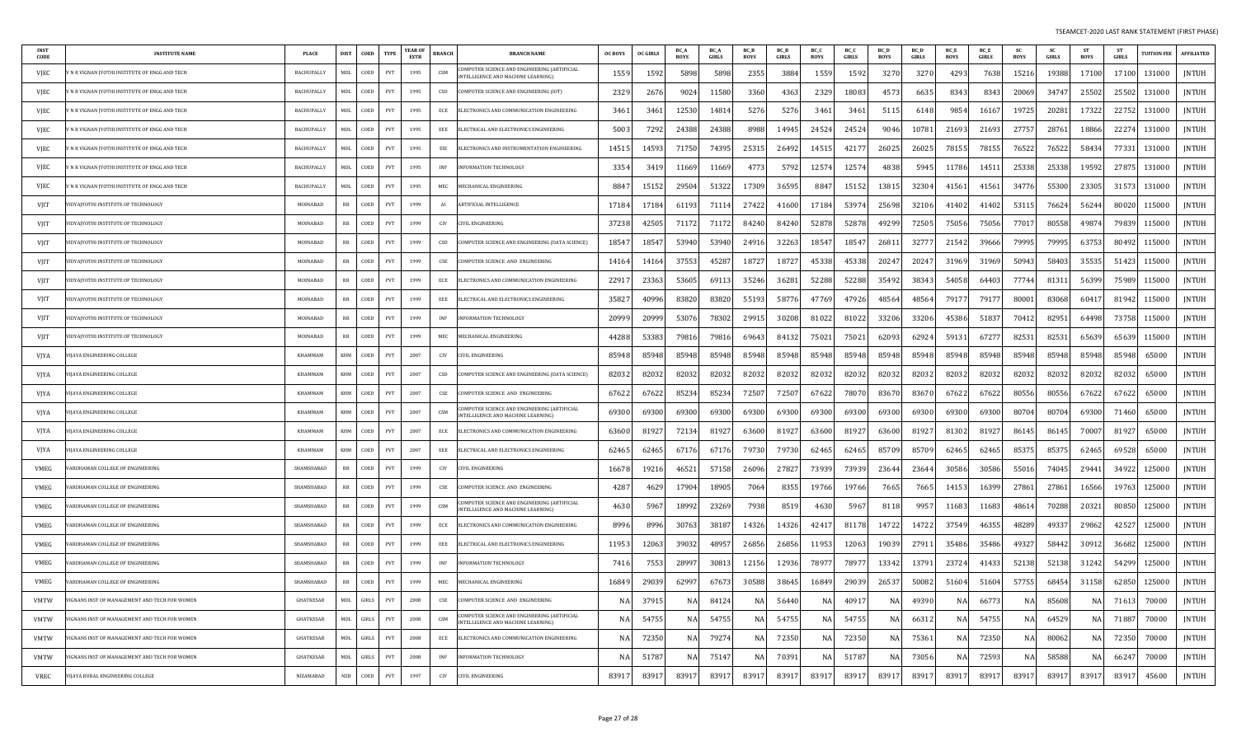| INS <sub>1</sub><br><b>CODE</b> | <b>INSTITUTE NAME</b>                                | <b>PLACE</b>      | <b>DIST</b>                       | COED<br><b>TYPE</b>                         | <b>YEAR OI</b><br>ESTB | <b>BRANCI</b>                      | <b>BRANCH NAME</b>                                                                       | <b>OC BOYS</b> | <b>OC GIRLS</b> | <b>BC</b> A<br><b>BOYS</b> | <b>BC</b> A<br><b>GIRLS</b> | <b>BC</b> E<br><b>BOYS</b> | <b>BC</b> B<br><b>GIRLS</b> | BC <sub>C</sub><br><b>BOYS</b> | BC O<br><b>GIRLS</b> | <b>BOYS</b> | <b>BC</b> D<br><b>GIRLS</b> | <b>BC</b> E<br><b>BOYS</b> | <b>BC</b> E<br><b>GIRLS</b> | <b>BOYS</b> | <b>SC</b><br><b>GIRLS</b> | <b>ST</b><br><b>BOYS</b> | <b>ST</b><br><b>GIRLS</b> | <b>TUITION FEE</b> | <b>AFFILIATED</b> |
|---------------------------------|------------------------------------------------------|-------------------|-----------------------------------|---------------------------------------------|------------------------|------------------------------------|------------------------------------------------------------------------------------------|----------------|-----------------|----------------------------|-----------------------------|----------------------------|-----------------------------|--------------------------------|----------------------|-------------|-----------------------------|----------------------------|-----------------------------|-------------|---------------------------|--------------------------|---------------------------|--------------------|-------------------|
| VJEC                            | N R VIGNAN [YOTHI INSTITUTE OF ENGG AND TECH         | BACHUPALLY        | MDL                               | COED<br><b>PVT</b>                          | 1995                   | <b>CSM</b>                         | OMPUTER SCIENCE AND ENGINEERING (ARTIFICIAL<br>NTELLIGENCE AND MACHINE LEARNING)         | 155            | 1592            | 5898                       | 5898                        | 2355                       | 3884                        | 1559                           | 1592                 | 3270        | 3270                        | 4293                       | 7638                        | 15216       | 19388                     | 17100                    | 17100                     | 131000             | <b>INTUH</b>      |
| VJEC                            | N R VIGNAN [YOTHI INSTITUTE OF ENGG AND TECH         | <b>BACHUPALLY</b> | MDI.                              | COED<br><b>PVT</b>                          | 1995                   | C <sub>SO</sub>                    | OMPUTER SCIENCE AND ENGINEERING (IOT)                                                    | 2329           | 2676            | 9024                       | 11580                       | 3360                       | 4363                        | 2329                           | 18083                | 457         | 6635                        | 8343                       | 8343                        | 20069       | 34747                     | 25502                    | 25502                     | 131000             | <b>JNTUH</b>      |
| VJEC                            | N R VIGNAN IYOTHI INSTITUTE OF ENGG AND TECH         | BACHUPALLY        | <b>MDL</b>                        | COED<br>PVT                                 | 1995                   | ECE                                | ELECTRONICS AND COMMUNICATION ENGINEERING                                                | 3461           | 3461            | 12530                      | 1481                        | 5276                       | 5276                        | 3461                           | 3461                 | 5115        | 6148                        | 9854                       | 1616                        | 19725       | 20281                     | 17322                    | 22752                     | 131000             | <b>JNTUH</b>      |
| VJEC                            | N R VIGNAN JYOTHI INSTITUTE OF ENGG AND TECH         | <b>BACHUPALLY</b> | <b>MDL</b>                        | COED<br>$\ensuremath{\mathrm{PVT}}$         | 1995                   | EEE                                | ELECTRICAL AND ELECTRONICS ENGINEERING                                                   | 5003           | 7292            | 24388                      | 24388                       | 8988                       | 14945                       | 24524                          | 24524                | 9046        | 10781                       | 2169                       | 21693                       | 27757       | 28761                     | 18866                    | 22274                     | 131000             | <b>JNTUH</b>      |
| VJEC                            | N R VIGNAN IYOTHI INSTITUTE OF ENGG AND TECH         | <b>BACHUPALL</b>  | MDL                               | COED<br>PVT                                 | 1995                   | EIE                                | LECTRONICS AND INSTRUMENTATION ENGINEERING                                               | 1451           | 14593           | 71750                      | 7439.                       | 2531                       | 26492                       | 1451.                          | 4217                 | 2602        | 26025                       | 7815                       | 7815                        | 76522       | 76522                     | 58434                    | 7733                      | 131000             | <b>JNTUH</b>      |
| VJEC                            | N R VIGNAN JYOTHI INSTITUTE OF ENGG AND TECH         | BACHUPALLY        | MDL                               | COED<br>$\ensuremath{\mathrm{PVT}}$         | 1995                   | $\ensuremath{\mathsf{INF}}\xspace$ | <b>NFORMATION TECHNOLOGY</b>                                                             | 3354           | 341             | 1166                       | 11669                       | 477                        | 5792                        | 1257                           | 1257                 | 4838        | 5945                        | 11786                      | 1451                        | 25338       | 25338                     | 19592                    | 27875                     | 131000             | <b>INTUH</b>      |
| VJEC                            | N R VIGNAN JYOTHI INSTITUTE OF ENGG AND TECH         | <b>BACHUPALLY</b> | MDL.                              | COED<br>$\ensuremath{\mathrm{PVT}}$         | 1995                   | MEC                                | MECHANICAL ENGINEERING                                                                   | 884            | 15152           | $2950-$                    | 51322                       | 17309                      | 36595                       | 8847                           | 15152                | 13815       | 32304                       | 4156                       | 41561                       | 34776       | 55300                     | 23305                    | 31573                     | 131000             | <b>JNTUH</b>      |
| VJIT                            | IDYAJYOTHI INSTITUTE OF TECHNOLOGY                   | MOINARAD          | RR                                | COED<br>PVT                                 | 1999                   | AI                                 | <b>ARTIFICIAL INTELLIGENCE</b>                                                           | 17184          | 17184           | 61193                      | 7111                        | 27422                      | 41600                       | 17184                          | 53974                | 25698       | 32106                       | 4140                       | 4140                        | 53115       | 76624                     | 56244                    | 80020                     | 115000             | <b>JNTUH</b>      |
| VJIT                            | <b>IDYAIYOTHI INSTITUTE OF TECHNOLOGY</b>            | MOINABAD          | <b>RR</b>                         | COED<br>PVT                                 | 1999                   | CIV                                | <b>IVIL ENGINEERING</b>                                                                  | 37238          | 42505           | 71172                      | 71172                       | 84240                      | 84240                       | 52878                          | 52878                | 49299       | 72505                       | 75056                      | 75056                       | 7701        | 80558                     | 49874                    | 79839                     | 115000             | <b>JNTUH</b>      |
| VJIT                            | <b>IDYAJYOTHI INSTITUTE OF TECHNOLOGY</b>            | MOINABAD          | <b>RR</b>                         | COED<br>$\ensuremath{\mathrm{PVT}}$         | 1999                   | CSD                                | OMPUTER SCIENCE AND ENGINEERING (DATA SCIENCE)                                           | 18547          | 18547           | 53940                      | 53940                       | 24916                      | 32263                       | 18547                          | 18547                | 2681        | 32777                       | 21542                      | 39666                       | 79995       | 79995                     | 63753                    | 80492                     | 115000             | JNTUH             |
| VIIT                            | DYAJYOTHI INSTITUTE OF TECHNOLOGY                    | MOINABAD          | RR                                | COED<br>PVT                                 | 1999                   | $\ensuremath{\mathsf{CSE}}$        | OMPUTER SCIENCE AND ENGINEERING                                                          | 1416           | 14164           | 37553                      | 45287                       | 1872                       | 18727                       | 45338                          | 45338                | 2024        | 20247                       | 3196                       | 31969                       | 5094        | 58403                     | 35535                    | 51423                     | 115000             | <b>JNTUH</b>      |
| VIIT                            | <b>IDYAJYOTHI INSTITUTE OF TECHNOLOGY</b>            | <b>MOINARAD</b>   | $\mathbb{R} \mathbb{R}$           | COED<br><b>PVT</b>                          | 1999                   | <b>ECE</b>                         | ELECTRONICS AND COMMUNICATION ENGINEERING                                                | 2291           | 23363           | 53605                      | 6911                        | 35246                      | 36281                       | 52288                          | 52288                | 3549.       | 38343                       | 54058                      | 64403                       | 7774        | 81311                     | 56399                    | 75989                     | 115000             | <b>INTUH</b>      |
| VJIT                            | <b>IDYAIYOTHI INSTITUTE OF TECHNOLOGY</b>            | MOINARAD          | $_{RR}$                           | COED<br>PVT                                 | 1999                   | EEE                                | ELECTRICAL AND ELECTRONICS ENGINEERING                                                   | 35827          | 40996           | 83820                      | 83820                       | 55193                      | 58776                       | 47769                          | 47926                | 4856        | 4856                        | 7917                       | 7917                        | 8000        | 83068                     | 6041                     | 81942                     | 115000             | <b>JNTUH</b>      |
| VJIT                            | <b>IDYAIYOTHI INSTITUTE OF TECHNOLOGY</b>            | MOINABAD          | RR                                | COED<br>PVT                                 | 1999                   | INF                                | <b>NFORMATION TECHNOLOGY</b>                                                             | 20999          | 2099            | 5307                       | 78302                       | 2991                       | 30208                       | 81022                          | 81022                | 33206       | 33206                       | 45386                      | 51837                       | 7041        | 82951                     | 64498                    | 73758                     | 115000             | <b>JNTUH</b>      |
| VJIT                            | <b>IDYAJYOTHI INSTITUTE OF TECHNOLOGY</b>            | MOINARAD          | <b>RR</b>                         | COED<br>$\ensuremath{\mathrm{PVT}}$         | 1999                   | MEC                                | MECHANICAL ENGINEERING                                                                   | 44288          | 53383           | 7981                       | 7981                        | 69643                      | 84132                       | 7502                           | 75021                | 6209        | 62924                       | 5913                       | 67277                       | 8253        | 82531                     | 65639                    | 65639                     | 115000             | <b>JNTUH</b>      |
| VJYA                            | <b>IJAYA ENGINEERING COLLEGE</b>                     | KHAMMAM           | KHM                               | COED<br>PVT                                 | 2007                   | CIV                                | <b>IVIL ENGINEERING</b>                                                                  | 85948          | 85948           | 85948                      | 85948                       | 85948                      | 85948                       | 85948                          | 85948                | 85948       | 85948                       | 85948                      | 85948                       | 85948       | 85948                     | 85948                    | 85948                     | 65000              | <b>JNTUH</b>      |
| <b>VJYA</b>                     | IJAYA ENGINEERING COLLEGE                            | KHAMMAM           | KHM                               | COED<br>PVT                                 | 2007                   | CSD                                | OMPUTER SCIENCE AND ENGINEERING (DATA SCIENCE)                                           | 82032          | 82032           | 82032                      | 82032                       | 8203                       | 82032                       | 82032                          | 82032                | 8203        | 82032                       | 8203                       | 82032                       | 8203        | 82032                     | 82032                    | 82032                     | 65000              | <b>JNTUH</b>      |
| VJYA                            | IJAYA ENGINEERING COLLEGE                            | KHAMMAM           | <b>KHM</b>                        | COED<br><b>PVT</b>                          | 2007                   | CSE                                | OMPUTER SCIENCE AND ENGINEERING                                                          | 67622          | 67622           | 8523                       | 85234                       | 72507                      | 72507                       | 67622                          | 78070                | 83670       | 83670                       | 67622                      | 67622                       | 80556       | 80556                     | 67622                    | 67622                     | 65000              | <b>JNTUH</b>      |
| VJYA                            | <b>IIAYA ENGINEERING COLLEGE</b>                     | KHAMMAM           | <b>KHM</b>                        | COED<br><b>PVT</b>                          | 2007                   | <b>CSM</b>                         | OMPUTER SCIENCE AND ENGINEERING (ARTIFICIAL<br><b>INTELLIGENCE AND MACHINE LEARNING)</b> | 69300          | 69300           | 69300                      | 69300                       | 69300                      | 69300                       | 69300                          | 69300                | 69300       | 69300                       | 69300                      | 69300                       | 8070        | 80704                     | 69300                    | 71460                     | 65000              | <b>JNTUH</b>      |
| VJYA                            | <b>IIAYA ENGINEERING COLLEGE</b>                     | KHAMMAM           | KHM                               | COED<br>PVT                                 | 2007                   | $ECE$                              | ELECTRONICS AND COMMUNICATION ENGINEERING                                                | 63600          | 81927           | 72134                      | 81927                       | 63600                      | 81927                       | 63600                          | 81927                | 63600       | 81927                       | 8130                       | 81927                       | 86145       | 86145                     | 7000                     | 81927                     | 65000              | <b>JNTUH</b>      |
| <b>VJYA</b>                     | <b>IJAYA ENGINEERING COLLEGE</b>                     | KHAMMAM           | KHM                               | COED<br>PVT                                 | 2007                   | EEE                                | ELECTRICAL AND ELECTRONICS ENGINEERING                                                   | 6246           | 6246            | 6717                       | 6717                        | 79730                      | 79730                       | 62465                          | 62465                | 8570        | 85709                       | 6246                       | 62465                       | 85375       | 85375                     | 6246                     | 69528                     | 65000              | JNTUH             |
| VMEG                            | ARDHAMAN COLLEGE OF ENGINEERING                      | SHAMSHABAD        | <b>RR</b>                         | COED<br>PVT                                 | 1999                   | ${\sf CIV}$                        | IVIL ENGINEERING                                                                         | 16678          | 1921            | 4652                       | 57158                       | 26096                      | 27827                       | 7393                           | 73939                | 23644       | 23644                       | 30586                      | 30586                       | 55016       | 74045                     | 2944                     | 34922                     | 125000             | <b>JNTUH</b>      |
| <b>VMEG</b>                     | ARDHAMAN COLLEGE OF ENGINEERING                      | SHAMSHABAD        | $\ensuremath{\mathsf{RR}}\xspace$ | COED<br>PVT                                 | 1999                   | CSE                                | MPUTER SCIENCE AND ENGINEERING                                                           | 428            | 462             | 1790                       | 18905                       | 7064                       | 8355                        | 19766                          | 19766                | 7665        | 7665                        | 14153                      | 16399                       | 2786        | 27861                     | 16566                    | 19763                     | 125000             | <b>JNTUH</b>      |
| <b>VMEG</b>                     | ARDHAMAN COLLEGE OF ENGINEERING                      | SHAMSHABAD        | RR                                | COED<br>PVT                                 | 1999                   | CSM                                | COMPUTER SCIENCE AND ENGINEERING (ARTIFICIAL<br>NTELLIGENCE AND MACHINE LEARNING)        | 4630           | 5967            | 1899.                      | 23269                       | 7938                       | 8519                        | 4630                           | 5967                 | 8118        | 9957                        | 11683                      | 11683                       | 4861        | 70288                     | 20321                    | 80850                     | 125000             | <b>JNTUH</b>      |
| <b>VMEG</b>                     | ARDHAMAN COLLEGE OF ENGINEERING                      | SHAMSHABAD        | RR                                | COED<br>PVT                                 | 1999                   | ECE                                | ELECTRONICS AND COMMUNICATION ENGINEERING                                                | 8996           | 8996            | 3076                       | 38187                       | 14326                      | 14326                       | 4241                           | 81178                | 1472        | 14722                       | 37549                      | 46355                       | 48289       | 49337                     | 29862                    | 42527                     | 125000             | <b>JNTUH</b>      |
| VMEG                            | ARDHAMAN COLLEGE OF ENGINEERING                      | SHAMSHARAD        | RR                                | COED<br><b>PVT</b>                          | 1999                   | EEE                                | ELECTRICAL AND ELECTRONICS ENGINEERING                                                   | 1195           | 12063           | 39032                      | 4895                        | 26856                      | 26856                       | 11953                          | 12063                | 19039       | 27911                       | 35486                      | 35486                       | 4932        | 58442                     | 30912                    | 36682                     | 125000             | <b>JNTUH</b>      |
| <b>VMEG</b>                     | ARDHAMAN COLLEGE OF ENGINEERING                      | SHAMSHABAD        | RR                                | COED<br>PVT                                 | 1999                   | <b>INF</b>                         | NFORMATION TECHNOLOGY                                                                    | 741            | 7553            | 2899                       | 3081                        | 12156                      | 12936                       | 7897                           | 7897                 | 13342       | 13791                       | 2372                       | 41433                       | 52138       | 52138                     | 31242                    | 54299                     | 125000             | <b>JNTUH</b>      |
| VMEG                            | ARDHAMAN COLLEGE OF ENGINEERING                      | SHAMSHABAD        | <b>RR</b>                         | COED<br>$\ensuremath{\mathrm{PVT}}$         | 1999                   | MEC                                | <b><i>AECHANICAL ENGINEERING</i></b>                                                     | 16849          | 2903            | 6299                       | 67673                       | 30588                      | 38645                       | 16849                          | 29039                | 2653        | 50082                       | 5160                       | 51604                       | 57755       | 68454                     | 31158                    | 62850                     | 125000             | <b>JNTUH</b>      |
| <b>VMTW</b>                     | <b>IGNANS INST OF MANAGEMENT AND TECH FOR WOMEN</b>  | <b>GHATKESAR</b>  | <b>MDL</b>                        | GIRLS<br>PVT                                | 2008                   | CSE                                | OMPUTER SCIENCE AND ENGINEERING                                                          |                | 3791            | NA                         | 8412                        | N/                         | 56440                       | NA                             | 4091                 | N/          | 49390                       | NA                         | 6677                        | NA          | 85608                     | NA                       | 71613                     | 70000              | <b>JNTUH</b>      |
| <b>VMTW</b>                     | <b>IGNANS INST OF MANAGEMENT AND TECH FOR WOMEN</b>  | <b>GHATKESAR</b>  | <b>MDL</b>                        | <b>GIRLS</b><br>$\ensuremath{\mathrm{PVT}}$ | 2008                   | $\mathsf{CSM}\xspace$              | COMPUTER SCIENCE AND ENGINEERING (ARTIFICIAL<br><b>NTELLIGENCE AND MACHINE LEARNING)</b> | N.             | 5475            | $N_A$                      | 54755                       | N/                         | 54755                       | NA                             | 5475                 | N           | 6631                        | N A                        | 54755                       | N A         | 64529                     | <b>NA</b>                | 7188                      | 70000              | <b>INTUH</b>      |
| <b>VMTW</b>                     | <b>IGNANS INST OF MANAGEMENT AND TECH FOR WOMEN</b>  | <b>GHATKESAR</b>  | MDL                               | <b>GIRLS</b><br><b>PVT</b>                  | 2008                   | <b>ECE</b>                         | ELECTRONICS AND COMMUNICATION ENGINEERING                                                |                | 72350           | NA                         | 7927                        | NA                         | 72350                       | NA                             | 7235                 | $N_{\ell}$  | 75361                       | NA                         | 72350                       | NA          | 80062                     | NA                       | 7235                      | 70000              | <b>JNTUH</b>      |
| VMTW                            | <b>JIGNANS INST OF MANAGEMENT AND TECH FOR WOMEN</b> | <b>GHATKESAR</b>  | MDI.                              | <b>GIRLS</b><br><b>PVT</b>                  | 2008                   | <b>INF</b>                         | NFORMATION TECHNOLOGY                                                                    | N/             | 51787           | NA                         | 75147                       | $N_{\ell}$                 | 70391                       | NA                             | 51787                | N/          | 73056                       | NA                         | 72593                       | NA          | 58588                     | NA                       | 66247                     | 70000              | <b>JNTUH</b>      |
| <b>VREC</b>                     | <b><i>ITAYA RURAL ENGINEERING COLLEGE</i></b>        | NIZAMABAD         | NZB                               | COED<br>PVT                                 | 1997                   | CIV                                | CIVIL ENGINEERING                                                                        | 8391           | 8391            | 8391                       | 8391                        | 8391                       | 83917                       | 8391                           | 8391                 | 8391        | 83917                       | 8391                       | 83917                       | 83917       | 83917                     | 8391                     | 83917                     | 45600              | <b>JNTUH</b>      |